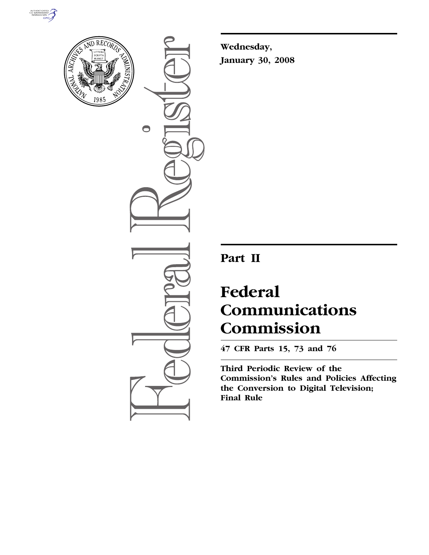



 $\bullet$ 

**Wednesday, January 30, 2008** 

# **Part II**

# **Federal Communications Commission**

**47 CFR Parts 15, 73 and 76** 

**Third Periodic Review of the Commission's Rules and Policies Affecting the Conversion to Digital Television; Final Rule**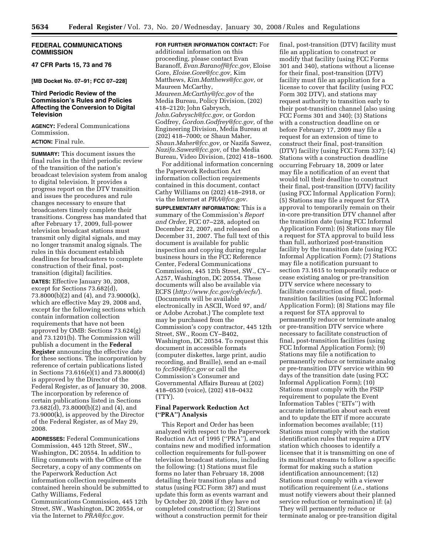# **FEDERAL COMMUNICATIONS COMMISSION**

**47 CFR Parts 15, 73 and 76** 

### **[MB Docket No. 07–91; FCC 07–228]**

# **Third Periodic Review of the Commission's Rules and Policies Affecting the Conversion to Digital Television**

**AGENCY:** Federal Communications Commission.

# **ACTION:** Final rule.

**SUMMARY:** This document issues the final rules in the third periodic review of the transition of the nation's broadcast television system from analog to digital television. It provides a progress report on the DTV transition and issues the procedures and rule changes necessary to ensure that broadcasters timely complete their transitions. Congress has mandated that after February 17, 2009, full-power television broadcast stations must transmit only digital signals, and may no longer transmit analog signals. The rules in this document establish deadlines for broadcasters to complete construction of their final, posttransition (digital) facilities.

**DATES:** Effective January 30, 2008, except for Sections 73.682(d), 73.8000(b)(2) and (4), and 73.9000(k), which are effective May 29, 2008 and, except for the following sections which contain information collection requirements that have not been approved by OMB: Sections 73.624(g) and 73.1201(b). The Commission will publish a document in the **Federal Register** announcing the effective date for these sections. The incorporation by reference of certain publications listed in Sections 73.616(e)(1) and 73.8000(d) is approved by the Director of the Federal Register, as of January 30, 2008. The incorporation by reference of certain publications listed in Sections 73.682(d), 73.8000(b)(2) and (4), and 73.9000(k), is approved by the Director of the Federal Register, as of May 29, 2008.

**ADDRESSES:** Federal Communications Commission, 445 12th Street, SW., Washington, DC 20554. In addition to filing comments with the Office of the Secretary, a copy of any comments on the Paperwork Reduction Act information collection requirements contained herein should be submitted to Cathy Williams, Federal Communications Commission, 445 12th Street, SW., Washington, DC 20554, or via the Internet to *PRA@fcc.gov.* 

**FOR FURTHER INFORMATION CONTACT:** For additional information on this proceeding, please contact Evan Baranoff, *Evan.Baranoff@fcc.gov,* Eloise Gore, *Eloise.Gore@fcc.gov,* Kim Matthews, *Kim.Matthews@fcc.gov,* or Maureen McCarthy, *Maureen.McCarthy@fcc.gov* of the Media Bureau, Policy Division, (202) 418–2120; John Gabrysch, *John.Gabrysch@fcc.gov,* or Gordon Godfrey, *Gordon.Godfrey@fcc.gov,* of the Engineering Division, Media Bureau at (202) 418–7000; or Shaun Maher, *Shaun.Maher@fcc.gov,* or Nazifa Sawez, *Nazifa.Sawez@fcc.gov,* of the Media Bureau, Video Division, (202) 418–1600.

For additional information concerning the Paperwork Reduction Act information collection requirements contained in this document, contact Cathy Williams on (202) 418–2918, or via the Internet at *PRA@fcc.gov.* 

**SUPPLEMENTARY INFORMATION:** This is a summary of the Commission's *Report and Order*, FCC 07–228, adopted on December 22, 2007, and released on December 31, 2007. The full text of this document is available for public inspection and copying during regular business hours in the FCC Reference Center, Federal Communications Commission, 445 12th Street, SW., CY– A257, Washington, DC 20554. These documents will also be available via ECFS (*http://www.fcc.gov/cgb/ecfs/*). (Documents will be available electronically in ASCII, Word 97, and/ or Adobe Acrobat.) The complete text may be purchased from the Commission's copy contractor, 445 12th Street, SW., Room CY–B402, Washington, DC 20554. To request this document in accessible formats (computer diskettes, large print, audio recording, and Braille), send an e-mail to *fcc504@fcc.gov* or call the Commission's Consumer and Governmental Affairs Bureau at (202) 418–0530 (voice), (202) 418–0432 (TTY).

# **Final Paperwork Reduction Act (''PRA'') Analysis**

This Report and Order has been analyzed with respect to the Paperwork Reduction Act of 1995 (''PRA''), and contains new and modified information collection requirements for full-power television broadcast stations, including the following: (1) Stations must file forms no later than February 18, 2008 detailing their transition plans and status (using FCC Form 387) and must update this form as events warrant and by October 20, 2008 if they have not completed construction; (2) Stations without a construction permit for their

final, post-transition (DTV) facility must file an application to construct or modify that facility (using FCC Forms 301 and 340), stations without a license for their final, post-transition (DTV) facility must file an application for a license to cover that facility (using FCC Form 302 DTV), and stations may request authority to transition early to their post-transition channel (also using FCC Forms 301 and 340); (3) Stations with a construction deadline on or before February 17, 2009 may file a request for an extension of time to construct their final, post-transition (DTV) facility (using FCC Form 337); (4) Stations with a construction deadline occurring February 18, 2009 or later may file a notification of an event that would toll their deadline to construct their final, post-transition (DTV) facility (using FCC Informal Application Form); (5) Stations may file a request for STA approval to temporarily remain on their in-core pre-transition DTV channel after the transition date (using FCC Informal Application Form); (6) Stations may file a request for STA approval to build less than full, authorized post-transition facility by the transition date (using FCC Informal Application Form); (7) Stations may file a notification pursuant to section 73.1615 to temporarily reduce or cease existing analog or pre-transition DTV service where necessary to facilitate construction of final, posttransition facilities (using FCC Informal Application Form); (8) Stations may file a request for STA approval to permanently reduce or terminate analog or pre-transition DTV service where necessary to facilitate construction of final, post-transition facilities (using FCC Informal Application Form); (9) Stations may file a notification to permanently reduce or terminate analog or pre-transition DTV service within 90 days of the transition date (using FCC Informal Application Form); (10) Stations must comply with the PSIP requirement to populate the Event Information Tables (''EITs'') with accurate information about each event and to update the EIT if more accurate information becomes available; (11) Stations must comply with the station identification rules that require a DTV station which chooses to identify a licensee that it is transmitting on one of its multicast streams to follow a specific format for making such a station identification announcement; (12) Stations must comply with a viewer notification requirement (*i.e.*, stations must notify viewers about their planned service reduction or termination) if: (a) They will permanently reduce or terminate analog or pre-transition digital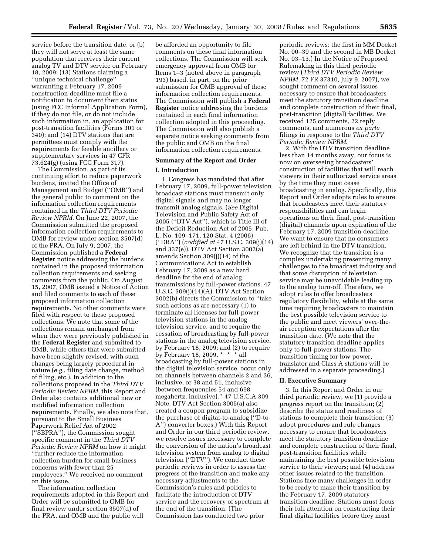service before the transition date, or (b) they will not serve at least the same population that receives their current analog TV and DTV service on February 18, 2009; (13) Stations claiming a ''unique technical challenge'' warranting a February 17, 2009 construction deadline must file a notification to document their status (using FCC Informal Application Form), if they do not file, or do not include such information in, an application for post-transition facilities (Forms 301 or 340); and (14) DTV stations that are permittees must comply with the requirements for feeable ancillary or supplementary services in 47 CFR 73.624(g) (using FCC Form 317).

The Commission, as part of its continuing effort to reduce paperwork burdens, invited the Office of Management and Budget (''OMB'') and the general public to comment on the information collection requirements contained in the *Third DTV Periodic Review NPRM*. On June 22, 2007, the Commission submitted the proposed information collection requirements to OMB for review under section 3507(d) of the PRA. On July 9, 2007, the Commission published a **Federal Register** notice addressing the burdens contained in the proposed information collection requirements and seeking comments from the public. On August 15, 2007, OMB issued a Notice of Action and filed comments to each of these proposed information collection requirements. No other comments were filed with respect to these proposed collections. We note that some of the collections remain unchanged from when they were previously published in the **Federal Register** and submitted to OMB, while others that were submitted have been slightly revised, with such changes being largely procedural in nature (*e.g.*, filing date change, method of filing, etc.). In addition to the collections proposed in the *Third DTV Periodic Review NPRM*, this Report and Order also contains additional new or modified information collection requirements. Finally, we also note that, pursuant to the Small Business Paperwork Relief Act of 2002 (''SBPRA''), the Commission sought specific comment in the *Third DTV Periodic Review NPRM* on how it might ''further reduce the information collection burden for small business concerns with fewer than 25 employees.'' We received no comment on this issue.

The information collection requirements adopted in this Report and Order will be submitted to OMB for final review under section 3507(d) of the PRA, and OMB and the public will

be afforded an opportunity to file comments on these final information collections. The Commission will seek emergency approval from OMB for Items 1–3 (noted above in paragraph 193) based, in part, on the prior submission for OMB approval of these information collection requirements. The Commission will publish a **Federal Register** notice addressing the burdens contained in each final information collection adopted in this proceeding. The Commission will also publish a separate notice seeking comments from the public and OMB on the final information collection requirements.

# **Summary of the Report and Order**

### **I. Introduction**

1. Congress has mandated that after February 17, 2009, full-power television broadcast stations must transmit only digital signals and may no longer transmit analog signals. (*See* Digital Television and Public Safety Act of 2005 (''DTV Act''), which is Title III of the Deficit Reduction Act of 2005, Pub. L. No. 109–171, 120 Stat. 4 (2006) (''DRA'') (*codified at* 47 U.S.C. 309(j)(14) and 337(e)). DTV Act Section 3002(a) amends Section 309(j)(14) of the Communications Act to establish February 17, 2009 as a new hard deadline for the end of analog transmissions by full-power stations. 47 U.S.C. 309(j)(14)(A). DTV Act Section 3002(b) directs the Commission to ''take such actions as are necessary (1) to terminate all licenses for full-power television stations in the analog television service, and to require the cessation of broadcasting by full-power stations in the analog television service, by February 18, 2009; and (2) to require by February 18, 2009, \* \* \* all broadcasting by full-power stations in the digital television service, occur only on channels between channels 2 and 36, inclusive, or 38 and 51, inclusive (between frequencies 54 and 698 megahertz, inclusive).'' 47 U.S.C.A 309 Note. DTV Act Section 3005(a) also created a coupon program to subsidize the purchase of digital-to-analog (''D-to-A'') converter boxes.) With this Report and Order in our third periodic review, we resolve issues necessary to complete the conversion of the nation's broadcast television system from analog to digital television (''DTV''). We conduct these periodic reviews in order to assess the progress of the transition and make any necessary adjustments to the Commission's rules and policies to facilitate the introduction of DTV service and the recovery of spectrum at the end of the transition. (The Commission has conducted two prior

periodic reviews: the first in MM Docket No. 00–39 and the second in MB Docket No. 03–15.) In the Notice of Proposed Rulemaking in this third periodic review (*Third DTV Periodic Review NPRM*, 72 FR 37310, July 9, 2007), we sought comment on several issues necessary to ensure that broadcasters meet the statutory transition deadline and complete construction of their final, post-transition (digital) facilities. We received 125 comments, 22 reply comments, and numerous *ex parte*  filings in response to the *Third DTV Periodic Review NPRM*.

2. With the DTV transition deadline less than 14 months away, our focus is now on overseeing broadcasters' construction of facilities that will reach viewers in their authorized service areas by the time they must cease broadcasting in analog. Specifically, this Report and Order adopts rules to ensure that broadcasters meet their statutory responsibilities and can begin operations on their final, post-transition (digital) channels upon expiration of the February 17, 2009 transition deadline. We want to ensure that no consumers are left behind in the DTV transition. We recognize that the transition is a complex undertaking presenting many challenges to the broadcast industry and that some disruption of television service may be unavoidable leading up to the analog turn-off. Therefore, we adopt rules to offer broadcasters regulatory flexibility, while at the same time requiring broadcasters to maintain the best possible television service to the public and meet viewers' over-theair reception expectations after the transition date. (We note that the statutory transition deadline applies only to full-power stations. The transition timing for low power, translator and Class A stations will be addressed in a separate proceeding.)

# **II. Executive Summary**

3. In this Report and Order in our third periodic review, we (1) provide a progress report on the transition; (2) describe the status and readiness of stations to complete their transition; (3) adopt procedures and rule changes necessary to ensure that broadcasters meet the statutory transition deadline and complete construction of their final, post-transition facilities while maintaining the best possible television service to their viewers; and (4) address other issues related to the transition. Stations face many challenges in order to be ready to make their transition by the February 17, 2009 statutory transition deadline. Stations must focus their full attention on constructing their final digital facilities before they must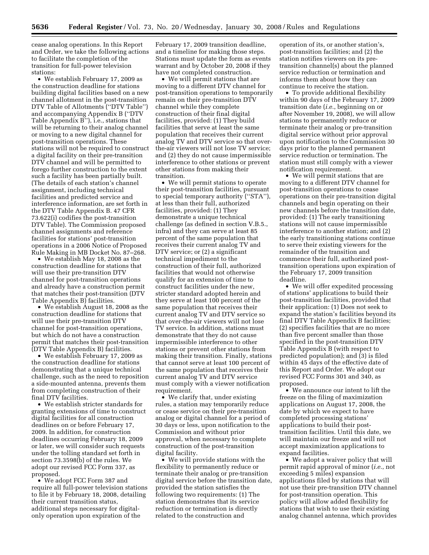cease analog operations. In this Report and Order, we take the following actions to facilitate the completion of the transition for full-power television stations:

• We establish February 17, 2009 as the construction deadline for stations building digital facilities based on a new channel allotment in the post-transition DTV Table of Allotments (''DTV Table'') and accompanying Appendix B (''DTV Table Appendix B''), i.e., stations that will be returning to their analog channel or moving to a new digital channel for post-transition operations. These stations will not be required to construct a digital facility on their pre-transition DTV channel and will be permitted to forego further construction to the extent such a facility has been partially built. (The details of each station's channel assignment, including technical facilities and predicted service and interference information, are set forth in the DTV Table Appendix B. 47 CFR 73.622(i) codifies the post-transition DTV Table). The Commission proposed channel assignments and reference facilities for stations' post-transition operations in a 2006 Notice of Proposed Rule Making in MB Docket No. 87–268.

• We establish May 18, 2008 as the construction deadline for stations that will use their pre-transition DTV channel for post-transition operations and already have a construction permit that matches their post-transition (DTV Table Appendix B) facilities.

• We establish August 18, 2008 as the construction deadline for stations that will use their pre-transition DTV channel for post-transition operations, but which do not have a construction permit that matches their post-transition (DTV Table Appendix B) facilities.

• We establish February 17, 2009 as the construction deadline for stations demonstrating that a unique technical challenge, such as the need to reposition a side-mounted antenna, prevents them from completing construction of their final DTV facilities.

• We establish stricter standards for granting extensions of time to construct digital facilities for all construction deadlines on or before February 17, 2009. In addition, for construction deadlines occurring February 18, 2009 or later, we will consider such requests under the tolling standard set forth in section 73.3598(b) of the rules. We adopt our revised FCC Form 337, as proposed.

• We adopt FCC Form 387 and require all full-power television stations to file it by February 18, 2008, detailing their current transition status, additional steps necessary for digitalonly operation upon expiration of the

February 17, 2009 transition deadline, and a timeline for making those steps. Stations must update the form as events warrant and by October 20, 2008 if they have not completed construction.

• We will permit stations that are moving to a different DTV channel for post-transition operations to temporarily remain on their pre-transition DTV channel while they complete construction of their final digital facilities, provided: (1) They build facilities that serve at least the same population that receives their current analog TV and DTV service so that overthe-air viewers will not lose TV service; and (2) they do not cause impermissible interference to other stations or prevent other stations from making their transition.

• We will permit stations to operate their post-transition facilities, pursuant to special temporary authority (''STA''), at less than their full, authorized facilities, provided: (1) They demonstrate a unique technical challenge (as defined in section V.B.5., infra) and they can serve at least 85 percent of the same population that receives their current analog TV and DTV service; or (2) a significant technical impediment to the construction of their full, authorized facilities that would not otherwise qualify for an extension of time to construct facilities under the new, stricter standard adopted herein and they serve at least 100 percent of the same population that receives their current analog TV and DTV service so that over-the-air viewers will not lose TV service. In addition, stations must demonstrate that they do not cause impermissible interference to other stations or prevent other stations from making their transition. Finally, stations that cannot serve at least 100 percent of the same population that receives their current analog TV and DTV service must comply with a viewer notification requirement.

• We clarify that, under existing rules, a station may temporarily reduce or cease service on their pre-transition analog or digital channel for a period of 30 days or less, upon notification to the Commission and without prior approval, when necessary to complete construction of the post-transition digital facility.

• We will provide stations with the flexibility to permanently reduce or terminate their analog or pre-transition digital service before the transition date, provided the station satisfies the following two requirements: (1) The station demonstrates that its service reduction or termination is directly related to the construction and

operation of its, or another station's, post-transition facilities; and (2) the station notifies viewers on its pretransition channel(s) about the planned service reduction or termination and informs them about how they can continue to receive the station.

• To provide additional flexibility within 90 days of the February 17, 2009 transition date (*i.e.*, beginning on or after November 19, 2008), we will allow stations to permanently reduce or terminate their analog or pre-transition digital service without prior approval upon notification to the Commission 30 days prior to the planned permanent service reduction or termination. The station must still comply with a viewer notification requirement.

• We will permit stations that are moving to a different DTV channel for post-transition operations to cease operations on their pre-transition digital channels and begin operating on their new channels before the transition date, provided: (1) The early transitioning stations will not cause impermissible interference to another station; and (2) the early transitioning stations continue to serve their existing viewers for the remainder of the transition and commence their full, authorized posttransition operations upon expiration of the February 17, 2009 transition deadline.

• We will offer expedited processing of stations' applications to build their post-transition facilities, provided that their application: (1) Does not seek to expand the station's facilities beyond its final DTV Table Appendix B facilities; (2) specifies facilities that are no more than five percent smaller than those specified in the post-transition DTV Table Appendix B (with respect to predicted population); and (3) is filed within 45 days of the effective date of this Report and Order. We adopt our revised FCC Forms 301 and 340, as proposed.

• We announce our intent to lift the freeze on the filing of maximization applications on August 17, 2008, the date by which we expect to have completed processing stations' applications to build their posttransition facilities. Until this date, we will maintain our freeze and will not accept maximization applications to expand facilities.

• We adopt a waiver policy that will permit rapid approval of minor (*i.e.*, not exceeding 5 miles) expansion applications filed by stations that will not use their pre-transition DTV channel for post-transition operation. This policy will allow added flexibility for stations that wish to use their existing analog channel antenna, which provides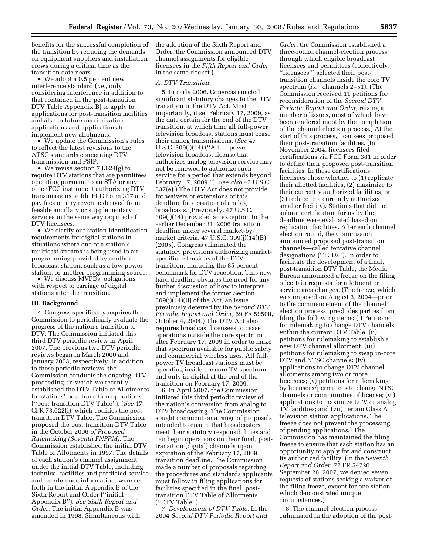benefits for the successful completion of the transition by reducing the demands on equipment suppliers and installation crews during a critical time as the transition date nears.

• We adopt a 0.5 percent new interference standard (*i.e.*, only considering interference in addition to that contained in the post-transition DTV Table Appendix B) to apply to applications for post-transition facilities and also to future maximization applications and applications to implement new allotments.

• We update the Commission's rules to reflect the latest revisions to the ATSC standards concerning DTV transmission and PSIP.

• We revise section 73.624(g) to require DTV stations that are permittees operating pursuant to an STA or any other FCC instrument authorizing DTV transmissions to file FCC Form 317 and pay fees on any revenue derived from feeable ancillary or supplementary services in the same way required of DTV licensees.

• We clarify our station identification requirements for digital stations in situations where one of a station's multicast streams is being used to air programming provided by another broadcast station, such as a low power station, or another programming source.

• We discuss MVPDs' obligations with respect to carriage of digital stations after the transition.

# **III. Background**

4. Congress specifically requires the Commission to periodically evaluate the progress of the nation's transition to DTV. The Commission initiated this third DTV periodic review in April 2007. The previous two DTV periodic reviews began in March 2000 and January 2003, respectively. In addition to these periodic reviews, the Commission conducts the ongoing DTV proceeding, in which we recently established the DTV Table of Allotments for stations' post-transition operations (''post-transition DTV Table''). (*See* 47 CFR 73.622(i), which codifies the posttransition DTV Table. The Commission proposed the post-transition DTV Table in the October 2006 *of Proposed Rulemaking (Seventh FNPRM).* The Commission established the initial DTV Table of Allotments in 1997. The details of each station's channel assignment under the initial DTV Table, including technical facilities and predicted service and interference information, were set forth in the initial Appendix B of the Sixth Report and Order (''initial Appendix B''). *See Sixth Report and Order.* The initial Appendix B was amended in 1998. Simultaneous with

the adoption of the Sixth Report and Order, the Commission announced DTV channel assignments for eligible licensees in the *Fifth Report and Order*  in the same docket.).

# *A. DTV Transition*

5. In early 2006, Congress enacted significant statutory changes to the DTV transition in the DTV Act. Most importantly, it set February 17, 2009, as the date certain for the end of the DTV transition, at which time all full-power television broadcast stations must cease their analog transmissions. (*See* 47 U.S.C. 309(j)(14) (''A full-power television broadcast license that authorizes analog television service may not be renewed to authorize such service for a period that extends beyond February 17, 2009.''). *See also* 47 U.S.C. 337(e).) The DTV Act does not provide for waivers or extensions of this deadline for cessation of analog broadcasts. (Previously, 47 U.S.C. 309(j)(14) provided an exception to the earlier December 31, 2006 transition deadline under several market-bymarket criteria. 47 U.S.C. 309(j)(14)(B) (2005). Congress eliminated the statutory provisions authorizing marketspecific extensions of the DTV transition, including the 85 percent benchmark for DTV reception. This new hard deadline obviates the need for any further discussion of how to interpret and implement the former Section 309(j)(14)(B) of the Act, an issue previously deferred by the *Second DTV Periodic Report and Order,* 69 FR 59500, October 4, 2004.) The DTV Act also requires broadcast licensees to cease operations outside the core spectrum after February 17, 2009 in order to make that spectrum available for public safety and commercial wireless uses. All fullpower TV broadcast stations must be operating inside the core TV spectrum and only in digital at the end of the transition on February 17, 2009.

6. In April 2007, the Commission initiated this third periodic review of the nation's conversion from analog to DTV broadcasting. The Commission sought comment on a range of proposals intended to ensure that broadcasters meet their statutory responsibilities and can begin operations on their final, posttransition (digital) channels upon expiration of the February 17, 2009 transition deadline. The Commission made a number of proposals regarding the procedures and standards applicants must follow in filing applications for facilities specified in the final, posttransition DTV Table of Allotments (''DTV Table'').

7. *Development of DTV Table.* In the 2004 *Second DTV Periodic Report and* 

*Order,* the Commission established a three-round channel-election process through which eligible broadcast licensees and permittees (collectively, ''licensees'') selected their posttransition channels inside the core TV spectrum (*i.e.*, channels 2–51). (The Commission received 11 petitions for reconsideration of the *Second DTV Periodic Report and Order,* raising a number of issues, most of which have been rendered moot by the completion of the channel election process.) At the start of this process, licensees proposed their post-transition facilities. (In November 2004, licensees filed certifications via FCC Form 381 in order to define their proposed post-transition facilities. In these certifications, licensees chose whether to (1) replicate their allotted facilities, (2) maximize to their currently authorized facilities, or (3) reduce to a currently authorized smaller facility). Stations that did not submit certification forms by the deadline were evaluated based on replication facilities. After each channel election round, the Commission announced proposed post-transition channels—called tentative channel designations (''TCDs''). In order to facilitate the development of a final, post-transition DTV Table, the Media Bureau announced a freeze on the filing of certain requests for allotment or service area changes. (The freeze, which was imposed on August 3, 2004—prior to the commencement of the channel election process, precludes parties from filing the following items: (i) Petitions for rulemaking to change DTV channels within the current DTV Table, (ii) petitions for rulemaking to establish a new DTV channel allotment, (iii) petitions for rulemaking to swap in-core DTV and NTSC channels; (iv) applications to change DTV channel allotments among two or more licensees; (v) petitions for rulemaking by licensees/permittees to change NTSC channels or communities of license; (vi) applications to maximize DTV or analog TV facilities; and (vii) certain Class A television station applications. The freeze does not prevent the processing of pending applications.) The Commission has maintained the filing freeze to ensure that each station has an opportunity to apply for and construct its authorized facility. (In the *Seventh Report and Order,* 72 FR 54720, September 26, 2007, we denied seven requests of stations seeking a waiver of the filing freeze, except for one station which demonstrated unique circumstances.)

8. The channel election process culminated in the adoption of the post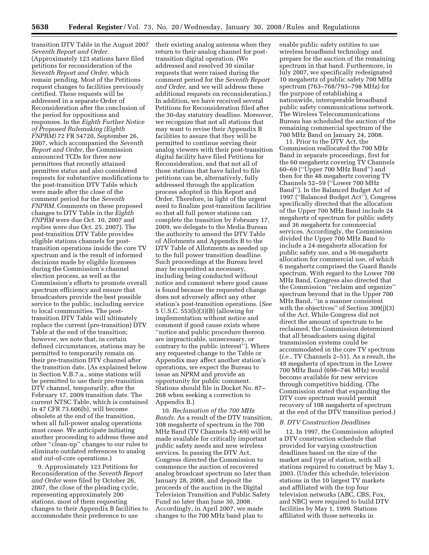transition DTV Table in the August 2007 *Seventh Report and Order.*  (Approximately 123 stations have filed petitions for reconsideration of the *Seventh Report and Order,* which remain pending. Most of the Petitions request changes to facilities previously certified. These requests will be addressed in a separate Order of Reconsideration after the conclusion of the period for oppositions and responses. In the *Eighth Further Notice of Proposed Rulemaking (Eighth FNPRM)* 72 FR 54720, September 26, 2007, which accompanied the *Seventh Report and Order,* the Commission announced TCDs for three new permittees that recently attained permittee status and also considered requests for substantive modifications to the post-transition DTV Table which were made after the close of the comment period for the *Seventh FNPRM.* Comments on these proposed changes to DTV Table in the *Eighth FNPRM* were due Oct. 10, 2007 and replies were due Oct. 25, 2007). The post-transition DTV Table provides eligible stations channels for posttransition operations inside the core TV spectrum and is the result of informed decisions made by eligible licensees during the Commission's channel election process, as well as the Commission's efforts to promote overall spectrum efficiency and ensure that broadcasters provide the best possible service to the public, including service to local communities. The posttransition DTV Table will ultimately replace the current (pre-transition) DTV Table at the end of the transition; however, we note that, in certain defined circumstances, stations may be permitted to temporarily remain on their pre-transition DTV channel after the transition date. (As explained below in Section V.B.7.a., some stations will be permitted to use their pre-transition DTV channel, temporarily, after the February 17, 2009 transition date. The current NTSC Table, which is contained in 47 CFR 73.606(b), will become obsolete at the end of the transition, when all full-power analog operations must cease. We anticipate initiating another proceeding to address these and other ''clean-up'' changes to our rules to eliminate outdated references to analog and out-of-core operations.)

9. Approximately 123 Petitions for Reconsideration of the *Seventh Report and Order* were filed by October 26, 2007, the close of the pleading cycle, representing approximately 200 stations, most of them requesting changes to their Appendix B facilities to accommodate their preference to use

their existing analog antenna when they return to their analog channel for posttransition digital operation. (We addressed and resolved 30 similar requests that were raised during the comment period for the *Seventh Report and Order,* and we will address these additional requests on reconsideration.) In addition, we have received several Petitions for Reconsideration filed after the 30-day statutory deadline. Moreover, we recognize that not all stations that may want to revise their Appendix B facilities to assure that they will be permitted to continue serving their analog viewers with their post-transition digital facility have filed Petitions for Reconsideration, and that not all of those stations that have failed to file petitions can be, alternatively, fully addressed through the application process adopted in this Report and Order. Therefore, in light of the urgent need to finalize post-transition facilities so that all full power stations can complete the transition by February 17, 2009, we delegate to the Media Bureau the authority to amend the DTV Table of Allotments and Appendix B to the DTV Table of Allotments as needed up to the full power transition deadline. Such proceedings at the Bureau level may be expedited as necessary, including being conducted without notice and comment where good cause is found because the requested change does not adversely affect any other station's post-transition operations. (*See*  5 U.S.C. 553(b)(3)(B) (allowing for implementation without notice and comment if good cause exists where ''notice and public procedure thereon are impracticable, unnecessary, or contrary to the public interest''). Where any requested change to the Table or Appendix may affect another station's operations, we expect the Bureau to issue an NPRM and provide an opportunity for public comment. Stations should file in Docket No. 87– 268 when seeking a correction to Appendix B.)

10. *Reclamation of the 700 MHz Bands.* As a result of the DTV transition, 108 megahertz of spectrum in the 700 MHz Band (TV Channels 52–69) will be made available for critically important public safety needs and new wireless services. In passing the DTV Act, Congress directed the Commission to commence the auction of recovered analog broadcast spectrum no later than January 28, 2008, and deposit the proceeds of the auction in the Digital Television Transition and Public Safety Fund no later than June 30, 2008. Accordingly, in April 2007, we made changes to the 700 MHz band plan to

enable public safety entities to use wireless broadband technology and prepare for the auction of the remaining spectrum in that band. Furthermore, in July 2007, we specifically redesignated 10 megahertz of public safety 700 MHz spectrum (763–768/793–798 MHz) for the purpose of establishing a nationwide, interoperable broadband public safety communications network. The Wireless Telecommunications Bureau has scheduled the auction of the remaining commercial spectrum of the 700 MHz Band on January 24, 2008.

11. Prior to the DTV Act, the Commission reallocated the 700 MHz Band in separate proceedings, first for the 60 megahertz covering TV Channels 60–69 (''Upper 700 MHz Band'') and then for the 48 megahertz covering TV Channels 52–59 (''Lower 700 MHz Band''). In the Balanced Budget Act of 1997 (''Balanced Budget Act''), Congress specifically directed that the allocation of the Upper 700 MHz Band include 24 megahertz of spectrum for public safety and 36 megahertz for commercial services. Accordingly, the Commission divided the Upper 700 MHz Band to include a 24-megahertz allocation for public safety use, and a 36-megahertz allocation for commercial use, of which 6 megahertz comprised the Guard Bands spectrum. With regard to the Lower 700 MHz Band, Congress also directed that the Commission ''reclaim and organize'' spectrum beyond that in the Upper 700 MHz Band, ''in a manner consistent with the objectives" of Section 309(j)(3) of the Act. While Congress did not direct the amount of spectrum to be reclaimed, the Commission determined that all broadcasters using digital transmission systems could be accommodated in the core TV spectrum (*i.e.,* TV Channels 2–51). As a result, the 48 megahertz of spectrum in the Lower 700 MHz Band (698–746 MHz) would become available for new services through competitive bidding. (The Commission stated that expanding the DTV core spectrum would permit recovery of 108 megahertz of spectrum at the end of the DTV transition period.)

# *B. DTV Construction Deadlines*

12. In 1997, the Commission adopted a DTV construction schedule that provided for varying construction deadlines based on the size of the market and type of station, with all stations required to construct by May 1, 2003. (Under this schedule, television stations in the 10 largest TV markets and affiliated with the top four television networks (ABC, CBS, Fox, and NBC) were required to build DTV facilities by May 1, 1999. Stations affiliated with those networks in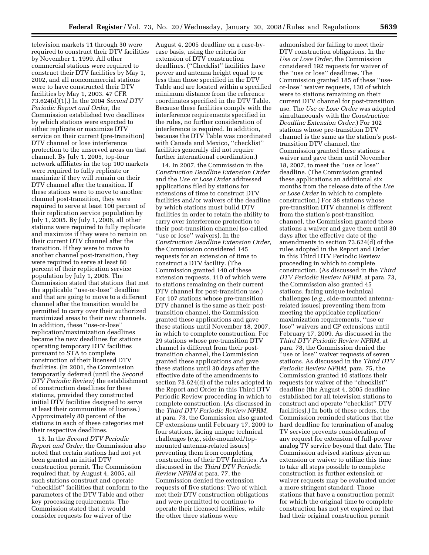television markets 11 through 30 were required to construct their DTV facilities by November 1, 1999. All other commercial stations were required to construct their DTV facilities by May 1, 2002, and all noncommercial stations were to have constructed their DTV facilities by May 1, 2003. 47 CFR 73.624(d)(1).) In the 2004 *Second DTV Periodic Report and Order*, the Commission established two deadlines by which stations were expected to either replicate or maximize DTV service on their current (pre-transition) DTV channel or lose interference protection to the unserved areas on that channel. By July 1, 2005, top-four network affiliates in the top 100 markets were required to fully replicate or maximize if they will remain on their DTV channel after the transition. If these stations were to move to another channel post-transition, they were required to serve at least 100 percent of their replication service population by July 1, 2005. By July 1, 2006, all other stations were required to fully replicate and maximize if they were to remain on their current DTV channel after the transition. If they were to move to another channel post-transition, they were required to serve at least 80 percent of their replication service population by July 1, 2006. The Commission stated that stations that met the applicable ''use-or-lose'' deadline and that are going to move to a different channel after the transition would be permitted to carry over their authorized maximized areas to their new channels. In addition, these ''use-or-lose'' replication/maximization deadlines became the new deadlines for stations operating temporary DTV facilities pursuant to STA to complete construction of their licensed DTV facilities. (In 2001, the Commission temporarily deferred (until the *Second DTV Periodic Review*) the establishment of construction deadlines for these stations, provided they constructed initial DTV facilities designed to serve at least their communities of license.) Approximately 80 percent of the stations in each of these categories met their respective deadlines.

13. In the *Second DTV Periodic Report and Order*, the Commission also noted that certain stations had not yet been granted an initial DTV construction permit. The Commission required that, by August 4, 2005, all such stations construct and operate ''checklist'' facilities that conform to the parameters of the DTV Table and other key processing requirements. The Commission stated that it would consider requests for waiver of the

August 4, 2005 deadline on a case-bycase basis, using the criteria for extension of DTV construction deadlines. (''Checklist'' facilities have power and antenna height equal to or less than those specified in the DTV Table and are located within a specified minimum distance from the reference coordinates specified in the DTV Table. Because these facilities comply with the interference requirements specified in the rules, no further consideration of interference is required. In addition, because the DTV Table was coordinated with Canada and Mexico, ''checklist'' facilities generally did not require further international coordination.)

14. In 2007, the Commission in the *Construction Deadline Extension Order*  and the *Use or Lose Order* addressed applications filed by stations for extensions of time to construct DTV facilities and/or waivers of the deadline by which stations must build DTV facilities in order to retain the ability to carry over interference protection to their post-transition channel (so-called ''use or lose'' waivers). In the *Construction Deadline Extension Order*, the Commission considered 145 requests for an extension of time to construct a DTV facility. (The Commission granted 140 of these extension requests, 110 of which were to stations remaining on their current DTV channel for post-transition use.) For 107 stations whose pre-transition DTV channel is the same as their posttransition channel, the Commission granted these applications and gave these stations until November 18, 2007, in which to complete construction. For 29 stations whose pre-transition DTV channel is different from their posttransition channel, the Commission granted these applications and gave these stations until 30 days after the effective date of the amendments to section 73.624(d) of the rules adopted in the Report and Order in this Third DTV Periodic Review proceeding in which to complete construction. (As discussed in the *Third DTV Periodic Review NPRM*, at para. 73, the Commission also granted CP extensions until February 17, 2009 to four stations, facing unique technical challenges (*e.g.*, side-mounted/topmounted antenna-related issues) preventing them from completing construction of their DTV facilities. As discussed in the *Third DTV Periodic Review NPRM* at para. 77, the Commission denied the extension requests of five stations: Two of which met their DTV construction obligations and were permitted to continue to operate their licensed facilities, while the other three stations were

admonished for failing to meet their DTV construction obligations. In the *Use or Lose Order*, the Commission considered 192 requests for waiver of the ''use or lose'' deadlines. The Commission granted 185 of these ''useor-lose'' waiver requests, 130 of which were to stations remaining on their current DTV channel for post-transition use. The *Use or Lose Order* was adopted simultaneously with the *Construction Deadline Extension Order*.) For 102 stations whose pre-transition DTV channel is the same as the station's posttransition DTV channel, the Commission granted these stations a waiver and gave them until November 18, 2007, to meet the ''use or lose'' deadline. (The Commission granted these applications an additional six months from the release date of the *Use or Lose Order* in which to complete construction.) For 38 stations whose pre-transition DTV channel is different from the station's post-transition channel, the Commission granted these stations a waiver and gave them until 30 days after the effective date of the amendments to section 73.624(d) of the rules adopted in the Report and Order in this Third DTV Periodic Review proceeding in which to complete construction. (As discussed in the *Third DTV Periodic Review NPRM*, at para. 73, the Commission also granted 45 stations, facing unique technical challenges (*e.g.,* side-mounted antennarelated issues) preventing them from meeting the applicable replication/ maximization requirements, ''use or lose'' waivers and CP extensions until February 17, 2009. As discussed in the *Third DTV Periodic Review NPRM*, at para. 78, the Commission denied the ''use or lose'' waiver requests of seven stations. As discussed in the *Third DTV Periodic Review NPRM,* para. 75, the Commission granted 10 stations their requests for waiver of the ''checklist'' deadline (the August 4, 2005 deadline established for all television stations to construct and operate ''checklist'' DTV facilities).) In both of these orders, the Commission reminded stations that the hard deadline for termination of analog TV service prevents consideration of any request for extension of full-power analog TV service beyond that date. The Commission advised stations given an extension or waiver to utilize this time to take all steps possible to complete construction as further extension or waiver requests may be evaluated under a more stringent standard. Those stations that have a construction permit for which the original time to complete construction has not yet expired or that had their original construction permit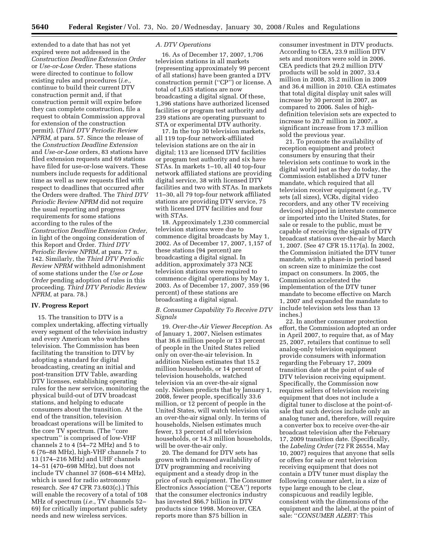extended to a date that has not yet expired were not addressed in the *Construction Deadline Extension Order*  or *Use-or-Lose Order*. These stations were directed to continue to follow existing rules and procedures (*i.e.,*  continue to build their current DTV construction permit and, if that construction permit will expire before they can complete construction, file a request to obtain Commission approval for extension of the construction permit). (*Third DTV Periodic Review NPRM,* at para. 57. Since the release of the *Construction Deadline Extension*  and *Use-or-Lose* orders, 83 stations have filed extension requests and 69 stations have filed for use-or-lose waivers. These numbers include requests for additional time as well as new requests filed with respect to deadlines that occurred after the Orders were drafted. The *Third DTV Periodic Review NPRM* did not require the usual reporting and progress requirements for some stations according to the rules of the *Construction Deadline Extension Order*, in light of the ongoing consideration of this Report and Order. *Third DTV Periodic Review NPRM*, at para. 77 n. 142. Similarly, the *Third DTV Periodic Review NPRM* withheld admonishment of some stations under the *Use or Lose Order* pending adoption of rules in this proceeding. *Third DTV Periodic Review NPRM*, at para. 78.)

# **IV. Progress Report**

15. The transition to DTV is a complex undertaking, affecting virtually every segment of the television industry and every American who watches television. The Commission has been facilitating the transition to DTV by adopting a standard for digital broadcasting, creating an initial and post-transition DTV Table, awarding DTV licenses, establishing operating rules for the new service, monitoring the physical build-out of DTV broadcast stations, and helping to educate consumers about the transition. At the end of the transition, television broadcast operations will be limited to the core TV spectrum. (The ''core spectrum'' is comprised of low-VHF channels 2 to 4 (54–72 MHz) and 5 to 6 (76–88 MHz), high-VHF channels 7 to 13 (174–216 MHz) and UHF channels 14–51 (470–698 MHz), but does not include TV channel 37 (608–614 MHz), which is used for radio astronomy research. *See* 47 CFR 73.603(c).) This will enable the recovery of a total of 108 MHz of spectrum (*i.e.*, TV channels 52– 69) for critically important public safety needs and new wireless services.

# *A. DTV Operations*

16. As of December 17, 2007, 1,706 television stations in all markets (representing approximately 99 percent of all stations) have been granted a DTV construction permit (''CP'') or license. A total of 1,635 stations are now broadcasting a digital signal. Of these, 1,396 stations have authorized licensed facilities or program test authority and 239 stations are operating pursuant to STA or experimental DTV authority.

17. In the top 30 television markets, all 119 top-four network-affiliated television stations are on the air in digital; 113 are licensed DTV facilities or program test authority and six have STAs. In markets 1–10, all 40 top-four network affiliated stations are providing digital service, 38 with licensed DTV facilities and two with STAs. In markets 11–30, all 79 top-four network affiliated stations are providing DTV service, 75 with licensed DTV facilities and four with STAs.

18. Approximately 1,230 commercial television stations were due to commence digital broadcasts by May 1, 2002. As of December 17, 2007, 1,157 of these stations (94 percent) are broadcasting a digital signal. In addition, approximately 373 NCE television stations were required to commence digital operations by May 1, 2003. As of December 17, 2007, 359 (96 percent) of these stations are broadcasting a digital signal.

# *B. Consumer Capability To Receive DTV Signals*

19. *Over-the-Air Viewer Reception.* As of January 1, 2007, Nielsen estimates that 36.6 million people or 13 percent of people in the United States relied only on over-the-air television. In addition Nielsen estimates that 15.2 million households, or 14 percent of television households, watched television via an over-the-air signal only. Nielsen predicts that by January 1, 2008, fewer people, specifically 33.6 million, or 12 percent of people in the United States, will watch television via an over-the-air signal only. In terms of households, Nielsen estimates much fewer, 13 percent of all television households, or 14.3 million households, will be over-the-air only.

20. The demand for DTV sets has grown with increased availability of DTV programming and receiving equipment and a steady drop in the price of such equipment. The Consumer Electronics Association (''CEA'') reports that the consumer electronics industry has invested \$66.7 billion in DTV products since 1998. Moreover, CEA reports more than \$75 billion in

consumer investment in DTV products. According to CEA, 23.9 million DTV sets and monitors were sold in 2006. CEA predicts that 29.2 million DTV products will be sold in 2007, 33.4 million in 2008, 35.2 million in 2009 and 36.4 million in 2010. CEA estimates that total digital display unit sales will increase by 30 percent in 2007, as compared to 2006. Sales of highdefinition television sets are expected to increase to 20.7 million in 2007, a significant increase from 17.3 million sold the previous year.

21. To promote the availability of reception equipment and protect consumers by ensuring that their television sets continue to work in the digital world just as they do today, the Commission established a DTV tuner mandate, which required that all television receiver equipment (*e.g.*, TV sets (all sizes), VCRs, digital video recorders, and any other TV receiving devices) shipped in interstate commerce or imported into the United States, for sale or resale to the public, must be capable of receiving the signals of DTV broadcast stations over-the-air by March 1, 2007. (See 47 CFR 15.117(a). In 2002, the Commission initiated the DTV tuner mandate, with a phase-in period based on screen size to minimize the cost impact on consumers. In 2005, the Commission accelerated the implementation of the DTV tuner mandate to become effective on March 1, 2007 and expanded the mandate to include television sets less than 13 inches.)

22. In another consumer protection effort, the Commission adopted an order in April 2007, to require that, as of May 25, 2007, retailers that continue to sell analog-only television equipment provide consumers with information regarding the February 17, 2009 transition date at the point of sale of DTV television receiving equipment. Specifically, the Commission now requires sellers of television receiving equipment that does not include a digital tuner to disclose at the point-ofsale that such devices include only an analog tuner and, therefore, will require a converter box to receive over-the-air broadcast television after the February 17, 2009 transition date. (Specifically, the *Labeling Order* (72 FR 26554, May 10, 2007) requires that anyone that sells or offers for sale or rent television receiving equipment that does not contain a DTV tuner must display the following consumer alert, in a size of type large enough to be clear, conspicuous and readily legible, consistent with the dimensions of the equipment and the label, at the point of sale: ''*CONSUMER ALERT:* This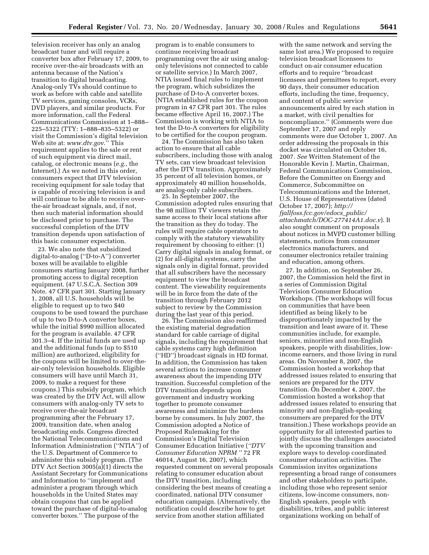television receiver has only an analog broadcast tuner and will require a converter box after February 17, 2009, to receive over-the-air broadcasts with an antenna because of the Nation's transition to digital broadcasting. Analog-only TVs should continue to work as before with cable and satellite TV services, gaming consoles, VCRs, DVD players, and similar products. For more information, call the Federal Communications Commission at 1–888– 225–5322 (TTY: 1–888–835–5322) or visit the Commission's digital television Web site at: *www.dtv.gov*.'' This requirement applies to the sale or rent of such equipment via direct mail, catalog, or electronic means (*e.g.*, the Internet).) As we noted in this order, consumers expect that DTV television receiving equipment for sale today that is capable of receiving television is and will continue to be able to receive overthe-air broadcast signals, and, if not, then such material information should be disclosed prior to purchase. The successful completion of the DTV transition depends upon satisfaction of this basic consumer expectation.

23. We also note that subsidized digital-to-analog (''D-to-A'') converter boxes will be available to eligible consumers starting January 2008, further promoting access to digital reception equipment. (47 U.S.C.A. Section 309 Note. 47 CFR part 301. Starting January 1, 2008, all U.S. households will be eligible to request up to two \$40 coupons to be used toward the purchase of up to two D-to-A converter boxes, while the initial \$990 million allocated for the program is available. 47 CFR 301.3–4. If the initial funds are used up and the additional funds (up to \$510 million) are authorized, eligibility for the coupons will be limited to over-theair-only television households. Eligible consumers will have until March 31, 2009, to make a request for these coupons.) This subsidy program, which was created by the DTV Act, will allow consumers with analog-only TV sets to receive over-the-air broadcast programming after the February 17, 2009, transition date, when analog broadcasting ends. Congress directed the National Telecommunications and Information Administration (''NTIA'') of the U.S. Department of Commerce to administer this subsidy program. (The DTV Act Section 3005(a)(1) directs the Assistant Secretary for Communications and Information to ''implement and administer a program through which households in the United States may obtain coupons that can be applied toward the purchase of digital-to-analog converter boxes.'' The purpose of the

program is to enable consumers to continue receiving broadcast programming over the air using analogonly televisions not connected to cable or satellite service.) In March 2007, NTIA issued final rules to implement the program, which subsidizes the purchase of D-to-A converter boxes. (NTIA established rules for the coupon program in 47 CFR part 301. The rules became effective April 16, 2007.) The Commission is working with NTIA to test the D-to-A converters for eligibility to be certified for the coupon program.

24. The Commission has also taken action to ensure that all cable subscribers, including those with analog TV sets, can view broadcast television after the DTV transition. Approximately 35 percent of all television homes, or approximately 40 million households, are analog-only cable subscribers.

25. In September 2007, the Commission adopted rules ensuring that the 98 million TV viewers retain the same access to their local stations after the transition as they do today. The rules will require cable operators to comply with the statutory viewability requirement by choosing to either: (1) Carry digital signals in analog format, or (2) for all-digital systems, carry the signals only in digital format, provided that all subscribers have the necessary equipment to view the broadcast content. The viewability requirements will be in force from the date of the transition through February 2012 subject to review by the Commission during the last year of this period.

26. The Commission also reaffirmed the existing material degradation standard for cable carriage of digital signals, including the requirement that cable systems carry high definition (''HD'') broadcast signals in HD format. In addition, the Commission has taken several actions to increase consumer awareness about the impending DTV transition. Successful completion of the DTV transition depends upon government and industry working together to promote consumer awareness and minimize the burdens borne by consumers. In July 2007, the Commission adopted a Notice of Proposed Rulemaking for the Commission's Digital Television Consumer Education Initiative (*''DTV Consumer Education NPRM ''* 72 FR 46014, August 16, 2007), which requested comment on several proposals relating to consumer education about the DTV transition, including considering the best means of creating a coordinated, national DTV consumer education campaign. (Alternatively, the notification could describe how to get service from another station affiliated

with the same network and serving the same lost area.) We proposed to require television broadcast licensees to conduct on-air consumer education efforts and to require ''broadcast licensees and permittees to report, every 90 days, their consumer education efforts, including the time, frequency, and content of public service announcements aired by each station in a market, with civil penalties for noncompliance.'' (Comments were due September 17, 2007 and reply comments were due October 1, 2007. An order addressing the proposals in this docket was circulated on October 16, 2007. *See* Written Statement of the Honorable Kevin J. Martin, Chairman, Federal Communications Commission, Before the Committee on Energy and Commerce, Subcommittee on Telecommunications and the Internet, U.S. House of Representatives (dated October 17, 2007); *http:// fjallfoss.fcc.gov/edocs*\_*public/ attachmatch/DOC-277414A1.doc.v*). It also sought comment on proposals about notices in MVPD customer billing statements, notices from consumer electronics manufacturers, and consumer electronics retailer training and education, among others.

27. In addition, on September 26, 2007, the Commission held the first in a series of Commission Digital Television Consumer Education Workshops. (The workshops will focus on communities that have been identified as being likely to be disproportionately impacted by the transition and least aware of it. These communities include, for example, seniors, minorities and non-English speakers, people with disabilities, lowincome earners, and those living in rural areas. On November 8, 2007, the Commission hosted a workshop that addressed issues related to ensuring that seniors are prepared for the DTV transition. On December 4, 2007, the Commission hosted a workshop that addressed issues related to ensuring that minority and non-English-speaking consumers are prepared for the DTV transition.) These workshops provide an opportunity for all interested parties to jointly discuss the challenges associated with the upcoming transition and explore ways to develop coordinated consumer education activities. The Commission invites organizations representing a broad range of consumers and other stakeholders to participate, including those who represent senior citizens, low-income consumers, non-English speakers, people with disabilities, tribes, and public interest organizations working on behalf of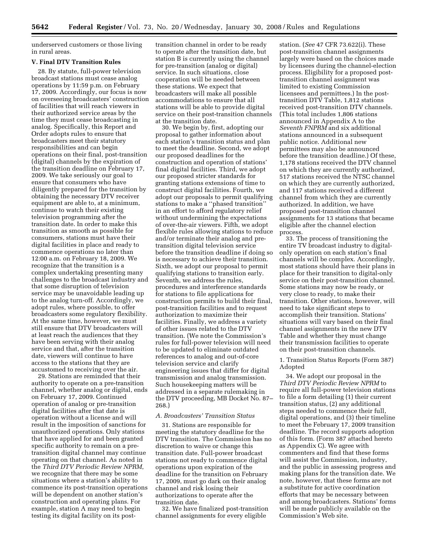underserved customers or those living in rural areas.

# **V. Final DTV Transition Rules**

28. By statute, full-power television broadcast stations must cease analog operations by 11:59 p.m. on February 17, 2009. Accordingly, our focus is now on overseeing broadcasters' construction of facilities that will reach viewers in their authorized service areas by the time they must cease broadcasting in analog. Specifically, this Report and Order adopts rules to ensure that broadcasters meet their statutory responsibilities and can begin operations on their final, post-transition (digital) channels by the expiration of the transition deadline on February 17, 2009. We take seriously our goal to ensure that consumers who have diligently prepared for the transition by obtaining the necessary DTV receiver equipment are able to, at a minimum, continue to watch their existing television programming after the transition date. In order to make this transition as smooth as possible for consumers, stations must have their digital facilities in place and ready to commence operations no later than 12:00 a.m. on February 18, 2009. We recognize that the transition is a complex undertaking presenting many challenges to the broadcast industry and that some disruption of television service may be unavoidable leading up to the analog turn-off. Accordingly, we adopt rules, where possible, to offer broadcasters some regulatory flexibility. At the same time, however, we must still ensure that DTV broadcasters will at least reach the audiences that they have been serving with their analog service and that, after the transition date, viewers will continue to have access to the stations that they are accustomed to receiving over the air.

29. Stations are reminded that their authority to operate on a pre-transition channel, whether analog or digital, ends on February 17, 2009. Continued operation of analog or pre-transition digital facilities after that date is operation without a license and will result in the imposition of sanctions for unauthorized operations. Only stations that have applied for and been granted specific authority to remain on a pretransition digital channel may continue operating on that channel. As noted in the *Third DTV Periodic Review NPRM*, we recognize that there may be some situations where a station's ability to commence its post-transition operations will be dependent on another station's construction and operating plans. For example, station A may need to begin testing its digital facility on its posttransition channel in order to be ready to operate after the transition date, but station B is currently using the channel for pre-transition (analog or digital) service. In such situations, close cooperation will be needed between these stations. We expect that broadcasters will make all possible accommodations to ensure that all stations will be able to provide digital service on their post-transition channels at the transition date.

30. We begin by, first, adopting our proposal to gather information about each station's transition status and plan to meet the deadline. Second, we adopt our proposed deadlines for the construction and operation of stations' final digital facilities. Third, we adopt our proposed stricter standards for granting stations extensions of time to construct digital facilities. Fourth, we adopt our proposals to permit qualifying stations to make a ''phased transition'' in an effort to afford regulatory relief without undermining the expectations of over-the-air viewers. Fifth, we adopt flexible rules allowing stations to reduce and/or terminate their analog and pretransition digital television service before the transition deadline if doing so is necessary to achieve their transition. Sixth, we adopt our proposal to permit qualifying stations to transition early. Seventh, we address the rules, procedures and interference standards for stations to file applications for construction permits to build their final, post-transition facilities and to request authorization to maximize their facilities. Finally, we address a variety of other issues related to the DTV transition. (We note the Commission's rules for full-power television will need to be updated to eliminate outdated references to analog and out-of-core television service and clarify engineering issues that differ for digital transmission and analog transmission. Such housekeeping matters will be addressed in a separate rulemaking in the DTV proceeding, MB Docket No. 87– 268.)

## *A. Broadcasters' Transition Status*

31. Stations are responsible for meeting the statutory deadline for the DTV transition. The Commission has no discretion to waive or change this transition date. Full-power broadcast stations not ready to commence digital operations upon expiration of the deadline for the transition on February 17, 2009, must go dark on their analog channel and risk losing their authorizations to operate after the transition date.

32. We have finalized post-transition channel assignments for every eligible

station. (*See* 47 CFR 73.622(i). These post-transition channel assignments largely were based on the choices made by licensees during the channel-election process. Eligibility for a proposed posttransition channel assignment was limited to existing Commission licensees and permittees.) In the posttransition DTV Table, 1,812 stations received post-transition DTV channels. (This total includes 1,806 stations announced in Appendix A to the *Seventh FNPRM* and six additional stations announced in a subsequent public notice. Additional new permittees may also be announced before the transition deadline.) Of these, 1,178 stations received the DTV channel on which they are currently authorized, 517 stations received the NTSC channel on which they are currently authorized, and 117 stations received a different channel from which they are currently authorized. In addition, we have proposed post-transition channel assignments for 13 stations that became eligible after the channel election process.

33. The process of transitioning the entire TV broadcast industry to digitalonly operation on each station's final channels will be complex. Accordingly, most stations should have their plans in place for their transition to digital-only service on their post-transition channel. Some stations may now be ready, or very close to ready, to make their transition. Other stations, however, will need to take significant steps to accomplish their transition. Stations' situations will vary based on their final channel assignments in the new DTV Table and whether they must change their transmission facilities to operate on their post-transition channels.

1. Transition Status Reports (Form 387) Adopted

34. We adopt our proposal in the *Third DTV Periodic Review NPRM* to require all full-power television stations to file a form detailing (1) their current transition status, (2) any additional steps needed to commence their full, digital operations, and (3) their timeline to meet the February 17, 2009 transition deadline. The record supports adoption of this form. (Form 387 attached hereto as Appendix C). We agree with commenters and find that these forms will assist the Commission, industry, and the public in assessing progress and making plans for the transition date. We note, however, that these forms are not a substitute for active coordination efforts that may be necessary between and among broadcasters. Stations' forms will be made publicly available on the Commission's Web site.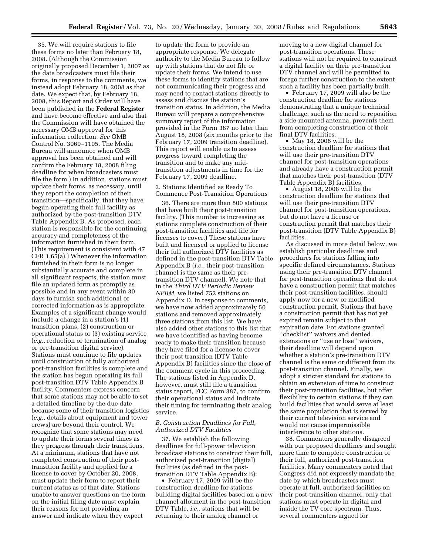35. We will require stations to file these forms no later than February 18, 2008. (Although the Commission originally proposed December 1, 2007 as the date broadcasters must file their forms, in response to the comments, we instead adopt February 18, 2008 as that date. We expect that, by February 18, 2008, this Report and Order will have been published in the **Federal Register**  and have become effective and also that the Commission will have obtained the necessary OMB approval for this information collection. *See* OMB Control No. 3060–1105. The Media Bureau will announce when OMB approval has been obtained and will confirm the February 18, 2008 filing deadline for when broadcasters must file the form.) In addition, stations must update their forms, as necessary, until they report the completion of their transition—specifically, that they have begun operating their full facility as authorized by the post-transition DTV Table Appendix B. As proposed, each station is responsible for the continuing accuracy and completeness of the information furnished in their form. (This requirement is consistent with 47 CFR 1.65(a).) Whenever the information furnished in their form is no longer substantially accurate and complete in all significant respects, the station must file an updated form as promptly as possible and in any event within 30 days to furnish such additional or corrected information as is appropriate. Examples of a significant change would include a change in a station's (1) transition plans, (2) construction or operational status or (3) existing service (*e.g.*, reduction or termination of analog or pre-transition digital service). Stations must continue to file updates until construction of fully authorized post-transition facilities is complete and the station has begun operating its full post-transition DTV Table Appendix B facility. Commenters express concern that some stations may not be able to set a detailed timeline by the due date because some of their transition logistics (*e.g.*, details about equipment and tower crews) are beyond their control. We recognize that some stations may need to update their forms several times as they progress through their transitions. At a minimum, stations that have not completed construction of their posttransition facility and applied for a license to cover by October 20, 2008, must update their form to report their current status as of that date. Stations unable to answer questions on the form on the initial filing date must explain their reasons for not providing an answer and indicate when they expect

to update the form to provide an appropriate response. We delegate authority to the Media Bureau to follow up with stations that do not file or update their forms. We intend to use these forms to identify stations that are not communicating their progress and may need to contact stations directly to assess and discuss the station's transition status. In addition, the Media Bureau will prepare a comprehensive summary report of the information provided in the Form 387 no later than August 18, 2008 (six months prior to the February 17, 2009 transition deadline). This report will enable us to assess progress toward completing the transition and to make any midtransition adjustments in time for the February 17, 2009 deadline.

2. Stations Identified as Ready To Commence Post-Transition Operations

36. There are more than 800 stations that have built their post-transition facility. (This number is increasing as stations complete construction of their post-transition facilities and file for licenses to cover.) These stations have built and licensed or applied to license their full authorized DTV facilities as defined in the post-transition DTV Table Appendix B (*i.e.*, their post-transition channel is the same as their pretransition DTV channel). We note that in the *Third DTV Periodic Review NPRM,* we listed 752 stations on Appendix D. In response to comments, we have now added approximately 50 stations and removed approximately three stations from this list. We have also added other stations to this list that we have identified as having become ready to make their transition because they have filed for a license to cover their post transition (DTV Table Appendix B) facilities since the close of the comment cycle in this proceeding. The stations listed in Appendix D, however, must still file a transition status report, FCC Form 387, to confirm their operational status and indicate their timing for terminating their analog service.

# *B. Construction Deadlines for Full, Authorized DTV Facilities*

37. We establish the following deadlines for full-power television broadcast stations to construct their full, authorized post-transition (digital) facilities (as defined in the posttransition DTV Table Appendix B):

• February 17, 2009 will be the construction deadline for stations building digital facilities based on a new channel allotment in the post-transition DTV Table, *i.e.*, stations that will be returning to their analog channel or

moving to a new digital channel for post-transition operations. These stations will not be required to construct a digital facility on their pre-transition DTV channel and will be permitted to forego further construction to the extent such a facility has been partially built.

• February 17, 2009 will also be the construction deadline for stations demonstrating that a unique technical challenge, such as the need to reposition a side-mounted antenna, prevents them from completing construction of their final DTV facilities.

• May 18, 2008 will be the construction deadline for stations that will use their pre-transition DTV channel for post-transition operations and already have a construction permit that matches their post-transition (DTV Table Appendix B) facilities.

• August 18, 2008 will be the construction deadline for stations that will use their pre-transition DTV channel for post-transition operations, but do not have a license or construction permit that matches their post-transition (DTV Table Appendix B) facilities.

As discussed in more detail below, we establish particular deadlines and procedures for stations falling into specific defined circumstances. Stations using their pre-transition DTV channel for post-transition operations that do not have a construction permit that matches their post-transition facilities, should apply now for a new or modified construction permit. Stations that have a construction permit that has not yet expired remain subject to that expiration date. For stations granted ''checklist'' waivers and denied extensions or ''use or lose'' waivers, their deadline will depend upon whether a station's pre-transition DTV channel is the same or different from its post-transition channel. Finally, we adopt a stricter standard for stations to obtain an extension of time to construct their post-transition facilities, but offer flexibility to certain stations if they can build facilities that would serve at least the same population that is served by their current television service and would not cause impermissible interference to other stations.

38. Commenters generally disagreed with our proposed deadlines and sought more time to complete construction of their full, authorized post-transition facilities. Many commenters noted that Congress did not expressly mandate the date by which broadcasters must operate at full, authorized facilities on their post-transition channel, only that stations must operate in digital and inside the TV core spectrum. Thus, several commenters argued for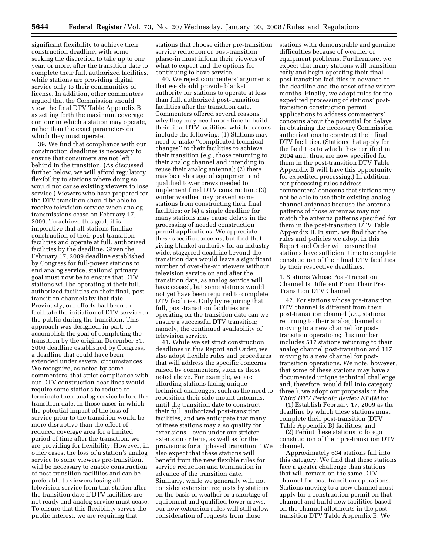significant flexibility to achieve their construction deadline, with some seeking the discretion to take up to one year, or more, after the transition date to complete their full, authorized facilities, while stations are providing digital service only to their communities of license. In addition, other commenters argued that the Commission should view the final DTV Table Appendix B as setting forth the maximum coverage contour in which a station may operate, rather than the exact parameters on which they must operate.

39. We find that compliance with our construction deadlines is necessary to ensure that consumers are not left behind in the transition. (As discussed further below, we will afford regulatory flexibility to stations where doing so would not cause existing viewers to lose service.) Viewers who have prepared for the DTV transition should be able to receive television service when analog transmissions cease on February 17, 2009. To achieve this goal, it is imperative that all stations finalize construction of their post-transition facilities and operate at full, authorized facilities by the deadline. Given the February 17, 2009 deadline established by Congress for full-power stations to end analog service, stations' primary goal must now be to ensure that DTV stations will be operating at their full, authorized facilities on their final, posttransition channels by that date. Previously, our efforts had been to facilitate the initiation of DTV service to the public during the transition. This approach was designed, in part, to accomplish the goal of completing the transition by the original December 31, 2006 deadline established by Congress, a deadline that could have been extended under several circumstances. We recognize, as noted by some commenters, that strict compliance with our DTV construction deadlines would require some stations to reduce or terminate their analog service before the transition date. In those cases in which the potential impact of the loss of service prior to the transition would be more disruptive than the effect of reduced coverage area for a limited period of time after the transition, we are providing for flexibility. However, in other cases, the loss of a station's analog service to some viewers pre-transition, will be necessary to enable construction of post-transition facilities and can be preferable to viewers losing all television service from that station after the transition date if DTV facilities are not ready and analog service must cease. To ensure that this flexibility serves the public interest, we are requiring that

stations that choose either pre-transition service reduction or post-transition phase-in must inform their viewers of what to expect and the options for continuing to have service.

40. We reject commenters' arguments that we should provide blanket authority for stations to operate at less than full, authorized post-transition facilities after the transition date. Commenters offered several reasons why they may need more time to build their final DTV facilities, which reasons include the following: (1) Stations may need to make ''complicated technical changes'' to their facilities to achieve their transition (*e.g.,* those returning to their analog channel and intending to reuse their analog antenna); (2) there may be a shortage of equipment and qualified tower crews needed to implement final DTV construction; (3) winter weather may prevent some stations from constructing their final facilities; or (4) a single deadline for many stations may cause delays in the processing of needed construction permit applications. We appreciate these specific concerns, but find that giving blanket authority for an industrywide, staggered deadline beyond the transition date would leave a significant number of over-the-air viewers without television service on and after the transition date, as analog service will have ceased, but some stations would not yet have been required to complete DTV facilities. Only by requiring that full, post-transition facilities are operating on the transition date can we ensure a successful DTV transition; namely, the continued availability of television service.

41. While we set strict construction deadlines in this Report and Order, we also adopt flexible rules and procedures that will address the specific concerns raised by commenters, such as those noted above. For example, we are affording stations facing unique technical challenges, such as the need to reposition their side-mount antennas, until the transition date to construct their full, authorized post-transition facilities, and we anticipate that many of these stations may also qualify for extensions—even under our stricter extension criteria, as well as for the provisions for a ''phased transition.'' We also expect that these stations will benefit from the new flexible rules for service reduction and termination in advance of the transition date. Similarly, while we generally will not consider extension requests by stations on the basis of weather or a shortage of equipment and qualified tower crews, our new extension rules will still allow consideration of requests from those

stations with demonstrable and genuine difficulties because of weather or equipment problems. Furthermore, we expect that many stations will transition early and begin operating their final post-transition facilities in advance of the deadline and the onset of the winter months. Finally, we adopt rules for the expedited processing of stations' posttransition construction permit applications to address commenters' concerns about the potential for delays in obtaining the necessary Commission authorizations to construct their final DTV facilities. (Stations that apply for the facilities to which they certified in 2004 and, thus, are now specified for them in the post-transition DTV Table Appendix B will have this opportunity for expedited processing.) In addition, our processing rules address commenters' concerns that stations may not be able to use their existing analog channel antennas because the antenna patterns of those antennas may not match the antenna patterns specified for them in the post-transition DTV Table Appendix B. In sum, we find that the rules and policies we adopt in this Report and Order will ensure that stations have sufficient time to complete construction of their final DTV facilities by their respective deadlines.

1. Stations Whose Post-Transition Channel Is Different From Their Pre-Transition DTV Channel

42. For stations whose pre-transition DTV channel is different from their post-transition channel (*i.e.*, stations returning to their analog channel or moving to a new channel for posttransition operations; this number includes 517 stations returning to their analog channel post-transition and 117 moving to a new channel for posttransition operations. We note, however, that some of these stations may have a documented unique technical challenge and, therefore, would fall into category three.), we adopt our proposals in the *Third DTV Periodic Review NPRM* to:

(1) Establish February 17, 2009 as the deadline by which these stations must complete their post-transition (DTV Table Appendix B) facilities; and

(2) Permit these stations to forego construction of their pre-transition DTV channel.

Approximately 634 stations fall into this category. We find that these stations face a greater challenge than stations that will remain on the same DTV channel for post-transition operations. Stations moving to a new channel must apply for a construction permit on that channel and build new facilities based on the channel allotments in the posttransition DTV Table Appendix B. We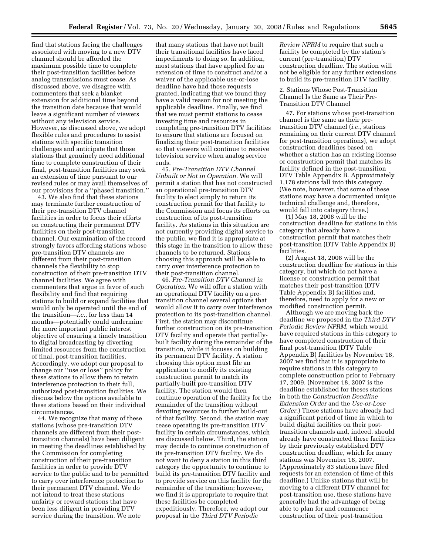find that stations facing the challenges associated with moving to a new DTV channel should be afforded the maximum possible time to complete their post-transition facilities before analog transmissions must cease. As discussed above, we disagree with commenters that seek a blanket extension for additional time beyond the transition date because that would leave a significant number of viewers without any television service. However, as discussed above, we adopt flexible rules and procedures to assist stations with specific transition challenges and anticipate that those stations that genuinely need additional time to complete construction of their final, post-transition facilities may seek an extension of time pursuant to our revised rules or may avail themselves of our provisions for a ''phased transition.''

43. We also find that these stations may terminate further construction of their pre-transition DTV channel facilities in order to focus their efforts on constructing their permanent DTV facilities on their post-transition channel. Our examination of the record strongly favors affording stations whose pre-transition DTV channels are different from their post-transition channels the flexibility to stop construction of their pre-transition DTV channel facilities. We agree with commenters that argue in favor of such flexibility and find that requiring stations to build or expand facilities that would only be operated until the end of the transition—*i.e.*, for less than 14 months—potentially could undermine the more important public interest objective of ensuring a timely transition to digital broadcasting by diverting limited resources from the construction of final, post-transition facilities. Accordingly, we adopt our proposal to change our ''use or lose'' policy for these stations to allow them to retain interference protection to their full, authorized post-transition facilities. We discuss below the options available to these stations based on their individual circumstances.

44. We recognize that many of these stations (whose pre-transition DTV channels are different from their posttransition channels) have been diligent in meeting the deadlines established by the Commission for completing construction of their pre-transition facilities in order to provide DTV service to the public and to be permitted to carry over interference protection to their permanent DTV channel. We do not intend to treat these stations unfairly or reward stations that have been less diligent in providing DTV service during the transition. We note

that many stations that have not built their transitional facilities have faced impediments to doing so. In addition, most stations that have applied for an extension of time to construct and/or a waiver of the applicable use-or-lose deadline have had those requests granted, indicating that we found they have a valid reason for not meeting the applicable deadline. Finally, we find that we must permit stations to cease investing time and resources in completing pre-transition DTV facilities to ensure that stations are focused on finalizing their post-transition facilities so that viewers will continue to receive television service when analog service ends.

45. *Pre-Transition DTV Channel Unbuilt or Not in Operation.* We will permit a station that has not constructed an operational pre-transition DTV facility to elect simply to return its construction permit for that facility to the Commission and focus its efforts on construction of its post-transition facility. As stations in this situation are not currently providing digital service to the public, we find it is appropriate at this stage in the transition to allow these channels to be returned. Stations choosing this approach will be able to carry over interference protection to their post-transition channel.

46. *Pre-Transition DTV Channel in Operation*. We will offer a station with an operational DTV facility on a pretransition channel several options that would allow it to carry over interference protection to its post-transition channel. First, the station may discontinue further construction on its pre-transition DTV facility and operate that partiallybuilt facility during the remainder of the transition, while it focuses on building its permanent DTV facility. A station choosing this option must file an application to modify its existing construction permit to match its partially-built pre-transition DTV facility. The station would then continue operation of the facility for the remainder of the transition without devoting resources to further build-out of that facility. Second, the station may cease operating its pre-transition DTV facility in certain circumstances, which are discussed below. Third, the station may decide to continue construction of its pre-transition DTV facility. We do not want to deny a station in this third category the opportunity to continue to build its pre-transition DTV facility and to provide service on this facility for the remainder of the transition; however, we find it is appropriate to require that these facilities be completed expeditiously. Therefore, we adopt our proposal in the *Third DTV Periodic* 

*Review NPRM* to require that such a facility be completed by the station's current (pre-transition) DTV construction deadline. The station will not be eligible for any further extensions to build its pre-transition DTV facility.

2. Stations Whose Post-Transition Channel Is the Same as Their Pre-Transition DTV Channel

47. For stations whose post-transition channel is the same as their pretransition DTV channel (*i.e.*, stations remaining on their current DTV channel for post-transition operations), we adopt construction deadlines based on whether a station has an existing license or construction permit that matches its facility defined in the post-transition DTV Table Appendix B. Approximately 1,178 stations fall into this category. (We note, however, that some of these stations may have a documented unique technical challenge and, therefore, would fall into category three.)

(1) May 18, 2008 will be the construction deadline for stations in this category that already have a construction permit that matches their post-transition (DTV Table Appendix B) facilities.

(2) August 18, 2008 will be the construction deadline for stations in this category, but which do not have a license or construction permit that matches their post-transition (DTV Table Appendix B) facilities and, therefore, need to apply for a new or modified construction permit.

Although we are moving back the deadline we proposed in the *Third DTV Periodic Review NPRM,* which would have required stations in this category to have completed construction of their final post-transition (DTV Table Appendix B) facilities by November 18, 2007 we find that it is appropriate to require stations in this category to complete construction prior to February 17, 2009. (November 18, 2007 is the deadline established for theses stations in both the *Construction Deadline Extension Order* and the *Use-or-Lose Order.*) These stations have already had a significant period of time in which to build digital facilities on their posttransition channels and, indeed, should already have constructed these facilities by their previously established DTV construction deadline, which for many stations was November 18, 2007. (Approximately 83 stations have filed requests for an extension of time of this deadline.) Unlike stations that will be moving to a different DTV channel for post-transition use, these stations have generally had the advantage of being able to plan for and commence construction of their post-transition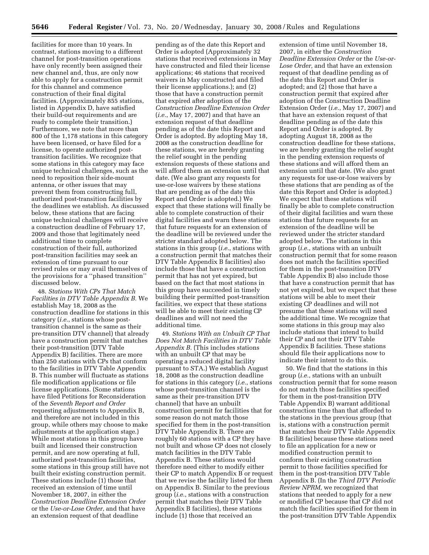facilities for more than 10 years. In contrast, stations moving to a different channel for post-transition operations have only recently been assigned their new channel and, thus, are only now able to apply for a construction permit for this channel and commence construction of their final digital facilities. (Approximately 855 stations, listed in Appendix D, have satisfied their build-out requirements and are ready to complete their transition.) Furthermore, we note that more than 800 of the 1,178 stations in this category have been licensed, or have filed for a license, to operate authorized posttransition facilities. We recognize that some stations in this category may face unique technical challenges, such as the need to reposition their side-mount antenna, or other issues that may prevent them from constructing full, authorized post-transition facilities by the deadlines we establish. As discussed below, these stations that are facing unique technical challenges will receive a construction deadline of February 17, 2009 and those that legitimately need additional time to complete construction of their full, authorized post-transition facilities may seek an extension of time pursuant to our revised rules or may avail themselves of the provisions for a ''phased transition'' discussed below.

48. *Stations With CPs That Match Facilities in DTV Table Appendix B.* We establish May 18, 2008 as the construction deadline for stations in this category (*i.e.*, stations whose posttransition channel is the same as their pre-transition DTV channel) that already have a construction permit that matches their post-transition (DTV Table Appendix B) facilities. There are more than 250 stations with CPs that conform to the facilities in DTV Table Appendix B. This number will fluctuate as stations file modification applications or file license applications. (Some stations have filed Petitions for Reconsideration of the *Seventh Report and Order*  requesting adjustments to Appendix B, and therefore are not included in this group, while others may choose to make adjustments at the application stage.) While most stations in this group have built and licensed their construction permit, and are now operating at full, authorized post-transition facilities, some stations in this group still have not built their existing construction permit. These stations include (1) those that received an extension of time until November 18, 2007, in either the *Construction Deadline Extension Order*  or the *Use-or-Lose Order,* and that have an extension request of that deadline

pending as of the date this Report and Order is adopted (Approximately 32 stations that received extensions in May have constructed and filed their license applications; 46 stations that received waivers in May constructed and filed their license applications.); and (2) those that have a construction permit that expired after adoption of the *Construction Deadline Extension Order*  (*i.e.*, May 17, 2007) and that have an extension request of that deadline pending as of the date this Report and Order is adopted. By adopting May 18, 2008 as the construction deadline for these stations, we are hereby granting the relief sought in the pending extension requests of these stations and will afford them an extension until that date. (We also grant any requests for use-or-lose waivers by these stations that are pending as of the date this Report and Order is adopted.) We expect that these stations will finally be able to complete construction of their digital facilities and warn these stations that future requests for an extension of the deadline will be reviewed under the stricter standard adopted below. The stations in this group (*i.e.*, stations with a construction permit that matches their DTV Table Appendix B facilities) also include those that have a construction permit that has not yet expired, but based on the fact that most stations in this group have succeeded in timely building their permitted post-transition facilities, we expect that these stations will be able to meet their existing CP deadlines and will not need the additional time.

49. *Stations With an Unbuilt CP That Does Not Match Facilities in DTV Table Appendix B.* (This includes stations with an unbuilt CP that may be operating a reduced digital facility pursuant to STA.) We establish August 18, 2008 as the construction deadline for stations in this category (*i.e.*, stations whose post-transition channel is the same as their pre-transition DTV channel) that have an unbuilt construction permit for facilities that for some reason do not match those specified for them in the post-transition DTV Table Appendix B. There are roughly 60 stations with a CP they have not built and whose CP does not closely match facilities in the DTV Table Appendix B. These stations would therefore need either to modify either their CP to match Appendix B or request that we revise the facility listed for them on Appendix B. Similar to the previous group (*i.e.*, stations with a construction permit that matches their DTV Table Appendix B facilities), these stations include (1) those that received an

extension of time until November 18, 2007, in either the *Construction Deadline Extension Order* or the *Use-or-Lose Order,* and that have an extension request of that deadline pending as of the date this Report and Order is adopted; and (2) those that have a construction permit that expired after adoption of the Construction Deadline Extension Order (*i.e.*, May 17, 2007) and that have an extension request of that deadline pending as of the date this Report and Order is adopted. By adopting August 18, 2008 as the construction deadline for these stations, we are hereby granting the relief sought in the pending extension requests of these stations and will afford them an extension until that date. (We also grant any requests for use-or-lose waivers by these stations that are pending as of the date this Report and Order is adopted.) We expect that these stations will finally be able to complete construction of their digital facilities and warn these stations that future requests for an extension of the deadline will be reviewed under the stricter standard adopted below. The stations in this group (*i.e.*, stations with an unbuilt construction permit that for some reason does not match the facilities specified for them in the post-transition DTV Table Appendix B) also include those that have a construction permit that has not yet expired, but we expect that these stations will be able to meet their existing CP deadlines and will not presume that these stations will need the additional time. We recognize that some stations in this group may also include stations that intend to build their CP and not their DTV Table Appendix B facilities. These stations should file their applications now to indicate their intent to do this.

50. We find that the stations in this group (*i.e.*, stations with an unbuilt construction permit that for some reason do not match those facilities specified for them in the post-transition DTV Table Appendix B) warrant additional construction time than that afforded to the stations in the previous group (that is, stations with a construction permit that matches their DTV Table Appendix B facilities) because these stations need to file an application for a new or modified construction permit to conform their existing construction permit to those facilities specified for them in the post-transition DTV Table Appendix B. (In the *Third DTV Periodic Review NPRM,* we recognized that stations that needed to apply for a new or modified CP because that CP did not match the facilities specified for them in the post-transition DTV Table Appendix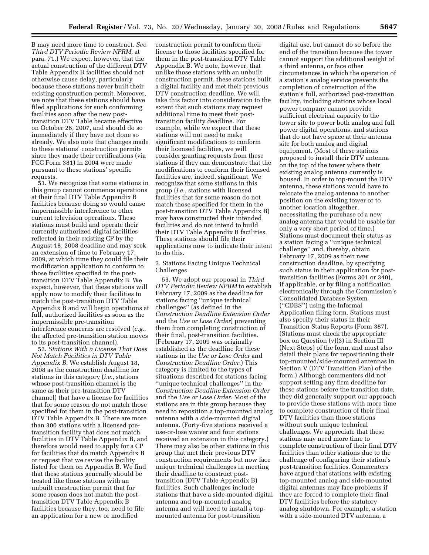B may need more time to construct. *See Third DTV Periodic Review NPRM,* at para. 71.) We expect, however, that the actual construction of the different DTV Table Appendix B facilities should not otherwise cause delay, particularly because these stations never built their existing construction permit. Moreover, we note that these stations should have filed applications for such conforming facilities soon after the new posttransition DTV Table became effective on October 26, 2007, and should do so immediately if they have not done so already. We also note that changes made to these stations' construction permits since they made their certifications (via FCC Form 381) in 2004 were made pursuant to these stations' specific requests.

51. We recognize that some stations in this group cannot commence operations at their final DTV Table Appendix B facilities because doing so would cause impermissible interference to other current television operations. These stations must build and operate their currently authorized digital facilities reflected in their existing CP by the August 18, 2008 deadline and may seek an extension of time to February 17, 2009, at which time they could file their modification application to conform to those facilities specified in the posttransition DTV Table Appendix B. We expect, however, that these stations will apply now to modify their facilities to match the post-transition DTV Table Appendix B and will begin operations at full, authorized facilities as soon as the impermissible pre-transition interference concerns are resolved (*e.g.*, the affected pre-transition station moves to its post-transition channel).

52. *Stations With a License That Does Not Match Facilities in DTV Table Appendix B.* We establish August 18, 2008 as the construction deadline for stations in this category (*i.e.*, stations whose post-transition channel is the same as their pre-transition DTV channel) that have a license for facilities that for some reason do not match those specified for them in the post-transition DTV Table Appendix B. There are more than 300 stations with a licensed pretransition facility that does not match facilities in DTV Table Appendix B, and therefore would need to apply for a CP for facilities that do match Appendix B or request that we revise the facility listed for them on Appendix B. We find that these stations generally should be treated like those stations with an unbuilt construction permit that for some reason does not match the posttransition DTV Table Appendix B facilities because they, too, need to file an application for a new or modified

construction permit to conform their license to those facilities specified for them in the post-transition DTV Table Appendix B. We note, however, that unlike those stations with an unbuilt construction permit, these stations built a digital facility and met their previous DTV construction deadline. We will take this factor into consideration to the extent that such stations may request additional time to meet their posttransition facility deadline. For example, while we expect that these stations will not need to make significant modifications to conform their licensed facilities, we will consider granting requests from these stations if they can demonstrate that the modifications to conform their licensed facilities are, indeed, significant. We recognize that some stations in this group (*i.e.*, stations with licensed facilities that for some reason do not match those specified for them in the post-transition DTV Table Appendix B) may have constructed their intended facilities and do not intend to build their DTV Table Appendix B facilities. These stations should file their applications now to indicate their intent to do this.

3. Stations Facing Unique Technical Challenges

53. We adopt our proposal in *Third DTV Periodic Review NPRM* to establish February 17, 2009 as the deadline for stations facing ''unique technical challenges'' (as defined in the *Construction Deadline Extension Order*  and the *Use or Lose Order*) preventing them from completing construction of their final, post-transition facilities. (February 17, 2009 was originally established as the deadline for these stations in the *Use or Lose Order* and *Construction Deadline Order.*) This category is limited to the types of situations described for stations facing ''unique technical challenges'' in the *Construction Deadline Extension Order*  and the *Use or Lose Order.* Most of the stations are in this group because they need to reposition a top-mounted analog antenna with a side-mounted digital antenna. (Forty-five stations received a use-or-lose waiver and four stations received an extension in this category.) There may also be other stations in this group that met their previous DTV construction requirements but now face unique technical challenges in meeting their deadline to construct posttransition (DTV Table Appendix B) facilities. Such challenges include stations that have a side-mounted digital antenna and top-mounted analog antenna and will need to install a topmounted antenna for post-transition

digital use, but cannot do so before the end of the transition because the tower cannot support the additional weight of a third antenna, or face other circumstances in which the operation of a station's analog service prevents the completion of construction of the station's full, authorized post-transition facility, including stations whose local power company cannot provide sufficient electrical capacity to the tower site to power both analog and full power digital operations, and stations that do not have space at their antenna site for both analog and digital equipment. (Most of these stations proposed to install their DTV antenna on the top of the tower where their existing analog antenna currently is housed. In order to top-mount the DTV antenna, these stations would have to relocate the analog antenna to another position on the existing tower or to another location altogether, necessitating the purchase of a new analog antenna that would be usable for only a very short period of time.) Stations must document their status as a station facing a ''unique technical challenge'' and, thereby, obtain February 17, 2009 as their new construction deadline, by specifying such status in their application for posttransition facilities (Forms 301 or 340), if applicable, or by filing a notification electronically through the Commission's Consolidated Database System (''CDBS'') using the Informal Application filing form. Stations must also specify their status in their Transition Status Reports (Form 387). (Stations must check the appropriate box on Question (v)(3) in Section III (Next Steps) of the form, and must also detail their plans for repositioning their top-mounted/side-mounted antennas in Section V (DTV Transition Plan) of the form.) Although commenters did not support setting any firm deadline for these stations before the transition date, they did generally support our approach to provide these stations with more time to complete construction of their final DTV facilities than those stations without such unique technical challenges. We appreciate that these stations may need more time to complete construction of their final DTV facilities than other stations due to the challenge of configuring their station's post-transition facilities. Commenters have argued that stations with existing top-mounted analog and side-mounted digital antennas may face problems if they are forced to complete their final DTV facilities before the statutory analog shutdown. For example, a station with a side-mounted DTV antenna, a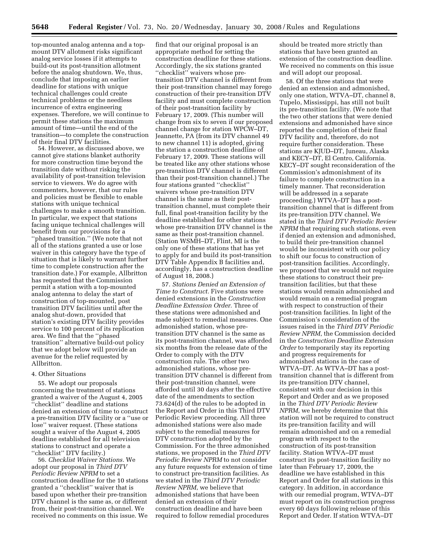top-mounted analog antenna and a topmount DTV allotment risks significant analog service losses if it attempts to build-out its post-transition allotment before the analog shutdown. We, thus, conclude that imposing an earlier deadline for stations with unique technical challenges could create technical problems or the needless incurrence of extra engineering expenses. Therefore, we will continue to permit these stations the maximum amount of time—until the end of the transition—to complete the construction of their final DTV facilities.

54. However, as discussed above, we cannot give stations blanket authority for more construction time beyond the transition date without risking the availability of post-transition television service to viewers. We do agree with commenters, however, that our rules and policies must be flexible to enable stations with unique technical challenges to make a smooth transition. In particular, we expect that stations facing unique technical challenges will benefit from our provisions for a ''phased transition.'' (We note that not all of the stations granted a use or lose waiver in this category have the type of situation that is likely to warrant further time to complete construction after the transition date.) For example, Allbritton has requested that the Commission permit a station with a top-mounted analog antenna to delay the start of construction of top-mounted, post transition DTV facilities until after the analog shut-down, provided that station's existing DTV facility provides service to 100 percent of its replication area. We find that the ''phased transition'' alternative build-out policy that we adopt below will provide an avenue for the relief requested by Allbritton.

#### 4. Other Situations

55. We adopt our proposals concerning the treatment of stations granted a waiver of the August 4, 2005 ''checklist'' deadline and stations denied an extension of time to construct a pre-transition DTV facility or a ''use or lose'' waiver request. (These stations sought a waiver of the August 4, 2005 deadline established for all television stations to construct and operate a ''checklist'' DTV facility.)

56. *Checklist Waiver Stations.* We adopt our proposal in *Third DTV Periodic Review NPRM* to set a construction deadline for the 10 stations granted a ''checklist'' waiver that is based upon whether their pre-transition DTV channel is the same as, or different from, their post-transition channel. We received no comments on this issue. We

find that our original proposal is an appropriate method for setting the construction deadline for these stations. Accordingly, the six stations granted "checklist" waivers whose pretransition DTV channel is different from their post-transition channel may forego construction of their pre-transition DTV facility and must complete construction of their post-transition facility by February 17, 2009. (This number will change from six to seven if our proposed channel change for station WPCW–DT, Jeannette, PA (from its DTV channel 49 to new channel 11) is adopted, giving the station a construction deadline of February 17, 2009. These stations will be treated like any other stations whose pre-transition DTV channel is different than their post-transition channel.) The four stations granted ''checklist'' waivers whose pre-transition DTV channel is the same as their posttransition channel, must complete their full, final post-transition facility by the deadline established for other stations whose pre-transition DTV channel is the same as their post-transition channel. (Station WSMH–DT, Flint, MI is the only one of these stations that has yet to apply for and build its post-transition DTV Table Appendix B facilities and, accordingly, has a construction deadline of August 18, 2008.)

57. *Stations Denied an Extension of Time to Construct.* Five stations were denied extensions in the *Construction Deadline Extension Order.* Three of these stations were admonished and made subject to remedial measures. One admonished station, whose pretransition DTV channel is the same as its post-transition channel, was afforded six months from the release date of the Order to comply with the DTV construction rule. The other two admonished stations, whose pretransition DTV channel is different from their post-transition channel, were afforded until 30 days after the effective date of the amendments to section 73.624(d) of the rules to be adopted in the Report and Order in this Third DTV Periodic Review proceeding. All three admonished stations were also made subject to the remedial measures for DTV construction adopted by the Commission. For the three admonished stations, we proposed in the *Third DTV Periodic Review NPRM* to not consider any future requests for extension of time to construct pre-transition facilities. As we stated in the *Third DTV Periodic Review NPRM*, we believe that admonished stations that have been denied an extension of their construction deadline and have been required to follow remedial procedures

should be treated more strictly than stations that have been granted an extension of the construction deadline. We received no comments on this issue and will adopt our proposal.

58. Of the three stations that were denied an extension and admonished, only one station, WTVA–DT, channel 8, Tupelo, Mississippi, has still not built its pre-transition facility. (We note that the two other stations that were denied extensions and admonished have since reported the completion of their final DTV facility and, therefore, do not require further consideration. These stations are KJUD–DT, Juneau, Alaska and KECY–DT, El Centro, California. KECY–DT sought reconsideration of the Commission's admonishment of its failure to complete construction in a timely manner. That reconsideration will be addressed in a separate proceeding.) WTVA–DT has a posttransition channel that is different from its pre-transition DTV channel. We stated in the *Third DTV Periodic Review NPRM* that requiring such stations, even if denied an extension and admonished, to build their pre-transition channel would be inconsistent with our policy to shift our focus to construction of post-transition facilities. Accordingly, we proposed that we would not require these stations to construct their pretransition facilities, but that these stations would remain admonished and would remain on a remedial program with respect to construction of their post-transition facilities. In light of the Commission's consideration of the issues raised in the *Third DTV Periodic Review NPRM*, the Commission decided in the *Construction Deadline Extension Order* to temporarily stay its reporting and progress requirements for admonished stations in the case of WTVA–DT. As WTVA–DT has a posttransition channel that is different from its pre-transition DTV channel, consistent with our decision in this Report and Order and as we proposed in the *Third DTV Periodic Review NPRM*, we hereby determine that this station will not be required to construct its pre-transition facility and will remain admonished and on a remedial program with respect to the construction of its post-transition facility. Station WTVA–DT must construct its post-transition facility no later than February 17, 2009, the deadline we have established in this Report and Order for all stations in this category. In addition, in accordance with our remedial program, WTVA–DT must report on its construction progress every 60 days following release of this Report and Order. If station WTVA–DT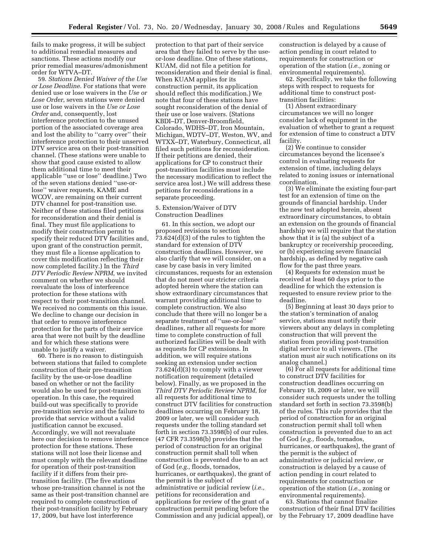fails to make progress, it will be subject to additional remedial measures and sanctions. These actions modify our prior remedial measures/admonishment order for WTVA–DT.

59. *Stations Denied Waiver of the Use or Lose Deadline.* For stations that were denied use or lose waivers in the *Use or Lose Order*, seven stations were denied use or lose waivers in the *Use or Lose Order* and, consequently, lost interference protection to the unused portion of the associated coverage area and lost the ability to ''carry over'' their interference protection to their unserved DTV service area on their post-transition channel. (These stations were unable to show that good cause existed to allow them additional time to meet their applicable ''use or lose'' deadline.) Two of the seven stations denied ''use-orlose'' waiver requests, KAME and WCOV, are remaining on their current DTV channel for post-transition use. Neither of these stations filed petitions for reconsideration and their denial is final. They must file applications to modify their construction permit to specify their reduced DTV facilities and, upon grant of the construction permit, they must file a license application to cover this modification reflecting their now completed facility.) In the *Third DTV Periodic Review NPRM*, we invited comment on whether we should reevaluate the loss of interference protection for these stations with respect to their post-transition channel. We received no comments on this issue. We decline to change our decision in that order to remove interference protection for the parts of their service area that were not built by the deadline and for which these stations were unable to justify a waiver.

60. There is no reason to distinguish between stations that failed to complete construction of their pre-transition facility by the use-or-lose deadline based on whether or not the facility would also be used for post-transition operation. In this case, the required build-out was specifically to provide pre-transition service and the failure to provide that service without a valid justification cannot be excused. Accordingly, we will not reevaluate here our decision to remove interference protection for these stations. These stations will not lose their license and must comply with the relevant deadline for operation of their post-transition facility if it differs from their pretransition facility. (The five stations whose pre-transition channel is not the same as their post-transition channel are required to complete construction of their post-transition facility by February 17, 2009, but have lost interference

protection to that part of their service area that they failed to serve by the useor-lose deadline. One of these stations, KUAM, did not file a petition for reconsideration and their denial is final. When KUAM applies for its construction permit, its application should reflect this modification.) We note that four of these stations have sought reconsideration of the denial of their use or lose waivers. (Stations KBDI–DT, Denver-Broomfield, Colorado, WDHS–DT, Iron Mountain, Michigan, WDTV–DT, Weston, WV, and WTXX–DT, Waterbury, Connecticut, all filed such petitions for reconsideration. If their petitions are denied, their applications for CP to construct their post-transition facilities must include the necessary modification to reflect the service area lost.) We will address these petitions for reconsiderations in a separate proceeding.

# 5. Extension/Waiver of DTV Construction Deadlines

61. In this section, we adopt our proposed revisions to section 73.624(d)(3) of the rules to tighten the standard for extension of DTV construction deadlines. However, we also clarify that we will consider, on a case by case basis in very limited circumstances, requests for an extension that do not meet our stricter criteria adopted herein where the station can show extraordinary circumstances that warrant providing additional time to complete construction. We also conclude that there will no longer be a separate treatment of ''use-or-lose'' deadlines, rather all requests for more time to complete construction of full authorized facilities will be dealt with as requests for CP extensions. In addition, we will require stations seeking an extension under section 73.624 $\overline{d}(d)(3)$  to comply with a viewer notification requirement (detailed below). Finally, as we proposed in the *Third DTV Periodic Review NPRM*, for all requests for additional time to construct DTV facilities for construction deadlines occurring on February 18, 2009 or later, we will consider such requests under the tolling standard set forth in section 73.3598(b) of our rules. (47 CFR 73.3598(b) provides that the period of construction for an original construction permit shall toll when construction is prevented due to an act of God (*e.g.,* floods, tornados, hurricanes, or earthquakes), the grant of the permit is the subject of administrative or judicial review (*i.e.,*  petitions for reconsideration and applications for review of the grant of a construction permit pending before the Commission and any judicial appeal), or construction is delayed by a cause of action pending in court related to requirements for construction or operation of the station (*i.e.,* zoning or environmental requirements).

62. Specifically, we take the following steps with respect to requests for additional time to construct posttransition facilities:

(1) Absent extraordinary circumstances we will no longer consider lack of equipment in the evaluation of whether to grant a request for extension of time to construct a DTV facility.

(2) We continue to consider circumstances beyond the licensee's control in evaluating requests for extension of time, including delays related to zoning issues or international coordination.

(3) We eliminate the existing four-part test for an extension of time on the grounds of financial hardship. Under the new test adopted herein, absent extraordinary circumstances, to obtain an extension on the grounds of financial hardship we will require that the station show that it is (a) the subject of a bankruptcy or receivership proceeding, or (b) experiencing severe financial hardship, as defined by negative cash flow for the past three years.

(4) Requests for extension must be received at least 60 days prior to the deadline for which the extension is requested to ensure review prior to the deadline.

(5) Beginning at least 30 days prior to the station's termination of analog service, stations must notify their viewers about any delays in completing construction that will prevent the station from providing post-transition digital service to all viewers. (The station must air such notifications on its analog channel.)

(6) For all requests for additional time to construct DTV facilities for construction deadlines occurring on February 18, 2009 or later, we will consider such requests under the tolling standard set forth in section 73.3598(b) of the rules. This rule provides that the period of construction for an original construction permit shall toll when construction is prevented due to an act of God (*e.g.,* floods, tornados, hurricanes, or earthquakes), the grant of the permit is the subject of administrative or judicial review, or construction is delayed by a cause of action pending in court related to requirements for construction or operation of the station (*i.e.,* zoning or environmental requirements).

63. Stations that cannot finalize construction of their final DTV facilities by the February 17, 2009 deadline have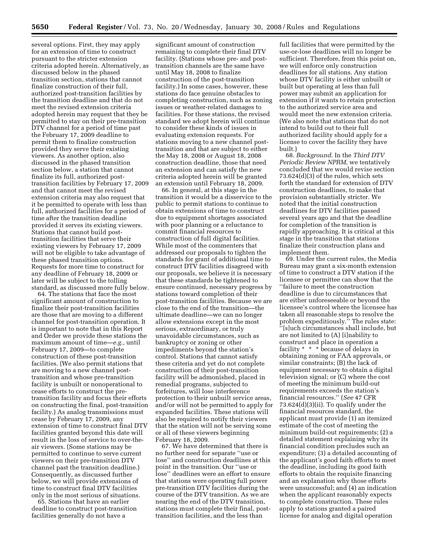several options. First, they may apply for an extension of time to construct pursuant to the stricter extension criteria adopted herein. Alternatively, as discussed below in the phased transition section, stations that cannot finalize construction of their full, authorized post-transition facilities by the transition deadline and that do not meet the revised extension criteria adopted herein may request that they be permitted to stay on their pre-transition DTV channel for a period of time past the February 17, 2009 deadline to permit them to finalize construction provided they serve their existing viewers. As another option, also discussed in the phased transition section below, a station that cannot finalize its full, authorized posttransition facilities by February 17, 2009 and that cannot meet the revised extension criteria may also request that it be permitted to operate with less than full, authorized facilities for a period of time after the transition deadline provided it serves its existing viewers. Stations that cannot build posttransition facilities that serve their existing viewers by February 17, 2009 will not be eligible to take advantage of these phased transition options. Requests for more time to construct for any deadline of February 18, 2009 or later will be subject to the tolling standard, as discussed more fully below.

64. The stations that face the most significant amount of construction to finalize their post-transition facilities are those that are moving to a different channel for post-transition operation. It is important to note that in this Report and Order we provide these stations the maximum amount of time—*e.g.,* until February 17, 2009—to complete construction of these post-transition facilities. (We also permit stations that are moving to a new channel posttransition and whose pre-transition facility is unbuilt or nonoperational to cease efforts to construct the pretransition facility and focus their efforts on constructing the final, post-transition facility.) As analog transmissions must cease by February 17, 2009, any extension of time to construct final DTV facilities granted beyond this date will result in the loss of service to over-theair viewers. (Some stations may be permitted to continue to serve current viewers on their pre-transition DTV channel past the transition deadline.) Consequently, as discussed further below, we will provide extensions of time to construct final DTV facilities only in the most serious of situations.

65. Stations that have an earlier deadline to construct post-transition facilities generally do not have a

significant amount of construction remaining to complete their final DTV facility. (Stations whose pre- and posttransition channels are the same have until May 18, 2008 to finalize construction of the post-transition facility.) In some cases, however, these stations do face genuine obstacles to completing construction, such as zoning issues or weather-related damages to facilities. For these stations, the revised standard we adopt herein will continue to consider these kinds of issues in evaluating extension requests. For stations moving to a new channel posttransition and that are subject to either the May 18, 2008 or August 18, 2008 construction deadline, those that need an extension and can satisfy the new criteria adopted herein will be granted an extension until February 18, 2009.

66. In general, at this stage in the transition it would be a disservice to the public to permit stations to continue to obtain extensions of time to construct due to equipment shortages associated with poor planning or a reluctance to commit financial resources to construction of full digital facilities. While most of the commenters that addressed our proposals to tighten the standards for grant of additional time to construct DTV facilities disagreed with our proposals, we believe it is necessary that these standards be tightened to ensure continued, necessary progress by stations toward completion of their post-transition facilities. Because we are close to the end of the transition—the ultimate deadline—we can no longer allow extensions except in the most serious, extraordinary, or truly unavoidable circumstances, such as bankruptcy or zoning or other impediments beyond the station's control. Stations that cannot satisfy these criteria and yet do not complete construction of their post-transition facility will be admonished, placed in remedial programs, subjected to forfeitures, will lose interference protection to their unbuilt service areas, and/or will not be permitted to apply for expanded facilities. These stations will also be required to notify their viewers that the station will not be serving some or all of these viewers beginning February 18, 2009.

67. We have determined that there is no further need for separate ''use or lose'' and construction deadlines at this point in the transition. Our ''use or lose'' deadlines were an effort to ensure that stations were operating full power pre-transition DTV facilities during the course of the DTV transition. As we are nearing the end of the DTV transition, stations must complete their final, posttransition facilities, and the less than

full facilities that were permitted by the use-or-lose deadlines will no longer be sufficient. Therefore, from this point on, we will enforce only construction deadlines for all stations. Any station whose DTV facility is either unbuilt or built but operating at less than full power may submit an application for extension if it wants to retain protection to the authorized service area and would meet the new extension criteria. (We also note that stations that do not intend to build out to their full authorized facility should apply for a license to cover the facility they have built.)

68. *Background*. In the *Third DTV Periodic Review NPRM*, we tentatively concluded that we would revise section 73.624(d)(3) of the rules, which sets forth the standard for extension of DTV construction deadlines, to make that provision substantially stricter. We noted that the initial construction deadlines for DTV facilities passed several years ago and that the deadline for completion of the transition is rapidly approaching. It is critical at this stage in the transition that stations finalize their construction plans and implement them.

69. Under the current rules, the Media Bureau may grant a six-month extension of time to construct a DTV station if the licensee or permittee can show that the ''failure to meet the construction deadline is due to circumstances that are either unforeseeable or beyond the licensee's control where the licensee has taken all reasonable steps to resolve the problem expeditiously.'' The rules state: ''[s]uch circumstances shall include, but are not limited to (A) [i]nability to construct and place in operation a facility \* \* \* because of delays in obtaining zoning or FAA approvals, or similar constraints; (B) the lack of equipment necessary to obtain a digital television signal; or (C) where the cost of meeting the minimum build-out requirements exceeds the station's financial resources.'' (*See* 47 CFR 73.624(d)(3)(ii). To qualify under the financial resources standard, the applicant must provide (1) an itemized estimate of the cost of meeting the minimum build-out requirements; (2) a detailed statement explaining why its financial condition precludes such an expenditure; (3) a detailed accounting of the applicant's good faith efforts to meet the deadline, including its good faith efforts to obtain the requisite financing and an explanation why those efforts were unsuccessful; and (4) an indication when the applicant reasonably expects to complete construction. These rules apply to stations granted a paired license for analog and digital operation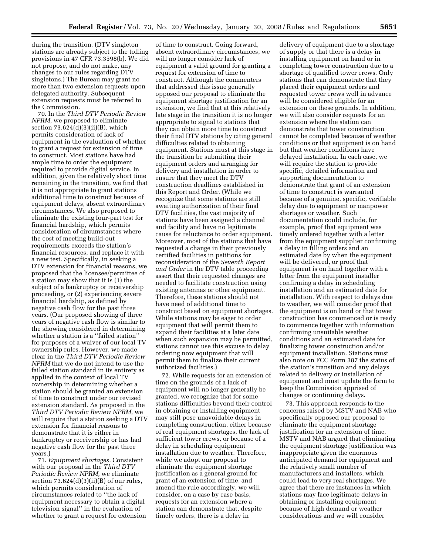during the transition. (DTV singleton stations are already subject to the tolling provisions in 47 CFR 73.3598(b). We did not propose, and do not make, any changes to our rules regarding DTV singletons.) The Bureau may grant no more than two extension requests upon delegated authority. Subsequent extension requests must be referred to the Commission.

70. In the *Third DTV Periodic Review NPRM*, we proposed to eliminate section  $73.624(d)(3)(ii)(B)$ , which permits consideration of lack of equipment in the evaluation of whether to grant a request for extension of time to construct. Most stations have had ample time to order the equipment required to provide digital service. In addition, given the relatively short time remaining in the transition, we find that it is not appropriate to grant stations additional time to construct because of equipment delays, absent extraordinary circumstances. We also proposed to eliminate the existing four-part test for financial hardship, which permits consideration of circumstances where the cost of meeting build-out requirements exceeds the station's financial resources, and replace it with a new test. Specifically, in seeking a DTV extension for financial reasons, we proposed that the licensee/permittee of a station may show that it is (1) the subject of a bankruptcy or receivership proceeding, or (2) experiencing severe financial hardship, as defined by negative cash flow for the past three years. (Our proposed showing of three years of negative cash flow is similar to the showing considered in determining whether a station is a ''failed station'' for purposes of a waiver of our local TV ownership rules. However, we made clear in the *Third DTV Periodic Review NPRM* that we do not intend to use the failed station standard in its entirety as applied in the context of local TV ownership in determining whether a station should be granted an extension of time to construct under our revised extension standard. As proposed in the *Third DTV Periodic Review NPRM*, we will require that a station seeking a DTV extension for financial reasons to demonstrate that it is either in bankruptcy or receivership or has had negative cash flow for the past three years.)

71. *Equipment shortages.* Consistent with our proposal in the *Third DTV Periodic Review NPRM,* we eliminate section  $73.624(d)(3)(ii)(B)$  of our rules, which permits consideration of circumstances related to ''the lack of equipment necessary to obtain a digital television signal'' in the evaluation of whether to grant a request for extension

of time to construct. Going forward, absent extraordinary circumstances, we will no longer consider lack of equipment a valid ground for granting a request for extension of time to construct. Although the commenters that addressed this issue generally opposed our proposal to eliminate the equipment shortage justification for an extension, we find that at this relatively late stage in the transition it is no longer appropriate to signal to stations that they can obtain more time to construct their final DTV stations by citing general difficulties related to obtaining equipment. Stations must at this stage in the transition be submitting their equipment orders and arranging for delivery and installation in order to ensure that they meet the DTV construction deadlines established in this Report and Order. (While we recognize that some stations are still awaiting authorization of their final DTV facilities, the vast majority of stations have been assigned a channel and facility and have no legitimate cause for reluctance to order equipment. Moreover, most of the stations that have requested a change in their previously certified facilities in petitions for reconsideration of the *Seventh Report and Order* in the DTV table proceeding assert that their requested changes are needed to facilitate construction using existing antennas or other equipment. Therefore, these stations should not have need of additional time to construct based on equipment shortages. While stations may be eager to order equipment that will permit them to expand their facilities at a later date when such expansion may be permitted, stations cannot use this excuse to delay ordering now equipment that will permit them to finalize their current authorized facilities.)

72. While requests for an extension of time on the grounds of a lack of equipment will no longer generally be granted, we recognize that for some stations difficulties beyond their control in obtaining or installing equipment may still pose unavoidable delays in completing construction, either because of real equipment shortages, the lack of sufficient tower crews, or because of a delay in scheduling equipment installation due to weather. Therefore, while we adopt our proposal to eliminate the equipment shortage justification as a general ground for grant of an extension of time, and amend the rule accordingly, we will consider, on a case by case basis, requests for an extension where a station can demonstrate that, despite timely orders, there is a delay in

delivery of equipment due to a shortage of supply or that there is a delay in installing equipment on hand or in completing tower construction due to a shortage of qualified tower crews. Only stations that can demonstrate that they placed their equipment orders and requested tower crews well in advance will be considered eligible for an extension on these grounds. In addition, we will also consider requests for an extension where the station can demonstrate that tower construction cannot be completed because of weather conditions or that equipment is on hand but that weather conditions have delayed installation. In each case, we will require the station to provide specific, detailed information and supporting documentation to demonstrate that grant of an extension of time to construct is warranted because of a genuine, specific, verifiable delay due to equipment or manpower shortages or weather. Such documentation could include, for example, proof that equipment was timely ordered together with a letter from the equipment supplier confirming a delay in filling orders and an estimated date by when the equipment will be delivered, or proof that equipment is on hand together with a letter from the equipment installer confirming a delay in scheduling installation and an estimated date for installation. With respect to delays due to weather, we will consider proof that the equipment is on hand or that tower construction has commenced or is ready to commence together with information confirming unsuitable weather conditions and an estimated date for finalizing tower construction and/or equipment installation. Stations must also note on FCC Form 387 the status of the station's transition and any delays related to delivery or installation of equipment and must update the form to keep the Commission apprised of changes or continuing delays.

73. This approach responds to the concerns raised by MSTV and NAB who specifically opposed our proposal to eliminate the equipment shortage justification for an extension of time. MSTV and NAB argued that eliminating the equipment shortage justification was inappropriate given the enormous anticipated demand for equipment and the relatively small number of manufacturers and installers, which could lead to very real shortages. We agree that there are instances in which stations may face legitimate delays in obtaining or installing equipment because of high demand or weather considerations and we will consider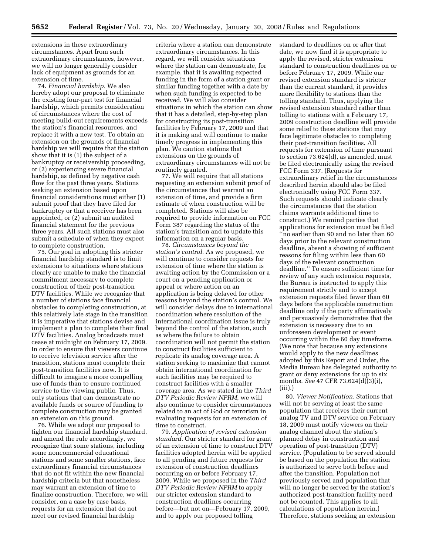extensions in these extraordinary circumstances. Apart from such extraordinary circumstances, however, we will no longer generally consider lack of equipment as grounds for an extension of time.

74. *Financial hardship.* We also hereby adopt our proposal to eliminate the existing four-part test for financial hardship, which permits consideration of circumstances where the cost of meeting build-out requirements exceeds the station's financial resources, and replace it with a new test. To obtain an extension on the grounds of financial hardship we will require that the station show that it is (1) the subject of a bankruptcy or receivership proceeding, or (2) experiencing severe financial hardship, as defined by negative cash flow for the past three years. Stations seeking an extension based upon financial considerations must either (1) submit proof that they have filed for bankruptcy or that a receiver has been appointed, or (2) submit an audited financial statement for the previous three years. All such stations must also submit a schedule of when they expect to complete construction.

75. Our goal in adopting this stricter financial hardship standard is to limit extensions to situations where stations clearly are unable to make the financial commitment necessary to complete construction of their post-transition DTV facilities. While we recognize that a number of stations face financial obstacles to completing construction, at this relatively late stage in the transition it is imperative that stations devise and implement a plan to complete their final DTV facilities. Analog broadcasts must cease at midnight on February 17, 2009. In order to ensure that viewers continue to receive television service after the transition, stations must complete their post-transition facilities now. It is difficult to imagine a more compelling use of funds than to ensure continued service to the viewing public. Thus, only stations that can demonstrate no available funds or source of funding to complete construction may be granted an extension on this ground.

76. While we adopt our proposal to tighten our financial hardship standard, and amend the rule accordingly, we recognize that some stations, including some noncommercial educational stations and some smaller stations, face extraordinary financial circumstances that do not fit within the new financial hardship criteria but that nonetheless may warrant an extension of time to finalize construction. Therefore, we will consider, on a case by case basis, requests for an extension that do not meet our revised financial hardship

criteria where a station can demonstrate extraordinary circumstances. In this regard, we will consider situations where the station can demonstrate, for example, that it is awaiting expected funding in the form of a station grant or similar funding together with a date by when such funding is expected to be received. We will also consider situations in which the station can show that it has a detailed, step-by-step plan for constructing its post-transition facilities by February 17, 2009 and that it is making and will continue to make timely progress in implementing this plan. We caution stations that extensions on the grounds of extraordinary circumstances will not be routinely granted.

77. We will require that all stations requesting an extension submit proof of the circumstances that warrant an extension of time, and provide a firm estimate of when construction will be completed. Stations will also be required to provide information on FCC Form 387 regarding the status of the station's transition and to update this information on a regular basis.

78. *Circumstances beyond the station's control.* As we proposed, we will continue to consider requests for extension of time where the station is awaiting action by the Commission or a court on a pending application or appeal or where action on an application is being delayed for other reasons beyond the station's control. We will consider delays due to international coordination where resolution of the international coordination issue is truly beyond the control of the station, such as where the failure to obtain coordination will not permit the station to construct facilities sufficient to replicate its analog coverage area. A station seeking to maximize that cannot obtain international coordination for such facilities may be required to construct facilities with a smaller coverage area. As we stated in the *Third DTV Periodic Review NPRM,* we will also continue to consider circumstances related to an act of God or terrorism in evaluating requests for an extension of time to construct.

79. *Application of revised extension standard.* Our stricter standard for grant of an extension of time to construct DTV facilities adopted herein will be applied to all pending and future requests for extension of construction deadlines occurring on or before February 17, 2009. While we proposed in the *Third DTV Periodic Review NPRM* to apply our stricter extension standard to construction deadlines occurring before—but not on—February 17, 2009, and to apply our proposed tolling

standard to deadlines on or after that date, we now find it is appropriate to apply the revised, stricter extension standard to construction deadlines on or before February 17, 2009. While our revised extension standard is stricter than the current standard, it provides more flexibility to stations than the tolling standard. Thus, applying the revised extension standard rather than tolling to stations with a February 17, 2009 construction deadline will provide some relief to these stations that may face legitimate obstacles to completing their post-transition facilities. All requests for extension of time pursuant to section 73.624(d), as amended, must be filed electronically using the revised FCC Form 337. (Requests for extraordinary relief in the circumstances described herein should also be filed electronically using FCC Form 337. Such requests should indicate clearly the circumstances that the station claims warrants additional time to construct.) We remind parties that applications for extension must be filed ''no earlier than 90 and no later than 60 days prior to the relevant construction deadline, absent a showing of sufficient reasons for filing within less than 60 days of the relevant construction deadline.'' To ensure sufficient time for review of any such extension requests, the Bureau is instructed to apply this requirement strictly and to accept extension requests filed fewer than 60 days before the applicable construction deadline only if the party affirmatively and persuasively demonstrates that the extension is necessary due to an unforeseen development or event occurring within the 60 day timeframe. (We note that because any extensions would apply to the new deadlines adopted by this Report and Order, the Media Bureau has delegated authority to grant or deny extensions for up to six months. *See* 47 CFR 73.624(d)(3)(i), (iii).)

80. *Viewer Notification.* Stations that will not be serving at least the same population that receives their current analog TV and DTV service on February 18, 2009 must notify viewers on their analog channel about the station's planned delay in construction and operation of post-transition (DTV) service. (Population to be served should be based on the population the station is authorized to serve both before and after the transition. Population not previously served and population that will no longer be served by the station's authorized post-transition facility need not be counted. This applies to all calculations of population herein.) Therefore, stations seeking an extension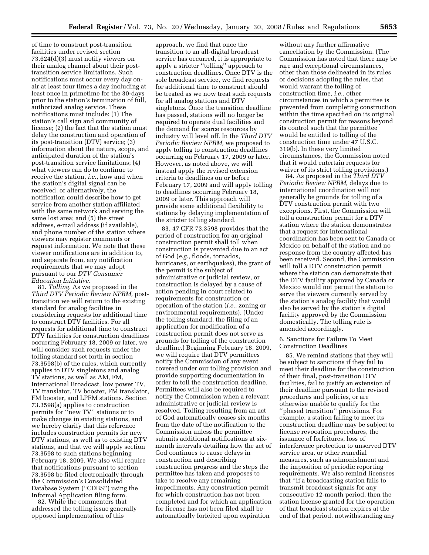of time to construct post-transition facilities under revised section 73.624(d)(3) must notify viewers on their analog channel about their posttransition service limitations. Such notifications must occur every day onair at least four times a day including at least once in primetime for the 30-days prior to the station's termination of full, authorized analog service. These notifications must include: (1) The station's call sign and community of license; (2) the fact that the station must delay the construction and operation of its post-transition (DTV) service; (3) information about the nature, scope, and anticipated duration of the station's post-transition service limitations; (4) what viewers can do to continue to receive the station, *i.e.*, how and when the station's digital signal can be received, or alternatively, the notification could describe how to get service from another station affiliated with the same network and serving the same lost area; and (5) the street address, e-mail address (if available), and phone number of the station where viewers may register comments or request information. We note that these viewer notifications are in addition to, and separate from, any notification requirements that we may adopt pursuant to our *DTV Consumer Education Initiative.* 

81. *Tolling.* As we proposed in the *Third DTV Periodic Review NPRM,* posttransition we will return to the existing standard for analog facilities in considering requests for additional time to construct DTV facilities. For all requests for additional time to construct DTV facilities for construction deadlines occurring February 18, 2009 or later, we will consider such requests under the tolling standard set forth in section 73.3598(b) of the rules, which currently applies to DTV singletons and analog TV stations, as well as AM, FM, International Broadcast, low power TV, TV translator, TV booster, FM translator, FM booster, and LPFM stations. Section 73.3598(a) applies to construction permits for ''new TV'' stations or to make changes in existing stations, and we hereby clarify that this reference includes construction permits for new DTV stations, as well as to existing DTV stations, and that we will apply section 73.3598 to such stations beginning February 18, 2009. We also will require that notifications pursuant to section 73.3598 be filed electronically through the Commission's Consolidated Database System (''CDBS'') using the Informal Application filing form.

82. While the commenters that addressed the tolling issue generally opposed implementation of this

approach, we find that once the transition to an all-digital broadcast service has occurred, it is appropriate to apply a stricter ''tolling'' approach to construction deadlines. Once DTV is the sole broadcast service, we find requests for additional time to construct should be treated as we now treat such requests for all analog stations and DTV singletons. Once the transition deadline has passed, stations will no longer be required to operate dual facilities and the demand for scarce resources by industry will level off. In the *Third DTV Periodic Review NPRM,* we proposed to apply tolling to construction deadlines occurring on February 17, 2009 or later. However, as noted above, we will instead apply the revised extension criteria to deadlines on or before February 17, 2009 and will apply tolling to deadlines occurring February 18, 2009 or later. This approach will provide some additional flexibility to stations by delaying implementation of the stricter tolling standard.

83. 47 CFR 73.3598 provides that the period of construction for an original construction permit shall toll when construction is prevented due to an act of God (*e.g.*, floods, tornados, hurricanes, or earthquakes), the grant of the permit is the subject of administrative or judicial review, or construction is delayed by a cause of action pending in court related to requirements for construction or operation of the station (*i.e.*, zoning or environmental requirements). (Under the tolling standard, the filing of an application for modification of a construction permit does not serve as grounds for tolling of the construction deadline.) Beginning February 18, 2009, we will require that DTV permittees notify the Commission of any event covered under our tolling provision and provide supporting documentation in order to toll the construction deadline. Permittees will also be required to notify the Commission when a relevant administrative or judicial review is resolved. Tolling resulting from an act of God automatically ceases six months from the date of the notification to the Commission unless the permittee submits additional notifications at sixmonth intervals detailing how the act of God continues to cause delays in construction and describing construction progress and the steps the permittee has taken and proposes to take to resolve any remaining impediments. Any construction permit for which construction has not been completed and for which an application for license has not been filed shall be automatically forfeited upon expiration

without any further affirmative cancellation by the Commission. (The Commission has noted that there may be rare and exceptional circumstances, other than those delineated in its rules or decisions adopting the rules, that would warrant the tolling of construction time, *i.e.*, other circumstances in which a permittee is prevented from completing construction within the time specified on its original construction permit for reasons beyond its control such that the permittee would be entitled to tolling of the construction time under 47 U.S.C. 319(b). In these very limited circumstances, the Commission noted that it would entertain requests for waiver of its strict tolling provisions.)

84. As proposed in the *Third DTV Periodic Review NPRM*, delays due to international coordination will not generally be grounds for tolling of a DTV construction permit with two exceptions. First, the Commission will toll a construction permit for a DTV station where the station demonstrates that a request for international coordination has been sent to Canada or Mexico on behalf of the station and no response from the country affected has been received. Second, the Commission will toll a DTV construction permit where the station can demonstrate that the DTV facility approved by Canada or Mexico would not permit the station to serve the viewers currently served by the station's analog facility that would also be served by the station's digital facility approved by the Commission domestically. The tolling rule is amended accordingly.

6. Sanctions for Failure To Meet Construction Deadlines

85. We remind stations that they will be subject to sanctions if they fail to meet their deadline for the construction of their final, post-transition DTV facilities, fail to justify an extension of their deadline pursuant to the revised procedures and policies, or are otherwise unable to qualify for the ''phased transition'' provisions. For example, a station failing to meet its construction deadline may be subject to license revocation procedures, the issuance of forfeitures, loss of interference protection to unserved DTV service area, or other remedial measures, such as admonishment and the imposition of periodic reporting requirements. We also remind licensees that ''if a broadcasting station fails to transmit broadcast signals for any consecutive 12-month period, then the station license granted for the operation of that broadcast station expires at the end of that period, notwithstanding any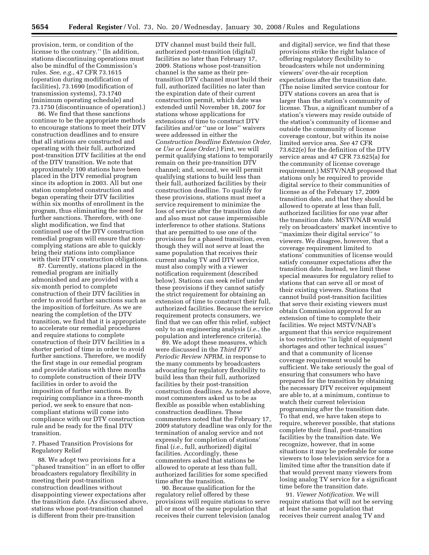provision, term, or condition of the license to the contrary.'' (In addition, stations discontinuing operations must also be mindful of the Commission's rules. *See, e.g.*, 47 CFR 73.1615 (operation during modification of facilities), 73.1690 (modification of transmission systems), 73.1740 (minimum operating schedule) and 73.1750 (discontinuance of operation).)

86. We find that these sanctions continue to be the appropriate methods to encourage stations to meet their DTV construction deadlines and to ensure that all stations are constructed and operating with their full, authorized post-transition DTV facilities at the end of the DTV transition. We note that approximately 100 stations have been placed in the DTV remedial program since its adoption in 2003. All but one station completed construction and began operating their DTV facilities within six months of enrollment in the program, thus eliminating the need for further sanctions. Therefore, with one slight modification, we find that continued use of the DTV construction remedial program will ensure that noncomplying stations are able to quickly bring their stations into compliance with their DTV construction obligations.

87. Currently, stations placed in the remedial program are initially admonished and are provided with a six-month period to complete construction of their DTV facilities in order to avoid further sanctions such as the imposition of forfeiture. As we are nearing the completion of the DTV transition, we find that it is appropriate to accelerate our remedial procedures and require stations to complete construction of their DTV facilities in a shorter period of time in order to avoid further sanctions. Therefore, we modify the first stage in our remedial program and provide stations with three months to complete construction of their DTV facilities in order to avoid the imposition of further sanctions. By requiring compliance in a three-month period, we seek to ensure that noncompliant stations will come into compliance with our DTV construction rule and be ready for the final DTV transition.

# 7. Phased Transition Provisions for Regulatory Relief

88. We adopt two provisions for a ''phased transition'' in an effort to offer broadcasters regulatory flexibility in meeting their post-transition construction deadlines without disappointing viewer expectations after the transition date. (As discussed above, stations whose post-transition channel is different from their pre-transition

DTV channel must build their full, authorized post-transition (digital) facilities no later than February 17, 2009. Stations whose post-transition channel is the same as their pretransition DTV channel must build their full, authorized facilities no later than the expiration date of their current construction permit, which date was extended until November 18, 2007 for stations whose applications for extensions of time to construct DTV facilities and/or ''use or lose'' waivers were addressed in either the *Construction Deadline Extension Order*, or *Use or Lose Order*.) First, we will permit qualifying stations to temporarily remain on their pre-transition DTV channel; and, second, we will permit qualifying stations to build less than their full, authorized facilities by their construction deadline. To qualify for these provisions, stations must meet a service requirement to minimize the loss of service after the transition date and also must not cause impermissible interference to other stations. Stations that are permitted to use one of the provisions for a phased transition, even though they will not serve at least the same population that receives their current analog TV and DTV service, must also comply with a viewer notification requirement (described below). Stations can seek relief under these provisions if they cannot satisfy the strict requirement for obtaining an extension of time to construct their full, authorized facilities. Because the service requirement protects consumers, we find that we can offer this relief, subject only to an engineering analysis (*i.e.*, the population and interference criteria).

89. We adopt these measures, which were discussed in the *Third DTV Periodic Review NPRM*, in response to the many comments by broadcasters advocating for regulatory flexibility to build less than their full, authorized facilities by their post-transition construction deadlines. As noted above, most commenters asked us to be as flexible as possible when establishing construction deadlines. These commenters noted that the February 17, 2009 statutory deadline was only for the termination of analog service and not expressly for completion of stations' final (*i.e.*, full, authorized) digital facilities. Accordingly, these commenters asked that stations be allowed to operate at less than full, authorized facilities for some specified time after the transition.

90. Because qualification for the regulatory relief offered by these provisions will require stations to serve all or most of the same population that receives their current television (analog and digital) service, we find that these provisions strike the right balance of offering regulatory flexibility to broadcasters while not undermining viewers' over-the-air reception expectations after the transition date. (The noise limited service contour for DTV stations covers an area that is larger than the station's community of license. Thus, a significant number of a station's viewers may reside outside of the station's community of license and outside the community of license coverage contour, but within its noise limited service area. *See* 47 CFR 73.622(e) for the definition of the DTV service areas and 47 CFR 73.625(a) for the community of license coverage requirement.) MSTV/NAB proposed that stations only be required to provide digital service to their communities of license as of the February 17, 2009 transition date, and that they should be allowed to operate at less than full, authorized facilities for one year after the transition date. MSTV/NAB would rely on broadcasters' market incentive to ''maximize their digital service'' to viewers. We disagree, however, that a coverage requirement limited to stations' communities of license would satisfy consumer expectations after the transition date. Instead, we limit these special measures for regulatory relief to stations that can serve all or most of their existing viewers. Stations that cannot build post-transition facilities that serve their existing viewers must obtain Commission approval for an extension of time to complete their facilities. We reject MSTV/NAB's argument that this service requirement is too restrictive ''in light of equipment shortages and other technical issues'' and that a community of license coverage requirement would be sufficient. We take seriously the goal of ensuring that consumers who have prepared for the transition by obtaining the necessary DTV receiver equipment are able to, at a minimum, continue to watch their current television programming after the transition date. To that end, we have taken steps to require, wherever possible, that stations complete their final, post-transition facilities by the transition date. We recognize, however, that in some situations it may be preferable for some viewers to lose television service for a limited time after the transition date if that would prevent many viewers from losing analog TV service for a significant time before the transition date.

91. *Viewer Notification.* We will require stations that will not be serving at least the same population that receives their current analog TV and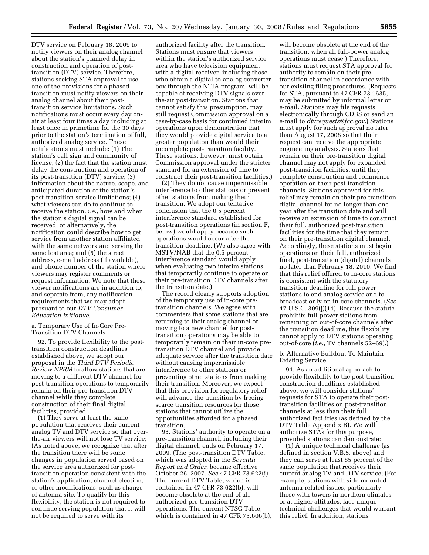DTV service on February 18, 2009 to notify viewers on their analog channel about the station's planned delay in construction and operation of posttransition (DTV) service. Therefore, stations seeking STA approval to use one of the provisions for a phased transition must notify viewers on their analog channel about their posttransition service limitations. Such notifications must occur every day onair at least four times a day including at least once in primetime for the 30 days prior to the station's termination of full, authorized analog service. These notifications must include: (1) The station's call sign and community of license; (2) the fact that the station must delay the construction and operation of its post-transition (DTV) service; (3) information about the nature, scope, and anticipated duration of the station's post-transition service limitations; (4) what viewers can do to continue to receive the station, *i.e.*, how and when the station's digital signal can be received, or alternatively, the notification could describe how to get service from another station affiliated with the same network and serving the same lost area; and (5) the street address, e-mail address (if available), and phone number of the station where viewers may register comments or request information. We note that these viewer notifications are in addition to, and separate from, any notification requirements that we may adopt pursuant to our *DTV Consumer Education Initiative*.

# a. Temporary Use of In-Core Pre-Transition DTV Channels

92. To provide flexibility to the posttransition construction deadlines established above, we adopt our proposal in the *Third DTV Periodic Review NPRM* to allow stations that are moving to a different DTV channel for post-transition operations to temporarily remain on their pre-transition DTV channel while they complete construction of their final digital facilities, provided:

(1) They serve at least the same population that receives their current analog TV and DTV service so that overthe-air viewers will not lose TV service; (As noted above, we recognize that after the transition there will be some changes in population served based on the service area authorized for posttransition operation consistent with the station's application, channel election, or other modifications, such as change of antenna site. To qualify for this flexibility, the station is not required to continue serving population that it will not be required to serve with its

authorized facility after the transition. Stations must ensure that viewers within the station's authorized service area who have television equipment with a digital receiver, including those who obtain a digital-to-analog converter box through the NTIA program, will be capable of receiving DTV signals overthe-air post-transition. Stations that cannot satisfy this presumption, may still request Commission approval on a case-by-case basis for continued interim operations upon demonstration that they would provide digital service to a greater population than would their incomplete post-transition facility. These stations, however, must obtain Commission approval under the stricter standard for an extension of time to construct their post-transition facilities.)

(2) They do not cause impermissible interference to other stations or prevent other stations from making their transition. We adopt our tentative conclusion that the 0.5 percent interference standard established for post-transition operations (in section F, below) would apply because such operations would occur after the transition deadline. (We also agree with MSTV/NAB that the 0.5 percent interference standard would apply when evaluating two interim stations that temporarily continue to operate on their pre-transition DTV channels after the transition date.)

The record clearly supports adoption of the temporary use of in-core pretransition channels. We agree with commenters that some stations that are returning to their analog channel or moving to a new channel for posttransition operations may be able to temporarily remain on their in-core pretransition DTV channel and provide adequate service after the transition date without causing impermissible interference to other stations or preventing other stations from making their transition. Moreover, we expect that this provision for regulatory relief will advance the transition by freeing scarce transition resources for those stations that cannot utilize the opportunities afforded for a phased transition.

93. Stations' authority to operate on a pre-transition channel, including their digital channel, ends on February 17, 2009. (The post-transition DTV Table, which was adopted in the *Seventh Report and Order*, became effective October 26, 2007. *See* 47 CFR 73.622(i). The current DTV Table, which is contained in 47 CFR 73.622(b), will become obsolete at the end of all authorized pre-transition DTV operations. The current NTSC Table, which is contained in 47 CFR 73.606(b),

will become obsolete at the end of the transition, when all full-power analog operations must cease.) Therefore, stations must request STA approval for authority to remain on their pretransition channel in accordance with our existing filing procedures. (Requests for STA, pursuant to 47 CFR 73.1635, may be submitted by informal letter or e-mail. Stations may file requests electronically through CDBS or send an e-mail to *dtvrequests@fcc.gov*.) Stations must apply for such approval no later than August 17, 2008 so that their request can receive the appropriate engineering analysis. Stations that remain on their pre-transition digital channel may not apply for expanded post-transition facilities, until they complete construction and commence operation on their post-transition channels. Stations approved for this relief may remain on their pre-transition digital channel for no longer than one year after the transition date and will receive an extension of time to construct their full, authorized post-transition facilities for the time that they remain on their pre-transition digital channel. Accordingly, these stations must begin operations on their full, authorized final, post-transition (digital) channels no later than February 18, 2010. We find that this relief offered to in-core stations is consistent with the statutory transition deadline for full power stations to end analog service and to broadcast only on in-core channels. (*See*  47 U.S.C. 309(j)(14). Because the statute prohibits full-power stations from remaining on out-of-core channels after the transition deadline, this flexibility cannot apply to DTV stations operating out-of-core (*i.e.*, TV channels 52–69).)

b. Alternative Buildout To Maintain Existing Service

94. As an additional approach to provide flexibility to the post-transition construction deadlines established above, we will consider stations' requests for STA to operate their posttransition facilities on post-transition channels at less than their full, authorized facilities (as defined by the DTV Table Appendix B). We will authorize STAs for this purpose, provided stations can demonstrate:

(1) A unique technical challenge (as defined in section V.B.5. above) and they can serve at least 85 percent of the same population that receives their current analog TV and DTV service; (For example, stations with side-mounted antenna-related issues, particularly those with towers in northern climates or at higher altitudes, face unique technical challenges that would warrant this relief. In addition, stations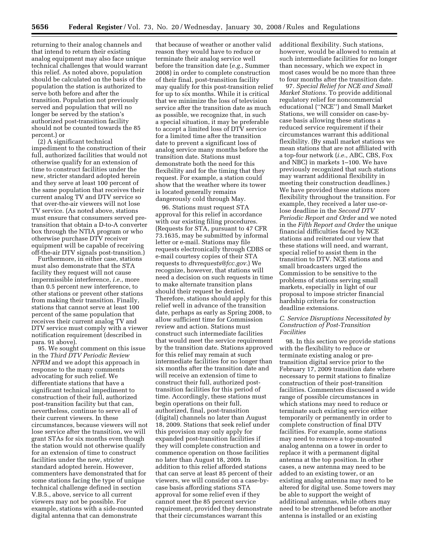returning to their analog channels and that intend to return their existing analog equipment may also face unique technical challenges that would warrant this relief. As noted above, population should be calculated on the basis of the population the station is authorized to serve both before and after the transition. Population not previously served and population that will no longer be served by the station's authorized post-transition facility should not be counted towards the 85 percent.) or

(2) A significant technical impediment to the construction of their full, authorized facilities that would not otherwise qualify for an extension of time to construct facilities under the new, stricter standard adopted herein and they serve at least 100 percent of the same population that receives their current analog TV and DTV service so that over-the-air viewers will not lose TV service. (As noted above, stations must ensure that consumers served pretransition that obtain a D-to-A converter box through the NTIA program or who otherwise purchase DTV receiver equipment will be capable of receiving off-the-air DTV signals post-transition.)

Furthermore, in either case, stations must also demonstrate that the STA facility they request will not cause impermissible interference, *i.e.*, more than 0.5 percent new interference, to other stations or prevent other stations from making their transition. Finally, stations that cannot serve at least 100 percent of the same population that receives their current analog TV and DTV service must comply with a viewer notification requirement (described in para. 91 above).

95. We sought comment on this issue in the *Third DTV Periodic Review NPRM* and we adopt this approach in response to the many comments advocating for such relief. We differentiate stations that have a significant technical impediment to construction of their full, authorized post-transition facility but that can, nevertheless, continue to serve all of their current viewers. In these circumstances, because viewers will not lose service after the transition, we will grant STAs for six months even though the station would not otherwise qualify for an extension of time to construct facilities under the new, stricter standard adopted herein. However, commenters have demonstrated that for some stations facing the type of unique technical challenge defined in section V.B.5., above, service to all current viewers may not be possible. For example, stations with a side-mounted digital antenna that can demonstrate

that because of weather or another valid reason they would have to reduce or terminate their analog service well before the transition date (*e.g.*, Summer 2008) in order to complete construction of their final, post-transition facility may qualify for this post-transition relief for up to six months. While it is critical that we minimize the loss of television service after the transition date as much as possible, we recognize that, in such a special situation, it may be preferable to accept a limited loss of DTV service for a limited time after the transition date to prevent a significant loss of analog service many months before the transition date. Stations must demonstrate both the need for this flexibility and for the timing that they request. For example, a station could show that the weather where its tower is located generally remains dangerously cold through May.

96. Stations must request STA approval for this relief in accordance with our existing filing procedures. (Requests for STA, pursuant to 47 CFR 73.1635, may be submitted by informal letter or e-mail. Stations may file requests electronically through CDBS or e-mail courtesy copies of their STA requests to *dtvrequests@fcc.gov.*) We recognize, however, that stations will need a decision on such requests in time to make alternate transition plans should their request be denied. Therefore, stations should apply for this relief well in advance of the transition date, perhaps as early as Spring 2008, to allow sufficient time for Commission review and action. Stations must construct such intermediate facilities that would meet the service requirement by the transition date. Stations approved for this relief may remain at such intermediate facilities for no longer than six months after the transition date and will receive an extension of time to construct their full, authorized posttransition facilities for this period of time. Accordingly, these stations must begin operations on their full, authorized, final, post-transition (digital) channels no later than August 18, 2009. Stations that seek relief under this provision may only apply for expanded post-transition facilities if they will complete construction and commence operation on those facilities no later than August 18, 2009. In addition to this relief afforded stations that can serve at least 85 percent of their viewers, we will consider on a case-bycase basis affording stations STA approval for some relief even if they cannot meet the 85 percent service requirement, provided they demonstrate that their circumstances warrant this

additional flexibility. Such stations, however, would be allowed to remain at such intermediate facilities for no longer than necessary, which we expect in most cases would be no more than three to four months after the transition date.

97. *Special Relief for NCE and Small Market Stations.* To provide additional regulatory relief for noncommercial educational (''NCE'') and Small Market Stations, we will consider on case-bycase basis allowing these stations a reduced service requirement if their circumstances warrant this additional flexibility. (By small market stations we mean stations that are not affiliated with a top-four network (*i.e.*, ABC, CBS, Fox and NBC) in markets 1–100. We have previously recognized that such stations may warrant additional flexibility in meeting their construction deadlines.) We have provided these stations more flexibility throughout the transition. For example, they received a later use-orlose deadline in the *Second DTV Periodic Report and Order* and we noted in the *Fifth Report and Order* the unique financial difficulties faced by NCE stations and reiterated our view that these stations will need, and warrant, special relief to assist them in the transition to DTV. NCE stations and small broadcasters urged the Commission to be sensitive to the problems of stations serving small markets, especially in light of our proposal to impose stricter financial hardship criteria for construction deadline extensions.

# *C. Service Disruptions Necessitated by Construction of Post-Transition Facilities*

98. In this section we provide stations with the flexibility to reduce or terminate existing analog or pretransition digital service prior to the February 17, 2009 transition date where necessary to permit stations to finalize construction of their post-transition facilities. Commenters discussed a wide range of possible circumstances in which stations may need to reduce or terminate such existing service either temporarily or permanently in order to complete construction of final DTV facilities. For example, some stations may need to remove a top-mounted analog antenna on a tower in order to replace it with a permanent digital antenna at the top position. In other cases, a new antenna may need to be added to an existing tower, or an existing analog antenna may need to be altered for digital use. Some towers may be able to support the weight of additional antennas, while others may need to be strengthened before another antenna is installed or an existing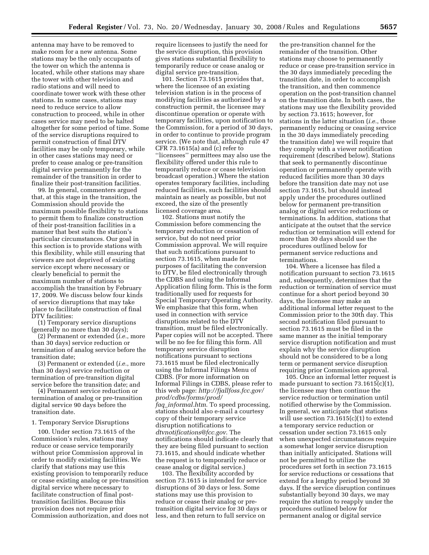antenna may have to be removed to make room for a new antenna. Some stations may be the only occupants of the tower on which the antenna is located, while other stations may share the tower with other television and radio stations and will need to coordinate tower work with these other stations. In some cases, stations may need to reduce service to allow construction to proceed, while in other cases service may need to be halted altogether for some period of time. Some of the service disruptions required to permit construction of final DTV facilities may be only temporary, while in other cases stations may need or prefer to cease analog or pre-transition digital service permanently for the remainder of the transition in order to finalize their post-transition facilities.

99. In general, commenters argued that, at this stage in the transition, the Commission should provide the maximum possible flexibility to stations to permit them to finalize construction of their post-transition facilities in a manner that best suits the station's particular circumstances. Our goal in this section is to provide stations with this flexibility, while still ensuring that viewers are not deprived of existing service except where necessary or clearly beneficial to permit the maximum number of stations to accomplish the transition by February 17, 2009. We discuss below four kinds of service disruptions that may take place to facilitate construction of final DTV facilities:

(1) Temporary service disruptions (generally no more than 30 days);

(2) Permanent or extended (*i.e.*, more than 30 days) service reduction or termination of analog service before the transition date;

(3) Permanent or extended (*i.e.*, more than 30 days) service reduction or termination of pre-transition digital service before the transition date; and

(4) Permanent service reduction or termination of analog or pre-transition digital service 90 days before the transition date.

## 1. Temporary Service Disruptions

100. Under section 73.1615 of the Commission's rules, stations may reduce or cease service temporarily without prior Commission approval in order to modify existing facilities. We clarify that stations may use this existing provision to temporarily reduce or cease existing analog or pre-transition digital service where necessary to facilitate construction of final posttransition facilities. Because this provision does not require prior Commission authorization, and does not require licensees to justify the need for the service disruption, this provision gives stations substantial flexibility to temporarily reduce or cease analog or digital service pre-transition.

101. Section 73.1615 provides that, where the licensee of an existing television station is in the process of modifying facilities as authorized by a construction permit, the licensee may discontinue operation or operate with temporary facilities, upon notification to the Commission, for a period of 30 days, in order to continue to provide program service. (We note that, although rule 47 CFR 73.1615(a) and (c) refer to ''licensees'' permittees may also use the flexibility offered under this rule to temporarily reduce or cease television broadcast operation.) Where the station operates temporary facilities, including reduced facilities, such facilities should maintain as nearly as possible, but not exceed, the size of the presently licensed coverage area.

102. Stations must notify the Commission before commencing the temporary reduction or cessation of service, but do not need prior Commission approval. We will require that such notifications pursuant to section 73.1615, when made for purposes of facilitating the conversion to DTV, be filed electronically through the CDBS and using the Informal Application filing form. This is the form traditionally used for requests for Special Temporary Operating Authority. We emphasize that this form, when used in connection with service disruptions related to the DTV transition, must be filed electronically. Paper copies will not be accepted. There will be no fee for filing this form. All temporary service disruption notifications pursuant to sections 73.1615 must be filed electronically using the Informal Filings Menu of CDBS. (For more information on Informal Filings in CDBS, please refer to this web page: *http://fjallfoss.fcc.gov/ prod/cdbs/forms/prod/ faq*\_*informal.htm*. To speed processing, stations should also e-mail a courtesy copy of their temporary service disruption notifications to *dtvnotifications@fcc.gov*. The notifications should indicate clearly that they are being filed pursuant to section 73.1615, and should indicate whether the request is to temporarily reduce or cease analog or digital service.)

103. The flexibility accorded by section 73.1615 is intended for service disruptions of 30 days or less. Some stations may use this provision to reduce or cease their analog or pretransition digital service for 30 days or less, and then return to full service on

the pre-transition channel for the remainder of the transition. Other stations may choose to permanently reduce or cease pre-transition service in the 30 days immediately preceding the transition date, in order to accomplish the transition, and then commence operation on the post-transition channel on the transition date. In both cases, the stations may use the flexibility provided by section 73.1615; however, for stations in the latter situation (*i.e.*, those permanently reducing or ceasing service in the 30 days immediately preceding the transition date) we will require that they comply with a viewer notification requirement (described below). Stations that seek to permanently discontinue operation or permanently operate with reduced facilities more than 30 days before the transition date may not use section 73.1615, but should instead apply under the procedures outlined below for permanent pre-transition analog or digital service reductions or terminations. In addition, stations that anticipate at the outset that the service reduction or termination will extend for more than 30 days should use the procedures outlined below for permanent service reductions and terminations.

104. Where a licensee has filed a notification pursuant to section 73.1615 and, subsequently, determines that the reduction or termination of service must continue for a short period beyond 30 days, the licensee may make an additional informal letter request to the Commission prior to the 30th day. This second notification filed pursuant to section 73.1615 must be filed in the same manner as the initial temporary service disruption notification and must explain why the service disruption should not be considered to be a long term or permanent service disruption requiring prior Commission approval.

105. Once an informal letter request is made pursuant to section  $73.1615(c)(1)$ , the licensee may then continue the service reduction or termination until notified otherwise by the Commission. In general, we anticipate that stations will use section 73.1615(c)(1) to extend a temporary service reduction or cessation under section 73.1615 only when unexpected circumstances require a somewhat longer service disruption than initially anticipated. Stations will not be permitted to utilize the procedures set forth in section 73.1615 for service reductions or cessations that extend for a lengthy period beyond 30 days. If the service disruption continues substantially beyond 30 days, we may require the station to reapply under the procedures outlined below for permanent analog or digital service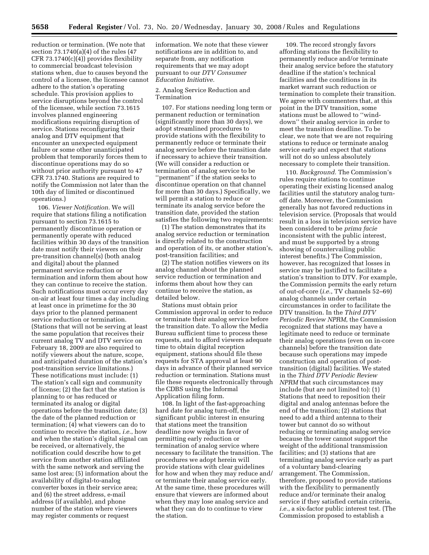reduction or termination. (We note that section 73.1740(a)(4) of the rules (47 CFR  $73.1740(c)(4)$ ) provides flexibility to commercial broadcast television stations when, due to causes beyond the control of a licensee, the licensee cannot adhere to the station's operating schedule. This provision applies to service disruptions beyond the control of the licensee, while section 73.1615 involves planned engineering modifications requiring disruption of service. Stations reconfiguring their analog and DTV equipment that encounter an unexpected equipment failure or some other unanticipated problem that temporarily forces them to discontinue operations may do so without prior authority pursuant to 47 CFR 73.1740. Stations are required to notify the Commission not later than the 10th day of limited or discontinued operations.)

106. *Viewer Notification.* We will require that stations filing a notification pursuant to section 73.1615 to permanently discontinue operation or permanently operate with reduced facilities within 30 days of the transition date must notify their viewers on their pre-transition channel(s) (both analog and digital) about the planned permanent service reduction or termination and inform them about how they can continue to receive the station. Such notifications must occur every day on-air at least four times a day including at least once in primetime for the 30 days prior to the planned permanent service reduction or termination. (Stations that will not be serving at least the same population that receives their current analog TV and DTV service on February 18, 2009 are also required to notify viewers about the nature, scope, and anticipated duration of the station's post-transition service limitations.) These notifications must include: (1) The station's call sign and community of license; (2) the fact that the station is planning to or has reduced or terminated its analog or digital operations before the transition date; (3) the date of the planned reduction or termination; (4) what viewers can do to continue to receive the station, *i.e.*, how and when the station's digital signal can be received, or alternatively, the notification could describe how to get service from another station affiliated with the same network and serving the same lost area; (5) information about the availability of digital-to-analog converter boxes in their service area; and (6) the street address, e-mail address (if available), and phone number of the station where viewers may register comments or request

information. We note that these viewer notifications are in addition to, and separate from, any notification requirements that we may adopt pursuant to our *DTV Consumer Education Initiative.* 

# 2. Analog Service Reduction and Termination

107. For stations needing long term or permanent reduction or termination (significantly more than 30 days), we adopt streamlined procedures to provide stations with the flexibility to permanently reduce or terminate their analog service before the transition date if necessary to achieve their transition. (We will consider a reduction or termination of analog service to be ''permanent'' if the station seeks to discontinue operation on that channel for more than 30 days.) Specifically, we will permit a station to reduce or terminate its analog service before the transition date, provided the station satisfies the following two requirements:

(1) The station demonstrates that its analog service reduction or termination is directly related to the construction and operation of its, or another station's, post-transition facilities; and

(2) The station notifies viewers on its analog channel about the planned service reduction or termination and informs them about how they can continue to receive the station, as detailed below.

Stations must obtain prior Commission approval in order to reduce or terminate their analog service before the transition date. To allow the Media Bureau sufficient time to process these requests, and to afford viewers adequate time to obtain digital reception equipment, stations should file these requests for STA approval at least 90 days in advance of their planned service reduction or termination. Stations must file these requests electronically through the CDBS using the Informal Application filing form.

108. In light of the fast-approaching hard date for analog turn-off, the significant public interest in ensuring that stations meet the transition deadline now weighs in favor of permitting early reduction or termination of analog service where necessary to facilitate the transition. The procedures we adopt herein will provide stations with clear guidelines for how and when they may reduce and/ or terminate their analog service early. At the same time, these procedures will ensure that viewers are informed about when they may lose analog service and what they can do to continue to view the station.

109. The record strongly favors affording stations the flexibility to permanently reduce and/or terminate their analog service before the statutory deadline if the station's technical facilities and the conditions in its market warrant such reduction or termination to complete their transition. We agree with commenters that, at this point in the DTV transition, some stations must be allowed to ''winddown'' their analog service in order to meet the transition deadline. To be clear, we note that we are not requiring stations to reduce or terminate analog service early and expect that stations will not do so unless absolutely necessary to complete their transition.

110. *Background.* The Commission's rules require stations to continue operating their existing licensed analog facilities until the statutory analog turnoff date. Moreover, the Commission generally has not favored reductions in television service. (Proposals that would result in a loss in television service have been considered to be *prima facie*  inconsistent with the public interest, and must be supported by a strong showing of countervailing public interest benefits.) The Commission, however, has recognized that losses in service may be justified to facilitate a station's transition to DTV. For example, the Commission permits the early return of out-of-core (*i.e.*, TV channels 52–69) analog channels under certain circumstances in order to facilitate the DTV transition. In the *Third DTV Periodic Review NPRM*, the Commission recognized that stations may have a legitimate need to reduce or terminate their analog operations (even on in-core channels) before the transition date because such operations may impede construction and operation of posttransition (digital) facilities. We stated in the *Third DTV Periodic Review NPRM* that such circumstances may include (but are not limited to): (1) Stations that need to reposition their digital and analog antennas before the end of the transition; (2) stations that need to add a third antenna to their tower but cannot do so without reducing or terminating analog service because the tower cannot support the weight of the additional transmission facilities; and (3) stations that are terminating analog service early as part of a voluntary band-clearing arrangement. The Commission, therefore, proposed to provide stations with the flexibility to permanently reduce and/or terminate their analog service if they satisfied certain criteria, *i.e.*, a six-factor public interest test. (The Commission proposed to establish a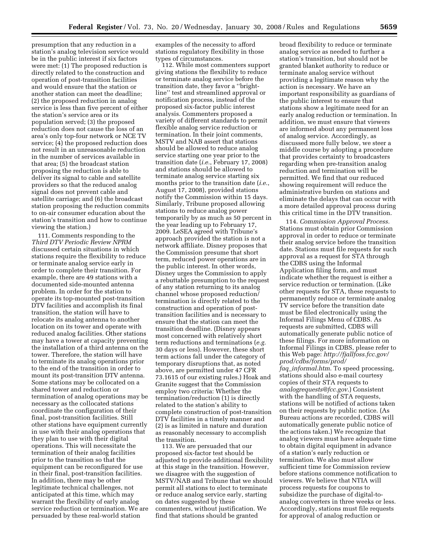presumption that any reduction in a station's analog television service would be in the public interest if six factors were met: (1) The proposed reduction is directly related to the construction and operation of post-transition facilities and would ensure that the station or another station can meet the deadline; (2) the proposed reduction in analog service is less than five percent of either the station's service area or its population served; (3) the proposed reduction does not cause the loss of an area's only top-four network or NCE TV service; (4) the proposed reduction does not result in an unreasonable reduction in the number of services available in that area; (5) the broadcast station proposing the reduction is able to deliver its signal to cable and satellite providers so that the reduced analog signal does not prevent cable and satellite carriage; and (6) the broadcast station proposing the reduction commits to on-air consumer education about the station's transition and how to continue viewing the station.)

111. Comments responding to the *Third DTV Periodic Review NPRM*  discussed certain situations in which stations require the flexibility to reduce or terminate analog service early in order to complete their transition. For example, there are 49 stations with a documented side-mounted antenna problem. In order for the station to operate its top-mounted post-transition DTV facilities and accomplish its final transition, the station will have to relocate its analog antenna to another location on its tower and operate with reduced analog facilities. Other stations may have a tower at capacity preventing the installation of a third antenna on the tower. Therefore, the station will have to terminate its analog operations prior to the end of the transition in order to mount its post-transition DTV antenna. Some stations may be collocated on a shared tower and reduction or termination of analog operations may be necessary as the collocated stations coordinate the configuration of their final, post-transition facilities. Still other stations have equipment currently in use with their analog operations that they plan to use with their digital operations. This will necessitate the termination of their analog facilities prior to the transition so that the equipment can be reconfigured for use in their final, post-transition facilities. In addition, there may be other legitimate technical challenges, not anticipated at this time, which may warrant the flexibility of early analog service reduction or termination. We are persuaded by these real-world station

examples of the necessity to afford stations regulatory flexibility in those types of circumstances.

112. While most commenters support giving stations the flexibility to reduce or terminate analog service before the transition date, they favor a ''brightline'' test and streamlined approval or notification process, instead of the proposed six-factor public interest analysis. Commenters proposed a variety of different standards to permit flexible analog service reduction or termination. In their joint comments, MSTV and NAB assert that stations should be allowed to reduce analog service starting one year prior to the transition date (*i.e.*, February 17, 2008) and stations should be allowed to terminate analog service starting six months prior to the transition date (*i.e.*, August 17, 2008), provided stations notify the Commission within 15 days. Similarly, Tribune proposed allowing stations to reduce analog power temporarily by as much as 50 percent in the year leading up to February 17, 2009. LeSEA agreed with Tribune's approach provided the station is not a network affiliate. Disney proposes that the Commission presume that short term, reduced power operations are in the public interest. In other words, Disney urges the Commission to apply a rebuttable presumption to the request of any station returning to its analog channel whose proposed reduction/ termination is directly related to the construction and operation of posttransition facilities and is necessary to ensure that the station can meet the transition deadline. (Disney appears most concerned with relatively short term reductions and terminations (*e.g.*  30 days or less). However, these short term actions fall under the category of temporary disruptions that, as noted above, are permitted under 47 CFR 73.1615 of our existing rules.) Hoak and Granite suggest that the Commission employ two criteria: Whether the termination/reduction (1) is directly related to the station's ability to complete construction of post-transition DTV facilities in a timely manner and (2) is as limited in nature and duration as reasonably necessary to accomplish the transition.

113. We are persuaded that our proposed six-factor test should be adjusted to provide additional flexibility at this stage in the transition. However, we disagree with the suggestion of MSTV/NAB and Tribune that we should permit all stations to elect to terminate or reduce analog service early, starting on dates suggested by these commenters, without justification. We find that stations should be granted

broad flexibility to reduce or terminate analog service as needed to further a station's transition, but should not be granted blanket authority to reduce or terminate analog service without providing a legitimate reason why the action is necessary. We have an important responsibility as guardians of the public interest to ensure that stations show a legitimate need for an early analog reduction or termination. In addition, we must ensure that viewers are informed about any permanent loss of analog service. Accordingly, as discussed more fully below, we steer a middle course by adopting a procedure that provides certainty to broadcasters regarding when pre-transition analog reduction and termination will be permitted. We find that our reduced showing requirement will reduce the administrative burden on stations and eliminate the delays that can occur with a more detailed approval process during this critical time in the DTV transition.

114. *Commission Approval Process.*  Stations must obtain prior Commission approval in order to reduce or terminate their analog service before the transition date. Stations must file requests for such approval as a request for STA through the CDBS using the Informal Application filing form, and must indicate whether the request is either a service reduction or termination. (Like other requests for STA, these requests to permanently reduce or terminate analog TV service before the transition date must be filed electronically using the Informal Filings Menu of CDBS. As requests are submitted, CDBS will automatically generate public notice of these filings. For more information on Informal Filings in CDBS, please refer to this Web page: *http://fjallfoss.fcc.gov/ prod/cdbs/forms/prod/ faq*\_*informal.htm*. To speed processing, stations should also e-mail courtesy copies of their STA requests to *analogrequests@fcc.gov*.) Consistent with the handling of STA requests, stations will be notified of actions taken on their requests by public notice. (As Bureau actions are recorded, CDBS will automatically generate public notice of the actions taken.) We recognize that analog viewers must have adequate time to obtain digital equipment in advance of a station's early reduction or termination. We also must allow sufficient time for Commission review before stations commence notification to viewers. We believe that NTIA will process requests for coupons to subsidize the purchase of digital-toanalog converters in three weeks or less. Accordingly, stations must file requests for approval of analog reduction or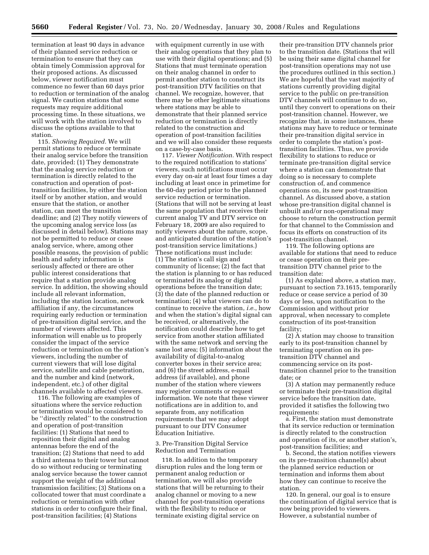termination at least 90 days in advance of their planned service reduction or termination to ensure that they can obtain timely Commission approval for their proposed actions. As discussed below, viewer notification must commence no fewer than 60 days prior to reduction or termination of the analog signal. We caution stations that some requests may require additional processing time. In these situations, we will work with the station involved to discuss the options available to that station.

115. *Showing Required.* We will permit stations to reduce or terminate their analog service before the transition date, provided: (1) They demonstrate that the analog service reduction or termination is directly related to the construction and operation of posttransition facilities, by either the station itself or by another station, and would ensure that the station, or another station, can meet the transition deadline; and (2) They notify viewers of the upcoming analog service loss (as discussed in detail below). Stations may not be permitted to reduce or cease analog service, where, among other possible reasons, the provision of public health and safety information is seriously affected or there are other public interest considerations that require that a station provide analog service. In addition, the showing should include all relevant information, including the station location, network affiliation if any, the circumstances requiring early reduction or termination of pre-transition digital service, and the number of viewers affected. This information will enable us to properly consider the impact of the service reduction or termination on the station's viewers, including the number of current viewers that will lose digital service, satellite and cable penetration, and the number and kind (network, independent, etc.) of other digital channels available to affected viewers.

116. The following are examples of situations where the service reduction or termination would be considered to be ''directly related'' to the construction and operation of post-transition facilities: (1) Stations that need to reposition their digital and analog antennas before the end of the transition; (2) Stations that need to add a third antenna to their tower but cannot do so without reducing or terminating analog service because the tower cannot support the weight of the additional transmission facilities; (3) Stations on a collocated tower that must coordinate a reduction or termination with other stations in order to configure their final, post-transition facilities; (4) Stations

with equipment currently in use with their analog operations that they plan to use with their digital operations; and (5) Stations that must terminate operation on their analog channel in order to permit another station to construct its post-transition DTV facilities on that channel. We recognize, however, that there may be other legitimate situations where stations may be able to demonstrate that their planned service reduction or termination is directly related to the construction and operation of post-transition facilities and we will also consider these requests on a case-by-case basis.

117. *Viewer Notification.* With respect to the required notification to stations' viewers, such notifications must occur every day on-air at least four times a day including at least once in primetime for the 60-day period prior to the planned service reduction or termination. (Stations that will not be serving at least the same population that receives their current analog TV and DTV service on February 18, 2009 are also required to notify viewers about the nature, scope, and anticipated duration of the station's post-transition service limitations.) These notifications must include: (1) The station's call sign and community of license; (2) the fact that the station is planning to or has reduced or terminated its analog or digital operations before the transition date; (3) the date of the planned reduction or termination; (4) what viewers can do to continue to receive the station, *i.e.*, how and when the station's digital signal can be received, or alternatively, the notification could describe how to get service from another station affiliated with the same network and serving the same lost area; (5) information about the availability of digital-to-analog converter boxes in their service area; and (6) the street address, e-mail address (if available), and phone number of the station where viewers may register comments or request information. We note that these viewer notifications are in addition to, and separate from, any notification requirements that we may adopt pursuant to our DTV Consumer Education Initiative.

# 3. Pre-Transition Digital Service Reduction and Termination

118. In addition to the temporary disruption rules and the long term or permanent analog reduction or termination, we will also provide stations that will be returning to their analog channel or moving to a new channel for post-transition operations with the flexibility to reduce or terminate existing digital service on

their pre-transition DTV channels prior to the transition date. (Stations that will be using their same digital channel for post-transition operations may not use the procedures outlined in this section.) We are hopeful that the vast majority of stations currently providing digital service to the public on pre-transition DTV channels will continue to do so, until they convert to operations on their post-transition channel. However, we recognize that, in some instances, these stations may have to reduce or terminate their pre-transition digital service in order to complete the station's posttransition facilities. Thus, we provide flexibility to stations to reduce or terminate pre-transition digital service where a station can demonstrate that doing so is necessary to complete construction of, and commence operations on, its new post-transition channel. As discussed above, a station whose pre-transition digital channel is unbuilt and/or non-operational may choose to return the construction permit for that channel to the Commission and focus its efforts on construction of its post-transition channel.

119. The following options are available for stations that need to reduce or cease operation on their pretransition DTV channel prior to the transition date:

(1) As explained above, a station may, pursuant to section 73.1615, temporarily reduce or cease service a period of 30 days or less, upon notification to the Commission and without prior approval, when necessary to complete construction of its post-transition facility;

(2) A station may choose to transition early to its post-transition channel by terminating operation on its pretransition DTV channel and commencing service on its posttransition channel prior to the transition date; or

(3) A station may permanently reduce or terminate their pre-transition digital service before the transition date, provided it satisfies the following two requirements:

a. First, the station must demonstrate that its service reduction or termination is directly related to the construction and operation of its, or another station's, post-transition facilities; and

b. Second, the station notifies viewers on its pre-transition channel(s) about the planned service reduction or termination and informs them about how they can continue to receive the station.

120. In general, our goal is to ensure the continuation of digital service that is now being provided to viewers. However, a substantial number of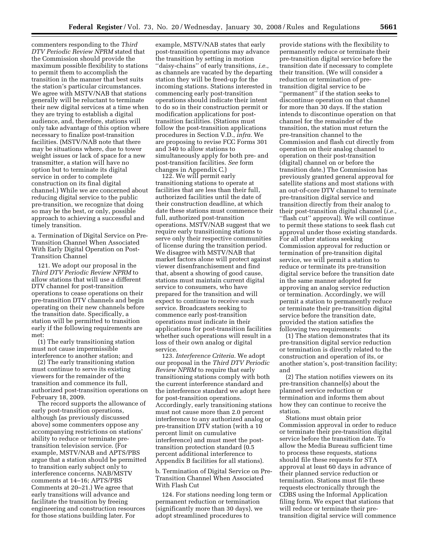commenters responding to the *Third DTV Periodic Review NPRM* stated that the Commission should provide the maximum possible flexibility to stations to permit them to accomplish the transition in the manner that best suits the station's particular circumstances. We agree with MSTV/NAB that stations generally will be reluctant to terminate their new digital services at a time when they are trying to establish a digital audience, and, therefore, stations will only take advantage of this option where necessary to finalize post-transition facilities. (MSTV/NAB note that there may be situations where, due to tower weight issues or lack of space for a new transmitter, a station will have no option but to terminate its digital service in order to complete construction on its final digital channel.) While we are concerned about reducing digital service to the public pre-transition, we recognize that doing so may be the best, or only, possible approach to achieving a successful and timely transition.

a. Termination of Digital Service on Pre-Transition Channel When Associated With Early Digital Operation on Post-Transition Channel

121. We adopt our proposal in the *Third DTV Periodic Review NPRM* to allow stations that will use a different DTV channel for post-transition operations to cease operations on their pre-transition DTV channels and begin operating on their new channels before the transition date. Specifically, a station will be permitted to transition early if the following requirements are met:

(1) The early transitioning station must not cause impermissible interference to another station; and

(2) The early transitioning station must continue to serve its existing viewers for the remainder of the transition and commence its full, authorized post-transition operations on February 18, 2009.

The record supports the allowance of early post-transition operations, although (as previously discussed above) some commenters oppose any accompanying restrictions on stations' ability to reduce or terminate pretransition television service. (For example, MSTV/NAB and APTS/PBS argue that a station should be permitted to transition early subject only to interference concerns. NAB/MSTV comments at 14–16; APTS/PBS Comments at 20–21.) We agree that early transitions will advance and facilitate the transition by freeing engineering and construction resources for those stations building later. For

example, MSTV/NAB states that early post-transition operations may advance the transition by setting in motion ''daisy-chains'' of early transitions, *i.e.*, as channels are vacated by the departing station they will be freed-up for the incoming stations. Stations interested in commencing early post-transition operations should indicate their intent to do so in their construction permit or modification applications for posttransition facilities. (Stations must follow the post-transition applications procedures in Section V.D., *infra*. We are proposing to revise FCC Forms 301 and 340 to allow stations to simultaneously apply for both pre- and post-transition facilities. *See* form changes in Appendix C.)

122. We will permit early transitioning stations to operate at facilities that are less than their full, authorized facilities until the date of their construction deadline, at which date these stations must commence their full, authorized post-transition operations. MSTV/NAB suggest that we require early transitioning stations to serve only their respective communities of license during the transition period. We disagree with MSTV/NAB that market factors alone will protect against viewer disenfranchisement and find that, absent a showing of good cause, stations must maintain current digital service to consumers, who have prepared for the transition and will expect to continue to receive such service. Broadcasters seeking to commence early post-transition operations must indicate in their applications for post-transition facilities whether such operations will result in a loss of their own analog or digital service.

123. *Interference Criteria.* We adopt our proposal in the *Third DTV Periodic Review NPRM* to require that early transitioning stations comply with both the current interference standard and the interference standard we adopt here for post-transition operations. Accordingly, early transitioning stations must not cause more than 2.0 percent interference to any authorized analog or pre-transition DTV station (with a 10 percent limit on cumulative interference) and must meet the posttransition protection standard (0.5 percent additional interference to Appendix B facilities for all stations).

b. Termination of Digital Service on Pre-Transition Channel When Associated With Flash Cut

124. For stations needing long term or permanent reduction or termination (significantly more than 30 days), we adopt streamlined procedures to

provide stations with the flexibility to permanently reduce or terminate their pre-transition digital service before the transition date if necessary to complete their transition. (We will consider a reduction or termination of pretransition digital service to be ''permanent'' if the station seeks to discontinue operation on that channel for more than 30 days. If the station intends to discontinue operation on that channel for the remainder of the transition, the station must return the pre-transition channel to the Commission and flash cut directly from operation on their analog channel to operation on their post-transition (digital) channel on or before the transition date.) The Commission has previously granted general approval for satellite stations and most stations with an out-of-core DTV channel to terminate pre-transition digital service and transition directly from their analog to their post-transition digital channel (*i.e.*, ''flash cut'' approval). We will continue to permit these stations to seek flash cut approval under those existing standards. For all other stations seeking Commission approval for reduction or termination of pre-transition digital service, we will permit a station to reduce or terminate its pre-transition digital service before the transition date in the same manner adopted for approving an analog service reduction or termination. Accordingly, we will permit a station to permanently reduce or terminate their pre-transition digital service before the transition date, provided the station satisfies the following two requirements:

(1) The station demonstrates that its pre-transition digital service reduction or termination is directly related to the construction and operation of its, or another station's, post-transition facility; and

(2) The station notifies viewers on its pre-transition channel(s) about the planned service reduction or termination and informs them about how they can continue to receive the station.

Stations must obtain prior Commission approval in order to reduce or terminate their pre-transition digital service before the transition date. To allow the Media Bureau sufficient time to process these requests, stations should file these requests for STA approval at least 60 days in advance of their planned service reduction or termination. Stations must file these requests electronically through the CDBS using the Informal Application filing form. We expect that stations that will reduce or terminate their pretransition digital service will commence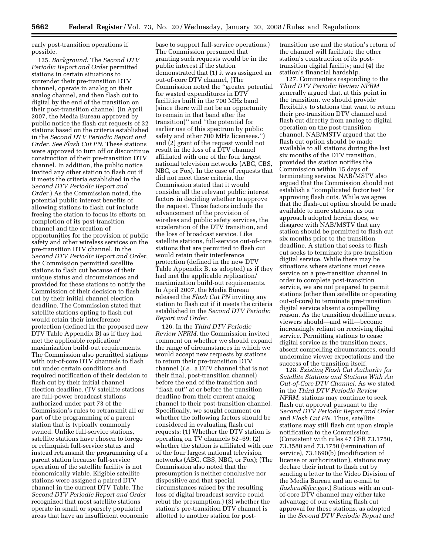early post-transition operations if possible.

125. *Background*. The *Second DTV Periodic Report and Order* permitted stations in certain situations to surrender their pre-transition DTV channel, operate in analog on their analog channel, and then flash cut to digital by the end of the transition on their post-transition channel. (In April 2007, the Media Bureau approved by public notice the flash cut requests of 32 stations based on the criteria established in the *Second DTV Periodic Report and Order*. *See Flash Cut PN*. These stations were approved to turn off or discontinue construction of their pre-transition DTV channel. In addition, the public notice invited any other station to flash cut if it meets the criteria established in the *Second DTV Periodic Report and Order*.) As the Commission noted, the potential public interest benefits of allowing stations to flash cut include freeing the station to focus its efforts on completion of its post-transition channel and the creation of opportunities for the provision of public safety and other wireless services on the pre-transition DTV channel. In the *Second DTV Periodic Report and Order*, the Commission permitted satellite stations to flash cut because of their unique status and circumstances and provided for these stations to notify the Commission of their decision to flash cut by their initial channel election deadline. The Commission stated that satellite stations opting to flash cut would retain their interference protection (defined in the proposed new DTV Table Appendix B) as if they had met the applicable replication/ maximization build-out requirements. The Commission also permitted stations with out-of-core DTV channels to flash cut under certain conditions and required notification of their decision to flash cut by their initial channel election deadline. (TV satellite stations are full-power broadcast stations authorized under part 73 of the Commission's rules to retransmit all or part of the programming of a parent station that is typically commonly owned. Unlike full-service stations, satellite stations have chosen to forego or relinquish full-service status and instead retransmit the programming of a parent station because full-service operation of the satellite facility is not economically viable. Eligible satellite stations were assigned a paired DTV channel in the current DTV Table. The *Second DTV Periodic Report and Order*  recognized that most satellite stations operate in small or sparsely populated areas that have an insufficient economic

base to support full-service operations.) The Commission presumed that granting such requests would be in the public interest if the station demonstrated that (1) it was assigned an out-of-core DTV channel, (The Commission noted the ''greater potential for wasted expenditures in DTV facilities built in the 700 MHz band (since there will not be an opportunity to remain in that band after the transition)'' and ''the potential for earlier use of this spectrum by public safety and other 700 MHz licensees.'') and (2) grant of the request would not result in the loss of a DTV channel affiliated with one of the four largest national television networks (ABC, CBS, NBC, or Fox). In the case of requests that did not meet these criteria, the Commission stated that it would consider all the relevant public interest factors in deciding whether to approve the request. These factors include the advancement of the provision of wireless and public safety services, the acceleration of the DTV transition, and the loss of broadcast service. Like satellite stations, full-service out-of-core stations that are permitted to flash cut would retain their interference protection (defined in the new DTV Table Appendix B, as adopted) as if they had met the applicable replication/ maximization build-out requirements. In April 2007, the Media Bureau released the *Flash Cut PN* inviting any station to flash cut if it meets the criteria established in the *Second DTV Periodic Report and Order*.

126. In the *Third DTV Periodic Review NPRM*, the Commission invited comment on whether we should expand the range of circumstances in which we would accept new requests by stations to return their pre-transition DTV channel (*i.e.*, a DTV channel that is not their final, post-transition channel) before the end of the transition and ''flash cut'' at or before the transition deadline from their current analog channel to their post-transition channel. Specifically, we sought comment on whether the following factors should be considered in evaluating flash cut requests: (1) Whether the DTV station is operating on TV channels 52–69; (2) whether the station is affiliated with one of the four largest national television networks (ABC, CBS, NBC, or Fox); (The Commission also noted that the presumption is neither conclusive nor dispositive and that special circumstances raised by the resulting loss of digital broadcast service could rebut the presumption.) (3) whether the station's pre-transition DTV channel is allotted to another station for posttransition use and the station's return of the channel will facilitate the other station's construction of its posttransition digital facility; and (4) the station's financial hardship.

127. Commenters responding to the *Third DTV Periodic Review NPRM*  generally argued that, at this point in the transition, we should provide flexibility to stations that want to return their pre-transition DTV channel and flash cut directly from analog to digital operation on the post-transition channel. NAB/MSTV argued that the flash cut option should be made available to all stations during the last six months of the DTV transition, provided the station notifies the Commission within 15 days of terminating service. NAB/MSTV also argued that the Commission should not establish a ''complicated factor test'' for approving flash cuts. While we agree that the flash-cut option should be made available to more stations, as our approach adopted herein does, we disagree with NAB/MSTV that any station should be permitted to flash cut six months prior to the transition deadline. A station that seeks to flash cut seeks to terminate its pre-transition digital service. While there may be situations where stations must cease service on a pre-transition channel in order to complete post-transition service, we are not prepared to permit stations (other than satellite or operating out-of-core) to terminate pre-transition digital service absent a compelling reason. As the transition deadline nears, viewers should—and will—become increasingly reliant on receiving digital service. Permitting stations to cease digital service as the transition nears, absent compelling circumstances, could undermine viewer expectations and the success of the transition itself.

128. *Existing Flash Cut Authority for Satellite Stations and Stations With An Out-of-Core DTV Channel*. As we stated in the *Third DTV Periodic Review NPRM*, stations may continue to seek flash cut approval pursuant to the *Second DTV Periodic Report and Order*  and *Flash Cut PN*. Thus, satellite stations may still flash cut upon simple notification to the Commission. (Consistent with rules 47 CFR 73.1750, 73.3580 and 73.1750 (termination of service), 73.1690(b) (modification of license or authorization), stations may declare their intent to flash cut by sending a letter to the Video Division of the Media Bureau and an e-mail to *flashcut@fcc.gov*.) Stations with an outof-core DTV channel may either take advantage of our existing flash cut approval for these stations, as adopted in the *Second DTV Periodic Report and*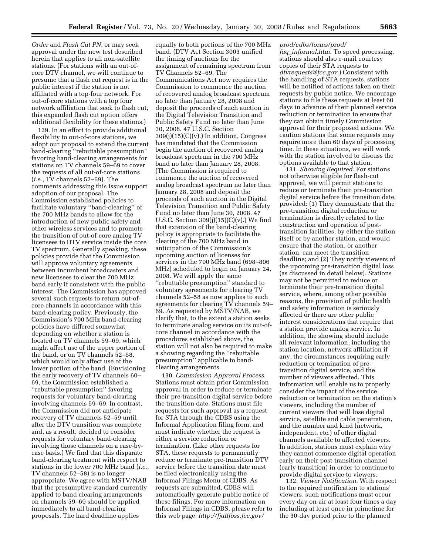*Order* and *Flash Cut PN*, or may seek approval under the new test described herein that applies to all non-satellite stations. (For stations with an out-ofcore DTV channel, we will continue to presume that a flash cut request is in the public interest if the station is not affiliated with a top-four network. For out-of-core stations with a top four network affiliation that seek to flash cut, this expanded flash cut option offers additional flexibility for these stations.)

129. In an effort to provide additional flexibility to out-of-core stations, we adopt our proposal to extend the current band-clearing ''rebuttable presumption'' favoring band-clearing arrangements for stations on TV channels 59–69 to cover the requests of all out-of-core stations (*i.e.*, TV channels 52–69). The comments addressing this issue support adoption of our proposal. The Commission established policies to facilitate voluntary ''band-clearing'' of the 700 MHz bands to allow for the introduction of new public safety and other wireless services and to promote the transition of out-of-core analog TV licensees to DTV service inside the core TV spectrum. Generally speaking, these policies provide that the Commission will approve voluntary agreements between incumbent broadcasters and new licensees to clear the 700 MHz band early if consistent with the public interest. The Commission has approved several such requests to return out-ofcore channels in accordance with this band-clearing policy. Previously, the Commission's 700 MHz band-clearing policies have differed somewhat depending on whether a station is located on TV channels 59–69, which might affect use of the upper portion of the band, or on TV channels 52–58, which would only affect use of the lower portion of the band. (Envisioning the early recovery of TV channels 60– 69, the Commission established a ''rebuttable presumption'' favoring requests for voluntary band-clearing involving channels 59–69. In contrast, the Commission did not anticipate recovery of TV channels 52–59 until after the DTV transition was complete and, as a result, decided to consider requests for voluntary band-clearing involving those channels on a case-bycase basis.) We find that this disparate band-clearing treatment with respect to stations in the lower 700 MHz band (*i.e.*, TV channels 52–58) is no longer appropriate. We agree with MSTV/NAB that the presumptive standard currently applied to band clearing arrangements on channels 59–69 should be applied immediately to all band-clearing proposals. The hard deadline applies

equally to both portions of the 700 MHz band. (DTV Act Section 3003 unified the timing of auctions for the assignment of remaining spectrum from TV Channels 52–69. The Communications Act now requires the Commission to commence the auction of recovered analog broadcast spectrum no later than January 28, 2008 and deposit the proceeds of such auction in the Digital Television Transition and Public Safety Fund no later than June 30, 2008. 47 U.S.C. Section  $309(j)(15)(C)(v)$ .) In addition, Congress has mandated that the Commission begin the auction of recovered analog broadcast spectrum in the 700 MHz band no later than January 28, 2008. (The Commission is required to commence the auction of recovered analog broadcast spectrum no later than January 28, 2008 and deposit the proceeds of such auction in the Digital Television Transition and Public Safety Fund no later than June 30, 2008. 47 U.S.C. Section  $309(j)(15)(C)(v)$ .) We find that extension of the band-clearing policy is appropriate to facilitate the clearing of the 700 MHz band in anticipation of the Commission's upcoming auction of licenses for services in the 700 MHz band (698–806 MHz) scheduled to begin on January 24, 2008. We will apply the same ''rebuttable presumption'' standard to voluntary agreements for clearing TV channels 52–58 as now applies to such agreements for clearing TV channels 59– 69. As requested by MSTV/NAB, we clarify that, to the extent a station seeks to terminate analog service on its out-ofcore channel in accordance with the procedures established above, the station will not also be required to make a showing regarding the ''rebuttable presumption'' applicable to bandclearing arrangements.

130. *Commission Approval Process*. Stations must obtain prior Commission approval in order to reduce or terminate their pre-transition digital service before the transition date. Stations must file requests for such approval as a request for STA through the CDBS using the Informal Application filing form, and must indicate whether the request is either a service reduction or termination. (Like other requests for STA, these requests to permanently reduce or terminate pre-transition DTV service before the transition date must be filed electronically using the Informal Filings Menu of CDBS. As requests are submitted, CDBS will automatically generate public notice of these filings. For more information on Informal Filings in CDBS, please refer to this web page: *http://fjallfoss.fcc.gov/* 

# *prod/cdbs/forms/prod/*

*faq*\_*informal.htm*. To speed processing, stations should also e-mail courtesy copies of their STA requests to *dtvrequests@fcc.gov*.) Consistent with the handling of STA requests, stations will be notified of actions taken on their requests by public notice. We encourage stations to file these requests at least 60 days in advance of their planned service reduction or termination to ensure that they can obtain timely Commission approval for their proposed actions. We caution stations that some requests may require more than 60 days of processing time. In these situations, we will work with the station involved to discuss the options available to that station.

131. *Showing Required*. For stations not otherwise eligible for flash-cut approval, we will permit stations to reduce or terminate their pre-transition digital service before the transition date, provided: (1) They demonstrate that the pre-transition digital reduction or termination is directly related to the construction and operation of posttransition facilities, by either the station itself or by another station, and would ensure that the station, or another station, can meet the transition deadline; and (2) They notify viewers of the upcoming pre-transition digital loss (as discussed in detail below). Stations may not be permitted to reduce or terminate their pre-transition digital service, where, among other possible reasons, the provision of public health and safety information is seriously affected or there are other public interest considerations that require that a station provide analog service. In addition, the showing should include all relevant information, including the station location, network affiliation if any, the circumstances requiring early reduction or termination of pretransition digital service, and the number of viewers affected. This information will enable us to properly consider the impact of the service reduction or termination on the station's viewers, including the number of current viewers that will lose digital service, satellite and cable penetration, and the number and kind (network, independent, etc.) of other digital channels available to affected viewers. In addition, stations must explain why they cannot commence digital operation early on their post-transition channel (early transition) in order to continue to provide digital service to viewers.

132. *Viewer Notification*. With respect to the required notification to stations' viewers, such notifications must occur every day on-air at least four times a day including at least once in primetime for the 30-day period prior to the planned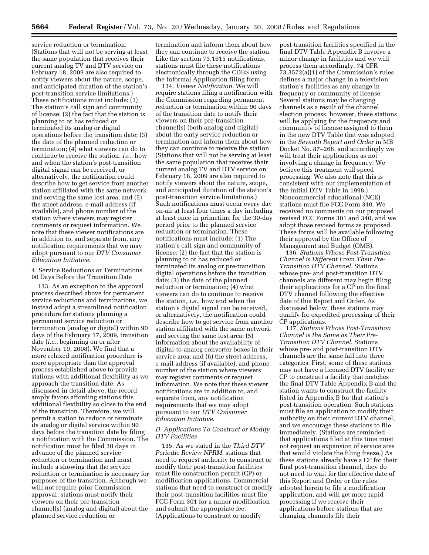service reduction or termination. (Stations that will not be serving at least the same population that receives their current analog TV and DTV service on February 18, 2009 are also required to notify viewers about the nature, scope, and anticipated duration of the station's post-transition service limitations.) These notifications must include: (1) The station's call sign and community of license; (2) the fact that the station is planning to or has reduced or terminated its analog or digital operations before the transition date; (3) the date of the planned reduction or termination; (4) what viewers can do to continue to receive the station, *i.e.*, how and when the station's post-transition digital signal can be received, or alternatively, the notification could describe how to get service from another station affiliated with the same network and serving the same lost area; and (5) the street address, e-mail address (if available), and phone number of the station where viewers may register comments or request information. We note that these viewer notifications are in addition to, and separate from, any notification requirements that we may adopt pursuant to our *DTV Consumer Education Initiative*.

4. Service Reductions or Terminations 90 Days Before the Transition Date

133. As an exception to the approval process described above for permanent service reductions and terminations, we instead adopt a streamlined notification procedure for stations planning a permanent service reduction or termination (analog or digital) within 90 days of the February 17, 2009, transition date (*i.e.*, beginning on or after November 19, 2008). We find that a more relaxed notification procedure is more appropriate than the approval process established above to provide stations with additional flexibility as we approach the transition date. As discussed in detail above, the record amply favors affording stations this additional flexibility so close to the end of the transition. Therefore, we will permit a station to reduce or terminate its analog or digital service within 90 days before the transition date by filing a notification with the Commission. The notification must be filed 30 days in advance of the planned service reduction or termination and must include a showing that the service reduction or termination is necessary for purposes of the transition. Although we will not require prior Commission approval, stations must notify their viewers on their pre-transition channel(s) (analog and digital) about the planned service reduction or

termination and inform them about how they can continue to receive the station. Like the section 73.1615 notifications, stations must file these notifications electronically through the CDBS using the Informal Application filing form.

134. *Viewer Notification*. We will require stations filing a notification with the Commission regarding permanent reduction or termination within 90 days of the transition date to notify their viewers on their pre-transition channel(s) (both analog and digital) about the early service reduction or termination and inform them about how they can continue to receive the station. (Stations that will not be serving at least the same population that receives their current analog TV and DTV service on February 18, 2009 are also required to notify viewers about the nature, scope, and anticipated duration of the station's post-transition service limitations.) Such notifications must occur every day on-air at least four times a day including at least once in primetime for the 30-day period prior to the planned service reduction or termination. These notifications must include: (1) The station's call sign and community of license; (2) the fact that the station is planning to or has reduced or terminated its analog or pre-transition digital operations before the transition date; (3) the date of the planned reduction or termination; (4) what viewers can do to continue to receive the station, *i.e.*, how and when the station's digital signal can be received, or alternatively, the notification could describe how to get service from another station affiliated with the same network and serving the same lost area; (5) information about the availability of digital-to-analog converter boxes in their service area; and (6) the street address, e-mail address (if available), and phone number of the station where viewers may register comments or request information. We note that these viewer notifications are in addition to, and separate from, any notification requirements that we may adopt pursuant to our *DTV Consumer Education Initiative*.

# *D. Applications To Construct or Modify DTV Facilities*

135. As we stated in the *Third DTV Periodic Review NPRM*, stations that need to request authority to construct or modify their post-transition facilities must file construction permit (CP) or modification applications. Commercial stations that need to construct or modify their post-transition facilities must file FCC Form 301 for a minor modification and submit the appropriate fee. (Applications to construct or modify

post-transition facilities specified in the final DTV Table Appendix B involve a minor change in facilities and we will process them accordingly. 74 CFR 73.3572(a)(1) of the Commission's rules defines a major change in a television station's facilities as any change in frequency or community of license. Several stations may be changing channels as a result of the channel election process; however, these stations will be applying for the frequency and community of license assigned to them in the new DTV Table that was adopted in the *Seventh Report and Order* in MB Docket No. 87–268, and accordingly we will treat their applications as not involving a change in frequency. We believe this treatment will speed processing. We also note that this is consistent with our implementation of the initial DTV Table in 1998.) Noncommercial educational (NCE) stations must file FCC Form 340. We received no comments on our proposed revised FCC Forms 301 and 340, and we adopt those revised forms as proposed. These forms will be available following their approval by the Office of Management and Budget (OMB).

136. *Stations Whose Post-Transition Channel is Different From Their Pre-Transition DTV Channel.* Stations whose pre- and post-transition DTV channels are different may begin filing their applications for a CP on the final DTV channel following the effective date of this Report and Order. As discussed below, these stations may qualify for expedited processing of their CP applications.

137. *Stations Whose Post-Transition Channel is the Same as Their Pre-Transition DTV Channel.* Stations whose pre- and post-transition DTV channels are the same fall into three categories. First, some of these stations may not have a licensed DTV facility or CP to construct a facility that matches the final DTV Table Appendix B and the station wants to construct the facility listed in Appendix B for that station's post-transition operation. Such stations must file an application to modify their authority on their current DTV channel, and we encourage these stations to file immediately. (Stations are reminded that applications filed at this time must not request an expansion of service area that would violate the filing freeze.) As these stations already have a CP for their final post-transition channel, they do not need to wait for the effective date of this Report and Order or the rules adopted herein to file a modification application, and will get more rapid processing if we receive their applications before stations that are changing channels file their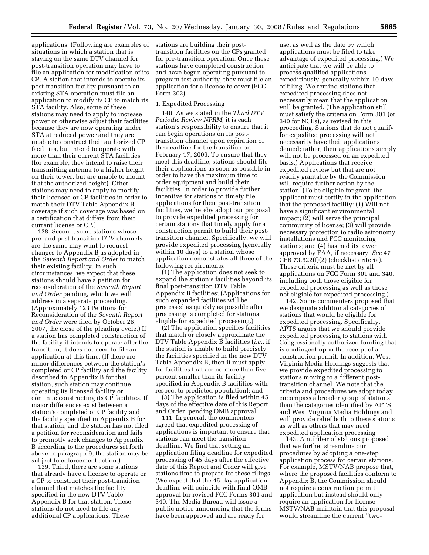applications. (Following are examples of stations are building their postsituations in which a station that is staying on the same DTV channel for post-transition operation may have to file an application for modification of its CP. A station that intends to operate its post-transition facility pursuant to an existing STA operation must file an application to modify its CP to match its STA facility. Also, some of these stations may need to apply to increase power or otherwise adjust their facilities because they are now operating under STA at reduced power and they are unable to construct their authorized CP facilities, but intend to operate with more than their current STA facilities (for example, they intend to raise their transmitting antenna to a higher height on their tower, but are unable to mount it at the authorized height). Other stations may need to apply to modify their licensed or CP facilities in order to match their DTV Table Appendix B coverage if such coverage was based on a certification that differs from their current license or CP.)

138. Second, some stations whose pre- and post-transition DTV channels are the same may want to request changes to Appendix B as adopted in the *Seventh Report and Order* to match their existing facility. In such circumstances, we expect that these stations should have a petition for reconsideration of the *Seventh Report and Order* pending, which we will address in a separate proceeding. (Approximately 123 Petitions for Reconsideration of the *Seventh Report and Order* were filed by October 26, 2007, the close of the pleading cycle.) If a station has completed construction of the facility it intends to operate after the transition, it does not need to file an application at this time. (If there are minor differences between the station's completed or CP facility and the facility described in Appendix B for that station, such station may continue operating its licensed facility or continue constructing its CP facilities. If major differences exist between a station's completed or CP facility and the facility specified in Appendix B for that station, and the station has not filed a petition for reconsideration and fails to promptly seek changes to Appendix B according to the procedures set forth above in paragraph 9, the station may be subject to enforcement action.)

139. Third, there are some stations that already have a license to operate or a CP to construct their post-transition channel that matches the facility specified in the new DTV Table Appendix B for that station. These stations do not need to file any additional CP applications. These

transition facilities on the CPs granted for pre-transition operation. Once these stations have completed construction and have begun operating pursuant to program test authority, they must file an application for a license to cover (FCC Form 302).

# 1. Expedited Processing

140. As we stated in the *Third DTV Periodic Review NPRM,* it is each station's responsibility to ensure that it can begin operations on its posttransition channel upon expiration of the deadline for the transition on February 17, 2009. To ensure that they meet this deadline, stations should file their applications as soon as possible in order to have the maximum time to order equipment and build their facilities. In order to provide further incentive for stations to timely file applications for their post-transition facilities, we hereby adopt our proposal to provide expedited processing for certain stations that timely apply for a construction permit to build their posttransition channel. Specifically, we will provide expedited processing (generally within 10 days) to a station whose application demonstrates all three of the following requirements:

(1) The application does not seek to expand the station's facilities beyond its final post-transition DTV Table Appendix B facilities; (Applications for such expanded facilities will be processed as quickly as possible after processing is completed for stations eligible for expedited processing.)

(2) The application specifies facilities that match or closely approximate the DTV Table Appendix B facilities (*i.e.*, if the station is unable to build precisely the facilities specified in the new DTV Table Appendix B, then it must apply for facilities that are no more than five percent smaller than its facility specified in Appendix B facilities with respect to predicted population); and

(3) The application is filed within 45 days of the effective date of this Report and Order, pending OMB approval.

141. In general, the commenters agreed that expedited processing of applications is important to ensure that stations can meet the transition deadline. We find that setting an application filing deadline for expedited processing of 45 days after the effective date of this Report and Order will give stations time to prepare for these filings. (We expect that the 45-day application deadline will coincide with final OMB approval for revised FCC Forms 301 and 340. The Media Bureau will issue a public notice announcing that the forms have been approved and are ready for

use, as well as the date by which applications must be filed to take advantage of expedited processing.) We anticipate that we will be able to process qualified applications expeditiously, generally within 10 days of filing. We remind stations that expedited processing does not necessarily mean that the application will be granted. (The application still must satisfy the criteria on Form 301 (or 340 for NCEs), as revised in this proceeding. Stations that do not qualify for expedited processing will not necessarily have their applications denied; rather, their applications simply will not be processed on an expedited basis.) Applications that receive expedited review but that are not readily grantable by the Commission will require further action by the station. (To be eligible for grant, the applicant must certify in the application that the proposed facility: (1) Will not have a significant environmental impact; (2) will serve the principal community of license; (3) will provide necessary protection to radio astronomy installations and FCC monitoring stations; and (4) has had its tower approved by FAA, if necessary. *See* 47 CFR 73.622(f)(2) (checklist criteria). These criteria must be met by all applications on FCC Form 301 and 340, including both those eligible for expedited processing as well as those not eligible for expedited processing.)

142. Some commenters proposed that we designate additional categories of stations that would be eligible for expedited processing. Specifically, APTS argues that we should provide expedited processing to stations with Congressionally-authorized funding that is contingent upon the receipt of a construction permit. In addition, West Virginia Media Holdings suggests that we provide expedited processing to stations moving to a different posttransition channel. We note that the criteria and procedures we adopt today encompass a broader group of stations than the categories identified by APTS and West Virginia Media Holdings and will provide relief both to these stations as well as others that may need expedited application processing.

143. A number of stations proposed that we further streamline our procedures by adopting a one-step application process for certain stations. For example, MSTV/NAB propose that, where the proposed facilities conform to Appendix B, the Commission should not require a construction permit application but instead should only require an application for license. MSTV/NAB maintain that this proposal would streamline the current ''two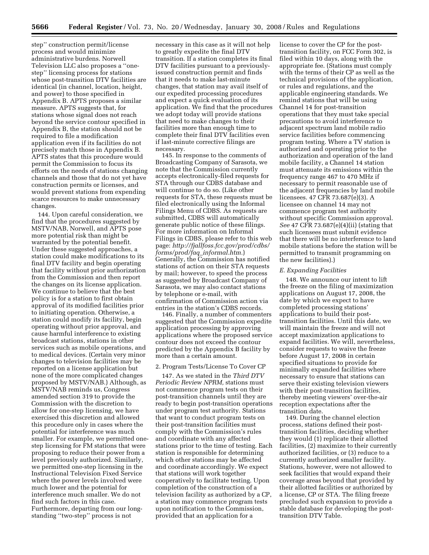step'' construction permit/license process and would minimize administrative burdens. Norwell Television LLC also proposes a ''onestep'' licensing process for stations whose post-transition DTV facilities are identical (in channel, location, height, and power) to those specified in Appendix B. APTS proposes a similar measure. APTS suggests that, for stations whose signal does not reach beyond the service contour specified in Appendix B, the station should not be required to file a modification application even if its facilities do not precisely match those in Appendix B. APTS states that this procedure would permit the Commission to focus its efforts on the needs of stations changing channels and those that do not yet have construction permits or licenses, and would prevent stations from expending scarce resources to make unnecessary changes.

144. Upon careful consideration, we find that the procedures suggested by MSTV/NAB, Norwell, and APTS pose more potential risk than might be warranted by the potential benefit. Under these suggested approaches, a station could make modifications to its final DTV facility and begin operating that facility without prior authorization from the Commission and then report the changes on its license application. We continue to believe that the best policy is for a station to first obtain approval of its modified facilities prior to initiating operation. Otherwise, a station could modify its facility, begin operating without prior approval, and cause harmful interference to existing broadcast stations, stations in other services such as mobile operations, and to medical devices. (Certain very minor changes to television facilities may be reported on a license application but none of the more complicated changes proposed by MSTV/NAB.) Although, as MSTV/NAB reminds us, Congress amended section 319 to provide the Commission with the discretion to allow for one-step licensing, we have exercised this discretion and allowed this procedure only in cases where the potential for interference was much smaller. For example, we permitted onestep licensing for FM stations that were proposing to reduce their power from a level previously authorized. Similarly, we permitted one-step licensing in the Instructional Television Fixed Service where the power levels involved were much lower and the potential for interference much smaller. We do not find such factors in this case. Furthermore, departing from our longstanding ''two-step'' process is not

necessary in this case as it will not help to greatly expedite the final DTV transition. If a station completes its final DTV facilities pursuant to a previouslyissued construction permit and finds that it needs to make last-minute changes, that station may avail itself of our expedited processing procedures and expect a quick evaluation of its application. We find that the procedures we adopt today will provide stations that need to make changes to their facilities more than enough time to complete their final DTV facilities even if last-minute corrective filings are necessary.

145. In response to the comments of Broadcasting Company of Sarasota, we note that the Commission currently accepts electronically-filed requests for STA through our CDBS database and will continue to do so. (Like other requests for STA, these requests must be filed electronically using the Informal Filings Menu of CDBS. As requests are submitted, CDBS will automatically generate public notice of these filings. For more information on Informal Filings in CDBS, please refer to this web page: *http://fjallfoss.fcc.gov/prod/cdbs/ forms/prod/faq*\_*informal.htm.*) Generally, the Commission has notified stations of action on their STA requests by mail; however, to speed the process as suggested by Broadcast Company of Sarasota, we may also contact stations by telephone or e-mail, with confirmation of Commission action via entries in the station's CDBS records.

146. Finally, a number of commenters suggested that the Commission expedite application processing by approving applications where the proposed service contour does not exceed the contour predicted by the Appendix B facility by more than a certain amount.

# 2. Program Tests/License To Cover CP

147. As we stated in the *Third DTV Periodic Review NPRM,* stations must not commence program tests on their post-transition channels until they are ready to begin post-transition operations under program test authority. Stations that want to conduct program tests on their post-transition facilities must comply with the Commission's rules and coordinate with any affected stations prior to the time of testing. Each station is responsible for determining which other stations may be affected and coordinate accordingly. We expect that stations will work together cooperatively to facilitate testing. Upon completion of the construction of a television facility as authorized by a CP, a station may commence program tests upon notification to the Commission, provided that an application for a

license to cover the CP for the posttransition facility, on FCC Form 302, is filed within 10 days, along with the appropriate fee. (Stations must comply with the terms of their CP as well as the technical provisions of the application, or rules and regulations, and the applicable engineering standards. We remind stations that will be using Channel 14 for post-transition operations that they must take special precautions to avoid interference to adjacent spectrum land mobile radio service facilities before commencing program testing. Where a TV station is authorized and operating prior to the authorization and operation of the land mobile facility, a Channel 14 station must attenuate its emissions within the frequency range 467 to 470 MHz if necessary to permit reasonable use of the adjacent frequencies by land mobile licensees. 47 CFR 73.687(e)(3). A licensee on channel 14 may not commence program test authority without specific Commission approval. *See* 47 CFR 73.687(e)(4)(ii) (stating that such licensees must submit evidence that there will be no interference to land mobile stations before the station will be permitted to transmit programming on the new facilities).)

# *E. Expanding Facilities*

148. We announce our intent to lift the freeze on the filing of maximization applications on August 17, 2008, the date by which we expect to have completed processing stations' applications to build their posttransition facilities. Until this date, we will maintain the freeze and will not accept maximization applications to expand facilities. We will, nevertheless, consider requests to waive the freeze before August 17, 2008 in certain specified situations to provide for minimally expanded facilities where necessary to ensure that stations can serve their existing television viewers with their post-transition facilities, thereby meeting viewers' over-the-air reception expectations after the transition date.

149. During the channel election process, stations defined their posttransition facilities, deciding whether they would (1) replicate their allotted facilities, (2) maximize to their currently authorized facilities, or (3) reduce to a currently authorized smaller facility. Stations, however, were not allowed to seek facilities that would expand their coverage areas beyond that provided by their allotted facilities or authorized by a license, CP or STA. The filing freeze precluded such expansion to provide a stable database for developing the posttransition DTV Table.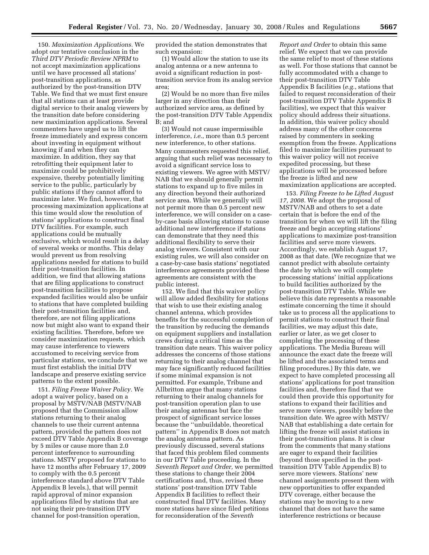150. *Maximization Applications.* We adopt our tentative conclusion in the *Third DTV Periodic Review NPRM* to not accept maximization applications until we have processed all stations' post-transition applications, as authorized by the post-transition DTV Table. We find that we must first ensure that all stations can at least provide digital service to their analog viewers by the transition date before considering new maximization applications. Several commenters have urged us to lift the freeze immediately and express concern about investing in equipment without knowing if and when they can maximize. In addition, they say that retrofitting their equipment later to maximize could be prohibitively expensive, thereby potentially limiting service to the public, particularly by public stations if they cannot afford to maximize later. We find, however, that processing maximization applications at this time would slow the resolution of stations' applications to construct final DTV facilities. For example, such applications could be mutually exclusive, which would result in a delay of several weeks or months. This delay would prevent us from resolving applications needed for stations to build their post-transition facilities. In addition, we find that allowing stations that are filing applications to construct post-transition facilities to propose expanded facilities would also be unfair to stations that have completed building their post-transition facilities and, therefore, are not filing applications now but might also want to expand their existing facilities. Therefore, before we consider maximization requests, which may cause interference to viewers accustomed to receiving service from particular stations, we conclude that we must first establish the initial DTV landscape and preserve existing service patterns to the extent possible.

151. *Filing Freeze Waiver Policy.* We adopt a waiver policy, based on a proposal by MSTV/NAB (MSTV/NAB proposed that the Commission allow stations returning to their analog channels to use their current antenna pattern, provided the pattern does not exceed DTV Table Appendix B coverage by 5 miles or cause more than 2.0 percent interference to surrounding stations. MSTV proposed for stations to have 12 months after February 17, 2009 to comply with the 0.5 percent interference standard above DTV Table Appendix B levels.), that will permit rapid approval of minor expansion applications filed by stations that are not using their pre-transition DTV channel for post-transition operation,

provided the station demonstrates that such expansion:

(1) Would allow the station to use its analog antenna or a new antenna to avoid a significant reduction in posttransition service from its analog service area;

(2) Would be no more than five miles larger in any direction than their authorized service area, as defined by the post-transition DTV Table Appendix B; and

(3) Would not cause impermissible interference, *i.e.*, more than 0.5 percent new interference, to other stations. Many commenters requested this relief, arguing that such relief was necessary to avoid a significant service loss to existing viewers. We agree with MSTV/ NAB that we should generally permit stations to expand up to five miles in any direction beyond their authorized service area. While we generally will not permit more than 0.5 percent new interference, we will consider on a caseby-case basis allowing stations to cause additional new interference if stations can demonstrate that they need this additional flexibility to serve their analog viewers. Consistent with our existing rules, we will also consider on a case-by-case basis stations' negotiated interference agreements provided these agreements are consistent with the public interest.

152. We find that this waiver policy will allow added flexibility for stations that wish to use their existing analog channel antenna, which provides benefits for the successful completion of the transition by reducing the demands on equipment suppliers and installation crews during a critical time as the transition date nears. This waiver policy addresses the concerns of those stations returning to their analog channel that may face significantly reduced facilities if some minimal expansion is not permitted. For example, Tribune and Allbritton argue that many stations returning to their analog channels for post-transition operation plan to use their analog antennas but face the prospect of significant service losses because the ''unbuildable, theoretical pattern'' in Appendix B does not match the analog antenna pattern. As previously discussed, several stations that faced this problem filed comments in our DTV Table proceeding. In the *Seventh Report and Order,* we permitted these stations to change their 2004 certifications and, thus, revised these stations' post-transition DTV Table Appendix B facilities to reflect their constructed final DTV facilities. Many more stations have since filed petitions for reconsideration of the *Seventh* 

*Report and Order* to obtain this same relief. We expect that we can provide the same relief to most of these stations as well. For those stations that cannot be fully accommodated with a change to their post-transition DTV Table Appendix B facilities (*e.g.*, stations that failed to request reconsideration of their post-transition DTV Table Appendix B facilities), we expect that this waiver policy should address their situations. In addition, this waiver policy should address many of the other concerns raised by commenters in seeking exemption from the freeze. Applications filed to maximize facilities pursuant to this waiver policy will not receive expedited processing, but these applications will be processed before the freeze is lifted and new maximization applications are accepted.

153. *Filing Freeze to be Lifted August 17, 2008.* We adopt the proposal of MSTV/NAB and others to set a date certain that is before the end of the transition for when we will lift the filing freeze and begin accepting stations' applications to maximize post-transition facilities and serve more viewers. Accordingly, we establish August 17, 2008 as that date. (We recognize that we cannot predict with absolute certainty the date by which we will complete processing stations' initial applications to build facilities authorized by the post-transition DTV Table. While we believe this date represents a reasonable estimate concerning the time it should take us to process all the applications to permit stations to construct their final facilities, we may adjust this date, earlier or later, as we get closer to completing the processing of these applications. The Media Bureau will announce the exact date the freeze will be lifted and the associated terms and filing procedures.) By this date, we expect to have completed processing all stations' applications for post transition facilities and, therefore find that we could then provide this opportunity for stations to expand their facilities and serve more viewers, possibly before the transition date. We agree with MSTV/ NAB that establishing a date certain for lifting the freeze will assist stations in their post-transition plans. It is clear from the comments that many stations are eager to expand their facilities (beyond those specified in the posttransition DTV Table Appendix B) to serve more viewers. Stations' new channel assignments present them with new opportunities to offer expanded DTV coverage, either because the stations may be moving to a new channel that does not have the same interference restrictions or because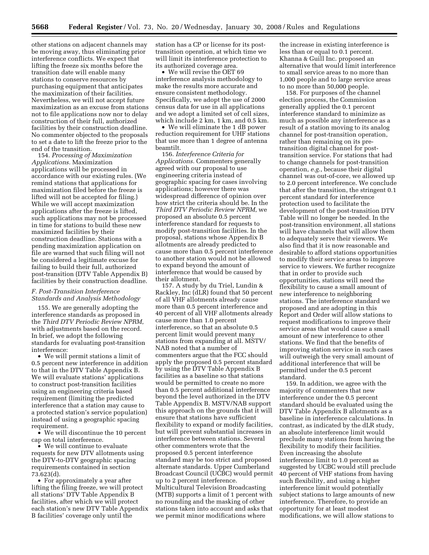other stations on adjacent channels may be moving away, thus eliminating prior interference conflicts. We expect that lifting the freeze six months before the transition date will enable many stations to conserve resources by purchasing equipment that anticipates the maximization of their facilities. Nevertheless, we will not accept future maximization as an excuse from stations not to file applications now nor to delay construction of their full, authorized facilities by their construction deadline. No commenter objected to the proposals to set a date to lift the freeze prior to the end of the transition.

154. *Processing of Maximization Applications.* Maximization applications will be processed in accordance with our existing rules. (We remind stations that applications for maximization filed before the freeze is lifted will not be accepted for filing.) While we will accept maximization applications after the freeze is lifted, such applications may not be processed in time for stations to build these new maximized facilities by their construction deadline. Stations with a pending maximization application on file are warned that such filing will not be considered a legitimate excuse for failing to build their full, authorized post-transition (DTV Table Appendix B) facilities by their construction deadline.

# *F. Post-Transition Interference Standards and Analysis Methodology*

155. We are generally adopting the interference standards as proposed in the *Third DTV Periodic Review NPRM*, with adjustments based on the record. In brief, we adopt the following standards for evaluating post-transition interference:

• We will permit stations a limit of 0.5 percent new interference in addition to that in the DTV Table Appendix B. We will evaluate stations' applications to construct post-transition facilities using an engineering criteria based requirement (limiting the predicted interference that a station may cause to a protected station's service population) instead of using a geographic spacing requirement.

• We will discontinue the 10 percent cap on total interference.

• We will continue to evaluate requests for new DTV allotments using the DTV-to-DTV geographic spacing requirements contained in section 73.623(d).

• For approximately a year after lifting the filing freeze, we will protect all stations' DTV Table Appendix B facilities, after which we will protect each station's new DTV Table Appendix B facilities' coverage only until the

station has a CP or license for its posttransition operation, at which time we will limit its interference protection to its authorized coverage area.

• We will revise the OET 69 interference analysis methodology to make the results more accurate and ensure consistent methodology. Specifically, we adopt the use of 2000 census data for use in all applications and we adopt a limited set of cell sizes, which include 2 km, 1 km, and 0.5 km.

• We will eliminate the 1 dB power reduction requirement for UHF stations that use more than 1 degree of antenna beamtilt.

156. *Interference Criteria for Applications.* Commenters generally agreed with our proposal to use engineering criteria instead of geographic spacing for cases involving applications; however there was widespread difference of opinion over how strict the criteria should be. In the *Third DTV Periodic Review NPRM*, we proposed an absolute 0.5 percent interference standard for requests to modify post-transition facilities. In the proposal, stations whose Appendix B allotments are already predicted to cause more than 0.5 percent interference to another station would not be allowed to expand beyond the amount of interference that would be caused by their allotment.

157. A study by du Triel, Lundin & Rackley, Inc (dLR) found that 50 percent of all VHF allotments already cause more than 0.5 percent interference and 40 percent of all VHF allotments already cause more than 1.0 percent interference, so that an absolute 0.5 percent limit would prevent many stations from expanding at all. MSTV/ NAB noted that a number of commenters argue that the FCC should apply the proposed 0.5 percent standard by using the DTV Table Appendix B facilities as a baseline so that stations would be permitted to create no more than 0.5 percent additional interference beyond the level authorized in the DTV Table Appendix B. MSTV/NAB support this approach on the grounds that it will ensure that stations have sufficient flexibility to expand or modify facilities, but will prevent substantial increases in interference between stations. Several other commenters wrote that the proposed 0.5 percent interference standard may be too strict and proposed alternate standards. Upper Cumberland Broadcast Council (UCBC) would permit up to 2 percent interference. Multicultural Television Broadcasting (MTB) supports a limit of 1 percent with no rounding and the masking of other stations taken into account and asks that we permit minor modifications where

the increase in existing interference is less than or equal to 0.1 percent. Khanna & Guill Inc. proposed an alternative that would limit interference to small service areas to no more than 1,000 people and to large service areas to no more than 50,000 people.

158. For purposes of the channel election process, the Commission generally applied the 0.1 percent interference standard to minimize as much as possible any interference as a result of a station moving to its analog channel for post-transition operation, rather than remaining on its pretransition digital channel for posttransition service. For stations that had to change channels for post-transition operation, *e.g.*, because their digital channel was out-of-core, we allowed up to 2.0 percent interference. We conclude that after the transition, the stringent 0.1 percent standard for interference protection used to facilitate the development of the post-transition DTV Table will no longer be needed. In the post-transition environment, all stations will have channels that will allow them to adequately serve their viewers. We also find that it is now reasonable and desirable to afford stations opportunities to modify their service areas to improve service to viewers. We further recognize that in order to provide such opportunities, stations will need the flexibility to cause a small amount of new interference to neighboring stations. The interference standard we proposed and are adopting in this Report and Order will allow stations to request modifications to improve their service areas that would cause a small amount of new interference to other stations. We find that the benefits of improving station service in such cases will outweigh the very small amount of additional interference that will be permitted under the 0.5 percent standard.

159. In addition, we agree with the majority of commenters that new interference under the 0.5 percent standard should be evaluated using the DTV Table Appendix B allotments as a baseline in interference calculations. In contrast, as indicated by the dLR study, an absolute interference limit would preclude many stations from having the flexibility to modify their facilities. Even increasing the absolute interference limit to 1.0 percent as suggested by UCBC would still preclude 40 percent of VHF stations from having such flexibility, and using a higher interference limit would potentially subject stations to large amounts of new interference. Therefore, to provide an opportunity for at least modest modifications, we will allow stations to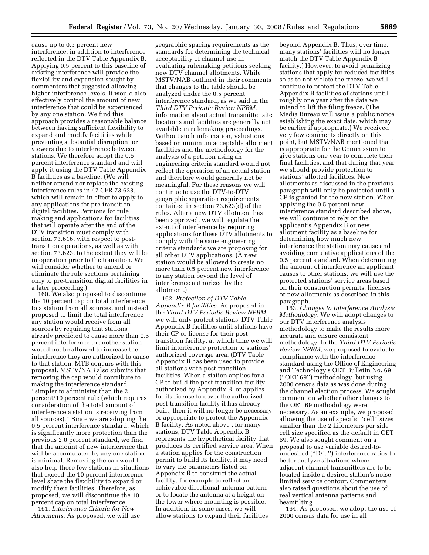cause up to 0.5 percent new interference, in addition to interference reflected in the DTV Table Appendix B. Applying 0.5 percent to this baseline of existing interference will provide the flexibility and expansion sought by commenters that suggested allowing higher interference levels. It would also effectively control the amount of new interference that could be experienced by any one station. We find this approach provides a reasonable balance between having sufficient flexibility to expand and modify facilities while preventing substantial disruption for viewers due to interference between stations. We therefore adopt the 0.5 percent interference standard and will apply it using the DTV Table Appendix B facilities as a baseline. (We will neither amend nor replace the existing interference rules in 47 CFR 73.623, which will remain in effect to apply to any applications for pre-transition digital facilities. Petitions for rule making and applications for facilities that will operate after the end of the DTV transition must comply with section 73.616, with respect to posttransition operations, as well as with section 73.623, to the extent they will be in operation prior to the transition. We will consider whether to amend or eliminate the rule sections pertaining only to pre-transition digital facilities in a later proceeding.)

160. We also proposed to discontinue the 10 percent cap on total interference to a station from all sources, and instead proposed to limit the total interference any station would receive from all sources by requiring that stations already predicted to cause more than 0.5 percent interference to another station would not be allowed to increase the interference they are authorized to cause to that station. MTB concurs with this proposal. MSTV/NAB also submits that removing the cap would contribute to making the interference standard ''simpler to administer than the 2 percent/10 percent rule (which requires consideration of the total amount of interference a station is receiving from all sources).'' Since we are adopting the 0.5 percent interference standard, which is significantly more protection than the previous 2.0 percent standard, we find that the amount of new interference that will be accumulated by any one station is minimal. Removing the cap would also help those few stations in situations that exceed the 10 percent interference level share the flexibility to expand or modify their facilities. Therefore, as proposed, we will discontinue the 10 percent cap on total interference.

161. *Interference Criteria for New Allotments.* As proposed, we will use

geographic spacing requirements as the standards for determining the technical acceptability of channel use in evaluating rulemaking petitions seeking new DTV channel allotments. While MSTV/NAB outlined in their comments that changes to the table should be analyzed under the 0.5 percent interference standard, as we said in the *Third DTV Periodic Review NPRM*, information about actual transmitter site locations and facilities are generally not available in rulemaking proceedings. Without such information, valuations based on minimum acceptable allotment facilities and the methodology for the analysis of a petition using an engineering criteria standard would not reflect the operation of an actual station and therefore would generally not be meaningful. For these reasons we will continue to use the DTV-to-DTV geographic separation requirements contained in section 73.623(d) of the rules. After a new DTV allotment has been approved, we will regulate the extent of interference by requiring applications for these DTV allotments to comply with the same engineering criteria standards we are proposing for all other DTV applications. (A new station would be allowed to create no more than 0.5 percent new interference to any station beyond the level of interference authorized by the allotment.)

162. *Protection of DTV Table Appendix B facilities.* As proposed in the *Third DTV Periodic Review NPRM*, we will only protect stations' DTV Table Appendix B facilities until stations have their CP or license for their posttransition facility, at which time we will limit interference protection to stations' authorized coverage area. (DTV Table Appendix B has been used to provide all stations with post-transition facilities. When a station applies for a CP to build the post-transition facility authorized by Appendix B, or applies for its license to cover the authorized post-transition facility it has already built, then it will no longer be necessary or appropriate to protect the Appendix B facility. As noted above , for many stations, DTV Table Appendix B represents the hypothetical facility that produces its certified service area. When a station applies for the construction permit to build its facility, it may need to vary the parameters listed on Appendix B to construct the actual facility, for example to reflect an achievable directional antenna pattern or to locate the antenna at a height on the tower where mounting is possible. In addition, in some cases, we will allow stations to expand their facilities

beyond Appendix B. Thus, over time, many stations' facilities will no longer match the DTV Table Appendix B facility.) However, to avoid penalizing stations that apply for reduced facilities so as to not violate the freeze, we will continue to protect the DTV Table Appendix B facilities of stations until roughly one year after the date we intend to lift the filing freeze. (The Media Bureau will issue a public notice establishing the exact date, which may be earlier if appropriate.) We received very few comments directly on this point, but MSTV/NAB mentioned that it is appropriate for the Commission to give stations one year to complete their final facilities, and that during that year we should provide protection to stations' allotted facilities. New allotments as discussed in the previous paragraph will only be protected until a CP is granted for the new station. When applying the 0.5 percent new interference standard described above, we will continue to rely on the applicant's Appendix B or new allotment facility as a baseline for determining how much new interference the station may cause and avoiding cumulative applications of the 0.5 percent standard. When determining the amount of interference an applicant causes to other stations, we will use the protected stations' service areas based on their construction permits, licenses or new allotments as described in this paragraph.

163. *Changes to Interference Analysis Methodology.* We will adopt changes to our DTV interference analysis methodology to make the results more accurate and ensure consistent methodology. In the *Third DTV Periodic Review NPRM*, we proposed to evaluate compliance with the interference standard using the Office of Engineering and Technology's OET Bulletin No. 69 (''OET 69'') methodology, but using 2000 census data as was done during the channel election process. We sought comment on whether other changes to the OET 69 methodology were necessary. As an example, we proposed allowing the use of specific ''cell'' sizes smaller than the 2 kilometers per side cell size specified as the default in OET 69. We also sought comment on a proposal to use variable desired-toundesired (''D/U'') interference ratios to better analyze situations where adjacent-channel transmitters are to be located inside a desired station's noiselimited service contour. Commenters also raised questions about the use of real vertical antenna patterns and beamtilting.

164. As proposed, we adopt the use of 2000 census data for use in all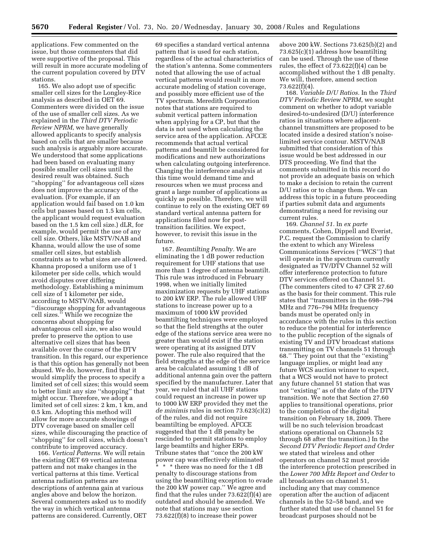applications. Few commented on the issue, but those commenters that did were supportive of the proposal. This will result in more accurate modeling of the current population covered by DTV stations.

165. We also adopt use of specific smaller cell sizes for the Longley-Rice analysis as described in OET 69. Commenters were divided on the issue of the use of smaller cell sizes. As we explained in the *Third DTV Periodic Review NPRM*, we have generally allowed applicants to specify analysis based on cells that are smaller because such analysis is arguably more accurate. We understood that some applications had been based on evaluating many possible smaller cell sizes until the desired result was obtained. Such ''shopping'' for advantageous cell sizes does not improve the accuracy of the evaluation. (For example, if an application would fail based on 1.0 km cells but passes based on 1.5 km cells, the applicant would request evaluation based on the 1.5 km cell size.) dLR, for example, would permit the use of any cell size. Others, like MSTV/NAB and Khanna, would allow the use of some smaller cell sizes, but establish constraints as to what sizes are allowed. Khanna proposed a uniform use of 1 kilometer per side cells, which would avoid disputes over differing methodology. Establishing a minimum cell size of 1 kilometer per side, according to MSTV/NAB, would ''discourage shopping for advantageous cell sizes.'' While we recognize the concerns about shopping for advantageous cell size, we also would prefer to preserve the option to use alternative cell sizes that has been available over the course of the DTV transition. In this regard, our experience is that this option has generally not been abused. We do, however, find that it would simplify the process to specify a limited set of cell sizes; this would seem to better limit any size ''shopping'' that might occur. Therefore, we adopt a limited set of cell sizes: 2 km, 1 km, and 0.5 km. Adopting this method will allow for more accurate showings of DTV coverage based on smaller cell sizes, while discouraging the practice of ''shopping'' for cell sizes, which doesn't contribute to improved accuracy.

166. *Vertical Patterns.* We will retain the existing OET 69 vertical antenna pattern and not make changes in the vertical patterns at this time. Vertical antenna radiation patterns are descriptions of antenna gain at various angles above and below the horizon. Several commenters asked us to modify the way in which vertical antenna patterns are considered. Currently, OET

69 specifies a standard vertical antenna pattern that is used for each station, regardless of the actual characteristics of the station's antenna. Some commenters noted that allowing the use of actual vertical patterns would result in more accurate modeling of station coverage, and possibly more efficient use of the TV spectrum. Meredith Corporation notes that stations are required to submit vertical pattern information when applying for a CP, but that the data is not used when calculating the service area of the application. AFCCE recommends that actual vertical patterns and beamtilt be considered for modifications and new authorizations when calculating outgoing interference. Changing the interference analysis at this time would demand time and resources when we must process and grant a large number of applications as quickly as possible. Therefore, we will continue to rely on the existing OET 69 standard vertical antenna pattern for applications filed now for posttransition facilities. We expect, however, to revisit this issue in the future.

167. *Beamtilting Penalty.* We are eliminating the 1 dB power reduction requirement for UHF stations that use more than 1 degree of antenna beamtilt. This rule was introduced in February 1998, when we initially limited maximization requests by UHF stations to 200 kW ERP. The rule allowed UHF stations to increase power up to a maximum of 1000 kW provided beamtilting techniques were employed so that the field strengths at the outer edge of the stations service area were no greater than would exist if the station were operating at its assigned DTV power. The rule also required that the field strengths at the edge of the service area be calculated assuming 1 dB of additional antenna gain over the pattern specified by the manufacturer. Later that year, we ruled that all UHF stations could request an increase in power up to 1000 kW ERP provided they met the *de minimis* rules in section 73.623(c)(2) of the rules, and did not require beamtilting be employed. AFCCE suggested that the 1 dB penalty be rescinded to permit stations to employ large beamtilts and higher ERPs. Tribune states that ''once the 200 kW power cap was effectively eliminated \* \* \* there was no need for the 1 dB penalty to discourage stations from using the beamtilting exception to evade the 200 kW power cap.'' We agree and find that the rules under 73.622(f)(4) are outdated and should be amended. We note that stations may use section 73.622(f)(8) to increase their power

above 200 kW. Sections 73.625(b)(2) and 73.625(c)(1) address how beamtilting can be used. Through the use of these rules, the effect of 73.622(f)(4) can be accomplished without the 1 dB penalty. We will, therefore, amend section 73.622(f)(4).

168. *Variable D/U Ratios.* In the *Third DTV Periodic Review NPRM*, we sought comment on whether to adopt variable desired-to-undesired (D/U) interference ratios in situations where adjacentchannel transmitters are proposed to be located inside a desired station's noiselimited service contour. MSTV/NAB submitted that consideration of this issue would be best addressed in our DTS proceeding. We find that the comments submitted in this record do not provide an adequate basis on which to make a decision to retain the current D/U ratios or to change them. We can address this topic in a future proceeding if parties submit data and arguments demonstrating a need for revising our current rules.

169. *Channel 51.* In *ex parte*  comments, Cohen, Dippell and Everist, P.C. request the Commission to clarify the extent to which any Wireless Communications Services (''WCS'') that will operate in the spectrum currently designated as TV/DTV Channel 52 will offer interference protection to future DTV services offered on Channel 51. (The commenters cited to 47 CFR 27.60 as the basis for their comment. This rule states that ''transmitters in the 698–794 MHz and 776–794 MHz frequency bands must be operated only in accordance with the rules in this section to reduce the potential for interference to the public reception of the signals of existing TV and DTV broadcast stations transmitting on TV channels 51 through 68.'' They point out that the ''existing'' language implies, or might lead any future WCS auction winner to expect, that a WCS would not have to protect any future channel 51 station that was not ''existing'' as of the date of the DTV transition. We note that Section 27.60 applies to transitional operations, prior to the completion of the digital transition on February 18, 2009. There will be no such television broadcast stations operational on Channels 52 through 68 after the transition.) In the *Second DTV Periodic Report and Order*  we stated that wireless and other operators on channel 52 must provide the interference protection prescribed in the *Lower 700 MHz Report and Order* to all broadcasters on channel 51, including any that may commence operation after the auction of adjacent channels in the 52–58 band, and we further stated that use of channel 51 for broadcast purposes should not be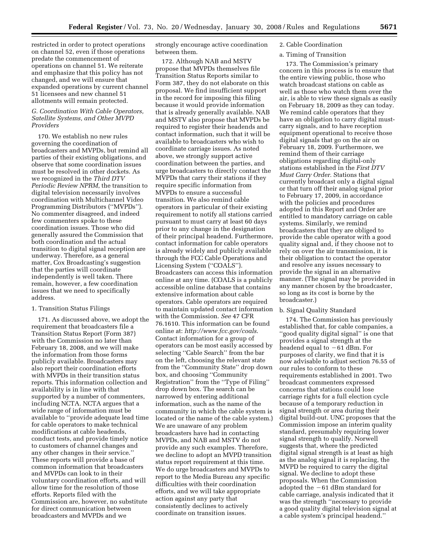restricted in order to protect operations on channel 52, even if those operations predate the commencement of operations on channel 51. We reiterate and emphasize that this policy has not changed, and we will ensure that expanded operations by current channel 51 licensees and new channel 51 allotments will remain protected.

## *G. Coordination With Cable Operators, Satellite Systems, and Other MVPD Providers*

170. We establish no new rules governing the coordination of broadcasters and MVPDs, but remind all parties of their existing obligations, and observe that some coordination issues must be resolved in other dockets. As we recognized in the *Third DTV Periodic Review NPRM*, the transition to digital television necessarily involves coordination with Multichannel Video Programming Distributors (''MVPDs''). No commenter disagreed, and indeed few commenters spoke to these coordination issues. Those who did generally assured the Commission that both coordination and the actual transition to digital signal reception are underway. Therefore, as a general matter, Cox Broadcasting's suggestion that the parties will coordinate independently is well taken. There remain, however, a few coordination issues that we need to specifically address.

## 1. Transition Status Filings

171. As discussed above, we adopt the requirement that broadcasters file a Transition Status Report (Form 387) with the Commission no later than February 18, 2008, and we will make the information from those forms publicly available. Broadcasters may also report their coordination efforts with MVPDs in their transition status reports. This information collection and availability is in line with that supported by a number of commenters, including NCTA. NCTA argues that a wide range of information must be available to ''provide adequate lead time for cable operators to make technical modifications at cable headends, conduct tests, and provide timely notice to customers of channel changes and any other changes in their service.'' These reports will provide a base of common information that broadcasters and MVPDs can look to in their voluntary coordination efforts, and will allow time for the resolution of those efforts. Reports filed with the Commission are, however, no substitute for direct communication between broadcasters and MVPDs and we

strongly encourage active coordination between them.

172. Although NAB and MSTV propose that MVPDs themselves file Transition Status Reports similar to Form 387, they do not elaborate on this proposal. We find insufficient support in the record for imposing this filing because it would provide information that is already generally available. NAB and MSTV also propose that MVPDs be required to register their headends and contact information, such that it will be available to broadcasters who wish to coordinate carriage issues. As noted above, we strongly support active coordination between the parties, and urge broadcasters to directly contact the MVPDs that carry their stations if they require specific information from MVPDs to ensure a successful transition. We also remind cable operators in particular of their existing requirement to notify all stations carried pursuant to must carry at least 60 days prior to any change in the designation of their principal headend. Furthermore, contact information for cable operators is already widely and publicly available through the FCC Cable Operations and Licensing System (''COALS''). Broadcasters can access this information online at any time. (COALS is a publicly accessible online database that contains extensive information about cable operators. Cable operators are required to maintain updated contact information with the Commission. *See* 47 CFR 76.1610. This information can be found online at: *http://www.fcc.gov/coals*. Contact information for a group of operators can be most easily accessed by selecting ''Cable Search'' from the bar on the left, choosing the relevant state from the ''Community State'' drop down box, and choosing ''Community Registration'' from the ''Type of Filing'' drop down box. The search can be narrowed by entering additional information, such as the name of the community in which the cable system is located or the name of the cable system.) We are unaware of any problem broadcasters have had in contacting MVPDs, and NAB and MSTV do not provide any such examples. Therefore, we decline to adopt an MVPD transition status report requirement at this time. We do urge broadcasters and MVPDs to report to the Media Bureau any specific difficulties with their coordination efforts, and we will take appropriate action against any party that consistently declines to actively coordinate on transition issues.

# 2. Cable Coordination

## a. Timing of Transition

173. The Commission's primary concern in this process is to ensure that the entire viewing public, those who watch broadcast stations on cable as well as those who watch them over the air, is able to view these signals as easily on February 18, 2009 as they can today. We remind cable operators that they have an obligation to carry digital mustcarry signals, and to have reception equipment operational to receive those digital signals that go on the air on February 18, 2009. Furthermore, we remind them of their carriage obligations regarding digital-only stations established in the *First DTV Must Carry Order.* Stations that currently broadcast only a digital signal or that turn off their analog signal prior to February 17, 2009, in accordance with the policies and procedures adopted in this Report and Order are entitled to mandatory carriage on cable systems. Similarly, we remind broadcasters that they are obliged to provide the cable operator with a good quality signal and, if they choose not to rely on over the air transmission, it is their obligation to contact the operator and resolve any issues necessary to provide the signal in an alternative manner. (The signal may be provided in any manner chosen by the broadcaster, so long as its cost is borne by the broadcaster.)

#### b. Signal Quality Standard

174. The Commission has previously established that, for cable companies, a ''good quality digital signal'' is one that provides a signal strength at the headend equal to  $-61$  dBm. For purposes of clarity, we find that it is now advisable to adjust section 76.55 of our rules to conform to these requirements established in 2001. Two broadcast commenters expressed concerns that stations could lose carriage rights for a full election cycle because of a temporary reduction in signal strength or area during their digital build-out. UNC proposes that the Commission impose an interim quality standard, presumably requiring lower signal strength to qualify. Norwell suggests that, where the predicted digital signal strength is at least as high as the analog signal it is replacing, the MVPD be required to carry the digital signal. We decline to adopt these proposals. When the Commission adopted the  $-61$  dBm standard for cable carriage, analysis indicated that it was the strength ''necessary to provide a good quality digital television signal at a cable system's principal headend.''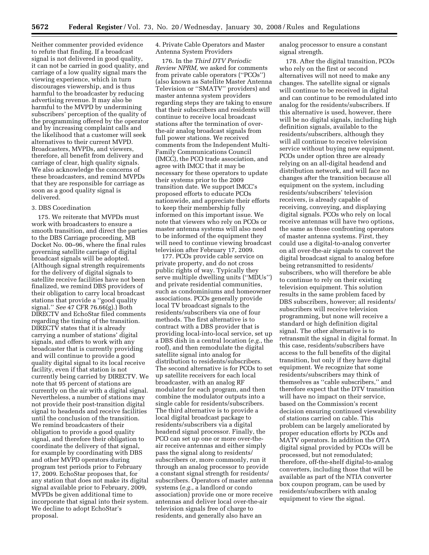Neither commenter provided evidence to refute that finding. If a broadcast signal is not delivered in good quality, it can not be carried in good quality, and carriage of a low quality signal mars the viewing experience, which in turn discourages viewership, and is thus harmful to the broadcaster by reducing advertising revenue. It may also be harmful to the MVPD by undermining subscribers' perception of the quality of the programming offered by the operator and by increasing complaint calls and the likelihood that a customer will seek alternatives to their current MVPD. Broadcasters, MVPDs, and viewers, therefore, all benefit from delivery and carriage of clear, high quality signals. We also acknowledge the concerns of these broadcasters, and remind MVPDs that they are responsible for carriage as soon as a good quality signal is delivered.

### 3. DBS Coordination

175. We reiterate that MVPDs must work with broadcasters to ensure a smooth transition, and direct the parties to the DBS Carriage proceeding, MB Docket No. 00–96, where the final rules governing satellite carriage of digital broadcast signals will be adopted. (Although signal strength requirements for the delivery of digital signals to satellite receive facilities have not been finalized, we remind DBS providers of their obligation to carry local broadcast stations that provide a ''good quality signal.'' *See* 47 CFR 76.66(g).) Both DIRECTV and EchoStar filed comments regarding the timing of the transition. DIRECTV states that it is already carrying a number of stations' digital signals, and offers to work with any broadcaster that is currently providing and will continue to provide a good quality digital signal to its local receive facility, even if that station is not currently being carried by DIRECTV. We note that 95 percent of stations are currently on the air with a digital signal. Nevertheless, a number of stations may not provide their post-transition digital signal to headends and receive facilities until the conclusion of the transition. We remind broadcasters of their obligation to provide a good quality signal, and therefore their obligation to coordinate the delivery of that signal, for example by coordinating with DBS and other MVPD operators during program test periods prior to February 17, 2009. EchoStar proposes that, for any station that does not make its digital signal available prior to February, 2009, MVPDs be given additional time to incorporate that signal into their system. We decline to adopt EchoStar's proposal.

4. Private Cable Operators and Master Antenna System Providers

176. In the *Third DTV Periodic Review NPRM,* we asked for comments from private cable operators (''PCOs'') (also known as Satellite Master Antenna Television or ''SMATV'' providers) and master antenna system providers regarding steps they are taking to ensure that their subscribers and residents will continue to receive local broadcast stations after the termination of overthe-air analog broadcast signals from full power stations. We received comments from the Independent Multi-Family Communications Council (IMCC), the PCO trade association, and agree with IMCC that it may be necessary for these operators to update their systems prior to the 2009 transition date. We support IMCC's proposed efforts to educate PCOs nationwide, and appreciate their efforts to keep their membership fully informed on this important issue. We note that viewers who rely on PCOs or master antenna systems will also need to be informed of the equipment they will need to continue viewing broadcast television after February 17, 2009.

177. PCOs provide cable service on private property, and do not cross public rights of way. Typically they serve multiple dwelling units (''MDUs'') and private residential communities, such as condominiums and homeowner associations. PCOs generally provide local TV broadcast signals to the residents/subscribers via one of four methods. The first alternative is to contract with a DBS provider that is providing local-into-local service, set up a DBS dish in a central location (*e.g.*, the roof), and then remodulate the digital satellite signal into analog for distribution to residents/subscribers. The second alternative is for PCOs to set up satellite receivers for each local broadcaster, with an analog RF modulator for each program, and then combine the modulator outputs into a single cable for residents/subscribers. The third alternative is to provide a local digital broadcast package to residents/subscribers via a digital headend signal processor. Finally, the PCO can set up one or more over-theair receive antennas and either simply pass the signal along to residents/ subscribers or, more commonly, run it through an analog processor to provide a constant signal strength for residents/ subscribers. Operators of master antenna systems (*e.g.*, a landlord or condo association) provide one or more receive antennas and deliver local over-the-air television signals free of charge to residents, and generally also have an

analog processor to ensure a constant signal strength.

178. After the digital transition, PCOs who rely on the first or second alternatives will not need to make any changes. The satellite signal or signals will continue to be received in digital and can continue to be remodulated into analog for the residents/subscribers. If this alternative is used, however, there will be no digital signals, including high definition signals, available to the residents/subscribers, although they will all continue to receive television service without buying new equipment. PCOs under option three are already relying on an all-digital headend and distribution network, and will face no changes after the transition because all equipment on the system, including residents/subscribers' television receivers, is already capable of receiving, conveying, and displaying digital signals. PCOs who rely on local receive antennas will have two options, the same as those confronting operators of master antenna systems. First, they could use a digital-to-analog converter on all over-the-air signals to convert the digital broadcast signal to analog before being retransmitted to residents/ subscribers, who will therefore be able to continue to rely on their existing television equipment. This solution results in the same problem faced by DBS subscribers, however; all residents/ subscribers will receive television programming, but none will receive a standard or high definition digital signal. The other alternative is to retransmit the signal in digital format. In this case, residents/subscribers have access to the full benefits of the digital transition, but only if they have digital equipment. We recognize that some residents/subscribers may think of themselves as ''cable subscribers,'' and therefore expect that the DTV transition will have no impact on their service, based on the Commission's recent decision ensuring continued viewability of stations carried on cable. This problem can be largely ameliorated by proper education efforts by PCOs and MATV operators. In addition the OTA digital signal provided by PCOs will be processed, but not remodulated; therefore, off-the-shelf digital-to-analog converters, including those that will be available as part of the NTIA converter box coupon program, can be used by residents/subscribers with analog equipment to view the signal.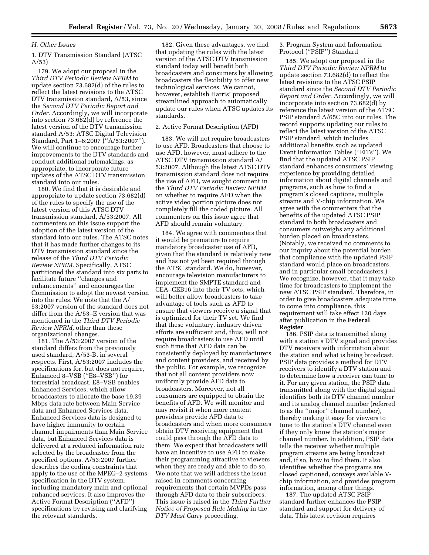#### *H. Other Issues*

1. DTV Transmission Standard (ATSC A/53)

179. We adopt our proposal in the *Third DTV Periodic Review NPRM* to update section 73.682(d) of the rules to reflect the latest revisions to the ATSC DTV transmission standard, A/53, since the *Second DTV Periodic Report and Order.* Accordingly, we will incorporate into section 73.682(d) by reference the latest version of the DTV transmission standard A/53: ATSC Digital Television Standard, Part 1–6:2007 (''A/53:2007''). We will continue to encourage further improvements to the DTV standards and conduct additional rulemakings, as appropriate, to incorporate future updates of the ATSC DTV transmission standard into our rules.

180. We find that it is desirable and appropriate to update section 73.682(d) of the rules to specify the use of the latest version of this ATSC DTV transmission standard, A/53:2007. All commenters on this issue support the adoption of the latest version of the standard into our rules. The ATSC notes that it has made further changes to its DTV transmission standard since the release of the *Third DTV Periodic Review NPRM.* Specifically, ATSC partitioned the standard into six parts to facilitate future ''changes and enhancements'' and encourages the Commission to adopt the newest version into the rules. We note that the A/ 53:2007 version of the standard does not differ from the A/53–E version that was mentioned in the *Third DTV Periodic Review NPRM,* other than these organizational changes.

181. The A/53:2007 version of the standard differs from the previously used standard, A/53-B, in several respects. First, A/53:2007 includes the specifications for, but does not require, Enhanced 8–VSB (''E8–VSB'') for terrestrial broadcast. E8–VSB enables Enhanced Services, which allow broadcasters to allocate the base 19.39 Mbps data rate between Main Service data and Enhanced Services data. Enhanced Services data is designed to have higher immunity to certain channel impairments than Main Service data, but Enhanced Services data is delivered at a reduced information rate selected by the broadcaster from the specified options. A/53:2007 further describes the coding constraints that apply to the use of the MPEG–2 systems specification in the DTV system, including mandatory main and optional enhanced services. It also improves the Active Format Description (''AFD'') specifications by revising and clarifying the relevant standards.

182. Given these advantages, we find that updating the rules with the latest version of the ATSC DTV transmission standard today will benefit both broadcasters and consumers by allowing broadcasters the flexibility to offer new technological services. We cannot, however, establish Harris' proposed streamlined approach to automatically update our rules when ATSC updates its standards.

### 2. Active Format Description (AFD)

183. We will not require broadcasters to use AFD. Broadcasters that choose to use AFD, however, must adhere to the ATSC DTV transmission standard A/ 53:2007. Although the latest ATSC DTV transmission standard does not require the use of AFD, we sought comment in the *Third DTV Periodic Review NPRM*  on whether to require AFD when the active video portion picture does not completely fill the coded picture. All commenters on this issue agree that AFD should remain voluntary.

184. We agree with commenters that it would be premature to require mandatory broadcaster use of AFD, given that the standard is relatively new and has not yet been required through the ATSC standard. We do, however, encourage television manufacturers to implement the SMPTE standard and CEA–CEB16 into their TV sets, which will better allow broadcasters to take advantage of tools such as AFD to ensure that viewers receive a signal that is optimized for their TV set. We find that these voluntary, industry driven efforts are sufficient and, thus, will not require broadcasters to use AFD until such time that AFD data can be consistently deployed by manufacturers and content providers, and received by the public. For example, we recognize that not all content providers now uniformly provide AFD data to broadcasters. Moreover, not all consumers are equipped to obtain the benefits of AFD. We will monitor and may revisit it when more content providers provide AFD data to broadcasters and when more consumers obtain DTV receiving equipment that could pass through the AFD data to them. We expect that broadcasters will have an incentive to use AFD to make their programming attractive to viewers when they are ready and able to do so. We note that we will address the issue raised in comments concerning requirements that certain MVPDs pass through AFD data to their subscribers. This issue is raised in the *Third Further Notice of Proposed Rule Making* in the *DTV Must Carry* proceeding.

3. Program System and Information Protocol (''PSIP'') Standard

185. We adopt our proposal in the *Third DTV Periodic Review NPRM* to update section 73.682(d) to reflect the latest revisions to the ATSC PSIP standard since the *Second DTV Periodic Report and Order.* Accordingly, we will incorporate into section 73.682(d) by reference the latest version of the ATSC PSIP standard A/65C into our rules. The record supports updating our rules to reflect the latest version of the ATSC PSIP standard, which includes additional benefits such as updated Event Information Tables (''EITs''). We find that the updated ATSC PSIP standard enhances consumers' viewing experience by providing detailed information about digital channels and programs, such as how to find a program's closed captions, multiple streams and V-chip information. We agree with the commenters that the benefits of the updated ATSC PSIP standard to both broadcasters and consumers outweighs any additional burden placed on broadcasters. (Notably, we received no comments to our inquiry about the potential burden that compliance with the updated PSIP standard would place on broadcasters, and in particular small broadcasters.) We recognize, however, that it may take time for broadcasters to implement the new ATSC PSIP standard. Therefore, in order to give broadcasters adequate time to come into compliance, this requirement will take effect 120 days after publication in the **Federal Register**.

186. PSIP data is transmitted along with a station's DTV signal and provides DTV receivers with information about the station and what is being broadcast. PSIP data provides a method for DTV receivers to identify a DTV station and to determine how a receiver can tune to it. For any given station, the PSIP data transmitted along with the digital signal identifies both its DTV channel number and its analog channel number (referred to as the ''major'' channel number), thereby making it easy for viewers to tune to the station's DTV channel even if they only know the station's major channel number. In addition, PSIP data tells the receiver whether multiple program streams are being broadcast and, if so, how to find them. It also identifies whether the programs are closed captioned, conveys available Vchip information, and provides program information, among other things.

187. The updated ATSC PSIP standard further enhances the PSIP standard and support for delivery of data. This latest revision requires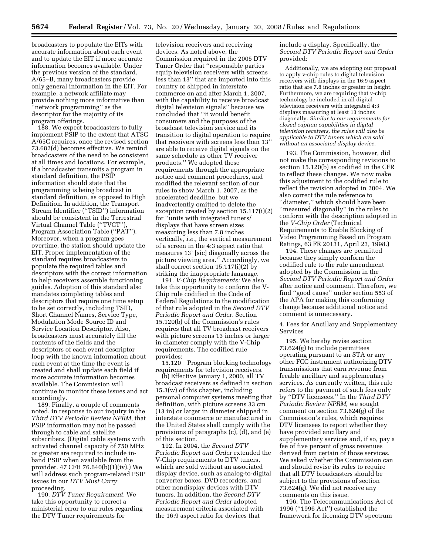broadcasters to populate the EITs with accurate information about each event and to update the EIT if more accurate information becomes available. Under the previous version of the standard, A/65–B, many broadcasters provide only general information in the EIT. For example, a network affiliate may provide nothing more informative than ''network programming'' as the descriptor for the majority of its program offerings.

188. We expect broadcasters to fully implement PSIP to the extent that ATSC A/65C requires, once the revised section 73.682(d) becomes effective. We remind broadcasters of the need to be consistent at all times and locations. For example, if a broadcaster transmits a program in standard definition, the PSIP information should state that the programming is being broadcast in standard definition, as opposed to High Definition. In addition, the Transport Stream Identifier (''TSID'') information should be consistent in the Terrestrial Virtual Channel Table (''TVCT''), Program Association Table (''PAT''). Moreover, when a program goes overtime, the station should update the EIT. Proper implementation of the standard requires broadcasters to populate the required tables and descriptors with the correct information to help receivers assemble functioning guides. Adoption of this standard also mandates completing tables and descriptors that require one time setup to be set correctly, including TSID, Short Channel Names, Service Type, Modulation Mode Source ID and Service Location Descriptor. Also, broadcasters must accurately fill the contents of the fields and the descriptors of each event descriptor loop with the known information about each event at the time the event is created and shall update each field if more accurate information becomes available. The Commission will continue to monitor these issues and act accordingly.

189. Finally, a couple of comments noted, in response to our inquiry in the *Third DTV Periodic Review NPRM,* that PSIP information may not be passed through to cable and satellite subscribers. (Digital cable systems with activated channel capacity of 750 MHz or greater are required to include inband PSIP when available from the provider. 47 CFR 76.640(b)(1)(iv).) We will address such program-related PSIP issues in our *DTV Must Carry*  proceeding.

190. *DTV Tuner Requirement.* We take this opportunity to correct a ministerial error to our rules regarding the DTV Tuner requirements for

television receivers and receiving devices. As noted above, the Commission required in the 2005 DTV Tuner Order that ''responsible parties equip television receivers with screens less than 13'' that are imported into this country or shipped in interstate commerce on and after March 1, 2007, with the capability to receive broadcast digital television signals'' because we concluded that ''it would benefit consumers and the purposes of the broadcast television service and its transition to digital operation to require that receivers with screens less than 13'' are able to receive digital signals on the same schedule as other TV receiver products.'' We adopted these requirements through the appropriate notice and comment procedures, and modified the relevant section of our rules to show March 1, 2007, as the accelerated deadline, but we inadvertently omitted to delete the exception created by section 15.117(i)(2) for ''units with integrated tuners/ displays that have screen sizes measuring less than 7.8 inches vertically, *i.e.*, the vertical measurement of a screen in the 4:3 aspect ratio that measures 13' [sic] diagonally across the picture viewing area.'' Accordingly, we shall correct section 15.117(i)(2) by striking the inappropriate language.

191. *V-Chip Requirements:* We also take this opportunity to conform the V-Chip rule codified in the Code of Federal Regulations to the modification of that rule adopted in the *Second DTV Periodic Report and Order.* Section 15.120(b) of the Commission's rules requires that all TV broadcast receivers with picture screens 13 inches or larger in diameter comply with the V-Chip requirements. The codified rule provides:

15.120 Program blocking technology requirements for television receivers.

(b) Effective January 1, 2000, all TV broadcast receivers as defined in section 15.3(w) of this chapter, including personal computer systems meeting that definition, with picture screens 33 cm (13 in) or larger in diameter shipped in interstate commerce or manufactured in the United States shall comply with the provisions of paragraphs (c), (d), and (e) of this section.

192. In 2004, the *Second DTV Periodic Report and Order* extended the V-Chip requirements to DTV tuners, which are sold without an associated display device, such as analog-to-digital converter boxes, DVD recorders, and other nondisplay devices with DTV tuners. In addition, the *Second DTV Periodic Report and Order* adopted measurement criteria associated with the 16:9 aspect ratio for devices that

include a display. Specifically, the *Second DTV Periodic Report and Order*  provided:

Additionally, we are adopting our proposal to apply v-chip rules to digital television receivers with displays in the 16:9 aspect ratio that are 7.8 inches or greater in height. Furthermore, we are requiring that v-chip technology be included in all digital television receivers with integrated 4:3 displays measuring at least 13 inches diagonally. *Similar to our requirements for closed caption capabilities in digital television receivers, the rules will also be applicable to DTV tuners which are sold without an associated display device.* 

193. The Commission, however, did not make the corresponding revisions to section 15.120(b) as codified in the CFR to reflect these changes. We now make this adjustment to the codified rule to reflect the revision adopted in 2004. We also correct the rule reference to ''diameter,'' which should have been ''measured diagonally'' in the rules to conform with the description adopted in the *V-Chip Order* (Technical Requirements to Enable Blocking of Video Programming Based on Program Ratings, 63 FR 20131, April 23, 1998.)

194. These changes are permitted because they simply conform the codified rule to the rule amendment adopted by the Commission in the *Second DTV Periodic Report and Order*  after notice and comment. Therefore, we find ''good cause'' under section 553 of the APA for making this conforming change because additional notice and comment is unnecessary.

4. Fees for Ancillary and Supplementary Services

195. We hereby revise section 73.624(g) to include permittees operating pursuant to an STA or any other FCC instrument authorizing DTV transmissions that earn revenue from feeable ancillary and supplementary services. As currently written, this rule refers to the payment of such fees only by ''DTV licensees.'' In the *Third DTV Periodic Review NPRM*, we sought comment on section 73.624(g) of the Commission's rules, which requires DTV licensees to report whether they have provided ancillary and supplementary services and, if so, pay a fee of five percent of gross revenues derived from certain of those services. We asked whether the Commission can and should revise its rules to require that all DTV broadcasters should be subject to the provisions of section 73.624(g). We did not receive any comments on this issue.

196. The Telecommunications Act of 1996 (''1996 Act'') established the framework for licensing DTV spectrum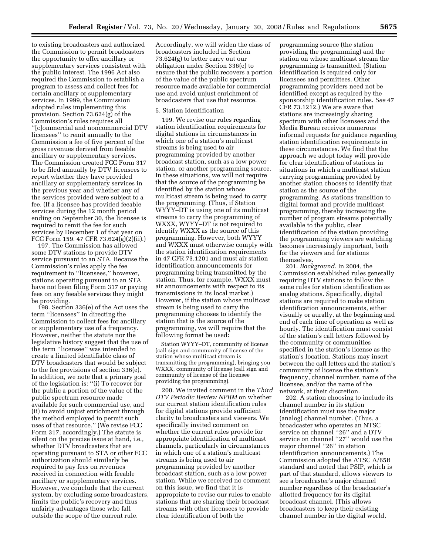to existing broadcasters and authorized the Commission to permit broadcasters the opportunity to offer ancillary or supplementary services consistent with the public interest. The 1996 Act also required the Commission to establish a program to assess and collect fees for certain ancillary or supplementary services. In 1999, the Commission adopted rules implementing this provision. Section 73.624(g) of the Commission's rules requires all ''[c]ommercial and noncommercial DTV licensees'' to remit annually to the Commission a fee of five percent of the gross revenues derived from feeable ancillary or supplementary services. The Commission created FCC Form 317 to be filed annually by DTV licensees to report whether they have provided ancillary or supplementary services in the previous year and whether any of the services provided were subject to a fee. (If a licensee has provided feeable services during the 12 month period ending on September 30, the licensee is required to remit the fee for such services by December 1 of that year on FCC Form 159. 47 CFR 73.624(g)(2)(ii).)

197. The Commission has allowed some DTV stations to provide DTV service pursuant to an STA. Because the Commission's rules apply the fee requirement to ''licensees,'' however, stations operating pursuant to an STA have not been filing Form 317 or paying fees on any feeable services they might be providing.

198. Section 336(e) of the Act uses the term ''licensees'' in directing the Commission to collect fees for ancillary or supplementary use of a frequency. However, neither the statute nor the legislative history suggest that the use of the term ''licensee'' was intended to create a limited identifiable class of DTV broadcasters that would be subject to the fee provisions of section 336(e). In addition, we note that a primary goal of the legislation is: ''(i) To recover for the public a portion of the value of the public spectrum resource made available for such commercial use, and (ii) to avoid unjust enrichment through the method employed to permit such uses of that resource.'' (We revise FCC Form 317, accordingly.) The statute is silent on the precise issue at hand, i.e., whether DTV broadcasters that are operating pursuant to STA or other FCC authorization should similarly be required to pay fees on revenues received in connection with feeable ancillary or supplementary services. However, we conclude that the current system, by excluding some broadcasters, limits the public's recovery and thus unfairly advantages those who fall outside the scope of the current rule.

Accordingly, we will widen the class of broadcasters included in Section 73.624(g) to better carry out our obligation under Section 336(e) to ensure that the public recovers a portion of the value of the public spectrum resource made available for commercial use and avoid unjust enrichment of broadcasters that use that resource.

## 5. Station Identification

199. We revise our rules regarding station identification requirements for digital stations in circumstances in which one of a station's multicast streams is being used to air programming provided by another broadcast station, such as a low power station, or another programming source. In these situations, we will not require that the source of the programming be identified by the station whose multicast stream is being used to carry the programming. (Thus, if Station WYYY–DT is using one of its multicast streams to carry the programming of WXXX, WYYY–DT is not required to identify WXXX as the source of this programming. However, both WYYY and WXXX must otherwise comply with the station identification requirements in 47 CFR 73.1201 and must air station identification announcements for programming being transmitted by the station. Thus, for example, WXXX must air announcements with respect to its transmissions in its local market.) However, if the station whose multicast stream is being used to carry the programming chooses to identify the station that is the source of the programming, we will require that the following format be used:

Station WYYY–DT, community of license (call sign and community of license of the station whose multicast stream is transmitting the programming), bringing you WXXX, community of license (call sign and community of license of the licensee providing the programming).

200. We invited comment in the *Third DTV Periodic Review NPRM* on whether our current station identification rules for digital stations provide sufficient clarity to broadcasters and viewers. We specifically invited comment on whether the current rules provide for appropriate identification of multicast channels, particularly in circumstances in which one of a station's multicast streams is being used to air programming provided by another broadcast station, such as a low power station. While we received no comment on this issue, we find that it is appropriate to revise our rules to enable stations that are sharing their broadcast streams with other licensees to provide clear identification of both the

programming source (the station providing the programming) and the station on whose multicast stream the programming is transmitted. (Station identification is required only for licensees and permittees. Other programming providers need not be identified except as required by the sponsorship identification rules. *See* 47 CFR 73.1212.) We are aware that stations are increasingly sharing spectrum with other licensees and the Media Bureau receives numerous informal requests for guidance regarding station identification requirements in these circumstances. We find that the approach we adopt today will provide for clear identification of stations in situations in which a multicast station carrying programming provided by another station chooses to identify that station as the source of the programming. As stations transition to digital format and provide multicast programming, thereby increasing the number of program streams potentially available to the public, clear identification of the station providing the programming viewers are watching becomes increasingly important, both for the viewers and for stations themselves.

201. *Background.* In 2004, the Commission established rules generally requiring DTV stations to follow the same rules for station identification as analog stations. Specifically, digital stations are required to make station identification announcements, either visually or aurally, at the beginning and end of each time of operation as well as hourly. The identification must consist of the station's call letters followed by the community or communities specified in the station's license as the station's location. Stations may insert between the call letters and the station's community of license the station's frequency, channel number, name of the licensee, and/or the name of the network, at their discretion.

202. A station choosing to include its channel number in its station identification must use the major (analog) channel number. (Thus, a broadcaster who operates an NTSC service on channel ''26'' and a DTV service on channel "27" would use the major channel "26" in station identification announcements.) The Commission adopted the ATSC A/65B standard and noted that PSIP, which is part of that standard, allows viewers to see a broadcaster's major channel number regardless of the broadcaster's allotted frequency for its digital broadcast channel. (This allows broadcasters to keep their existing channel number in the digital world,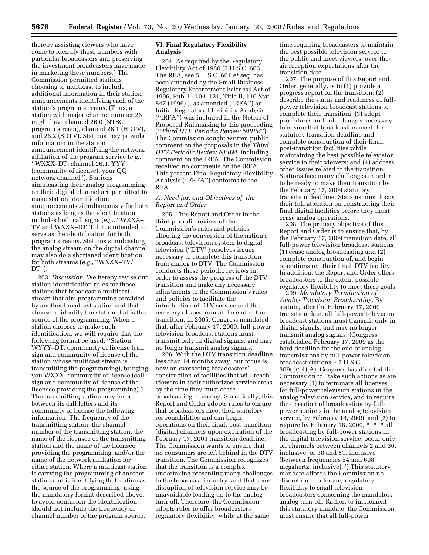thereby assisting viewers who have come to identify these numbers with particular broadcasters and preserving the investment broadcasters have made in marketing these numbers.) The Commission permitted stations choosing to multicast to include additional information in their station announcements identifying each of the station's program streams. (Thus, a station with major channel number 26 might have channel 26.0 (NTSC program stream), channel 26.1 (HDTV), and 26.2 (SDTV). Stations may provide information in the station announcement identifying the network affiliation of the program service (*e.g.*, ''WXXX–DT, channel 26.1, YYY (community of license), your QQ network channel''). Stations simulcasting their analog programming on their digital channel are permitted to make station identification announcements simultaneously for both stations as long as the identification includes both call signs (*e.g.*, ''WXXX– TV and WXXX–DT'') if it is intended to serve as the identification for both program streams. Stations simulcasting the analog stream on the digital channel may also do a shortened identification for both streams (*e.g.*, ''WXXX–TV/ DT'').

203. *Discussion.* We hereby revise our station identification rules for those stations that broadcast a multicast stream that airs programming provided by another broadcast station and that choose to identify the station that is the source of the programming. When a station chooses to make such identification, we will require that the following format be used: ''Station WYYY–DT, community of license (call sign and community of license of the station whose multicast stream is transmitting the programming), bringing you WXXX, community of license (call sign and community of license of the licensee providing the programming).'' The transmitting station may insert between its call letters and its community of license the following information: The frequency of the transmitting station, the channel number of the transmitting station, the name of the licensee of the transmitting station and the name of the licensee providing the programming, and/or the name of the network affiliation for either station. Where a multicast station is carrying the programming of another station and is identifying that station as the source of the programming, using the mandatory format described above, to avoid confusion the identification should not include the frequency or channel number of the program source.

## **VI. Final Regulatory Flexibility Analysis**

204. As required by the Regulatory Flexibility Act of 1980 (5 U.S.C. 603. The RFA, see 5 U.S.C. 601 *et seq.* has been amended by the Small Business Regulatory Enforcement Fairness Act of 1996, Pub. L. 104–121, Title II, 110 Stat. 847 (1996).), as amended (''RFA'') an Initial Regulatory Flexibility Analysis (''IRFA'') was included in the Notice of Proposed Rulemaking to this proceeding (''*Third DTV Periodic Review NPRM*''). The Commission sought written public comment on the proposals in the *Third DTV Periodic Review NPRM,* including comment on the IRFA. The Commission received no comments on the IRFA. This present Final Regulatory Flexibility Analysis (''FRFA'') conforms to the RFA.

## *A. Need for, and Objectives of, the Report and Order*

205. This Report and Order in the third periodic review of the Commission's rules and policies affecting the conversion of the nation's broadcast television system to digital television (''DTV'') resolves issues necessary to complete this transition from analog to DTV. The Commission conducts these periodic reviews in order to assess the progress of the DTV transition and make any necessary adjustments to the Commission's rules and policies to facilitate the introduction of DTV service and the recovery of spectrum at the end of the transition. In 2005, Congress mandated that, after February 17, 2009, full-power television broadcast stations must transmit only in digital signals, and may no longer transmit analog signals.

206. With the DTV transition deadline less than 14 months away, our focus is now on overseeing broadcasters' construction of facilities that will reach viewers in their authorized service areas by the time they must cease broadcasting in analog. Specifically, this Report and Order adopts rules to ensure that broadcasters meet their statutory responsibilities and can begin operations on their final, post-transition (digital) channels upon expiration of the February 17, 2009 transition deadline. The Commission wants to ensure that no consumers are left behind in the DTV transition. The Commission recognizes that the transition is a complex undertaking presenting many challenges to the broadcast industry, and that some disruption of television service may be unavoidable leading up to the analog turn-off. Therefore, the Commission adopts rules to offer broadcasters regulatory flexibility, while at the same

time requiring broadcasters to maintain the best possible television service to the public and meet viewers' over-theair reception expectations after the transition date.

207. The purpose of this Report and Order, generally, is to (1) provide a progress report on the transition; (2) describe the status and readiness of fullpower television broadcast stations to complete their transition; (3) adopt procedures and rule changes necessary to ensure that broadcasters meet the statutory transition deadline and complete construction of their final, post-transition facilities while maintaining the best possible television service to their viewers; and (4) address other issues related to the transition. Stations face many challenges in order to be ready to make their transition by the February 17, 2009 statutory transition deadline. Stations must focus their full attention on constructing their final digital facilities before they must cease analog operations.

208. The primary objective of this Report and Order is to ensure that, by the February 17, 2009 transition date, all full-power television broadcast stations (1) cease analog broadcasting and (2) complete construction of, and begin operations on, their final, DTV facility. In addition, the Report and Order offers broadcasters to the extent possible regulatory flexibility to meet these goals.

209. *Mandatory Termination of Analog Television Broadcasting.* By statute, after the February 17, 2009 transition date, all full-power television broadcast stations must transmit only in digital signals, and may no longer transmit analog signals. (Congress established February 17, 2009 as the hard deadline for the end of analog transmissions by full-power television broadcast stations. 47 U.S.C. 309(j)(14)(A). Congress has directed the Commission to ''take such actions as are necessary (1) to terminate all licenses for full-power television stations in the analog television service, and to require the cessation of broadcasting by fullpower stations in the analog television service, by February 18, 2009; and (2) to require by February 18, 2009, \* \* \* all broadcasting by full-power stations in the digital television service, occur only on channels between channels 2 and 36, inclusive, or 38 and 51, inclusive (between frequencies 54 and 698 megahertz, inclusive).'') This statutory mandate affords the Commission no discretion to offer any regulatory flexibility to small television broadcasters concerning the mandatory analog turn-off. Rather, to implement this statutory mandate, the Commission must ensure that all full-power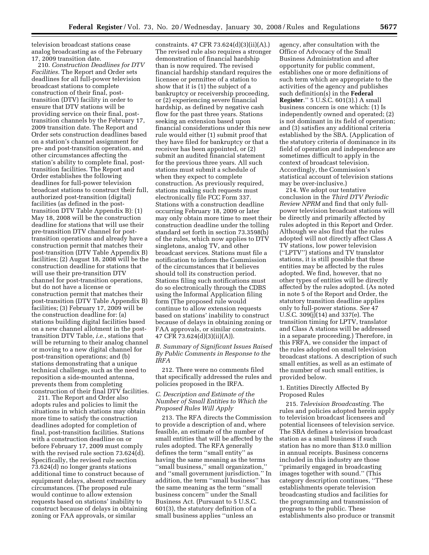television broadcast stations cease analog broadcasting as of the February 17, 2009 transition date.

210. *Construction Deadlines for DTV Facilities.* The Report and Order sets deadlines for all full-power television broadcast stations to complete construction of their final, posttransition (DTV) facility in order to ensure that DTV stations will be providing service on their final, posttransition channels by the February 17, 2009 transition date. The Report and Order sets construction deadlines based on a station's channel assignment for pre- and post-transition operation, and other circumstances affecting the station's ability to complete final, posttransition facilities. The Report and Order establishes the following deadlines for full-power television broadcast stations to construct their full, authorized post-transition (digital) facilities (as defined in the posttransition DTV Table Appendix B): (1) May 18, 2008 will be the construction deadline for stations that will use their pre-transition DTV channel for posttransition operations and already have a construction permit that matches their post-transition (DTV Table Appendix B) facilities; (2) August 18, 2008 will be the construction deadline for stations that will use their pre-transition DTV channel for post-transition operations, but do not have a license or construction permit that matches their post-transition (DTV Table Appendix B) facilities; (3) February 17, 2009 will be the construction deadline for: (a) stations building digital facilities based on a new channel allotment in the posttransition DTV Table, *i.e.*, stations that will be returning to their analog channel or moving to a new digital channel for post-transition operations; and (b) stations demonstrating that a unique technical challenge, such as the need to reposition a side-mounted antenna, prevents them from completing construction of their final DTV facilities.

211. The Report and Order also adopts rules and policies to limit the situations in which stations may obtain more time to satisfy the construction deadlines adopted for completion of final, post-transition facilities. Stations with a construction deadline on or before February 17, 2009 must comply with the revised rule section 73.624(d). Specifically, the revised rule section 73.624(d) no longer grants stations additional time to construct because of equipment delays, absent extraordinary circumstances. (The proposed rule would continue to allow extension requests based on stations' inability to construct because of delays in obtaining zoning or FAA approvals, or similar

constraints. 47 CFR 73.624(d)(3)(ii)(A).) The revised rule also requires a stronger demonstration of financial hardship than is now required. The revised financial hardship standard requires the licensee or permittee of a station to show that it is (1) the subject of a bankruptcy or receivership proceeding, or (2) experiencing severe financial hardship, as defined by negative cash flow for the past three years. Stations seeking an extension based upon financial considerations under this new rule would either (1) submit proof that they have filed for bankruptcy or that a receiver has been appointed, or (2) submit an audited financial statement for the previous three years. All such stations must submit a schedule of when they expect to complete construction. As previously required, stations making such requests must electronically file FCC Form 337. Stations with a construction deadline occurring February 18, 2009 or later may only obtain more time to meet their construction deadline under the tolling standard set forth in section 73.3598(b) of the rules, which now applies to DTV singletons, analog TV, and other broadcast services. Stations must file a notification to inform the Commission of the circumstances that it believes should toll its construction period. Stations filing such notifications must do so electronically through the CDBS using the Informal Application filing form (The proposed rule would continue to allow extension requests based on stations' inability to construct because of delays in obtaining zoning or FAA approvals, or similar constraints. 47 CFR 73.624(d)(3)(ii)(A)).

*B. Summary of Significant Issues Raised By Public Comments in Response to the IRFA* 

212. There were no comments filed that specifically addressed the rules and policies proposed in the IRFA.

## *C. Description and Estimate of the Number of Small Entities to Which the Proposed Rules Will Apply*

213. The RFA directs the Commission to provide a description of and, where feasible, an estimate of the number of small entities that will be affected by the rules adopted. The RFA generally defines the term ''small entity'' as having the same meaning as the terms ''small business,'' small organization,'' and ''small government jurisdiction.'' In addition, the term ''small business'' has the same meaning as the term ''small business concern'' under the Small Business Act. (Pursuant to 5 U.S.C. 601(3), the statutory definition of a small business applies ''unless an

agency, after consultation with the Office of Advocacy of the Small Business Administration and after opportunity for public comment, establishes one or more definitions of such term which are appropriate to the activities of the agency and publishes such definition(s) in the **Federal Register**.'' 5 U.S.C. 601(3).) A small business concern is one which: (1) Is independently owned and operated; (2) is not dominant in its field of operation; and (3) satisfies any additional criteria established by the SBA. (Application of the statutory criteria of dominance in its field of operation and independence are sometimes difficult to apply in the context of broadcast television. Accordingly, the Commission's statistical account of television stations may be over-inclusive.)

214. We adopt our tentative conclusion in the *Third DTV Periodic Review NPRM* and find that only fullpower television broadcast stations will be directly and primarily affected by rules adopted in this Report and Order. Although we also find that the rules adopted will not directly affect Class A TV stations, low power television (''LPTV'') stations and TV translator stations, it is still possible that these entities may be affected by the rules adopted. We find, however, that no other types of entities will be directly affected by the rules adopted. (As noted in note 5 of the Report and Order, the statutory transition deadline applies only to full-power stations. *See* 47 U.S.C. 309(j)(14) and 337(e). The transition timing for LPTV, translator and Class A stations will be addressed in a separate proceeding.) Therefore, in this FRFA, we consider the impact of the rules adopted on small television broadcast stations. A description of such small entities, as well as an estimate of the number of such small entities, is provided below.

## 1. Entities Directly Affected By Proposed Rules

215. *Television Broadcasting.* The rules and policies adopted herein apply to television broadcast licensees and potential licensees of television service. The SBA defines a television broadcast station as a small business if such station has no more than \$13.0 million in annual receipts. Business concerns included in this industry are those ''primarily engaged in broadcasting images together with sound.'' (This category description continues, ''These establishments operate television broadcasting studios and facilities for the programming and transmission of programs to the public. These establishments also produce or transmit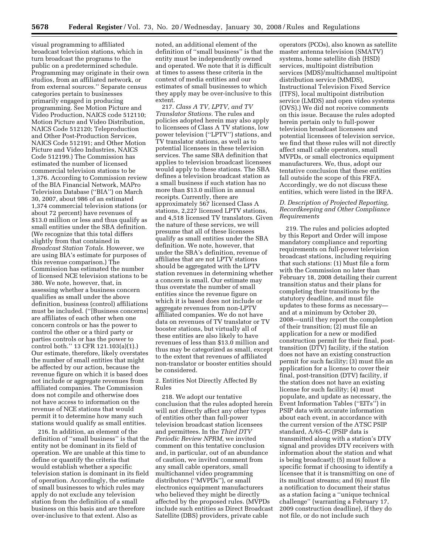visual programming to affiliated broadcast television stations, which in turn broadcast the programs to the public on a predetermined schedule. Programming may originate in their own studios, from an affiliated network, or from external sources.'' Separate census categories pertain to businesses primarily engaged in producing programming. See Motion Picture and Video Production, NAICS code 512110; Motion Picture and Video Distribution, NAICS Code 512120; Teleproduction and Other Post-Production Services, NAICS Code 512191; and Other Motion Picture and Video Industries, NAICS Code 512199.) The Commission has estimated the number of licensed commercial television stations to be 1,376. According to Commission review of the BIA Financial Network, MAPro Television Database (''BIA'') on March 30, 2007, about 986 of an estimated 1,374 commercial television stations (or about 72 percent) have revenues of \$13.0 million or less and thus qualify as small entities under the SBA definition. (We recognize that this total differs slightly from that contained in *Broadcast Station Totals.* However, we are using BIA's estimate for purposes of this revenue comparison.) The Commission has estimated the number of licensed NCE television stations to be 380. We note, however, that, in assessing whether a business concern qualifies as small under the above definition, business (control) affiliations must be included. (''[Business concerns] are affiliates of each other when one concern controls or has the power to control the other or a third party or parties controls or has the power to control both.'' 13 CFR 121.103(a)(1).) Our estimate, therefore, likely overstates the number of small entities that might be affected by our action, because the revenue figure on which it is based does not include or aggregate revenues from affiliated companies. The Commission does not compile and otherwise does not have access to information on the revenue of NCE stations that would permit it to determine how many such stations would qualify as small entities.

216. In addition, an element of the definition of ''small business'' is that the entity not be dominant in its field of operation. We are unable at this time to define or quantify the criteria that would establish whether a specific television station is dominant in its field of operation. Accordingly, the estimate of small businesses to which rules may apply do not exclude any television station from the definition of a small business on this basis and are therefore over-inclusive to that extent. Also as

noted, an additional element of the definition of ''small business'' is that the entity must be independently owned and operated. We note that it is difficult at times to assess these criteria in the context of media entities and our estimates of small businesses to which they apply may be over-inclusive to this extent.

217. *Class A TV, LPTV, and TV Translator Stations.* The rules and policies adopted herein may also apply to licensees of Class A TV stations, low power television (''LPTV'') stations, and TV translator stations, as well as to potential licensees in these television services. The same SBA definition that applies to television broadcast licensees would apply to these stations. The SBA defines a television broadcast station as a small business if such station has no more than \$13.0 million in annual receipts. Currently, there are approximately 567 licensed Class A stations, 2,227 licensed LPTV stations, and 4,518 licensed TV translators. Given the nature of these services, we will presume that all of these licensees qualify as small entities under the SBA definition. We note, however, that under the SBA's definition, revenue of affiliates that are not LPTV stations should be aggregated with the LPTV station revenues in determining whether a concern is small. Our estimate may thus overstate the number of small entities since the revenue figure on which it is based does not include or aggregate revenues from non-LPTV affiliated companies. We do not have data on revenues of TV translator or TV booster stations, but virtually all of these entities are also likely to have revenues of less than \$13.0 million and thus may be categorized as small, except to the extent that revenues of affiliated non-translator or booster entities should be considered.

2. Entities Not Directly Affected By Rules

218. We adopt our tentative conclusion that the rules adopted herein will not directly affect any other types of entities other than full-power television broadcast station licensees and permittees. In the *Third DTV Periodic Review NPRM,* we invited comment on this tentative conclusion and, in particular, out of an abundance of caution, we invited comment from any small cable operators, small multichannel video programming distributors (''MVPDs''), or small electronics equipment manufacturers who believed they might be directly affected by the proposed rules. (MVPDs include such entities as Direct Broadcast Satellite (DBS) providers, private cable

operators (PCOs), also known as satellite master antenna television (SMATV) systems, home satellite dish (HSD) services, multipoint distribution services (MDS)/multichannel multipoint distribution service (MMDS), Instructional Television Fixed Service (ITFS), local multipoint distribution service (LMDS) and open video systems (OVS).) We did not receive comments on this issue. Because the rules adopted herein pertain only to full-power television broadcast licensees and potential licensees of television service, we find that these rules will not directly affect small cable operators, small MVPDs, or small electronics equipment manufacturers. We, thus, adopt our tentative conclusion that these entities fall outside the scope of this FRFA. Accordingly, we do not discuss these entities, which were listed in the IRFA.

## *D. Description of Projected Reporting, Recordkeeping and Other Compliance Requirements*

219. The rules and policies adopted by this Report and Order will impose mandatory compliance and reporting requirements on full-power television broadcast stations, including requiring that such stations: (1) Must file a form with the Commission no later than February 18, 2008 detailing their current transition status and their plans for completing their transitions by the statutory deadline, and must file updates to these forms as necessary and at a minimum by October 20, 2008—until they report the completion of their transition; (2) must file an application for a new or modified construction permit for their final, posttransition (DTV) facility, if the station does not have an existing construction permit for such facility; (3) must file an application for a license to cover their final, post-transition (DTV) facility, if the station does not have an existing license for such facility; (4) must populate, and update as necessary, the Event Information Tables (''EITs'') in PSIP data with accurate information about each event, in accordance with the current version of the ATSC PSIP standard, A/65–C (PSIP data is transmitted along with a station's DTV signal and provides DTV receivers with information about the station and what is being broadcast); (5) must follow a specific format if choosing to identify a licensee that it is transmitting on one of its multicast streams; and (6) must file a notification to document their status as a station facing a ''unique technical challenge'' (warranting a February 17, 2009 construction deadline), if they do not file, or do not include such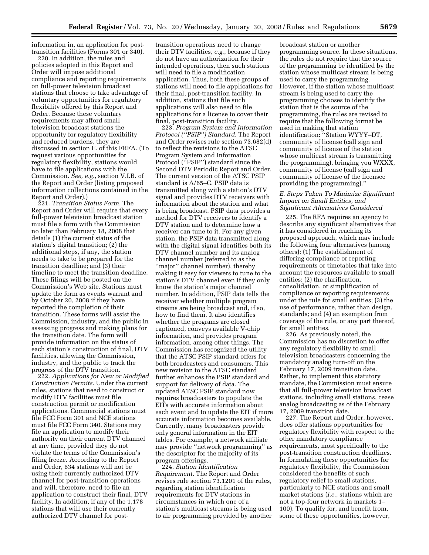information in, an application for posttransition facilities (Forms 301 or 340).

220. In addition, the rules and policies adopted in this Report and Order will impose additional compliance and reporting requirements on full-power television broadcast stations that choose to take advantage of voluntary opportunities for regulatory flexibility offered by this Report and Order. Because these voluntary requirements may afford small television broadcast stations the opportunity for regulatory flexibility and reduced burdens, they are discussed in section E. of this FRFA. (To request various opportunities for regulatory flexibility, stations would have to file applications with the Commission. *See, e.g.*, section V.I.B. of the Report and Order (listing proposed information collections contained in the Report and Order).)

221. *Transition Status Form.* The Report and Order will require that every full-power television broadcast station must file a form with the Commission no later than February 18, 2008 that details (1) the current status of the station's digital transition; (2) the additional steps, if any, the station needs to take to be prepared for the transition deadline; and (3) their timeline to meet the transition deadline. These filings will be posted on the Commission's Web site. Stations must update the form as events warrant and by October 20, 2008 if they have reported the completion of their transition. These forms will assist the Commission, industry, and the public in assessing progress and making plans for the transition date. The form will provide information on the status of each station's construction of final, DTV facilities, allowing the Commission, industry, and the public to track the progress of the DTV transition.

222. *Applications for New or Modified Construction Permits.* Under the current rules, stations that need to construct or modify DTV facilities must file construction permit or modification applications. Commercial stations must file FCC Form 301 and NCE stations must file FCC Form 340. Stations may file an application to modify their authority on their current DTV channel at any time, provided they do not violate the terms of the Commission's filing freeze. According to the Report and Order, 634 stations will not be using their currently authorized DTV channel for post-transition operations and will, therefore, need to file an application to construct their final, DTV facility. In addition, if any of the 1,178 stations that will use their currently authorized DTV channel for posttransition operations need to change their DTV facilities, *e.g.*, because if they do not have an authorization for their intended operations, then such stations will need to file a modification application. Thus, both these groups of stations will need to file applications for their final, post-transition facility. In addition, stations that file such applications will also need to file applications for a license to cover their final, post-transition facility.

223. *Program System and Information Protocol (''PSIP'') Standard.* The Report and Order revises rule section 73.682(d) to reflect the revisions to the ATSC Program System and Information Protocol (''PSIP'') standard since the Second DTV Periodic Report and Order. The current version of the ATSC PSIP standard is A/65–C. PSIP data is transmitted along with a station's DTV signal and provides DTV receivers with information about the station and what is being broadcast. PSIP data provides a method for DTV receivers to identify a DTV station and to determine how a receiver can tune to it. For any given station, the PSIP data transmitted along with the digital signal identifies both its DTV channel number and its analog channel number (referred to as the ''major'' channel number), thereby making it easy for viewers to tune to the station's DTV channel even if they only know the station's major channel number. In addition, PSIP data tells the receiver whether multiple program streams are being broadcast and, if so, how to find them. It also identifies whether the programs are closed captioned, conveys available V-chip information, and provides program information, among other things. The Commission has recognized the utility that the ATSC PSIP standard offers for both broadcasters and consumers. This new revision to the ATSC standard further enhances the PSIP standard and support for delivery of data. The updated ATSC PSIP standard now requires broadcasters to populate the EITs with accurate information about each event and to update the EIT if more accurate information becomes available. Currently, many broadcasters provide only general information in the EIT tables. For example, a network affiliate may provide ''network programming'' as the descriptor for the majority of its program offerings.

224. *Station Identification Requirement.* The Report and Order revises rule section 73.1201 of the rules, regarding station identification requirements for DTV stations in circumstances in which one of a station's multicast streams is being used to air programming provided by another

broadcast station or another programming source. In these situations, the rules do not require that the source of the programming be identified by the station whose multicast stream is being used to carry the programming. However, if the station whose multicast stream is being used to carry the programming chooses to identify the station that is the source of the programming, the rules are revised to require that the following format be used in making that station identification: ''Station WYYY–DT, community of license (call sign and community of license of the station whose multicast stream is transmitting the programming), bringing you WXXX, community of license (call sign and community of license of the licensee providing the programming).''

### *E. Steps Taken To Minimize Significant Impact on Small Entities, and Significant Alternatives Considered*

225. The RFA requires an agency to describe any significant alternatives that it has considered in reaching its proposed approach, which may include the following four alternatives (among others): (1) The establishment of differing compliance or reporting requirements or timetables that take into account the resources available to small entities; (2) the clarification, consolidation, or simplification of compliance or reporting requirements under the rule for small entities; (3) the use of performance, rather than design, standards; and (4) an exemption from coverage of the rule, or any part thereof, for small entities.

226. As previously noted, the Commission has no discretion to offer any regulatory flexibility to small television broadcasters concerning the mandatory analog turn-off on the February 17, 2009 transition date. Rather, to implement this statutory mandate, the Commission must ensure that all full-power television broadcast stations, including small stations, cease analog broadcasting as of the February 17, 2009 transition date.

227. The Report and Order, however, does offer stations opportunities for regulatory flexibility with respect to the other mandatory compliance requirements, most specifically to the post-transition construction deadlines. In formulating these opportunities for regulatory flexibility, the Commission considered the benefits of such regulatory relief to small stations, particularly to NCE stations and small market stations (*i.e.*, stations which are not a top-four network in markets 1– 100). To qualify for, and benefit from, some of these opportunities, however,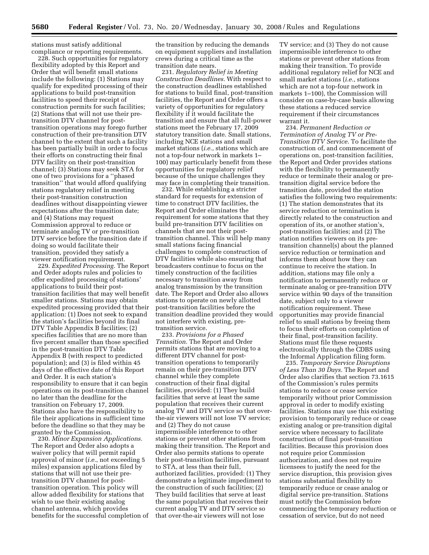stations must satisfy additional compliance or reporting requirements.

228. Such opportunities for regulatory flexibility adopted by this Report and Order that will benefit small stations include the following: (1) Stations may qualify for expedited processing of their applications to build post-transition facilities to speed their receipt of construction permits for such facilities; (2) Stations that will not use their pretransition DTV channel for posttransition operations may forego further construction of their pre-transition DTV channel to the extent that such a facility has been partially built in order to focus their efforts on constructing their final DTV facility on their post-transition channel; (3) Stations may seek STA for one of two provisions for a ''phased transition'' that would afford qualifying stations regulatory relief in meeting their post-transition construction deadlines without disappointing viewer expectations after the transition date; and (4) Stations may request Commission approval to reduce or terminate analog TV or pre-transition DTV service before the transition date if doing so would facilitate their transition, provided they satisfy a viewer notification requirement.

229. *Expedited Processing.* The Report and Order adopts rules and policies to offer expedited processing of stations' applications to build their posttransition facilities that may well benefit smaller stations. Stations may obtain expedited processing provided that their application: (1) Does not seek to expand the station's facilities beyond its final DTV Table Appendix B facilities; (2) specifies facilities that are no more than five percent smaller than those specified in the post-transition DTV Table Appendix B (with respect to predicted population); and (3) is filed within 45 days of the effective date of this Report and Order. It is each station's responsibility to ensure that it can begin operations on its post-transition channel no later than the deadline for the transition on February 17, 2009. Stations also have the responsibility to file their applications in sufficient time before the deadline so that they may be granted by the Commission.

230. *Minor Expansion Applications.*  The Report and Order also adopts a waiver policy that will permit rapid approval of minor (*i.e.*, not exceeding 5 miles) expansion applications filed by stations that will not use their pretransition DTV channel for posttransition operation. This policy will allow added flexibility for stations that wish to use their existing analog channel antenna, which provides benefits for the successful completion of

the transition by reducing the demands on equipment suppliers and installation crews during a critical time as the transition date nears.

231. *Regulatory Relief in Meeting Construction Deadlines.* With respect to the construction deadlines established for stations to build final, post-transition facilities, the Report and Order offers a variety of opportunities for regulatory flexibility if it would facilitate the transition and ensure that all full-power stations meet the February 17, 2009 statutory transition date. Small stations, including NCE stations and small market stations (*i.e.*, stations which are not a top-four network in markets 1– 100) may particularly benefit from these opportunities for regulatory relief because of the unique challenges they may face in completing their transition.

232. While establishing a stricter standard for requests for extension of time to construct DTV facilities, the Report and Order eliminates the requirement for some stations that they build pre-transition DTV facilities on channels that are not their posttransition channel. This will help many small stations facing financial challenges to complete construction of DTV facilities while also ensuring that broadcasters continue to focus on the timely construction of the facilities necessary to transition away from analog transmission by the transition date. The Report and Order also allows stations to operate on newly allotted post-transition facilities before the transition deadline provided they would not interfere with existing, pretransition service.

233. *Provisions for a Phased Transition.* The Report and Order permits stations that are moving to a different DTV channel for posttransition operations to temporarily remain on their pre-transition DTV channel while they complete construction of their final digital facilities, provided: (1) They build facilities that serve at least the same population that receives their current analog TV and DTV service so that overthe-air viewers will not lose TV service; and (2) They do not cause impermissible interference to other stations or prevent other stations from making their transition. The Report and Order also permits stations to operate their post-transition facilities, pursuant to STA, at less than their full, authorized facilities, provided: (1) They demonstrate a legitimate impediment to the construction of such facilities; (2) They build facilities that serve at least the same population that receives their current analog TV and DTV service so that over-the-air viewers will not lose

TV service; and (3) They do not cause impermissible interference to other stations or prevent other stations from making their transition. To provide additional regulatory relief for NCE and small market stations (*i.e.*, stations which are not a top-four network in markets 1–100), the Commission will consider on case-by-case basis allowing these stations a reduced service requirement if their circumstances warrant it.

234. *Permanent Reduction or Termination of Analog TV or Pre-Transition DTV Service.* To facilitate the construction of, and commencement of operations on, post-transition facilities, the Report and Order provides stations with the flexibility to permanently reduce or terminate their analog or pretransition digital service before the transition date, provided the station satisfies the following two requirements: (1) The station demonstrates that its service reduction or termination is directly related to the construction and operation of its, or another station's, post-transition facilities; and (2) The station notifies viewers on its pretransition channel(s) about the planned service reduction or termination and informs them about how they can continue to receive the station. In addition, stations may file only a notification to permanently reduce or terminate analog or pre-transition DTV service within 90 days of the transition date, subject only to a viewer notification requirement. These opportunities may provide financial relief to small stations by freeing them to focus their efforts on completion of their final, post-transition facility. Stations must file these requests electronically through the CDBS using the Informal Application filing form.

235. *Temporary Service Disruptions of Less Than 30 Days.* The Report and Order also clarifies that section 73.1615 of the Commission's rules permits stations to reduce or cease service temporarily without prior Commission approval in order to modify existing facilities. Stations may use this existing provision to temporarily reduce or cease existing analog or pre-transition digital service where necessary to facilitate construction of final post-transition facilities. Because this provision does not require prior Commission authorization, and does not require licensees to justify the need for the service disruption, this provision gives stations substantial flexibility to temporarily reduce or cease analog or digital service pre-transition. Stations must notify the Commission before commencing the temporary reduction or cessation of service, but do not need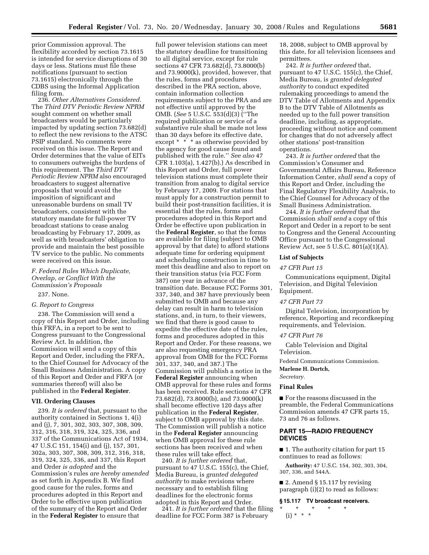prior Commission approval. The flexibility accorded by section 73.1615 is intended for service disruptions of 30 days or less. Stations must file these notifications (pursuant to section 73.1615) electronically through the CDBS using the Informal Application filing form.

236. *Other Alternatives Considered.*  The *Third DTV Periodic Review NPRM*  sought comment on whether small broadcasters would be particularly impacted by updating section 73.682(d) to reflect the new revisions to the ATSC PSIP standard. No comments were received on this issue. The Report and Order determines that the value of EITs to consumers outweighs the burdens of this requirement. The *Third DTV Periodic Review NPRM* also encouraged broadcasters to suggest alternative proposals that would avoid the imposition of significant and unreasonable burdens on small TV broadcasters, consistent with the statutory mandate for full-power TV broadcast stations to cease analog broadcasting by February 17, 2009, as well as with broadcasters' obligation to provide and maintain the best possible TV service to the public. No comments were received on this issue.

## *F. Federal Rules Which Duplicate, Overlap, or Conflict With the Commission's Proposals*

## 237. None.

## *G. Report to Congress*

238. The Commission will send a copy of this Report and Order, including this FRFA, in a report to be sent to Congress pursuant to the Congressional Review Act. In addition, the Commission will send a copy of this Report and Order, including the FRFA, to the Chief Counsel for Advocacy of the Small Business Administration. A copy of this Report and Order and FRFA (or summaries thereof) will also be published in the **Federal Register**.

#### **VII. Ordering Clauses**

239. *It is ordered* that, pursuant to the authority contained in Sections 1, 4(i) and (j), 7, 301, 302, 303, 307, 308, 309, 312, 316, 318, 319, 324, 325, 336, and 337 of the Communications Act of 1934, 47 U.S.C 151, 154(i) and (j), 157, 301, 302a, 303, 307, 308, 309, 312, 316, 318, 319, 324, 325, 336, and 337, this Report and Order *is adopted* and the Commission's rules *are hereby amended*  as set forth in Appendix B. We find good cause for the rules, forms and procedures adopted in this Report and Order to be effective upon publication of the summary of the Report and Order in the **Federal Register** to ensure that

full power television stations can meet the statutory deadline for transitioning to all digital service, except for rule sections 47 CFR 73.682(d), 73.8000(b) and 73.9000(k), provided, however, that the rules, forms and procedures described in the PRA section, above, contain information collection requirements subject to the PRA and are not effective until approved by the OMB. (*See* 5 U.S.C. 553(d)(3) (''The required publication or service of a substantive rule shall be made not less than 30 days before its effective date, except \* \* \* as otherwise provided by the agency for good cause found and published with the rule.'' *See also* 47 CFR 1.103(a), 1.427(b).) As described in this Report and Order, full power television stations must complete their transition from analog to digital service by February 17, 2009. For stations that must apply for a construction permit to build their post-transition facilities, it is essential that the rules, forms and procedures adopted in this Report and Order be effective upon publication in the **Federal Register**, so that the forms are available for filing (subject to OMB approval by that date) to afford stations adequate time for ordering equipment and scheduling construction in time to meet this deadline and also to report on their transition status (via FCC Form 387) one year in advance of the transition date. Because FCC Forms 301, 337, 340, and 387 have previously been submitted to OMB and because any delay can result in harm to television stations, and, in turn, to their viewers, we find that there is good cause to expedite the effective date of the rules, forms and procedures adopted in this Report and Order. For these reasons, we are also requesting emergency PRA approval from OMB for the FCC Forms 301, 337, 340, and 387.) The Commission will publish a notice in the **Federal Register** announcing when OMB approval for these rules and forms has been received. Rule sections 47 CFR 73.682(d), 73.8000(b), and 73.9000(k) shall become effective 120 days after publication in the **Federal Register**, subject to OMB approval by this date. The Commission will publish a notice in the **Federal Register** announcing when OMB approval for these rule sections has been received and when these rules will take effect.

240. *It is further ordered* that, pursuant to 47 U.S.C. 155(c), the Chief, Media Bureau, is *granted delegated authority* to make revisions where necessary and to establish filing deadlines for the electronic forms adopted in this Report and Order.

241. *It is further ordered* that the filing deadline for FCC Form 387 is February

18, 2008, subject to OMB approval by this date, for all television licensees and permittees.

242. *It is further ordered* that, pursuant to 47 U.S.C. 155(c), the Chief, Media Bureau, is *granted delegated authority* to conduct expedited rulemaking proceedings to amend the DTV Table of Allotments and Appendix B to the DTV Table of Allotments as needed up to the full power transition deadline, including, as appropriate, proceeding without notice and comment for changes that do not adversely affect other stations' post-transition operations.

243. *It is further ordered* that the Commission's Consumer and Governmental Affairs Bureau, Reference Information Center, *shall send* a copy of this Report and Order, including the Final Regulatory Flexibility Analysis, to the Chief Counsel for Advocacy of the Small Business Administration.

244. *It is further ordered* that the Commission *shall send* a copy of this Report and Order in a report to be sent to Congress and the General Accounting Office pursuant to the Congressional Review Act, see 5 U.S.C. 801(a)(1)(A).

## **List of Subjects**

## *47 CFR Part 15*

Communications equipment, Digital Television, and Digital Television Equipment.

## *47 CFR Part 73*

Digital Television, incorporation by reference, Reporting and recordkeeping requirements, and Television.

#### *47 CFR Part 76*

Cable Television and Digital Television.

Federal Communications Commission. **Marlene H. Dortch,** 

*Secretary.* 

#### **Final Rules**

■ For the reasons discussed in the preamble, the Federal Communications Commission amends 47 CFR parts 15, 73 and 76 as follows.

## **PART 15—RADIO FREQUENCY DEVICES**

■ 1. The authority citation for part 15 continues to read as follows:

**Authority:** 47 U.S.C. 154, 302, 303, 304, 307, 336, and 544A.

■ 2. Amend § 15.117 by revising paragraph (i)(2) to read as follows:

**§ 15.117 TV broadcast receivers.** 

\* \* \* \* \* (i) \* \* \*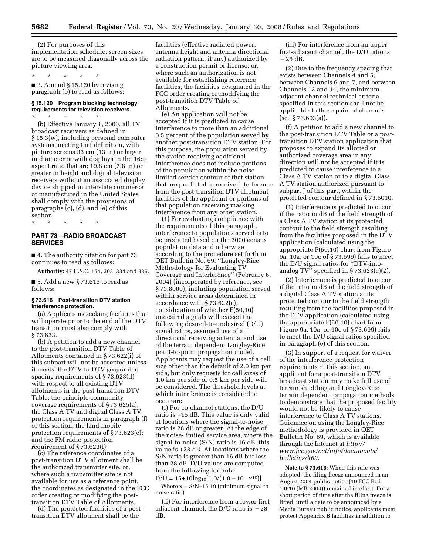(2) For purposes of this implementation schedule, screen sizes are to be measured diagonally across the picture viewing area.

\* \* \* \* \*

 $\blacksquare$  3. Amend § 15.120 by revising paragraph (b) to read as follows:

# **§ 15.120 Program blocking technology requirements for television receivers.**

\* \* \* \* \* (b) Effective January 1, 2000, all TV broadcast receivers as defined in § 15.3(w), including personal computer systems meeting that definition, with picture screens 33 cm (13 in) or larger in diameter or with displays in the 16:9 aspect ratio that are 19.8 cm (7.8 in) or greater in height and digital television receivers without an associated display device shipped in interstate commerce or manufactured in the United States shall comply with the provisions of paragraphs (c), (d), and (e) of this section.

\* \* \* \* \*

## **PART 73—RADIO BROADCAST SERVICES**

■ 4. The authority citation for part 73 continues to read as follows:

**Authority:** 47 U.S.C. 154, 303, 334 and 336.

 $\blacksquare$  5. Add a new § 73.616 to read as follows:

## **§ 73.616 Post-transition DTV station interference protection.**

(a) Applications seeking facilities that will operate prior to the end of the DTV transition must also comply with § 73.623.

(b) A petition to add a new channel to the post-transition DTV Table of Allotments contained in § 73.622(i) of this subpart will not be accepted unless it meets: the DTV-to-DTV geographic spacing requirements of § 73.623(d) with respect to all existing DTV allotments in the post-transition DTV Table; the principle community coverage requirements of § 73.625(a); the Class A TV and digital Class A TV protection requirements in paragraph (f) of this section; the land mobile protection requirements of § 73.623(e); and the FM radio protection requirement of § 73.623(f).

(c) The reference coordinates of a post-transition DTV allotment shall be the authorized transmitter site, or, where such a transmitter site is not available for use as a reference point, the coordinates as designated in the FCC order creating or modifying the posttransition DTV Table of Allotments.

(d) The protected facilities of a posttransition DTV allotment shall be the

facilities (effective radiated power, antenna height and antenna directional radiation pattern, if any) authorized by a construction permit or license, or, where such an authorization is not available for establishing reference facilities, the facilities designated in the FCC order creating or modifying the post-transition DTV Table of Allotments.

(e) An application will not be accepted if it is predicted to cause interference to more than an additional 0.5 percent of the population served by another post-transition DTV station. For this purpose, the population served by the station receiving additional interference does not include portions of the population within the noiselimited service contour of that station that are predicted to receive interference from the post-transition DTV allotment facilities of the applicant or portions of that population receiving masking interference from any other station.

(1) For evaluating compliance with the requirements of this paragraph, interference to populations served is to be predicted based on the 2000 census population data and otherwise according to the procedure set forth in OET Bulletin No. 69: ''Longley-Rice Methodology for Evaluating TV Coverage and Interference'' (February 6, 2004) (incorporated by reference, see § 73.8000), including population served within service areas determined in accordance with § 73.622(e), consideration of whether F(50,10) undesired signals will exceed the following desired-to-undesired (D/U) signal ratios, assumed use of a directional receiving antenna, and use of the terrain dependent Longley-Rice point-to-point propagation model. Applicants may request the use of a cell size other than the default of 2.0 km per side, but only requests for cell sizes of 1.0 km per side or 0.5 km per side will be considered. The threshold levels at which interference is considered to occur are:

(i) For co-channel stations, the D/U ratio is +15 dB. This value is only valid at locations where the signal-to-noise ratio is 28 dB or greater. At the edge of the noise-limited service area, where the signal-to-noise (S/N) ratio is 16 dB, this value is +23 dB. At locations where the S/N ratio is greater than 16 dB but less than 28 dB, D/U values are computed from the following formula:

 $D/U = 15+10log_{10}[1.0/(1.0-10^{-x/10})]$ 

Where  $x = S/N-15.19$  (minimum signal to noise ratio)

(ii) For interference from a lower firstadjacent channel, the  $D/U$  ratio is  $-28$ dB.

(iii) For interference from an upper first-adjacent channel, the D/U ratio is  $-26$  dB.

(2) Due to the frequency spacing that exists between Channels 4 and 5, between Channels 6 and 7, and between Channels 13 and 14, the minimum adjacent channel technical criteria specified in this section shall not be applicable to these pairs of channels (see § 73.603(a)).

(f) A petition to add a new channel to the post-transition DTV Table or a posttransition DTV station application that proposes to expand its allotted or authorized coverage area in any direction will not be accepted if it is predicted to cause interference to a Class A TV station or to a digital Class A TV station authorized pursuant to subpart J of this part, within the protected contour defined in § 73.6010.

(1) Interference is predicted to occur if the ratio in dB of the field strength of a Class A TV station at its protected contour to the field strength resulting from the facilities proposed in the DTV application (calculated using the appropriate F(50,10) chart from Figure 9a, 10a, or 10c of § 73.699) fails to meet the D/U signal ratios for ''DTV-intoanalog TV" specified in  $\S 73.623(c)(2)$ .

(2) Interference is predicted to occur if the ratio in dB of the field strength of a digital Class A TV station at its protected contour to the field strength resulting from the facilities proposed in the DTV application (calculated using the appropriate F(50,10) chart from Figure 9a, 10a, or 10c of § 73.699) fails to meet the D/U signal ratios specified in paragraph (e) of this section.

(3) In support of a request for waiver of the interference protection requirements of this section, an applicant for a post-transition DTV broadcast station may make full use of terrain shielding and Longley-Rice terrain dependent propagation methods to demonstrate that the proposed facility would not be likely to cause interference to Class A TV stations. Guidance on using the Longley-Rice methodology is provided in OET Bulletin No. 69, which is available through the Internet at *http:// www.fcc.gov/oet/info/documents/ bulletins/#69*.

**Note to § 73.616:** When this rule was adopted, the filing freeze announced in an August 2004 public notice (19 FCC Rcd 14810 (MB 2004)) remained in effect. For a short period of time after the filing freeze is lifted, until a date to be announced by a Media Bureau public notice, applicants must protect Appendix B facilities in addition to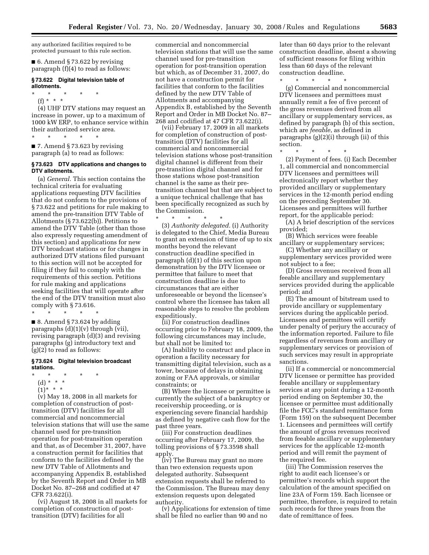any authorized facilities required to be protected pursuant to this rule section.

■ 6. Amend § 73.622 by revising paragraph (f)(4) to read as follows:

## **§ 73.622 Digital television table of allotments.**

\* \* \* \* \*

(f) \* \* \* (4) UHF DTV stations may request an increase in power, up to a maximum of 1000 kW ERP, to enhance service within their authorized service area.

\* \* \* \* \* ■ 7. Amend § 73.623 by revising paragraph (a) to read as follows:

#### **§ 73.623 DTV applications and changes to DTV allotments.**

(a) *General.* This section contains the technical criteria for evaluating applications requesting DTV facilities that do not conform to the provisions of § 73.622 and petitions for rule making to amend the pre-transition DTV Table of Allotments (§ 73.622(b)). Petitions to amend the DTV Table (other than those also expressly requesting amendment of this section) and applications for new DTV broadcast stations or for changes in authorized DTV stations filed pursuant to this section will not be accepted for filing if they fail to comply with the requirements of this section. Petitions for rule making and applications seeking facilities that will operate after the end of the DTV transition must also comply with § 73.616.

 $\blacksquare$  8. Amend § 73.624 by adding paragraphs  $(d)(1)(v)$  through (vii), revising paragraph (d)(3) and revising paragraphs (g) introductory text and (g)(2) to read as follows:

## **§ 73.624 Digital television broadcast stations.**

\* \* \* \* \*

\* \* \* \* \*

- (d) \* \* \*
- $(1)^{*}$  \* \*

(v) May 18, 2008 in all markets for completion of construction of posttransition (DTV) facilities for all commercial and noncommercial television stations that will use the same channel used for pre-transition operation for post-transition operation and that, as of December 31, 2007, have a construction permit for facilities that conform to the facilities defined by the new DTV Table of Allotments and accompanying Appendix B, established by the Seventh Report and Order in MB Docket No. 87–268 and codified at 47 CFR 73.622(i).

(vi) August 18, 2008 in all markets for completion of construction of posttransition (DTV) facilities for all

commercial and noncommercial television stations that will use the same channel used for pre-transition operation for post-transition operation but which, as of December 31, 2007, do not have a construction permit for facilities that conform to the facilities defined by the new DTV Table of Allotments and accompanying Appendix B, established by the Seventh Report and Order in MB Docket No. 87– 268 and codified at 47 CFR 73.622(i).

(vii) February 17, 2009 in all markets for completion of construction of posttransition (DTV) facilities for all commercial and noncommercial television stations whose post-transition digital channel is different from their pre-transition digital channel and for those stations whose post-transition channel is the same as their pretransition channel but that are subject to a unique technical challenge that has been specifically recognized as such by the Commission.

\* \* \* \* \* (3) *Authority delegated.* (i) Authority is delegated to the Chief, Media Bureau to grant an extension of time of up to six months beyond the relevant construction deadline specified in paragraph (d)(1) of this section upon demonstration by the DTV licensee or permittee that failure to meet that construction deadline is due to circumstances that are either unforeseeable or beyond the licensee's control where the licensee has taken all reasonable steps to resolve the problem expeditiously.

(ii) For construction deadlines occurring prior to February 18, 2009, the following circumstances may include, but shall not be limited to:

(A) Inability to construct and place in operation a facility necessary for transmitting digital television, such as a tower, because of delays in obtaining zoning or FAA approvals, or similar constraints; or

(B) Where the licensee or permittee is currently the subject of a bankruptcy or receivership proceeding, or is experiencing severe financial hardship as defined by negative cash flow for the past three years.

(iii) For construction deadlines occurring after February 17, 2009, the tolling provisions of § 73.3598 shall apply.

(iv) The Bureau may grant no more than two extension requests upon delegated authority. Subsequent extension requests shall be referred to the Commission. The Bureau may deny extension requests upon delegated authority.

(v) Applications for extension of time shall be filed no earlier than 90 and no

later than 60 days prior to the relevant construction deadline, absent a showing of sufficient reasons for filing within less than 60 days of the relevant construction deadline.

\* \* \* \* \*

(g) Commercial and noncommercial DTV licensees and permittees must annually remit a fee of five percent of the gross revenues derived from all ancillary or supplementary services, as defined by paragraph (b) of this section, which are *feeable*, as defined in paragraphs (g)(2)(i) through (ii) of this section.

\* \* \* \* \*

(2) Payment of fees. (i) Each December 1, all commercial and noncommercial DTV licensees and permittees will electronically report whether they provided ancillary or supplementary services in the 12-month period ending on the preceding September 30. Licensees and permittees will further report, for the applicable period:

(A) A brief description of the services provided;

(B) Which services were feeable ancillary or supplementary services;

(C) Whether any ancillary or supplementary services provided were not subject to a fee;

(D) Gross revenues received from all feeable ancillary and supplementary services provided during the applicable period; and

(E) The amount of bitstream used to provide ancillary or supplementary services during the applicable period. Licensees and permittees will certify under penalty of perjury the accuracy of the information reported. Failure to file regardless of revenues from ancillary or supplementary services or provision of such services may result in appropriate sanctions.

(ii) If a commercial or noncommercial DTV licensee or permittee has provided feeable ancillary or supplementary services at any point during a 12-month period ending on September 30, the licensee or permittee must additionally file the FCC's standard remittance form (Form 159) on the subsequent December 1. Licensees and permittees will certify the amount of gross revenues received from feeable ancillary or supplementary services for the applicable 12-month period and will remit the payment of the required fee.

(iii) The Commission reserves the right to audit each licensee's or permittee's records which support the calculation of the amount specified on line 23A of Form 159. Each licensee or permittee, therefore, is required to retain such records for three years from the date of remittance of fees.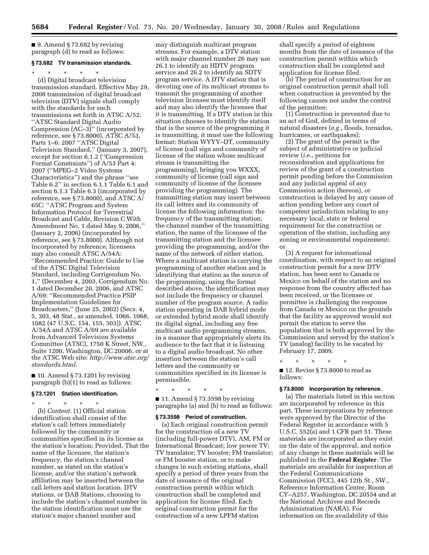$\blacksquare$  9. Amend § 73.682 by revising paragraph (d) to read as follows:

## **§ 73.682 TV transmission standards.**

\* \* \* \* \* (d) Digital broadcast television transmission standard. Effective May 29, 2008 transmission of digital broadcast television (DTV) signals shall comply with the standards for such transmissions set forth in ATSC A/52: ''ATSC Standard Digital Audio Compression (AC–3)'' (incorporated by reference, see § 73.8000), ATSC A/53, Parts 1–6: 2007 ''ATSC Digital Television Standard,'' (January 3, 2007), except for section 6.1.2 (''Compression Format Constraints'') of A/53 Part 4: 2007 (''MPEG–2 Video Systems Characteristics'') and the phrase ''see Table 6.2'' in section 6.1.1 Table 6.1 and section 6.1.3 Table 6.3 (incorporated by reference, see § 73.8000), and ATSC A/ 65C: ''ATSC Program and System Information Protocol for Terrestrial Broadcast and Cable, Revision C With Amendment No. 1 dated May 9, 2006,'' (January 2, 2006) (incorporated by reference, see § 73.8000). Although not incorporated by reference, licensees may also consult ATSC A/54A: ''Recommended Practice: Guide to Use of the ATSC Digital Television Standard, including Corrigendum No. 1,'' (December 4, 2003, Corrigendum No. 1 dated December 20, 2006, and ATSC A/69: ''Recommended Practice PSIP Implementation Guidelines for Broadcasters,'' (June 25, 2002) (Secs. 4, 5, 303, 48 Stat., as amended, 1066, 1068, 1082 (47 U.S.C. 154, 155, 303)). ATSC A/54A and ATSC A/69 are available from Advanced Television Systems Committee (ATSC), 1750 K Street, NW., Suite 1200, Washington, DC 20006, or at the ATSC Web site: *http://www.atsc.org/ standards.html*.

 $\blacksquare$  10. Amend § 73.1201 by revising paragraph (b)(1) to read as follows:

#### **§ 73.1201 Station identification.**

\* \* \* \* \* (b) *Content.* (1) Official station identification shall consist of the station's call letters immediately followed by the community or communities specified in its license as the station's location; Provided, That the name of the licensee, the station's frequency, the station's channel number, as stated on the station's license, and/or the station's network affiliation may be inserted between the call letters and station location. DTV stations, or DAB Stations, choosing to include the station's channel number in the station identification must use the station's major channel number and

may distinguish multicast program streams. For example, a DTV station with major channel number 26 may use 26.1 to identify an HDTV program service and 26.2 to identify an SDTV program service. A DTV station that is devoting one of its multicast streams to transmit the programming of another television licensee must identify itself and may also identify the licensee that it is transmitting. If a DTV station in this situation chooses to identify the station that is the source of the programming it is transmitting, it must use the following format: Station WYYY–DT, community of license (call sign and community of license of the station whose multicast stream is transmitting the programming), bringing you WXXX, community of license (call sign and community of license of the licensee providing the programming). The transmitting station may insert between its call letters and its community of license the following information: the frequency of the transmitting station, the channel number of the transmitting station, the name of the licensee of the transmitting station and the licensee providing the programming, and/or the name of the network of either station. Where a multicast station is carrying the programming of another station and is identifying that station as the source of the programming, using the format described above, the identification may not include the frequency or channel number of the program source. A radio station operating in DAB hybrid mode or extended hybrid mode shall identify its digital signal, including any free multicast audio programming streams, in a manner that appropriately alerts its audience to the fact that it is listening to a digital audio broadcast. No other insertion between the station's call letters and the community or communities specified in its license is permissible.

\* \* \* \* \*  $\blacksquare$  11. Amend § 73.3598 by revising paragraphs (a) and (b) to read as follows:

### **§ 73.3598 Period of construction.**

(a) Each original construction permit for the construction of a new TV (including full-power DTV), AM, FM or International Broadcast; low power TV; TV translator; TV booster; FM translator; or FM booster station, or to make changes in such existing stations, shall specify a period of three years from the date of issuance of the original construction permit within which construction shall be completed and application for license filed. Each original construction permit for the construction of a new LPFM station

shall specify a period of eighteen months from the date of issuance of the construction permit within which construction shall be completed and application for license filed.

(b) The period of construction for an original construction permit shall toll when construction is prevented by the following causes not under the control of the permittee:

(1) Construction is prevented due to an act of God, defined in terms of natural disasters (*e.g.*, floods, tornados, hurricanes, or earthquakes);

(2) The grant of the permit is the subject of administrative or judicial review (*i.e.*, petitions for reconsideration and applications for review of the grant of a construction permit pending before the Commission and any judicial appeal of any Commission action thereon), or construction is delayed by any cause of action pending before any court of competent jurisdiction relating to any necessary local, state or federal requirement for the construction or operation of the station, including any zoning or environmental requirement; or

(3) A request for international coordination, with respect to an original construction permit for a new DTV station, has been sent to Canada or Mexico on behalf of the station and no response from the country affected has been received, or the licensee or permittee is challenging the response from Canada or Mexico on the grounds that the facility as approved would not permit the station to serve the population that is both approved by the Commission and served by the station's TV (analog) facility to be vacated by February 17, 2009.

\* \* \* \* \* ■ 12. Revise § 73.8000 to read as follows:

#### **§ 73.8000 Incorporation by reference.**

(a) The materials listed in this section are incorporated by reference in this part. These incorporations by reference were approved by the Director of the Federal Register in accordance with 5 U.S.C. 552(a) and 1 CFR part 51. These materials are incorporated as they exist on the date of the approval, and notice of any change in these materials will be published in the **Federal Register**. The materials are available for inspection at the Federal Communications Commission (FCC), 445 12th St., SW., Reference Information Center, Room CY–A257, Washington, DC 20554 and at the National Archives and Records Administration (NARA). For information on the availability of this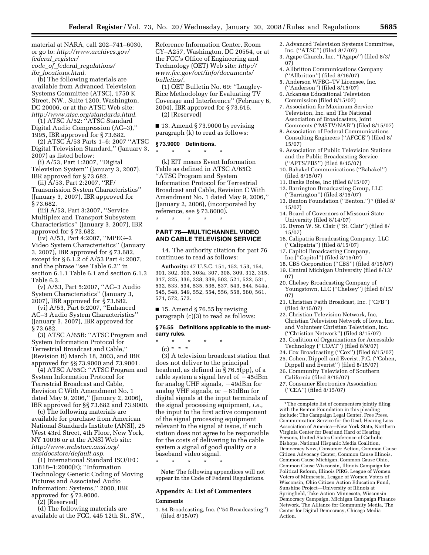material at NARA, call 202–741–6030, or go to: *http://www.archives.gov/ federal*\_*register/ code*\_*of*\_*federal*\_*regulations/ ibr*\_*locations.html*.

(b) The following materials are available from Advanced Television Systems Committee (ATSC), 1750 K Street, NW., Suite 1200, Washington, DC 20006, or at the ATSC Web site: *http://www.atsc.org/standards.html*.

(1) ATSC A/52: ''ATSC Standard Digital Audio Compression (AC–3),'' 1995, IBR approved for § 73.682.

(2) ATSC A/53 Parts 1–6: 2007 ''ATSC Digital Television Standard,'' (January 3, 2007) as listed below:

(i) A/53, Part 1:2007, ''Digital Television System'' (January 3, 2007), IBR approved for § 73.682.

(ii) A/53, Part 2:2007, ''RF/ Transmission System Characteristics'' (January 3, 2007), IBR approved for § 73.682.

(iii) A/53, Part 3:2007, ''Service Multiplex and Transport Subsystem Characteristics'' (January 3, 2007), IBR approved for § 73.682.

(iv) A/53, Part 4:2007, ''MPEG–2 Video System Characteristics'' (January 3, 2007), IBR approved for § 73.682, except for § 6.1.2 of A/53 Part 4: 2007, and the phrase ''see Table 6.2'' in section 6.1.1 Table 6.1 and section 6.1.3 Table 6.3.

(v) A/53, Part 5:2007, ''AC–3 Audio System Characteristics'' (January 3, 2007), IBR approved for § 73.682.

(vi) A/53, Part 6:2007, ''Enhanced AC–3 Audio System Characteristics'' (January 3, 2007), IBR approved for § 73.682.

(3) ATSC A/65B: ''ATSC Program and System Information Protocol for Terrestrial Broadcast and Cable,'' (Revision B) March 18, 2003, and IBR approved for §§ 73.9000 and 73.9001.

(4) ATSC A/65C: ''ATSC Program and System Information Protocol for Terrestrial Broadcast and Cable, Revision C With Amendment No. 1 dated May 9, 2006,'' (January 2, 2006), IBR approved for §§ 73.682 and 73.9000.

(c) The following materials are available for purchase from American National Standards Institute (ANSI), 25 West 43rd Street, 4th Floor, New York, NY 10036 or at the ANSI Web site: *http://www.webstore.ansi.org/ ansidocstore/default.asp*.

(1) International Standard ISO/IEC 13818–1:2000(E); ''Information Technology Generic Coding of Moving Pictures and Associated Audio Information: Systems,'' 2000, IBR approved for § 73.9000.

(2) [Reserved]

(d) The following materials are available at the FCC, 445 12th St., SW., Reference Information Center, Room CY–A257, Washington, DC 20554, or at the FCC's Office of Engineering and Technology (OET) Web site: *http:// www.fcc.gov/oet/info/documents/ bulletins/*.

(1) OET Bulletin No. 69: ''Longley-Rice Methodology for Evaluating TV Coverage and Interference'' (February 6, 2004), IBR approved for § 73.616. (2) [Reserved]

 $\blacksquare$  13. Amend § 73.9000 by revising paragraph (k) to read as follows:

## **§ 73.9000 Definitions.**

\* \* \* \* \*

\* \* \* \* \*

(k) EIT means Event Information Table as defined in ATSC A/65C: ''ATSC Program and System Information Protocol for Terrestrial Broadcast and Cable, Revision C With Amendment No. 1 dated May 9, 2006,'' (January 2, 2006), (incorporated by reference, see § 73.8000).

## **PART 76—MULTICHANNEL VIDEO AND CABLE TELEVISION SERVICE**

14. The authority citation for part 76 continues to read as follows:

**Authority:** 47 U.S.C. 151, 152, 153, 154, 301, 302, 303, 303a, 307, 308, 309, 312, 315, 317, 325, 336, 338, 339, 503, 521, 522, 531, 532, 533, 534, 535, 536, 537, 543, 544, 544a, 545, 548, 549, 552, 554, 556, 558, 560, 561, 571, 572, 573.

 $\blacksquare$  15. Amend § 76.55 by revising paragraph (c)(3) to read as follows:

### **§ 76.55 Definitions applicable to the mustcarry rules.**

- \* \* \* \* \*
- (c) \* \* \*

(3) A television broadcast station that does not deliver to the principal headend, as defined in § 76.5(pp), of a cable system a signal level of  $-45dBm$ for analog UHF signals,  $-49$ dBm for analog VHF signals, or  $-61$ dBm for digital signals at the input terminals of the signal processing equipment, *i.e.*, the input to the first active component of the signal processing equipment relevant to the signal at issue, if such station does not agree to be responsible for the costs of delivering to the cable system a signal of good quality or a baseband video signal.

\* \* \* \* \*

**Note:** The following appendices will not appear in the Code of Federal Regulations.

## **Appendix A: List of Commenters Comments**

1. 54 Broadcasting, Inc. (''54 Broadcasting'') (filed 8/15/07)

- 2. Advanced Television Systems Committee, Inc. (''ATSC'') (filed 8/7/07)
- 3. Agape Church, Inc. ''(Agape'') (filed 8/3/ 07)
- 4. Allbritton Communications Company (''Allbritton'') (filed 8/16/07)
- 5. Anderson WFBC–TV Licensee, Inc. (''Anderson'') (filed 8/15/07)
- 6. Arkansas Educational Television Commission (filed 8/15/07)
- 7. Association for Maximum Service Television, Inc. and The National Association of Broadcasters, Joint Comments (''MSTV/NAB'') (filed 8/15/07)
- 8. Association of Federal Communications Consulting Engineers (''AFCCE'') (filed 8/ 15/07)
- 9. Association of Public Television Stations and the Public Broadcasting Service (''APTS/PBS'') (filed 8/15/07)
- 10. Bahakel Communications (''Bahakel'') (filed 8/15/07)
- 11. Banks Boise, Inc (filed 8/15/07)
- 12. Barrington Broadcasting Group, LLC (''Barrington'') (filed 8/15/07)
- 13. Benton Foundation (''Benton.'') 1 (filed 8/ 15/07)
- 14. Board of Governors of Missouri State University (filed 8/14/07)
- 15. Byron W. St. Clair (''St. Clair'') (filed 8/ 15/07)
- 16. Calipatria Broadcasting Company, LLC (''Calipatria'') (filed 8/15/07)
- 17. Capitol Broadcasting Company, Inc.(''Capitol'') (filed 8/15/07)
- 18. CBS Corporation (''CBS'') (filed 8/15/07) 19. Central Michigan University (filed 8/13/ 07)
- 20. Chelsey Broadcasting Company of Youngstown, LLC ("Chelsey") (filed 8/15/ 07)
- 21. Christian Faith Broadcast, Inc. (''CFB'') (filed 8/15/07)
- 22. Christian Television Network, Inc, Christian Television Network of Iowa, Inc. and Volunteer Christian Television, Inc. (''Christian Network'') (filed 8/15/07)
- 23. Coalition of Organizations for Accessible Technology ("COAT") (filed 8/9/07)
- 24. Cox Broadcasting (''Cox'') (filed 8/15/07) 25. Cohen, Dippell and Everist, P.C. (''Cohen,
- Dippell and Everist'') (filed 8/15/07)
- 26. Community Television of Southern California (filed 8/15/07)
- 27. Consumer Electronics Association (''CEA'') (filed 8/15/07)

<sup>1</sup>The complete list of commenters jointly filing with the Benton Foundation in this pleading include: The Campaign Legal Center, Free Press, Communication Service for the Deaf, Hearing Loss Association of America—New York State, Northern Virginia Center for Deaf and Hard of Hearing Persons, United States Conference of Catholic Bishops, National Hispanic Media Coalition, Democracy Now, Consumer Action, Common Cause Citizen Advocacy Center, Common Cause Illinois, Common Cause Michigan, Common Cause Ohio, Common Cause Wisconsin, Illinois Campaign for Political Reform, Illinois PIRG, League of Women Voters of Minnesota, League of Women Voters of Wisconsin, Ohio Citizen Action Education Fund, Sunshine Project—University of Illinois at Springfield, Take Action Minnesota, Wisconsin Democracy Campaign, Michigan Campaign Finance Network, The Alliance for Community Media, The Center for Digital Democracy, Chicago Media Action.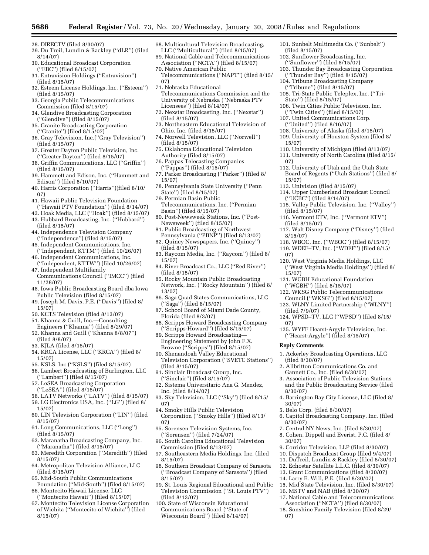- 28. DIRECTV (filed 8/30/07)
- 29. Du Treil, Lundin & Rackley (''dLR'') (filed 8/14/07)
- 30. Educational Broadcast Corporation (''EBC'') (filed 8/15/07)
- 31. Entravision Holdings (''Entravision'') (filed 8/15/07)
- 32. Esteem License Holdings, Inc. (''Esteem'') (filed 8/15/07)
- 33. Georgia Public Telecommunications Commission (filed 8/15/07)
- 34. Glendive Broadcasting Corporation (''Glendive'') (filed 8/15/07)
- 35. Granite Broadcasting Corporation
- (''Granite'') (filed 8/15/07)
- 36. Gray Television, Inc.(''Gray Television'') (filed 8/15/07)
- 37. Greater Dayton Public Television, Inc. (''Greater Dayton'') (filed 8/15/07)
- 38. Griffin Communications, LLC (''Griffin'') (filed 8/15/07)
- 39. Hammett and Edison, Inc. (''Hammett and Edison'') (filed 8/10/07)
- 40. Harris Corporation (''Harris'')(filed 8/10/ 07)
- 41. Hawaii Public Television Foundation (''Hawaii PTV Foundation'') (filed 8/14/07)
- 42. Hoak Media, LLC (''Hoak'') (filed 8/15/07)
- 43. Hubbard Broadcasting, Inc. (''Hubbard'') (filed 8/15/07)
- 44. Independence Television Company (''Independence'') (filed 8/15/07)
- 45. Independent Communications, Inc. (''Independent, KTTM'') (filed 10/26/07)
- 46. Independent Communications, Inc. (''Independent, KTTW'') (filed 10/26/07)
- 47. Independent Multifamily Communications Council (''IMCC'') (filed 11/28/07)
- 48. Iowa Public Broadcasting Board dba Iowa Public Television (filed 8/15/07)
- 49. Joseph M. Davis, P.E. (''Davis'') (filed 8/ 15/07)
- 50. KCTS Television (filed 8/13/07)
- 51. Khanna & Guill, Inc.—Consulting
- Engineers (''Khanna'') (filed 8/29/07) 52. Khanna and Guill (''Khanna 8/8/07'') (filed 8/8/07)
- 53. KJLA (filed 8/15/07)
- 54. KRCA License, LLC (''KRCA'') (filed 8/ 15/07)
- 55. KSLS, Inc (''KSLS'') (filed 8/15/07)
- 56. Lambert Broadcasting of Burlington, LLC (''Lambert'') (filed 8/15/07)
- 57. LeSEA Broadcasting Corporation (''LeSEA'') (filed 8/15/07)
- 58. LATV Networks (''LATV'') (filed 8/15/07)
- 59. LG Electronics USA, Inc. (''LG'') (filed 8/ 15/07)
- 60. LIN Television Corporation (''LIN'') (filed 8/15/07)
- 61. Long Communications, LLC (''Long'') (filed 8/15/07)
- 62. Maranatha Broadcasting Company, Inc. (''Maranatha'') (filed 8/15/07)
- 63. Meredith Corporation (''Meredith'') (filed 8/15/07)
- 64. Metropolitan Television Alliance, LLC (filed 8/15/07)
- 65. Mid-South Public Communications Foundation (''Mid-South'') (filed 8/15/07)
- 66. Montecito Hawaii License, LLC (''Montecito Hawaii'') (filed 8/15/07)
- 67. Montecito Television License Corporation of Wichita (''Montecito of Wichita'') (filed 8/15/07)
- 68. Multicultural Television Broadcasting, LLC (''Multicultural'') (filed 8/15/07)
- 69. National Cable and Telecommunications Association (''NCTA'') (filed 8/15/07) 70. Native American Public
- Telecommunications (''NAPT'') (filed 8/15/ 07)
- 71. Nebraska Educational
- Telecommunications Commission and the University of Nebraska (''Nebraska PTV Licensees'') (filed 8/14/07)
- 72. Nexstar Broadcasting, Inc. (''Nexstar'') (filed 8/15/07)
- 73. Northeastern Educational Television of Ohio, Inc. (filed 8/15/07)
- 74. Norwell Television, LLC (''Norwell'') (filed 8/15/07)
- 75. Oklahoma Educational Television Authority (filed 8/15/07)
- 76. Pappas Telecasting Companies (''Pappas'') (filed 8/15/07)
- 77. Parker Broadcasting (''Parker'') (filed 8/ 15/07)
- 78. Pennsylvania State University (''Penn State'') (filed 8/15/07)
- 79. Permian Basin Public
- Telecommunications, Inc. (''Permian Basin'') (filed 8/15/07)
- 80. Post-Newsweek Stations, Inc. (''Post-Newsweek'') (filed 8/15/07)
- 81. Public Broadcasting of Northwest Pennsylvania (''PBNP'') (filed 8/13/07)
- 82. Quincy Newspapers, Inc. (''Quincy'') (filed 8/15/07)
- 83. Raycom Media, Inc. (''Raycom'') (filed 8/ 15/07)
- 84. River Broadcast Co., LLC (''Red River'') (filed 8/15/07)
- 85. Rocky Mountain Public Broadcasting Network, Inc. (''Rocky Mountain'') (filed 8/ 13/07)
- 86. Saga Quad States Communications, LLC (''Saga'') (filed 8/15/07)
- 87. School Board of Miami Dade County, Florida (filed 8/3/07)
- 88. Scripps Howard Broadcasting Company (''Scripps-Howard'') (filed 8/15/07)
- 89. Scripps Howard Broadcasting— Engineering Statement by John F.X.
- Browne (''Scripps'') (filed 8/15/07) 90. Shenandoah Valley Educational
- Television Corporation (''SVETC Stations'') (filed 8/15/07)
- 91. Sinclair Broadcast Group, Inc. (''Sinclair'') (filed 8/15/07)
- 92. Sistema Universitario Ana G. Mendez, Inc. (filed 8/14/07)
- 93. Sky Television, LLC (''Sky'') (filed 8/15/ 07)
- 94. Smoky Hills Public Television Corporation (''Smoky Hills'') (filed 8/13/ 07)
- 95. Sorensen Television Systems, Inc. (''Sorensen'') (filed 7/24/07)
- 96. South Carolina Educational Television Commission (filed 8/13/07)
- 97. Southeastern Media Holdings, Inc. (filed 8/15/07)
- 98. Southern Broadcast Company of Sarasota (''Broadcast Company of Sarasota'') (filed 8/15/07)
- 99. St. Louis Regional Educational and Public Television Commission (''St. Louis PTV'') (filed 8/13/07)
- 100. State of Wisconsin Educational Communications Board (''State of Wisconsin Board'') (filed 8/14/07)
- 101. Sunbelt Multimedia Co. (''Sunbelt'') (filed 8/15/07)
- 102. Sunflower Broadcasting, Inc.
- (''Sunflower'') (filed 8/15/07)
- 103. Thunder Bay Broadcasting Corporation (''Thunder Bay'') (filed 8/15/07)
- 104. Tribune Broadcasting Company (''Tribune'') (filed 8/15/07)
- 105. Tri-State Public Teleplex, Inc. (''Tri-State'') (filed 8/15/07)
- 106. Twin Cities Public Television, Inc.
- (''Twin Cities'') (filed 8/15/07) 107. United Communications Corp.
- (''United'') (filed 8/16/07)
- 108. University of Alaska (filed 8/15/07)
- 109. University of Houston System (filed 8/
- 15/07)

15/07)

07)

(filed 7/9/07)

**Reply Comments** 

(filed 8/30/07)

5. Belo Corp. (filed 8/30/07)

8/30/07)

30/07)

8/30/07)

30/07)

07)

- 110. University of Michigan (filed 8/13/07)
- 111. University of North Carolina (filed 8/15/ 07)
- 112. University of Utah and the Utah State Board of Regents (''Utah Stations'') (filed 8/ 15/07)
- 113. Univision (filed 8/15/07)
- 114. Upper Cumberland Broadcast Council (''UCBC'') (filed 8/14/07)
- 115. Valley Public Television, Inc. (''Valley'') (filed 8/15/07)
- 116. Vermont ETV, Inc. (''Vermont ETV'') (filed 8/15/07)
- 117. Walt Disney Company (''Disney'') (filed 8/15/07)
- 118. WBOC, Inc. (''WBOC'') (filed 8/15/07)
- 119. WDEF–TV, Inc. (''WDEF'') (filed 8/15/ 07) 120. West Virginia Media Holdings, LLC

121. WGBH Educational Foundation (''WGBH'') (filed 8/15/07) 122. WKSG Public Telecommunications Council (''WKSG'') (filed 8/15/07) 123. WLNY Limited Partnership (''WLNY'')

(''West Virginia Media Holdings'') (filed 8/

124. WPSD–TV, LLC (''WPSD'') (filed 8/15/

125. WYFF Hearst-Argyle Television, Inc. (''Hearst-Argyle'') (filed 8/15/07)

1. Ackerley Broadcasting Operations, LLC

4. Barrington Bay City License, LLC (filed 8/

6. Capitol Broadcasting Company, Inc. (filed

7. Central NY News, Inc. (filed 8/30/07) 8. Cohen, Dippell and Everist, P.C. (filed 8/

9. Corridor Television, LLP (filed 8/30/07) 10. Dispatch Broadcast Group (filed 9/4/07) 11. DuTreil, Lundin & Rackley (filed 8/30/07) 12. Echostar Satellite L.L.C. (filed 8/30/07) 13. Grant Communications (filed 8/30/07) 14. Larry E. Will, P.E. (filed 8/30/07) 15. Mid State Television, Inc. (filed 8/30/07) 16. MSTV and NAB (filed 8/30/07) 17. National Cable and Telecommunications Association (''NCTA'') (filed 8/30/07) 18. Sonshine Family Television (filed 8/29/

2. Allbritton Communications Co. and Gannett Co., Inc. (filed 8/30/07) 3. Association of Public Television Stations and the Public Broadcasting Service (filed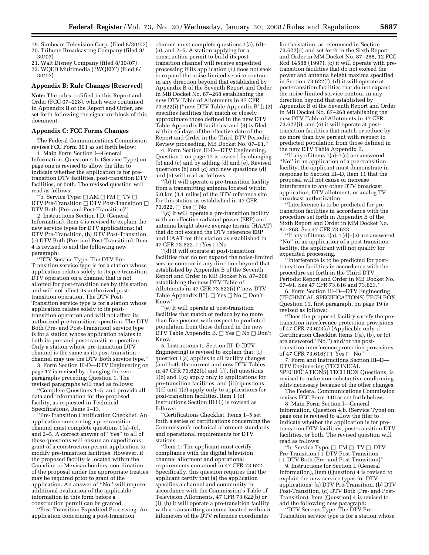19. Sunbeam Television Corp. (filed 8/30/07) 20. Tribune Broadcasting Company (filed 8/ 30/07)

21. Walt Disney Company (filed 8/30/07) 22. WQED Multimedia (''WQED'') (filed 8/ 30/07)

#### **Appendix B: Rule Changes [Reserved]**

**Note:** The rules codified in this Report and Order (FCC 07–228), which were contained in Appendix B of the Report and Order, are set forth following the signature block of this document.

### **Appendix C: FCC Forms Changes**

The Federal Communications Commission revises FCC Form 301 as set forth below:

1. Main Form Section I—General Information, Question 4.b. (Service Type) on page one is revised to allow the filer to indicate whether the application is for pretransition DTV facilities, post-transition DTV facilities, or both. The revised question will read as follows:

"b. Service Type:  $\Box$  AM  $\Box$  FM  $\Box$  TV  $\Box$ DTV Pre-Transition  $\Box$  DTV Post-Transition  $\Box$ DTV Both (Pre- and Post-Transition)''

2. Instructions Section I.D. (General Information), Item 4 is revised to explain the new service types for DTV applications: (a) DTV Pre-Transition, (b) DTV Post-Transition, (c) DTV Both (Pre- and Post-Transition). Item 4 is revised to add the following new paragraph:

''DTV Service Type: The DTV Pre-Transition service type is for a station whose application relates solely to its pre-transition DTV operation on a channel that is not allotted for post-transition use by this station and will not affect its authorized posttransition operation. The DTV Post-Transition service type is for a station whose application relates solely to its posttransition operation and will not affect its authorized pre-transition operation. The DTV Both (Pre- and Post-Transition) service type is for a station whose application relates to both its pre- and post-transition operation. Only a station whose pre-transition DTV channel is the same as its post-transition channel may use the DTV Both service type.''

3. Form Section III-D—DTV Engineering on page 17 is revised by changing the two paragraphs preceding Question 1. The revised paragraphs will read as follows:

''Complete Questions 1–5, and provide all data and information for the proposed facility, as requested in Technical Specifications, Items 1–13.

''Pre-Transition Certification Checklist. An application concerning a pre-transition channel must complete questions 1(a)–(c), and 2–5. A correct answer of ''Yes'' to all of these questions will ensure an expeditious grant of a construction permit application to modify pre-transition facilities. However, if the proposed facility is located within the Canadian or Mexican borders, coordination of the proposal under the appropriate treaties may be required prior to grant of the application. An answer of ''No'' will require additional evaluation of the applicable information in this form before a construction permit can be granted.

''Post-Transition Expedited Processing. An application concerning a post-transition

channel must complete questions 1(a), (d)– (e), and 2–5. A station applying for a construction permit to build its posttransition channel will receive expedited processing if its application (1) does not seek to expand the noise-limited service contour in any direction beyond that established by Appendix B of the Seventh Report and Order in MB Docket No. 87–268 establishing the new DTV Table of Allotments in 47 CFR 73.622(i) (''new DTV Table Appendix B''); (2) specifies facilities that match or closely approximate those defined in the new DTV Table Appendix B facilities; and (3) is filed within 45 days of the effective date of the Report and Order in the Third DTV Periodic Review proceeding, MB Docket No. 07–91.''

4. Form Section III-D—DTV Engineering, Question 1 on page 17 is revised by changing (b) and (c) and by adding (d) and (e). Revised questions (b) and (c) and new questions (d) and (e) will read as follows:

''(b) It will operate a pre-transition facility from a transmitting antenna located within 5.0 km (3.1 miles) of the DTV reference site for this station as established in 47 CFR 73.622.  $\Box$  Yes  $\Box$  No

''(c) It will operate a pre-transition facility with an effective radiated power (ERP) and antenna height above average terrain (HAAT) that do not exceed the DTV reference ERP and HAAT for this station as established in 47 CFR 73.622.  $\Box$  Yes  $\Box$  No

''(d) It will operate at post-transition facilities that do not expand the noise-limited service contour in any direction beyond that established by Appendix B of the Seventh Report and Order in MB Docket No. 87–268 establishing the new DTV Table of Allotments in 47 CFR 73.622(i) (''new DTV Table Appendix B").  $\Box$  Yes  $\Box$  No  $\Box$  Don't Know''

''(e) It will operate at post-transition facilities that match or reduce by no more than five percent with respect to predicted population from those defined in the new DTV Table Appendix B.  $\Box$  Yes  $\Box$  No  $\Box$  Don't Know

5. Instructions to Section III–D (DTV Engineering) is revised to explain that: (i) question 1(a) applies to all facility changes (and both the current and new DTV Tables in 47 CFR 73.622(b) and (i)), (ii) questions 1(b) and 1(c) apply only to applications for pre-transition facilities, and (iii) questions 1(d) and 1(e) apply only to applications for post-transition facilities. Item 1 (of Instructions Section III.H.) is revised as follows:

''Certifications Checklist. Items 1–5 set forth a series of certifications concerning the Commission's technical allotment standards and operational requirements for DTV stations.

''Item 1: The applicant must certify compliance with the digital television channel allotment and operational requirements contained in 47 CFR 73.622. Specifically, this question requires that the applicant certify that (a) the application specifies a channel and community in accordance with the Commission's Table of Television Allotments, 47 CFR 73.622(b) or (i), (b) it will operate a pre-transition facility with a transmitting antenna located within 5 kilometers of the DTV reference coordinates

for the station, as referenced in Section 73.622(d) and set forth in the Sixth Report and Order in MM Docket No. 87–268, 12 FCC Rcd 14588 (1997), (c) it will operate with pretransition facilities that do not exceed the power and antenna height maxima specified in Section 73.622(f), (d) it will operate at post-transition facilities that do not expand the noise-limited service contour in any direction beyond that established by Appendix B of the Seventh Report and Order in MB Docket No. 87–268 establishing the new DTV Table of Allotments in 47 CFR 73.622(i), and (e) it will operate at posttransition facilities that match or reduce by no more than five percent with respect to predicted population from those defined in the new DTV Table Appendix B.

''If any of items 1(a)–1(c) are answered ''No'' in an application of a pre-transition facility, the applicant must demonstrate in response to Section III–D, Item 11 that the proposal will not cause or increase interference to any other DTV broadcast application, DTV allotment, or analog TV broadcast authorization.

''Interference is to be predicted for pretransition facilities in accordance with the procedure set forth in Appendix B of the Sixth Report and Order in MM Docket No. 87–268. See 47 CFR 73.623.

''If any of items 1(a), 1(d)–(e) are answered ''No'' in an application of a post-transition facility, the applicant will not qualify for expedited processing.

''Interference is to be predicted for posttransition facilities in accordance with the procedure set forth in the Third DTV Periodic Report and Order in MB Docket No. 07–91. See 47 CFR 73.616 and 73.623.''

6. Form Section III–D—DTV Engineering (TECHNICAL SPECIFICATIONS) TECH BOX Question 11, first paragraph, on page 19 is revised as follows:

''Does the proposed facility satisfy the pretransition interference protection provisions of 47 CFR 73.623(a) (Applicable only if Certification Checklist Items 1(a), (b), or (c) are answered ''No.'') and/or the posttransition interference protection provisions of 47 CFR 73.616?  $\Box$  Yes  $\Box$  No'

7. Form and Instructions Section III–D— DTV Engineering (TECHNICAL SPECIFICATIONS) TECH BOX Questions, is revised to make non-substantive conforming edits necessary because of the other changes.

The Federal Communications Commission revises FCC Form 340 as set forth below:

8. Main Form Section I—General Information, Question 4.b. (Service Type) on page one is revised to allow the filer to indicate whether the application is for pretransition DTV facilities, post-transition DTV facilities, or both. The revised question will read as follows:

"b. Service Type:  $\Box$  FM  $\Box$  TV  $\Box$  DTV Pre-Transition  $\overline{\bigcap}$  DTV Post-Transition b DTV Both (Pre- and Post-Transition)''

9. Instructions for Section I. (General Information), Item (Question) 4 is revised to explain the new service types for DTV applications: (a) DTV Pre-Transition, (b) DTV Post-Transition, (c) DTV Both (Pre- and Post-Transition). Item (Question) 4 is revised to add the following new paragraph:

''DTV Service Type: The DTV Pre-Transition service type is for a station whose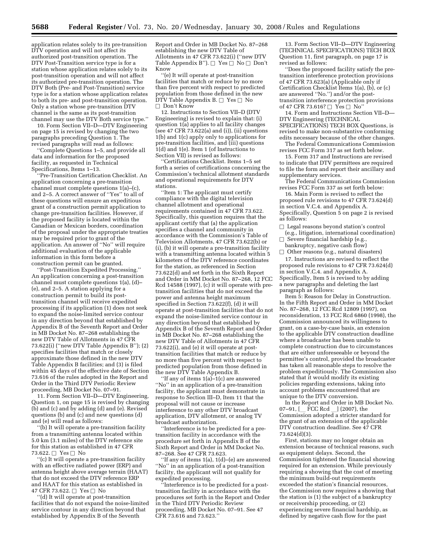application relates solely to its pre-transition DTV operation and will not affect its authorized post-transition operation. The DTV Post-Transition service type is for a station whose application relates solely to its post-transition operation and will not affect its authorized pre-transition operation. The DTV Both (Pre- and Post-Transition) service type is for a station whose application relates to both its pre- and post-transition operation. Only a station whose pre-transition DTV channel is the same as its post-transition channel may use the DTV Both service type."

10. Form Section VII–D—DTV Engineering on page 15 is revised by changing the two paragraphs preceding Question 1. The revised paragraphs will read as follows:

''Complete Questions 1–5, and provide all data and information for the proposed facility, as requested in Technical Specifications, Items 1–13.

''Pre-Transition Certification Checklist. An application concerning a pre-transition channel must complete questions 1(a)–(c), and 2–5. A correct answer of ''Yes'' to all of these questions will ensure an expeditious grant of a construction permit application to change pre-transition facilities. However, if the proposed facility is located within the Canadian or Mexican borders, coordination of the proposal under the appropriate treaties may be required prior to grant of the application. An answer of ''No'' will require additional evaluation of the applicable information in this form before a construction permit can be granted.

''Post-Transition Expedited Processing.'' An application concerning a post-transition channel must complete questions 1(a), (d)– (e), and 2–5. A station applying for a construction permit to build its posttransition channel will receive expedited processing if its application (1) does not seek to expand the noise-limited service contour in any direction beyond that established by Appendix B of the Seventh Report and Order in MB Docket No. 87–268 establishing the new DTV Table of Allotments in 47 CFR 73.622(i) (''new DTV Table Appendix B''); (2) specifies facilities that match or closely approximate those defined in the new DTV Table Appendix B facilities; and (3) is filed within 45 days of the effective date of Section 73.616 of the rules adopted in the Report and Order in the Third DTV Periodic Review proceeding, MB Docket No. 07–91.

11. Form Section VII–D—DTV Engineering, Question 1, on page 15 is revised by changing (b) and (c) and by adding (d) and (e). Revised questions (b) and (c) and new questions (d) and (e) will read as follows:

''(b) It will operate a pre-transition facility from a transmitting antenna located within 5.0 km (3.1 miles) of the DTV reference site for this station as established in 47 CFR 73.622.  $\Box$  Yes  $\Box$  No

''(c) It will operate a pre-transition facility with an effective radiated power (ERP) and antenna height above average terrain (HAAT) that do not exceed the DTV reference ERP and HAAT for this station as established in 47 CFR 73.622.  $\Box$  Yes  $\Box$  No

''(d) It will operate at post-transition facilities that do not expand the noise-limited service contour in any direction beyond that established by Appendix B of the Seventh

Report and Order in MB Docket No. 87–268 establishing the new DTV Table of Allotments in 47 CFR 73.622(i) (''new DTV Table Appendix B").  $\Box$  Yes  $\Box$  No  $\Box$  Don't Know

''(e) It will operate at post-transition facilities that match or reduce by no more than five percent with respect to predicted population from those defined in the new  $\widehat{\mathrm{DTV}}$  Table Appendix B.  $\Box\; \mathrm{Yes} \, \Box\; \mathrm{No}$ □ Don't Know

12. Instructions to Section VII–D (DTV Engineering) is revised to explain that: (i) question 1(a) applies to all facility changes (see 47 CFR 73.622(a) and (i)), (ii) questions 1(b) and 1(c) apply only to applications for pre-transition facilities, and (iii) questions 1(d) and 1(e). Item 1 (of Instructions to Section VII) is revised as follows:

''Certifications Checklist. Items 1–5 set forth a series of certifications concerning the Commission's technical allotment standards and operational requirements for DTV stations.

''Item 1: The applicant must certify compliance with the digital television channel allotment and operational requirements contained in 47 CFR 73.622. Specifically, this question requires that the applicant certify that (a) the application specifies a channel and community in accordance with the Commission's Table of Television Allotments, 47 CFR 73.622(b) or (i), (b) it will operate a pre-transition facility with a transmitting antenna located within 5 kilometers of the DTV reference coordinates for the station, as referenced in Section 73.622(d) and set forth in the Sixth Report and Order in MM Docket No. 87–268, 12 FCC Rcd 14588 (1997), (c) it will operate with pretransition facilities that do not exceed the power and antenna height maximum specified in Section 73.622(f), (d) it will operate at post-transition facilities that do not expand the noise-limited service contour in any direction beyond that established by Appendix B of the Seventh Report and Order in MB Docket No. 87–268 establishing the new DTV Table of Allotments in 47 CFR 73.622(i), and (e) it will operate at posttransition facilities that match or reduce by no more than five percent with respect to predicted population from those defined in the new DTV Table Appendix B.

''If any of items 1(a)–1(c) are answered ''No'' in an application of a pre-transition facility, the applicant must demonstrate in response to Section III–D, Item 11 that the proposal will not cause or increase interference to any other DTV broadcast application, DTV allotment, or analog TV broadcast authorization.

''Interference is to be predicted for a pretransition facility in accordance with the procedure set forth in Appendix B of the Sixth Report and Order in MM Docket No. 87–268. See 47 CFR 73.623.

''If any of items 1(a), 1(d)–(e) are answered ''No'' in an application of a post-transition facility, the applicant will not qualify for expedited processing.

''Interference is to be predicted for a posttransition facility in accordance with the procedures set forth in the Report and Order in the Third DTV Periodic Review proceeding, MB Docket No. 07–91. See 47 CFR 73.616 and 73.623.''

13. Form Section VII–D—DTV Engineering (TECHNICAL SPECIFICATIONS) TECH BOX Question 11, first paragraph, on page 17 is revised as follows:

''Does the proposed facility satisfy the pretransition interference protection provisions of 47 CFR 73.623(a) (Applicable only if Certification Checklist Items 1(a), (b), or (c) are answered ''No.'') and/or the posttransition interference protection provisions of 47 CFR 73.616?  $\Box$  Yes  $\Box$  No'

14. Form and Instructions Section VII–D— DTV Engineering (TECHNICAL SPECIFICATIONS) TECH BOX Questions, is revised to make non-substantive conforming edits necessary because of the other changes.

The Federal Communications Commission revises FCC Form 317 as set forth below.

15. Form 317 and Instructions are revised to indicate that DTV permittees are required to file the form and report their ancillary and supplementary services.

The Federal Communications Commission revises FCC Form 337 as set forth below:

16. Main Form is revised to reflect the proposed rule revisions to 47 CFR 73.624(d) in section V.C.4. and Appendix A. Specifically, Question  $\overline{5}$  on page 2 is revised as follows:

 $\Box$  Legal reasons beyond station's control (e.g., litigation, international coordination)  $\hfill\Box$  <br> Severe financial hardship (e.g.

bankruptcy, negative cash flow)  $\Box$  Other reasons (e.g., natural disasters)

17. Instructions are revised to reflect the proposed rule revisions to 47 CFR 73.624(d) in section V.C.4. and Appendix A. Specifically, Item 5 is revised to by adding a new paragraphs and deleting the last paragraph as follows:

Item 5: Reason for Delay in Construction. In the Fifth Report and Order in MM Docket No. 87–268, 12 FCC Rcd 12809 (1997), on reconsideration, 13 FCC Rcd 6860 (1998), the Commission announced its willingness to grant, on a case-by-case basis, an extension to the applicable DTV construction deadline where a broadcaster has been unable to complete construction due to circumstances that are either unforeseeable or beyond the permittee's control, provided the broadcaster has taken all reasonable steps to resolve the problem expeditiously. The Commission also stated that it would modify its existing policies regarding extensions, taking into account problems encountered that are unique to the DTV conversion.

In the Report and Order in MB Docket No.<br>07–91, [ FCC Rcd ] (2007), the 07–91, [\_\_ FCC Rcd \_\_] (2007), the<br>Commission adopted a stricter standard for the grant of an extension of the applicable DTV construction deadline. See 47 CFR 73.624(d)(3).

First, stations may no longer obtain an extension because of technical reasons, such as equipment delays. Second, the Commission tightened the financial showing required for an extension. While previously requiring a showing that the cost of meeting the minimum build-out requirements exceeded the station's financial resources, the Commission now requires a showing that the station is (1) the subject of a bankruptcy or receivership proceeding, or (2) experiencing severe financial hardship, as defined by negative cash flow for the past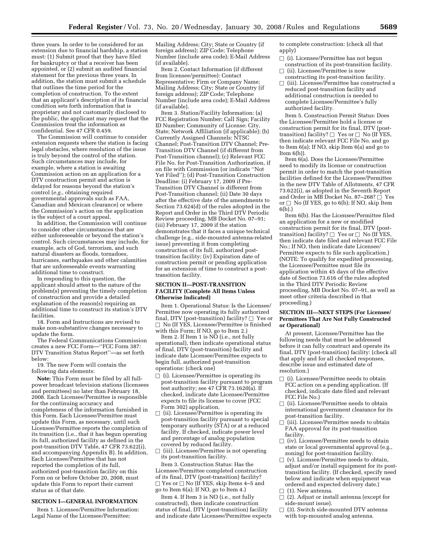three years. In order to be considered for an extension due to financial hardship, a station must: (1) Submit proof that they have filed for bankruptcy or that a receiver has been appointed, or (2) submit an audited financial statement for the previous three years. In addition, the station must submit a schedule that outlines the time period for the completion of construction. To the extent that an applicant's description of its financial condition sets forth information that is proprietary and not customarily disclosed to the public, the applicant may request that the Commission treat the information as confidential. See 47 CFR 0.459.

The Commission will continue to consider extension requests where the station is facing legal obstacles, where resolution of the issue is truly beyond the control of the station. Such circumstances may include, for example, where a station is awaiting Commission action on an application for a DTV construction permit and action is delayed for reasons beyond the station's control (*e.g.*, obtaining required governmental approvals such as FAA, Canadian and Mexican clearance) or where the Commission's action on the application is the subject of a court appeal.

In addition, the Commission will continue to consider other circumstances that are either unforeseeable or beyond the station's control. Such circumstances may include, for example, acts of God, terrorism, and such natural disasters as floods, tornadoes, hurricanes, earthquakes and other calamities that are unforeseeable events warranting additional time to construct.

In responding to this question, the applicant should attest to the nature of the problem(s) preventing the timely completion of construction and provide a detailed explanation of the reason(s) requiring an additional time to construct its station's DTV facilities.

18. Form and Instructions are revised to make non-substantive changes necessary to update the form.

The Federal Communications Commission creates a new FCC Form—''FCC Form 387: DTV Transition Status Report''—as set forth below:

19. The new Form will contain the following data elements:

**Note:** This Form must be filed by all fullpower broadcast television stations (licensees and permittees) no later than February 18, 2008. Each Licensee/Permittee is responsible for the continuing accuracy and completeness of the information furnished in this Form. Each Licensee/Permittee must update this Form, as necessary, until such Licensee/Permittee reports the completion of its transition (i.e., that it has begun operating its full, authorized facility as defined in the post-transition DTV Table, 47 CFR 73.622(i), and accompanying Appendix B). In addition, Each Licensee/Permittee that has not reported the completion of its full, authorized post-transition facility on this Form on or before October 20, 2008, must update this Form to report their current status as of that date.

### **SECTION I—GENERAL INFORMATION**

Item 1. Licensee/Permittee Information: Legal Name of the Licensee/Permittee;

Mailing Address; City; State or Country (if foreign address); ZIP Code; Telephone Number (include area code); E-Mail Address (if available).

Item 2. Contact Information (if different from licensee/permittee): Contact Representative; Firm or Company Name; Mailing Address; City; State or Country (if foreign address); ZIP Code; Telephone Number (include area code); E-Mail Address (if available).

Item 3. Station/Facility Information: (a) FCC Registration Number; Call Sign; Facility ID Number; Community of License: City, State; Network Affiliation (if applicable); (b) Currently Assigned Channels: NTSC Channel; Post-Transition DTV Channel; Pre-Transition DTV Channel (if different from Post-Transition channel); (c) Relevant FCC File No. for Post-Transition Authorization, if on file with Commission (or indicate ''Not Yet Filed''); (d) Post-Transition Construction Deadline: (i) February 17, 2009 if Pre-Transition DTV Channel is different from Post-Transition channel; (ii) Date 30 days after the effective date of the amendments to Section 73.624(d) of the rules adopted in the Report and Order in the Third DTV Periodic Review proceeding, MB Docket No. 07–91; (iii) February 17, 2009 if the station demonstrates that it faces a unique technical challenge (e.g., side-mounted antenna-related issue) preventing it from completing construction of its full, authorized posttransition facility; (iv) Expiration date of construction permit or pending application for an extension of time to construct a posttransition facility.

### **SECTION II—POST-TRANSITION FACILITY (Complete All Items Unless Otherwise Indicated)**

Item 1. Operational Status: Is the Licensee/ Permittee now operating its fully authorized final, DTV (post-transition) facility?  $\Box$  Yes or  $\Box$  No (If YES, Licensee/Permittee is finished with this Form; If NO, go to Item 2.)

Item 2. If Item 1 is NO (i.e., not fully operational), then indicate operational status of final, DTV (post-transition) facility and indicate date Licensee/Permittee expects to begin full, authorized post-transition operations: (check one)

- $\Box$  (i). Licensee/Permittee is operating its post-transition facility pursuant to program test authority; see 47 CFR 73.1620(a). If checked, indicate date Licensee/Permittee expects to file its license to cover (FCC Form 302) application.
- $\Box$  (ii). Licensee/Permittee is operating its post-transition facility pursuant to special temporary authority (STA) or at a reduced facility. If checked, indicate power level and percentage of analog population covered by reduced facility.
- $\Box$  (iii). Licensee/Permittee is not operating its post-transition facility.

Item 3. Construction Status: Has the Licensee/Permittee completed construction of its final, DTV (post-transition) facility?  $\Box$  Yes or  $\Box$  No (If YES, skip Items 4–5 and go to Item 6(a); If NO, go to Item 4.)

Item 4. If Item 3 is NO (i.e., not fully constructed), then indicate construction status of final, DTV (post-transition) facility and indicate date Licensee/Permittee expects to complete construction: (check all that apply)

- $\Box$  (i). Licensee/Permittee has not begun construction of its post-transition facility.
- $\Box$  (ii). Licensee/Permittee is now constructing its post-transition facility.
- $\Box$  (iii). Licensee/Permittee has constructed a reduced post-transition facility and additional construction is needed to complete Licensee/Permittee's fully authorized facility.

Item 5. Construction Permit Status: Does the Licensee/Permittee hold a license or construction permit for its final, DTV (posttransition) facility?  $\Box$  Yes or  $\Box$  No (If YES, then indicate relevant FCC File No. and go to Item 6(a); If NO, skip Item 6(a) and go to Item 6(b)).

Item 6(a). Does the Licensee/Permittee need to modify its license or construction permit in order to match the post-transition facilities defined for the Licensee/Permittee in the new DTV Table of Allotments, 47 CFR 73.622(i), as adopted in the Seventh Report and Order in MB Docket No. 87-268?  $\Box$  Yes or  $\Box$  No (If YES, go to 6(b); If NO, skip Item 6(b).)

Item 6(b). Has the Licensee/Permittee filed an application for a new or modified construction permit for its final, DTV (posttransition) facility?  $\Box$  Yes or  $\Box$  No (If YES then indicate date filed and relevant FCC File No.; If NO, then indicate date Licensee/ Permittee expects to file such application.) (NOTE: To qualify for expedited processing, the Licensee/Permittee must file its application within 45 days of the effective date of Section 73.616 of the rules adopted in the Third DTV Periodic Review proceeding, MB Docket No. 07–91, as well as meet other criteria described in that proceeding.)

### **SECTION III—NEXT STEPS (For Licensee/ Permittees That Are Not Fully Constructed or Operational)**

At present, Licensee/Permittee has the following needs that must be addressed before it can fully construct and operate its final, DTV (post-transition) facility: (check all that apply and for all checked responses, describe issue and estimated date of resolution.)

- $\Box$  (i). Licensee/Permittee needs to obtain FCC action on a pending application. (If checked, indicate date filed and relevant FCC File No.)
- $\Box$  (ii). Licensee/Permittee needs to obtain international government clearance for its post-transition facility.
- $\Box$  (iii). Licensee/Permittee needs to obtain FAA approval for its post-transition facility.
- $\Box$  (iv). Licensee/Permittee needs to obtain state or local governmental approval (e.g., zoning) for post-transition facility.
- $\Box$  (v). Licensee/Permittee needs to obtain, adjust and/or install equipment for its posttransition facility. (If checked, specify need below and indicate when equipment was ordered and expected delivery date.)
- □ (1). New antenna.<br>□ (2). Adiust or insta
- $\Box$  (2). Adjust or install antenna (except for side-mount issue) side-mount issue).
- $\Box$  (3). Switch side-mounted DTV antenna with top-mounted analog antenna.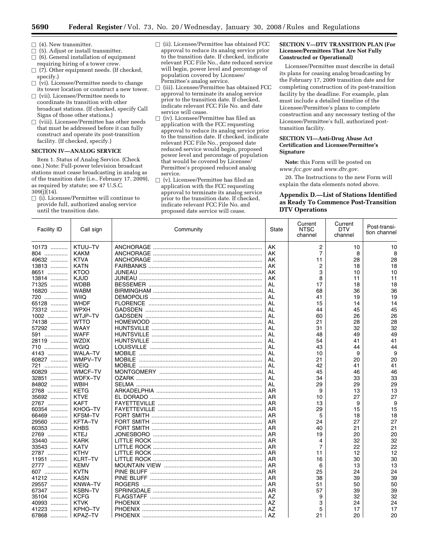- $\Box$  (4). New transmitter.<br> $\Box$  (5). Adjust or install
- b (5). Adjust or install transmitter.
- $\Box$  (6). General installation of equipment requiring hiring of a tower crew.
- $\Box$  (7). Other equipment needs. (If checked, specify.)
- $\Box$  (vi). Licensee/Permittee needs to change its tower location or construct a new tower.
- $\Box$  (vii). Licensee/Permittee needs to coordinate its transition with other broadcast stations. (If checked, specify Call Signs of those other stations.)
- $\Box$  (viii). Licensee/Permittee has other needs that must be addressed before it can fully construct and operate its post-transition facility. (If checked, specify.)

### **SECTION IV—ANALOG SERVICE**

Item 1. Status of Analog Service. (Check one.) Note: Full-power television broadcast stations must cease broadcasting in analog as of the transition date (i.e., February 17, 2009), as required by statute; see 47 U.S.C.  $309(j)(14)$ .

 $\Box$  (i). Licensee/Permittee will continue to provide full, authorized analog service until the transition date.

- $\Box$  (ii). Licensee/Permittee has obtained FCC approval to reduce its analog service prior to the transition date. If checked, indicate relevant FCC File No., date reduced service will begin, power level and percentage of population covered by Licensee/ Permittee's analog service.
- $\square$  (iii). Licensee/Permittee has obtained FCC approval to terminate its analog service prior to the transition date. If checked, indicate relevant FCC File No. and date service will cease.
- $\Box$  (iv). Licensee/Permittee has filed an application with the FCC requesting approval to reduce its analog service prior to the transition date. If checked, indicate relevant FCC File No., proposed date reduced service would begin, proposed power level and percentage of population that would be covered by Licensee/ Permittee's proposed reduced analog service.
- $\Box$  (v). Licensee/Permittee has filed an application with the FCC requesting approval to terminate its analog service prior to the transition date. If checked, indicate relevant FCC File No. and proposed date service will cease.

### **SECTION V—DTV TRANSITION PLAN (For Licensee/Permittees That Are Not Fully Constructed or Operational)**

Licensee/Permittee must describe in detail its plans for ceasing analog broadcasting by the February 17, 2009 transition date and for completing construction of its post-transition facility by the deadline. For example, plan must include a detailed timeline of the Licensee/Permittee's plans to complete construction and any necessary testing of the Licensee/Permittee's full, authorized posttransition facility.

## **SECTION VI—Anti-Drug Abuse Act Certification and Licensee/Permittee's Signature**

**Note:** this Form will be posted on *www.fcc.gov* and *www.dtv.gov.* 

20. The Instructions to the new Form will explain the data elements noted above.

## **Appendix D.—List of Stations Identified as Ready To Commence Post-Transition DTV Operations**

| Facility ID | Call sign      | Community      | State | Current<br><b>NTSC</b><br>channel | Current<br><b>DTV</b><br>channel | Post-transi-<br>tion channel |
|-------------|----------------|----------------|-------|-----------------------------------|----------------------------------|------------------------------|
| 10173       | KTUU-TV        |                | AK    | $\overline{c}$                    | 10                               | 10                           |
| 804         | <b>KAKM</b>    |                | AK    | $\overline{7}$                    | 8                                | 8                            |
| 49632       | <b>KTVA</b>    |                | AK    | 11                                | 28                               | 28                           |
| 13813       | <b>KATN</b>    |                | AK    | 2                                 | 18                               | 18                           |
| 8651        | <b>KTOO</b>    |                | AK    | 3                                 | 10                               | 10                           |
| 13814       | <b>KJUD</b>    |                | AK    | 8                                 | 11                               | 11                           |
| 71325       | <b>WDBB</b>    |                | AL    | 17                                | 18                               | 18                           |
| 16820       | <b>WABM</b>    |                | AL    | 68                                | 36                               | 36                           |
| 720         | WIIQ           |                | AL    | 41                                | 19                               | 19                           |
| 65128       | <b>WHDF</b>    |                | AL    | 15                                | 14                               | 14                           |
| 73312       | <b>WPXH</b>    |                | AL    | 44                                | 45                               | 45                           |
| 1002        | WTJP-TV        |                | AL    | 60                                | 26                               | 26                           |
| 74138       | <b>WTTO</b>    |                | AL    | 21                                | 28                               | 28                           |
| 57292       | WAAY           |                | AL    | 31                                | 32                               | 32                           |
| 591         | <b>WAFF</b>    |                | AL    | 48                                | 49                               | 49                           |
| 28119       | <b>WZDX</b>    |                | AL    | 54                                | 41                               | 41                           |
| 710         | <b>WGIO</b>    |                | AL    | 43                                | 44                               | 44                           |
| 4143        | <b>WALA-TV</b> | <b>MOBILE</b>  | AL    | 10                                | 9                                | 9                            |
| 60827       | WMPV-TV        | <b>MOBILE</b>  | AL    | 21                                | 20                               | 20                           |
| 721         | <b>WEIQ</b>    |                | AL    | 42                                | 41                               | 41                           |
| 60829       | <b>WMCF-TV</b> |                | AL    | 45                                | 46                               | 46                           |
| 32851<br>.  | WDFX-TV        |                | AL    | 34                                | 33                               | 33                           |
| 84802       | <b>WBIH</b>    |                | AL    | 29                                | 29                               | 29                           |
| 2768        | <b>KETG</b>    |                | AR    | 9                                 | 13                               | 13                           |
| 35692       | <b>KTVE</b>    |                | AR    | 10                                | 27                               | 27                           |
| 2767        | <b>KAFT</b>    |                | AR    | 13                                | 9                                | 9                            |
| 60354       | KHOG-TV        |                | AR    | 29                                | 15                               | 15                           |
| 66469<br>.  | <b>KFSM-TV</b> |                | AR    | 5                                 | 18                               | 18                           |
| 29560       | <b>KFTA-TV</b> |                | AR    | 24                                | 27                               | 27                           |
| 60353       | <b>KHBS</b>    |                | AR    | 40                                | 21                               | 21                           |
| 2769        | <b>KTEJ</b>    |                | AR    | 19                                | 20                               | 20                           |
| 33440       | <b>KARK</b>    |                | AR    | 4                                 | 32                               | 32                           |
| 33543       | <b>KATV</b>    |                | AR    | $\overline{7}$                    | 22                               | 22                           |
| 2787        | <b>KTHV</b>    |                | AR    | 11                                | 12                               | 12                           |
| 11951       | <b>KLRT-TV</b> |                | AR    | 16                                | 30                               | 30                           |
| 2777        | <b>KEMV</b>    |                | AR    | 6                                 | 13                               | 13                           |
| 607         | <b>KVTN</b>    |                | AR    | 25                                | 24                               | 24                           |
| 41212       | <b>KASN</b>    |                | AR    | 38                                | 39                               | 39                           |
| 29557       | <b>KNWA-TV</b> |                | AR    | 51                                | 50                               | 50                           |
| 67347       | <b>KSBN-TV</b> |                | AR    | 57                                | 39                               | 39                           |
| 35104       | <b>KCFG</b>    |                | AZ    | 9                                 | 32                               | 32                           |
| 40993<br>.  | <b>KTVK</b>    | <b>PHOENIX</b> | AZ    | 3                                 | 24                               | 24                           |
| 41223<br>.  | KPHO-TV        |                | AZ    | 5                                 | 17                               | 17                           |
| 67868       | KPAZ-TV        |                | AZ    | 21                                | 20                               | 20                           |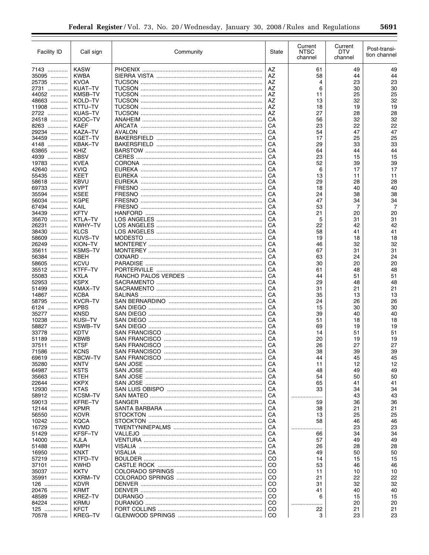| <b>Facility ID</b> | Call sign                     | Community                         | State                          | Current<br><b>NTSC</b><br>channel | Current<br>DTV<br>channel | Post-transi-<br>tion channel |
|--------------------|-------------------------------|-----------------------------------|--------------------------------|-----------------------------------|---------------------------|------------------------------|
| 7143               | <b>KASW</b>                   |                                   | AZ                             | 61                                | 49                        | 49                           |
| 35095              | <b>KWBA</b>                   |                                   | AZ                             | 58                                | 44                        | 44                           |
| 25735              | KVOA                          |                                   | AZ                             | 4                                 | 23                        | 23                           |
| 2731               | KUAT-TV                       |                                   | AZ                             | 6                                 | 30                        | 30                           |
| 44052              | <b>KMSB-TV</b>                |                                   | AZ                             | 11                                | 25                        | 25<br>32                     |
| 48663<br>11908     | KOLD-TV<br>KTTU-TV            |                                   | AZ<br>AZ                       | 13<br>18                          | 32<br>19                  | 19                           |
| 2722               | KUAS-TV                       |                                   | AZ                             | 27                                | 28                        | 28                           |
| 24518              | KDOC-TV                       |                                   | CA                             | 56                                | 32                        | 32                           |
| 8263               | <b>KAEF</b>                   |                                   | CA                             | 23                                | 22                        | 22                           |
| 29234              | <b>KAZA-TV</b>                |                                   | CA                             | 54                                | 47                        | 47                           |
| 34459              | KGET-TV                       |                                   | CA                             | 17                                | 25                        | 25                           |
| 4148               | KBAK-TV                       |                                   | СA                             | 29                                | 33                        | 33                           |
| 63865              | KHIZ                          |                                   | CA                             | 64                                | 44                        | 44                           |
| 4939               | <b>KBSV</b><br><b>KVEA</b>    |                                   | CA                             | 23                                | 15                        | 15<br>39                     |
| 19783<br>42640     | <b>KVIQ</b>                   |                                   | CA<br>СA                       | 52<br>6                           | 39<br>17                  | 17                           |
| 55435              | <b>KEET</b>                   |                                   | CA                             | 13                                | 11                        | 11                           |
| 58618              | <b>KBVU</b>                   |                                   | CA                             | 29                                | 28                        | 28                           |
| 69733              | <b>KVPT</b>                   |                                   | CA                             | 18                                | 40                        | 40                           |
| 35594<br>.         | <b>KSEE</b>                   |                                   | СA                             | 24                                | 38                        | 38                           |
| 56034              | <b>KGPE</b>                   |                                   | CA                             | 47                                | 34                        | 34                           |
| 67494<br>.         | KAIL                          |                                   | CA                             | 53                                | 7                         | 7                            |
| 34439              | <b>KFTV</b>                   |                                   | СA                             | 21                                | 20                        | 20                           |
| 35670              | KTLA-TV                       |                                   | СA                             | 5                                 | 31                        | 31                           |
| 26231<br>.         | KWHY-TV                       |                                   | СA                             | 22                                | 42                        | 42                           |
| 38430              | <b>KLCS</b>                   |                                   | СA                             | 58                                | 41                        | 41                           |
| 58609<br>.         | KUVS-TV<br>KION-TV            |                                   | СA                             | 19                                | 18                        | 18<br>32                     |
| 26249<br>35611     | <b>KSMS-TV</b>                |                                   | СA<br>СA                       | 46<br>67                          | 32<br>31                  | 31                           |
| 56384<br>.         | KBEH                          |                                   | СA                             | 63                                | 24                        | 24                           |
| 58605              | KCVU                          |                                   | СA                             | 30                                | 20                        | 20                           |
| 35512              | KTFF-TV                       |                                   | СA                             | 61                                | 48                        | 48                           |
| 55083              | <b>KXLA</b>                   |                                   | СA                             | 44                                | 51                        | 51                           |
| 52953              | <b>KSPX</b>                   |                                   | СA                             | 29                                | 48                        | 48                           |
| 51499<br>.         | KMAX-TV                       |                                   | СA                             | 31                                | 21                        | 21                           |
| 14867              | <b>KCBA</b>                   |                                   | СA                             | 35                                | 13                        | 13                           |
| 58795              | <b>KVCR-TV</b>                |                                   | СA                             | 24                                | 26                        | 26                           |
| 6124               | <b>KPBS</b>                   |                                   | СA                             | 15                                | 30                        | 30                           |
| 35277              | <b>KNSD</b>                   |                                   | СA                             | 39                                | 40                        | 40                           |
| 10238              | KUSI-TV                       |                                   | СA                             | 51                                | 18                        | 18                           |
| 58827<br>33778     | <b>KSWB-TV</b><br><b>KDTV</b> |                                   | СA<br>СA                       | 69<br>14                          | 19<br>51                  | 19<br>51                     |
| 51189<br>.         | <b>KBWB</b>                   |                                   | CA                             | 20                                | 19                        | 19                           |
| 37511              | <b>KTSF</b>                   |                                   | CA                             | 26                                | 27                        | 27                           |
| 71586<br>.         | <b>KCNS</b>                   | <b>SAN FRANCISCO</b>              | CA                             | 38                                | 39                        | 39                           |
| 69619              | <b>KBCW-TV</b>                |                                   | СA                             | 44                                | 45                        | 45                           |
| 35280              | <b>KNTV</b>                   |                                   | СA                             | 11                                | 12                        | 12                           |
| 64987              | <b>KSTS</b>                   | SAN JOSE ……………………………………………………………… | СA                             | 48                                | 49                        | 49                           |
| 35663              | <b>KTEH</b>                   |                                   | CA                             | 54                                | 50                        | 50                           |
| 22644              | <b>KKPX</b>                   |                                   | CA                             | 65                                | 41                        | 41                           |
| 12930              | <b>KTAS</b>                   |                                   | CA                             | 33                                | 34                        | 34                           |
| 58912              | <b>KCSM-TV</b>                |                                   | СA                             | .                                 | 43                        | 43                           |
| 59013<br>12144     | KFRE-TV<br><b>KPMR</b>        |                                   | CA<br>CA                       | 59                                | 36<br>21                  | 36<br>21                     |
| 56550              | <b>KOVR</b>                   |                                   | CA                             | 38<br>13                          | 25                        | 25                           |
| 10242              | <b>KQCA</b>                   |                                   | CA                             | 58                                | 46                        | 46                           |
| 16729              | <b>KVMD</b>                   |                                   | CA                             | .                                 | 23                        | 23                           |
| 51429              | <b>KFSF-TV</b>                |                                   | СA                             | 66                                | 34                        | 34                           |
| 14000              | <b>KJLA</b>                   |                                   | CA                             | 57                                | 49                        | 49                           |
| 51488              | <b>KMPH</b>                   |                                   | СA                             | 26                                | 28                        | 28                           |
| 16950              | <b>KNXT</b>                   |                                   | CA                             | 49                                | 50                        | 50                           |
| 57219              | KTFD-TV                       |                                   | CO                             | 14                                | 15                        | 15                           |
| 37101              | <b>KWHD</b>                   |                                   | <sub>CO</sub>                  | 53                                | 46                        | 46                           |
| 35037              | <b>KKTV</b>                   |                                   | CO                             | 11                                | 10                        | 10                           |
| 35991              | <b>KXRM-TV</b>                |                                   | CO                             | 21                                | 22                        | 22                           |
| 126                | <b>KDVR</b>                   |                                   | CO                             | 31                                | 32                        | 32                           |
| 20476<br>48589     | <b>KRMT</b><br>KREZ-TV        |                                   | <sub>CO</sub><br><sub>CO</sub> | 41<br>6                           | 40<br>15                  | 40<br>15                     |
| 84224              | <b>KRMU</b>                   |                                   | <sub>CO</sub>                  | .                                 | 20                        | 20                           |
| 125                | <b>KFCT</b>                   |                                   | CO.                            | 22                                | 21                        | 21                           |
| 70578              | KREG-TV                       |                                   | <sub>CO</sub>                  | 3                                 | 23                        | 23                           |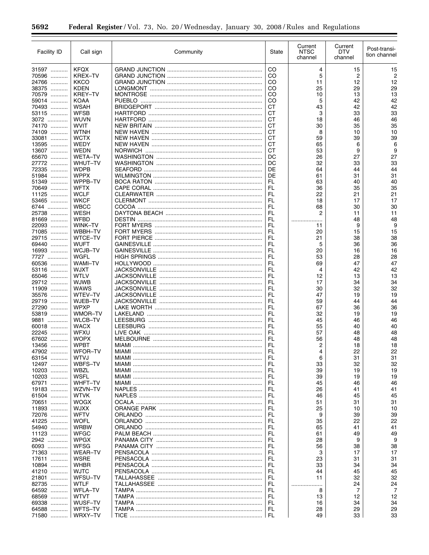| Facility ID    | Call sign                     | Community | State     | Current<br><b>NTSC</b><br>channel | Current<br><b>DTV</b><br>channel | Post-transi-<br>tion channel |
|----------------|-------------------------------|-----------|-----------|-----------------------------------|----------------------------------|------------------------------|
| 31597          | <b>KFQX</b>                   |           | CO        | 4                                 | 15                               | 15                           |
| 70596          | KREX-TV                       |           | CO        | 5                                 | 2                                | 2                            |
| 24766          | KKCO                          |           | CO        | 11                                | 12                               | 12                           |
| 38375          | <b>KDEN</b>                   |           | CO        | 25                                | 29                               | 29                           |
| 70579          | KREY-TV                       |           | CO        | 10                                | 13                               | 13                           |
| 59014<br>70493 | <b>KOAA</b><br><b>WSAH</b>    |           | CO<br>СT  | 5<br>43                           | 42<br>42                         | 42<br>42                     |
| 53115          | <b>WFSB</b>                   |           | <b>CT</b> | 3                                 | 33                               | 33                           |
| 3072           | <b>WUVN</b>                   |           | СT        | 18                                | 46                               | 46                           |
| 74170          | <b>WVIT</b>                   |           | СT        | 30                                | 35                               | 35                           |
| 74109          | <b>WTNH</b>                   |           | <b>CT</b> | 8                                 | 10                               | 10                           |
| 33081          | <b>WCTX</b>                   |           | СT        | 59                                | 39                               | 39                           |
| 13595<br>13607 | WEDY<br><b>WEDN</b>           |           | СT<br>СT  | 65<br>53                          | 6<br>9                           | 6<br>9                       |
| 65670          | <b>WETA-TV</b>                |           | DC        | 26                                | 27                               | 27                           |
| 27772          | WHUT-TV                       |           | DC        | 32                                | 33                               | 33                           |
| 72335          | <b>WDPB</b>                   |           | DE        | 64                                | 44                               | 44                           |
| 51984          | <b>WPPX</b>                   |           | DE        | 61                                | 31                               | 31                           |
| 51349          | WPPB-TV                       |           | FL        | 63                                | 40                               | 40                           |
| 70649<br>11125 | <b>WFTX</b><br><b>WCLF</b>    |           | FL<br>FL  | 36<br>22                          | 35                               | 35<br>21                     |
| 53465          | <b>WKCF</b>                   |           | FL        | 18                                | 21<br>17                         | 17                           |
| 6744           | <b>WBCC</b>                   |           | FL        | 68                                | 30                               | 30                           |
| 25738          | <b>WESH</b>                   |           | FL        | 2                                 | 11                               | 11                           |
| 81669          | <b>WFBD</b>                   |           | FL        | .                                 | 48                               | 48                           |
| 22093          | WINK-TV                       |           | FL        | 11                                | 9                                | 9                            |
| 71085          | WBBH-TV                       |           | FL        | 20                                | 15                               | 15                           |
| 29715          | <b>WTCE-TV</b><br><b>WUFT</b> |           | FL<br>FL  | 21                                | 38                               | 38<br>36                     |
| 69440<br>16993 | WCJB-TV                       |           | FL        | 5<br>20                           | 36<br>16                         | 16                           |
| 7727           | WGFL                          |           | FL        | 53                                | 28                               | 28                           |
| 60536          | <b>WAMI-TV</b>                |           | FL        | 69                                | 47                               | 47                           |
| 53116          | <b>WJXT</b>                   |           | FL        | 4                                 | 42                               | 42                           |
| 65046          | WTLV                          |           | FL        | 12                                | 13                               | 13                           |
| 29712          | <b>WJWB</b>                   |           | FL        | 17                                | 34                               | 34                           |
| 11909          | WAWS                          |           | FL<br>FL  | 30                                | 32                               | 32                           |
| 35576<br>29719 | WTEV-TV<br>WJEB-TV            |           | FL        | 47<br>59                          | 19<br>44                         | 19<br>44                     |
| 27290          | <b>WPXP</b>                   |           | FL        | 67                                | 36                               | 36                           |
| 53819          | WMOR-TV                       |           | FL        | 32                                | 19                               | 19                           |
| 9881           | <b>WLCB-TV</b>                |           | FL        | 45                                | 46                               | 46                           |
| 60018          | <b>WACX</b>                   |           | FL        | 55                                | 40                               | 40                           |
| 22245          | <b>WFXU</b>                   |           | FL        | 57                                | 48                               | 48                           |
| 67602<br>13456 | <b>WOPX</b><br><b>WPBT</b>    |           | FL<br>FL  | 56<br>2                           | 48<br>18                         | 48<br>18                     |
| 47902          | WFOR-TV                       |           | FL        | 4                                 | 22                               | 22                           |
| 63154          | WTVJ                          |           | FL        | 6                                 | 31                               | 31                           |
| 12497          | WBFS-TV                       |           | FL        | 33                                | 32                               | 32                           |
| 10203          | WBZL                          |           | FL        | 39                                | 19                               | 19                           |
| 10203          | WSFL                          |           | FL        | 39                                | 19                               | 19                           |
| 67971          | WHFT-TV<br>WZVN-TV            |           | FL        | 45                                | 46                               | 46                           |
| 19183<br>61504 | <b>WTVK</b>                   |           | FL<br>FL  | 26<br>46                          | 41<br>45                         | 41<br>45                     |
| 70651          | <b>WOGX</b>                   |           | FL        | 51                                | 31                               | 31                           |
| 11893          | <b>WJXX</b>                   |           | FL        | 25                                | 10                               | 10                           |
| 72076          | <b>WFTV</b>                   |           | FL        | 9                                 | 39                               | 39                           |
| 41225          | <b>WOFL</b>                   |           | FL        | 35                                | 22                               | 22                           |
| 54940          | <b>WRBW</b>                   |           | FL        | 65                                | 41                               | 41                           |
| 11123          | <b>WFGC</b>                   |           | FL        | 61                                | 49                               | 49<br>9                      |
| 2942<br>6093   | <b>WPGX</b><br><b>WFSG</b>    |           | FL<br>FL  | 28<br>56                          | 9<br>38                          | 38                           |
| 71363          | <b>WEAR-TV</b>                |           | FL        | 3                                 | 17                               | 17                           |
| 17611          | <b>WSRE</b>                   |           | FL        | 23                                | 31                               | 31                           |
| 10894          | <b>WHBR</b>                   |           | FL        | 33                                | 34                               | 34                           |
| 41210          | <b>WJTC</b>                   |           | FL        | 44                                | 45                               | 45                           |
| 21801          | WFSU-TV                       |           | FL        | 11                                | 32                               | 32                           |
| 82735          | <b>WTLF</b>                   |           | FL<br>FL  | .                                 | 24                               | 24                           |
| 64592<br>68569 | <b>WFLA-TV</b><br><b>WTVT</b> |           | FL        | 8<br>13                           | 7<br>12                          | 7<br>12                      |
| 69338          | WUSF-TV                       |           | FL        | 16                                | 34                               | 34                           |
| 64588          | WFTS-TV                       |           | FL        | 28                                | 29                               | 29                           |
| 71580          | WRXY-TV                       |           | FL        | 49                                | 33                               | 33                           |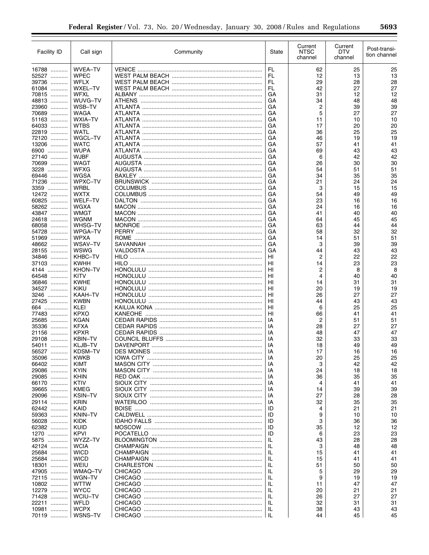| <b>WVEA-TV</b><br>FL<br>62<br>25<br>16788<br>25<br>13<br>13<br>52527<br><b>WPEC</b><br>FL<br>12<br>28<br>39736<br>WFLX<br>FL<br>29<br>28<br>27<br>27<br>61084<br>WXEL-TV<br>FL<br>42<br><b>WFXL</b><br>12<br>70815<br>GA<br>31<br>12<br>48<br>WUVG-TV<br>48813<br>GA<br>34<br>48<br>39<br>WSB-TV<br>2<br>23960<br>GА<br>39<br>5<br>27<br>70689<br><b>WAGA</b><br>GA<br>27<br>WXIA-TV<br>10<br>51163<br>GA<br>11<br>10<br>20<br>64033<br><b>WTBS</b><br>GA<br>17<br>20<br>25<br>22819<br>WATL<br>25<br>GA<br>36<br>19<br>72120<br>WGCL-TV<br>GA<br>46<br>19<br>13206<br><b>WATC</b><br>41<br>GA<br>57<br>41<br>43<br>6900<br><b>WUPA</b><br>69<br>43<br>GA<br>42<br><b>WJBF</b><br>27140<br>GA<br>6<br>42<br>30<br>70699<br>WAGT<br>30<br>AUGUSTA ………………………………………………………………<br>GA<br>26<br>51<br><b>WFXG</b><br>3228<br>GA<br>54<br>51<br>35<br>WGSA<br>69446<br>GA<br>34<br>35<br>24<br>WPXC-TV<br>71236<br>GA<br>21<br>24<br>WRBL<br>3<br>15<br>3359<br>GА<br>15<br>12472<br><b>WXTX</b><br>54<br>49<br>GA<br>49<br>WELF-TV<br>60825<br>23<br>16<br>GА<br>16<br>58262<br><b>WGXA</b><br>GA<br>24<br>16<br>16<br>WMGT<br>40<br>43847<br>GА<br>41<br>40<br>24618<br><b>WGNM</b><br>45<br>45<br>GА<br>64<br>WHSG-TV<br>63<br>44<br>68058<br>GA<br>44<br>32<br>54728<br>WPGA-TV<br>GA<br>58<br>32<br><b>WPXA</b><br>51<br>51969<br>GA<br>14<br>51<br>39<br>48662<br>WSAV-TV<br>3<br>39<br>GA<br>43<br>WSWG<br>28155<br>GA<br>44<br>43<br>22<br>KHBC-TV<br>2<br>22<br>34846<br>HI<br>23<br>37103<br><b>KWHH</b><br>23<br>HI<br>14<br>$\overline{c}$<br><b>KHON-TV</b><br>8<br>8<br>4144<br>HI<br>40<br><b>KITV</b><br>4<br>64548<br>HI<br>40<br><b>KWHE</b><br>31<br>31<br>36846<br>HI<br>14<br>34527<br><b>KIKU</b><br>20<br>19<br>HI<br>19<br>KAAH-TV<br>26<br>27<br>27<br>3246<br>HI<br>43<br>27425<br><b>KWBN</b><br>HI<br>44<br>43<br>25<br><b>KLEI</b><br>HI<br>6<br>25<br>664<br>77483<br><b>KPXO</b><br>HI<br>66<br>41<br>41<br>25685<br><b>KGAN</b><br>2<br>51<br>ΙA<br>51<br>27<br>35336<br><b>KFXA</b><br>28<br>27<br>IA<br><b>KPXR</b><br>47<br>21156<br>ΙA<br>48<br>47<br>33<br>29108<br><b>KBIN-TV</b><br>32<br>33<br>IA<br>KLJB-TV<br>18<br>49<br>54011<br>IA<br>49<br>IA<br>17<br>16<br>KDSM-TV<br>16<br>56527<br><b>KWKB</b><br>35096<br>IA<br>20<br>25<br>25<br>42<br>66402<br><b>KIMT</b><br>3<br>42<br>ΙA<br><b>KYIN</b><br>29086<br>18<br>ΙA<br>24<br>18<br>35<br>29085<br><b>KHIN</b><br>35<br>ΙA<br>36<br>66170<br>KTIV<br>41<br>41<br>ΙA<br>4<br>39<br>39665<br><b>KMEG</b><br>39<br>ΙA<br>14<br>27<br>28<br>29096<br><b>KSIN-TV</b><br>28<br>ΙA<br><b>KRIN</b><br>35<br>29114<br>32<br>35<br>ΙA<br><b>KAID</b><br>21<br>21<br>62442<br>ID<br>4<br>9<br>10<br>59363<br>KNIN-TV<br>ID<br>10<br>3<br>56028<br><b>KIDK</b><br>ID<br>36<br>36<br>35<br>12<br>62382<br><b>KUID</b><br>ID<br>12<br><b>KPVI</b><br>23<br>1270<br>ID<br>6<br>23<br>28<br>5875<br>WYZZ-TV<br>ΙL<br>43<br>28<br><b>WCIA</b><br>48<br>42124<br>IL<br>3<br>48<br><b>WICD</b><br>25684<br>ΙL<br>15<br>41<br>41<br>25684<br><b>WICD</b><br>ΙL<br>15<br>41<br>41<br>18301<br>WEIU<br>ΙL<br>51<br>50<br>50<br>29<br>47905<br>WMAQ-TV<br>IL<br>5<br>29<br>WGN-TV<br>72115<br>ΙL<br>9<br>19<br>19<br>10802<br>47<br><b>WTTW</b><br>IL<br>47<br>11<br>12279<br><b>WYCC</b><br>ΙL<br>20<br>21<br>21<br>27<br>27<br>71428<br>WCIU-TV<br>IL<br>26<br><b>WFLD</b><br>22211<br>32<br>31<br>31<br>ΙL<br><b>WCPX</b><br>10981<br>IL.<br>38<br>43<br>43<br>WSNS-TV<br>70119<br>44<br>45<br>45 | <b>Facility ID</b> | Call sign | Community | State | Current<br><b>NTSC</b><br>channel | Current<br>DTV<br>channel | Post-transi-<br>tion channel |
|-----------------------------------------------------------------------------------------------------------------------------------------------------------------------------------------------------------------------------------------------------------------------------------------------------------------------------------------------------------------------------------------------------------------------------------------------------------------------------------------------------------------------------------------------------------------------------------------------------------------------------------------------------------------------------------------------------------------------------------------------------------------------------------------------------------------------------------------------------------------------------------------------------------------------------------------------------------------------------------------------------------------------------------------------------------------------------------------------------------------------------------------------------------------------------------------------------------------------------------------------------------------------------------------------------------------------------------------------------------------------------------------------------------------------------------------------------------------------------------------------------------------------------------------------------------------------------------------------------------------------------------------------------------------------------------------------------------------------------------------------------------------------------------------------------------------------------------------------------------------------------------------------------------------------------------------------------------------------------------------------------------------------------------------------------------------------------------------------------------------------------------------------------------------------------------------------------------------------------------------------------------------------------------------------------------------------------------------------------------------------------------------------------------------------------------------------------------------------------------------------------------------------------------------------------------------------------------------------------------------------------------------------------------------------------------------------------------------------------------------------------------------------------------------------------------------------------------------------------------------------------------------------------------------------------------------------------------------------------------------------------------------------------------------------------------------------------------------------------------------------------------------------------------------------------------------------------------------------------------------------------------------------------------------------------------------------------------------------------------------------------------------------------------------------------------------------------------------------|--------------------|-----------|-----------|-------|-----------------------------------|---------------------------|------------------------------|
|                                                                                                                                                                                                                                                                                                                                                                                                                                                                                                                                                                                                                                                                                                                                                                                                                                                                                                                                                                                                                                                                                                                                                                                                                                                                                                                                                                                                                                                                                                                                                                                                                                                                                                                                                                                                                                                                                                                                                                                                                                                                                                                                                                                                                                                                                                                                                                                                                                                                                                                                                                                                                                                                                                                                                                                                                                                                                                                                                                                                                                                                                                                                                                                                                                                                                                                                                                                                                                                                       |                    |           |           |       |                                   |                           |                              |
|                                                                                                                                                                                                                                                                                                                                                                                                                                                                                                                                                                                                                                                                                                                                                                                                                                                                                                                                                                                                                                                                                                                                                                                                                                                                                                                                                                                                                                                                                                                                                                                                                                                                                                                                                                                                                                                                                                                                                                                                                                                                                                                                                                                                                                                                                                                                                                                                                                                                                                                                                                                                                                                                                                                                                                                                                                                                                                                                                                                                                                                                                                                                                                                                                                                                                                                                                                                                                                                                       |                    |           |           |       |                                   |                           |                              |
|                                                                                                                                                                                                                                                                                                                                                                                                                                                                                                                                                                                                                                                                                                                                                                                                                                                                                                                                                                                                                                                                                                                                                                                                                                                                                                                                                                                                                                                                                                                                                                                                                                                                                                                                                                                                                                                                                                                                                                                                                                                                                                                                                                                                                                                                                                                                                                                                                                                                                                                                                                                                                                                                                                                                                                                                                                                                                                                                                                                                                                                                                                                                                                                                                                                                                                                                                                                                                                                                       |                    |           |           |       |                                   |                           |                              |
|                                                                                                                                                                                                                                                                                                                                                                                                                                                                                                                                                                                                                                                                                                                                                                                                                                                                                                                                                                                                                                                                                                                                                                                                                                                                                                                                                                                                                                                                                                                                                                                                                                                                                                                                                                                                                                                                                                                                                                                                                                                                                                                                                                                                                                                                                                                                                                                                                                                                                                                                                                                                                                                                                                                                                                                                                                                                                                                                                                                                                                                                                                                                                                                                                                                                                                                                                                                                                                                                       |                    |           |           |       |                                   |                           |                              |
|                                                                                                                                                                                                                                                                                                                                                                                                                                                                                                                                                                                                                                                                                                                                                                                                                                                                                                                                                                                                                                                                                                                                                                                                                                                                                                                                                                                                                                                                                                                                                                                                                                                                                                                                                                                                                                                                                                                                                                                                                                                                                                                                                                                                                                                                                                                                                                                                                                                                                                                                                                                                                                                                                                                                                                                                                                                                                                                                                                                                                                                                                                                                                                                                                                                                                                                                                                                                                                                                       |                    |           |           |       |                                   |                           |                              |
|                                                                                                                                                                                                                                                                                                                                                                                                                                                                                                                                                                                                                                                                                                                                                                                                                                                                                                                                                                                                                                                                                                                                                                                                                                                                                                                                                                                                                                                                                                                                                                                                                                                                                                                                                                                                                                                                                                                                                                                                                                                                                                                                                                                                                                                                                                                                                                                                                                                                                                                                                                                                                                                                                                                                                                                                                                                                                                                                                                                                                                                                                                                                                                                                                                                                                                                                                                                                                                                                       |                    |           |           |       |                                   |                           |                              |
|                                                                                                                                                                                                                                                                                                                                                                                                                                                                                                                                                                                                                                                                                                                                                                                                                                                                                                                                                                                                                                                                                                                                                                                                                                                                                                                                                                                                                                                                                                                                                                                                                                                                                                                                                                                                                                                                                                                                                                                                                                                                                                                                                                                                                                                                                                                                                                                                                                                                                                                                                                                                                                                                                                                                                                                                                                                                                                                                                                                                                                                                                                                                                                                                                                                                                                                                                                                                                                                                       |                    |           |           |       |                                   |                           |                              |
|                                                                                                                                                                                                                                                                                                                                                                                                                                                                                                                                                                                                                                                                                                                                                                                                                                                                                                                                                                                                                                                                                                                                                                                                                                                                                                                                                                                                                                                                                                                                                                                                                                                                                                                                                                                                                                                                                                                                                                                                                                                                                                                                                                                                                                                                                                                                                                                                                                                                                                                                                                                                                                                                                                                                                                                                                                                                                                                                                                                                                                                                                                                                                                                                                                                                                                                                                                                                                                                                       |                    |           |           |       |                                   |                           |                              |
|                                                                                                                                                                                                                                                                                                                                                                                                                                                                                                                                                                                                                                                                                                                                                                                                                                                                                                                                                                                                                                                                                                                                                                                                                                                                                                                                                                                                                                                                                                                                                                                                                                                                                                                                                                                                                                                                                                                                                                                                                                                                                                                                                                                                                                                                                                                                                                                                                                                                                                                                                                                                                                                                                                                                                                                                                                                                                                                                                                                                                                                                                                                                                                                                                                                                                                                                                                                                                                                                       |                    |           |           |       |                                   |                           |                              |
|                                                                                                                                                                                                                                                                                                                                                                                                                                                                                                                                                                                                                                                                                                                                                                                                                                                                                                                                                                                                                                                                                                                                                                                                                                                                                                                                                                                                                                                                                                                                                                                                                                                                                                                                                                                                                                                                                                                                                                                                                                                                                                                                                                                                                                                                                                                                                                                                                                                                                                                                                                                                                                                                                                                                                                                                                                                                                                                                                                                                                                                                                                                                                                                                                                                                                                                                                                                                                                                                       |                    |           |           |       |                                   |                           |                              |
|                                                                                                                                                                                                                                                                                                                                                                                                                                                                                                                                                                                                                                                                                                                                                                                                                                                                                                                                                                                                                                                                                                                                                                                                                                                                                                                                                                                                                                                                                                                                                                                                                                                                                                                                                                                                                                                                                                                                                                                                                                                                                                                                                                                                                                                                                                                                                                                                                                                                                                                                                                                                                                                                                                                                                                                                                                                                                                                                                                                                                                                                                                                                                                                                                                                                                                                                                                                                                                                                       |                    |           |           |       |                                   |                           |                              |
|                                                                                                                                                                                                                                                                                                                                                                                                                                                                                                                                                                                                                                                                                                                                                                                                                                                                                                                                                                                                                                                                                                                                                                                                                                                                                                                                                                                                                                                                                                                                                                                                                                                                                                                                                                                                                                                                                                                                                                                                                                                                                                                                                                                                                                                                                                                                                                                                                                                                                                                                                                                                                                                                                                                                                                                                                                                                                                                                                                                                                                                                                                                                                                                                                                                                                                                                                                                                                                                                       |                    |           |           |       |                                   |                           |                              |
|                                                                                                                                                                                                                                                                                                                                                                                                                                                                                                                                                                                                                                                                                                                                                                                                                                                                                                                                                                                                                                                                                                                                                                                                                                                                                                                                                                                                                                                                                                                                                                                                                                                                                                                                                                                                                                                                                                                                                                                                                                                                                                                                                                                                                                                                                                                                                                                                                                                                                                                                                                                                                                                                                                                                                                                                                                                                                                                                                                                                                                                                                                                                                                                                                                                                                                                                                                                                                                                                       |                    |           |           |       |                                   |                           |                              |
|                                                                                                                                                                                                                                                                                                                                                                                                                                                                                                                                                                                                                                                                                                                                                                                                                                                                                                                                                                                                                                                                                                                                                                                                                                                                                                                                                                                                                                                                                                                                                                                                                                                                                                                                                                                                                                                                                                                                                                                                                                                                                                                                                                                                                                                                                                                                                                                                                                                                                                                                                                                                                                                                                                                                                                                                                                                                                                                                                                                                                                                                                                                                                                                                                                                                                                                                                                                                                                                                       |                    |           |           |       |                                   |                           |                              |
|                                                                                                                                                                                                                                                                                                                                                                                                                                                                                                                                                                                                                                                                                                                                                                                                                                                                                                                                                                                                                                                                                                                                                                                                                                                                                                                                                                                                                                                                                                                                                                                                                                                                                                                                                                                                                                                                                                                                                                                                                                                                                                                                                                                                                                                                                                                                                                                                                                                                                                                                                                                                                                                                                                                                                                                                                                                                                                                                                                                                                                                                                                                                                                                                                                                                                                                                                                                                                                                                       |                    |           |           |       |                                   |                           |                              |
|                                                                                                                                                                                                                                                                                                                                                                                                                                                                                                                                                                                                                                                                                                                                                                                                                                                                                                                                                                                                                                                                                                                                                                                                                                                                                                                                                                                                                                                                                                                                                                                                                                                                                                                                                                                                                                                                                                                                                                                                                                                                                                                                                                                                                                                                                                                                                                                                                                                                                                                                                                                                                                                                                                                                                                                                                                                                                                                                                                                                                                                                                                                                                                                                                                                                                                                                                                                                                                                                       |                    |           |           |       |                                   |                           |                              |
|                                                                                                                                                                                                                                                                                                                                                                                                                                                                                                                                                                                                                                                                                                                                                                                                                                                                                                                                                                                                                                                                                                                                                                                                                                                                                                                                                                                                                                                                                                                                                                                                                                                                                                                                                                                                                                                                                                                                                                                                                                                                                                                                                                                                                                                                                                                                                                                                                                                                                                                                                                                                                                                                                                                                                                                                                                                                                                                                                                                                                                                                                                                                                                                                                                                                                                                                                                                                                                                                       |                    |           |           |       |                                   |                           |                              |
|                                                                                                                                                                                                                                                                                                                                                                                                                                                                                                                                                                                                                                                                                                                                                                                                                                                                                                                                                                                                                                                                                                                                                                                                                                                                                                                                                                                                                                                                                                                                                                                                                                                                                                                                                                                                                                                                                                                                                                                                                                                                                                                                                                                                                                                                                                                                                                                                                                                                                                                                                                                                                                                                                                                                                                                                                                                                                                                                                                                                                                                                                                                                                                                                                                                                                                                                                                                                                                                                       |                    |           |           |       |                                   |                           |                              |
|                                                                                                                                                                                                                                                                                                                                                                                                                                                                                                                                                                                                                                                                                                                                                                                                                                                                                                                                                                                                                                                                                                                                                                                                                                                                                                                                                                                                                                                                                                                                                                                                                                                                                                                                                                                                                                                                                                                                                                                                                                                                                                                                                                                                                                                                                                                                                                                                                                                                                                                                                                                                                                                                                                                                                                                                                                                                                                                                                                                                                                                                                                                                                                                                                                                                                                                                                                                                                                                                       |                    |           |           |       |                                   |                           |                              |
|                                                                                                                                                                                                                                                                                                                                                                                                                                                                                                                                                                                                                                                                                                                                                                                                                                                                                                                                                                                                                                                                                                                                                                                                                                                                                                                                                                                                                                                                                                                                                                                                                                                                                                                                                                                                                                                                                                                                                                                                                                                                                                                                                                                                                                                                                                                                                                                                                                                                                                                                                                                                                                                                                                                                                                                                                                                                                                                                                                                                                                                                                                                                                                                                                                                                                                                                                                                                                                                                       |                    |           |           |       |                                   |                           |                              |
|                                                                                                                                                                                                                                                                                                                                                                                                                                                                                                                                                                                                                                                                                                                                                                                                                                                                                                                                                                                                                                                                                                                                                                                                                                                                                                                                                                                                                                                                                                                                                                                                                                                                                                                                                                                                                                                                                                                                                                                                                                                                                                                                                                                                                                                                                                                                                                                                                                                                                                                                                                                                                                                                                                                                                                                                                                                                                                                                                                                                                                                                                                                                                                                                                                                                                                                                                                                                                                                                       |                    |           |           |       |                                   |                           |                              |
|                                                                                                                                                                                                                                                                                                                                                                                                                                                                                                                                                                                                                                                                                                                                                                                                                                                                                                                                                                                                                                                                                                                                                                                                                                                                                                                                                                                                                                                                                                                                                                                                                                                                                                                                                                                                                                                                                                                                                                                                                                                                                                                                                                                                                                                                                                                                                                                                                                                                                                                                                                                                                                                                                                                                                                                                                                                                                                                                                                                                                                                                                                                                                                                                                                                                                                                                                                                                                                                                       |                    |           |           |       |                                   |                           |                              |
|                                                                                                                                                                                                                                                                                                                                                                                                                                                                                                                                                                                                                                                                                                                                                                                                                                                                                                                                                                                                                                                                                                                                                                                                                                                                                                                                                                                                                                                                                                                                                                                                                                                                                                                                                                                                                                                                                                                                                                                                                                                                                                                                                                                                                                                                                                                                                                                                                                                                                                                                                                                                                                                                                                                                                                                                                                                                                                                                                                                                                                                                                                                                                                                                                                                                                                                                                                                                                                                                       |                    |           |           |       |                                   |                           |                              |
|                                                                                                                                                                                                                                                                                                                                                                                                                                                                                                                                                                                                                                                                                                                                                                                                                                                                                                                                                                                                                                                                                                                                                                                                                                                                                                                                                                                                                                                                                                                                                                                                                                                                                                                                                                                                                                                                                                                                                                                                                                                                                                                                                                                                                                                                                                                                                                                                                                                                                                                                                                                                                                                                                                                                                                                                                                                                                                                                                                                                                                                                                                                                                                                                                                                                                                                                                                                                                                                                       |                    |           |           |       |                                   |                           |                              |
|                                                                                                                                                                                                                                                                                                                                                                                                                                                                                                                                                                                                                                                                                                                                                                                                                                                                                                                                                                                                                                                                                                                                                                                                                                                                                                                                                                                                                                                                                                                                                                                                                                                                                                                                                                                                                                                                                                                                                                                                                                                                                                                                                                                                                                                                                                                                                                                                                                                                                                                                                                                                                                                                                                                                                                                                                                                                                                                                                                                                                                                                                                                                                                                                                                                                                                                                                                                                                                                                       |                    |           |           |       |                                   |                           |                              |
|                                                                                                                                                                                                                                                                                                                                                                                                                                                                                                                                                                                                                                                                                                                                                                                                                                                                                                                                                                                                                                                                                                                                                                                                                                                                                                                                                                                                                                                                                                                                                                                                                                                                                                                                                                                                                                                                                                                                                                                                                                                                                                                                                                                                                                                                                                                                                                                                                                                                                                                                                                                                                                                                                                                                                                                                                                                                                                                                                                                                                                                                                                                                                                                                                                                                                                                                                                                                                                                                       |                    |           |           |       |                                   |                           |                              |
|                                                                                                                                                                                                                                                                                                                                                                                                                                                                                                                                                                                                                                                                                                                                                                                                                                                                                                                                                                                                                                                                                                                                                                                                                                                                                                                                                                                                                                                                                                                                                                                                                                                                                                                                                                                                                                                                                                                                                                                                                                                                                                                                                                                                                                                                                                                                                                                                                                                                                                                                                                                                                                                                                                                                                                                                                                                                                                                                                                                                                                                                                                                                                                                                                                                                                                                                                                                                                                                                       |                    |           |           |       |                                   |                           |                              |
|                                                                                                                                                                                                                                                                                                                                                                                                                                                                                                                                                                                                                                                                                                                                                                                                                                                                                                                                                                                                                                                                                                                                                                                                                                                                                                                                                                                                                                                                                                                                                                                                                                                                                                                                                                                                                                                                                                                                                                                                                                                                                                                                                                                                                                                                                                                                                                                                                                                                                                                                                                                                                                                                                                                                                                                                                                                                                                                                                                                                                                                                                                                                                                                                                                                                                                                                                                                                                                                                       |                    |           |           |       |                                   |                           |                              |
|                                                                                                                                                                                                                                                                                                                                                                                                                                                                                                                                                                                                                                                                                                                                                                                                                                                                                                                                                                                                                                                                                                                                                                                                                                                                                                                                                                                                                                                                                                                                                                                                                                                                                                                                                                                                                                                                                                                                                                                                                                                                                                                                                                                                                                                                                                                                                                                                                                                                                                                                                                                                                                                                                                                                                                                                                                                                                                                                                                                                                                                                                                                                                                                                                                                                                                                                                                                                                                                                       |                    |           |           |       |                                   |                           |                              |
|                                                                                                                                                                                                                                                                                                                                                                                                                                                                                                                                                                                                                                                                                                                                                                                                                                                                                                                                                                                                                                                                                                                                                                                                                                                                                                                                                                                                                                                                                                                                                                                                                                                                                                                                                                                                                                                                                                                                                                                                                                                                                                                                                                                                                                                                                                                                                                                                                                                                                                                                                                                                                                                                                                                                                                                                                                                                                                                                                                                                                                                                                                                                                                                                                                                                                                                                                                                                                                                                       |                    |           |           |       |                                   |                           |                              |
|                                                                                                                                                                                                                                                                                                                                                                                                                                                                                                                                                                                                                                                                                                                                                                                                                                                                                                                                                                                                                                                                                                                                                                                                                                                                                                                                                                                                                                                                                                                                                                                                                                                                                                                                                                                                                                                                                                                                                                                                                                                                                                                                                                                                                                                                                                                                                                                                                                                                                                                                                                                                                                                                                                                                                                                                                                                                                                                                                                                                                                                                                                                                                                                                                                                                                                                                                                                                                                                                       |                    |           |           |       |                                   |                           |                              |
|                                                                                                                                                                                                                                                                                                                                                                                                                                                                                                                                                                                                                                                                                                                                                                                                                                                                                                                                                                                                                                                                                                                                                                                                                                                                                                                                                                                                                                                                                                                                                                                                                                                                                                                                                                                                                                                                                                                                                                                                                                                                                                                                                                                                                                                                                                                                                                                                                                                                                                                                                                                                                                                                                                                                                                                                                                                                                                                                                                                                                                                                                                                                                                                                                                                                                                                                                                                                                                                                       |                    |           |           |       |                                   |                           |                              |
|                                                                                                                                                                                                                                                                                                                                                                                                                                                                                                                                                                                                                                                                                                                                                                                                                                                                                                                                                                                                                                                                                                                                                                                                                                                                                                                                                                                                                                                                                                                                                                                                                                                                                                                                                                                                                                                                                                                                                                                                                                                                                                                                                                                                                                                                                                                                                                                                                                                                                                                                                                                                                                                                                                                                                                                                                                                                                                                                                                                                                                                                                                                                                                                                                                                                                                                                                                                                                                                                       |                    |           |           |       |                                   |                           |                              |
|                                                                                                                                                                                                                                                                                                                                                                                                                                                                                                                                                                                                                                                                                                                                                                                                                                                                                                                                                                                                                                                                                                                                                                                                                                                                                                                                                                                                                                                                                                                                                                                                                                                                                                                                                                                                                                                                                                                                                                                                                                                                                                                                                                                                                                                                                                                                                                                                                                                                                                                                                                                                                                                                                                                                                                                                                                                                                                                                                                                                                                                                                                                                                                                                                                                                                                                                                                                                                                                                       |                    |           |           |       |                                   |                           |                              |
|                                                                                                                                                                                                                                                                                                                                                                                                                                                                                                                                                                                                                                                                                                                                                                                                                                                                                                                                                                                                                                                                                                                                                                                                                                                                                                                                                                                                                                                                                                                                                                                                                                                                                                                                                                                                                                                                                                                                                                                                                                                                                                                                                                                                                                                                                                                                                                                                                                                                                                                                                                                                                                                                                                                                                                                                                                                                                                                                                                                                                                                                                                                                                                                                                                                                                                                                                                                                                                                                       |                    |           |           |       |                                   |                           |                              |
|                                                                                                                                                                                                                                                                                                                                                                                                                                                                                                                                                                                                                                                                                                                                                                                                                                                                                                                                                                                                                                                                                                                                                                                                                                                                                                                                                                                                                                                                                                                                                                                                                                                                                                                                                                                                                                                                                                                                                                                                                                                                                                                                                                                                                                                                                                                                                                                                                                                                                                                                                                                                                                                                                                                                                                                                                                                                                                                                                                                                                                                                                                                                                                                                                                                                                                                                                                                                                                                                       |                    |           |           |       |                                   |                           |                              |
|                                                                                                                                                                                                                                                                                                                                                                                                                                                                                                                                                                                                                                                                                                                                                                                                                                                                                                                                                                                                                                                                                                                                                                                                                                                                                                                                                                                                                                                                                                                                                                                                                                                                                                                                                                                                                                                                                                                                                                                                                                                                                                                                                                                                                                                                                                                                                                                                                                                                                                                                                                                                                                                                                                                                                                                                                                                                                                                                                                                                                                                                                                                                                                                                                                                                                                                                                                                                                                                                       |                    |           |           |       |                                   |                           |                              |
|                                                                                                                                                                                                                                                                                                                                                                                                                                                                                                                                                                                                                                                                                                                                                                                                                                                                                                                                                                                                                                                                                                                                                                                                                                                                                                                                                                                                                                                                                                                                                                                                                                                                                                                                                                                                                                                                                                                                                                                                                                                                                                                                                                                                                                                                                                                                                                                                                                                                                                                                                                                                                                                                                                                                                                                                                                                                                                                                                                                                                                                                                                                                                                                                                                                                                                                                                                                                                                                                       |                    |           |           |       |                                   |                           |                              |
|                                                                                                                                                                                                                                                                                                                                                                                                                                                                                                                                                                                                                                                                                                                                                                                                                                                                                                                                                                                                                                                                                                                                                                                                                                                                                                                                                                                                                                                                                                                                                                                                                                                                                                                                                                                                                                                                                                                                                                                                                                                                                                                                                                                                                                                                                                                                                                                                                                                                                                                                                                                                                                                                                                                                                                                                                                                                                                                                                                                                                                                                                                                                                                                                                                                                                                                                                                                                                                                                       |                    |           |           |       |                                   |                           |                              |
|                                                                                                                                                                                                                                                                                                                                                                                                                                                                                                                                                                                                                                                                                                                                                                                                                                                                                                                                                                                                                                                                                                                                                                                                                                                                                                                                                                                                                                                                                                                                                                                                                                                                                                                                                                                                                                                                                                                                                                                                                                                                                                                                                                                                                                                                                                                                                                                                                                                                                                                                                                                                                                                                                                                                                                                                                                                                                                                                                                                                                                                                                                                                                                                                                                                                                                                                                                                                                                                                       |                    |           |           |       |                                   |                           |                              |
|                                                                                                                                                                                                                                                                                                                                                                                                                                                                                                                                                                                                                                                                                                                                                                                                                                                                                                                                                                                                                                                                                                                                                                                                                                                                                                                                                                                                                                                                                                                                                                                                                                                                                                                                                                                                                                                                                                                                                                                                                                                                                                                                                                                                                                                                                                                                                                                                                                                                                                                                                                                                                                                                                                                                                                                                                                                                                                                                                                                                                                                                                                                                                                                                                                                                                                                                                                                                                                                                       |                    |           |           |       |                                   |                           |                              |
|                                                                                                                                                                                                                                                                                                                                                                                                                                                                                                                                                                                                                                                                                                                                                                                                                                                                                                                                                                                                                                                                                                                                                                                                                                                                                                                                                                                                                                                                                                                                                                                                                                                                                                                                                                                                                                                                                                                                                                                                                                                                                                                                                                                                                                                                                                                                                                                                                                                                                                                                                                                                                                                                                                                                                                                                                                                                                                                                                                                                                                                                                                                                                                                                                                                                                                                                                                                                                                                                       |                    |           |           |       |                                   |                           |                              |
|                                                                                                                                                                                                                                                                                                                                                                                                                                                                                                                                                                                                                                                                                                                                                                                                                                                                                                                                                                                                                                                                                                                                                                                                                                                                                                                                                                                                                                                                                                                                                                                                                                                                                                                                                                                                                                                                                                                                                                                                                                                                                                                                                                                                                                                                                                                                                                                                                                                                                                                                                                                                                                                                                                                                                                                                                                                                                                                                                                                                                                                                                                                                                                                                                                                                                                                                                                                                                                                                       |                    |           |           |       |                                   |                           |                              |
|                                                                                                                                                                                                                                                                                                                                                                                                                                                                                                                                                                                                                                                                                                                                                                                                                                                                                                                                                                                                                                                                                                                                                                                                                                                                                                                                                                                                                                                                                                                                                                                                                                                                                                                                                                                                                                                                                                                                                                                                                                                                                                                                                                                                                                                                                                                                                                                                                                                                                                                                                                                                                                                                                                                                                                                                                                                                                                                                                                                                                                                                                                                                                                                                                                                                                                                                                                                                                                                                       |                    |           |           |       |                                   |                           |                              |
|                                                                                                                                                                                                                                                                                                                                                                                                                                                                                                                                                                                                                                                                                                                                                                                                                                                                                                                                                                                                                                                                                                                                                                                                                                                                                                                                                                                                                                                                                                                                                                                                                                                                                                                                                                                                                                                                                                                                                                                                                                                                                                                                                                                                                                                                                                                                                                                                                                                                                                                                                                                                                                                                                                                                                                                                                                                                                                                                                                                                                                                                                                                                                                                                                                                                                                                                                                                                                                                                       |                    |           |           |       |                                   |                           |                              |
|                                                                                                                                                                                                                                                                                                                                                                                                                                                                                                                                                                                                                                                                                                                                                                                                                                                                                                                                                                                                                                                                                                                                                                                                                                                                                                                                                                                                                                                                                                                                                                                                                                                                                                                                                                                                                                                                                                                                                                                                                                                                                                                                                                                                                                                                                                                                                                                                                                                                                                                                                                                                                                                                                                                                                                                                                                                                                                                                                                                                                                                                                                                                                                                                                                                                                                                                                                                                                                                                       |                    |           |           |       |                                   |                           |                              |
|                                                                                                                                                                                                                                                                                                                                                                                                                                                                                                                                                                                                                                                                                                                                                                                                                                                                                                                                                                                                                                                                                                                                                                                                                                                                                                                                                                                                                                                                                                                                                                                                                                                                                                                                                                                                                                                                                                                                                                                                                                                                                                                                                                                                                                                                                                                                                                                                                                                                                                                                                                                                                                                                                                                                                                                                                                                                                                                                                                                                                                                                                                                                                                                                                                                                                                                                                                                                                                                                       |                    |           |           |       |                                   |                           |                              |
|                                                                                                                                                                                                                                                                                                                                                                                                                                                                                                                                                                                                                                                                                                                                                                                                                                                                                                                                                                                                                                                                                                                                                                                                                                                                                                                                                                                                                                                                                                                                                                                                                                                                                                                                                                                                                                                                                                                                                                                                                                                                                                                                                                                                                                                                                                                                                                                                                                                                                                                                                                                                                                                                                                                                                                                                                                                                                                                                                                                                                                                                                                                                                                                                                                                                                                                                                                                                                                                                       |                    |           |           |       |                                   |                           |                              |
|                                                                                                                                                                                                                                                                                                                                                                                                                                                                                                                                                                                                                                                                                                                                                                                                                                                                                                                                                                                                                                                                                                                                                                                                                                                                                                                                                                                                                                                                                                                                                                                                                                                                                                                                                                                                                                                                                                                                                                                                                                                                                                                                                                                                                                                                                                                                                                                                                                                                                                                                                                                                                                                                                                                                                                                                                                                                                                                                                                                                                                                                                                                                                                                                                                                                                                                                                                                                                                                                       |                    |           |           |       |                                   |                           |                              |
|                                                                                                                                                                                                                                                                                                                                                                                                                                                                                                                                                                                                                                                                                                                                                                                                                                                                                                                                                                                                                                                                                                                                                                                                                                                                                                                                                                                                                                                                                                                                                                                                                                                                                                                                                                                                                                                                                                                                                                                                                                                                                                                                                                                                                                                                                                                                                                                                                                                                                                                                                                                                                                                                                                                                                                                                                                                                                                                                                                                                                                                                                                                                                                                                                                                                                                                                                                                                                                                                       |                    |           |           |       |                                   |                           |                              |
|                                                                                                                                                                                                                                                                                                                                                                                                                                                                                                                                                                                                                                                                                                                                                                                                                                                                                                                                                                                                                                                                                                                                                                                                                                                                                                                                                                                                                                                                                                                                                                                                                                                                                                                                                                                                                                                                                                                                                                                                                                                                                                                                                                                                                                                                                                                                                                                                                                                                                                                                                                                                                                                                                                                                                                                                                                                                                                                                                                                                                                                                                                                                                                                                                                                                                                                                                                                                                                                                       |                    |           |           |       |                                   |                           |                              |
|                                                                                                                                                                                                                                                                                                                                                                                                                                                                                                                                                                                                                                                                                                                                                                                                                                                                                                                                                                                                                                                                                                                                                                                                                                                                                                                                                                                                                                                                                                                                                                                                                                                                                                                                                                                                                                                                                                                                                                                                                                                                                                                                                                                                                                                                                                                                                                                                                                                                                                                                                                                                                                                                                                                                                                                                                                                                                                                                                                                                                                                                                                                                                                                                                                                                                                                                                                                                                                                                       |                    |           |           |       |                                   |                           |                              |
|                                                                                                                                                                                                                                                                                                                                                                                                                                                                                                                                                                                                                                                                                                                                                                                                                                                                                                                                                                                                                                                                                                                                                                                                                                                                                                                                                                                                                                                                                                                                                                                                                                                                                                                                                                                                                                                                                                                                                                                                                                                                                                                                                                                                                                                                                                                                                                                                                                                                                                                                                                                                                                                                                                                                                                                                                                                                                                                                                                                                                                                                                                                                                                                                                                                                                                                                                                                                                                                                       |                    |           |           |       |                                   |                           |                              |
|                                                                                                                                                                                                                                                                                                                                                                                                                                                                                                                                                                                                                                                                                                                                                                                                                                                                                                                                                                                                                                                                                                                                                                                                                                                                                                                                                                                                                                                                                                                                                                                                                                                                                                                                                                                                                                                                                                                                                                                                                                                                                                                                                                                                                                                                                                                                                                                                                                                                                                                                                                                                                                                                                                                                                                                                                                                                                                                                                                                                                                                                                                                                                                                                                                                                                                                                                                                                                                                                       |                    |           |           |       |                                   |                           |                              |
|                                                                                                                                                                                                                                                                                                                                                                                                                                                                                                                                                                                                                                                                                                                                                                                                                                                                                                                                                                                                                                                                                                                                                                                                                                                                                                                                                                                                                                                                                                                                                                                                                                                                                                                                                                                                                                                                                                                                                                                                                                                                                                                                                                                                                                                                                                                                                                                                                                                                                                                                                                                                                                                                                                                                                                                                                                                                                                                                                                                                                                                                                                                                                                                                                                                                                                                                                                                                                                                                       |                    |           |           |       |                                   |                           |                              |
|                                                                                                                                                                                                                                                                                                                                                                                                                                                                                                                                                                                                                                                                                                                                                                                                                                                                                                                                                                                                                                                                                                                                                                                                                                                                                                                                                                                                                                                                                                                                                                                                                                                                                                                                                                                                                                                                                                                                                                                                                                                                                                                                                                                                                                                                                                                                                                                                                                                                                                                                                                                                                                                                                                                                                                                                                                                                                                                                                                                                                                                                                                                                                                                                                                                                                                                                                                                                                                                                       |                    |           |           |       |                                   |                           |                              |
|                                                                                                                                                                                                                                                                                                                                                                                                                                                                                                                                                                                                                                                                                                                                                                                                                                                                                                                                                                                                                                                                                                                                                                                                                                                                                                                                                                                                                                                                                                                                                                                                                                                                                                                                                                                                                                                                                                                                                                                                                                                                                                                                                                                                                                                                                                                                                                                                                                                                                                                                                                                                                                                                                                                                                                                                                                                                                                                                                                                                                                                                                                                                                                                                                                                                                                                                                                                                                                                                       |                    |           |           |       |                                   |                           |                              |
|                                                                                                                                                                                                                                                                                                                                                                                                                                                                                                                                                                                                                                                                                                                                                                                                                                                                                                                                                                                                                                                                                                                                                                                                                                                                                                                                                                                                                                                                                                                                                                                                                                                                                                                                                                                                                                                                                                                                                                                                                                                                                                                                                                                                                                                                                                                                                                                                                                                                                                                                                                                                                                                                                                                                                                                                                                                                                                                                                                                                                                                                                                                                                                                                                                                                                                                                                                                                                                                                       |                    |           |           |       |                                   |                           |                              |
|                                                                                                                                                                                                                                                                                                                                                                                                                                                                                                                                                                                                                                                                                                                                                                                                                                                                                                                                                                                                                                                                                                                                                                                                                                                                                                                                                                                                                                                                                                                                                                                                                                                                                                                                                                                                                                                                                                                                                                                                                                                                                                                                                                                                                                                                                                                                                                                                                                                                                                                                                                                                                                                                                                                                                                                                                                                                                                                                                                                                                                                                                                                                                                                                                                                                                                                                                                                                                                                                       |                    |           |           |       |                                   |                           |                              |
|                                                                                                                                                                                                                                                                                                                                                                                                                                                                                                                                                                                                                                                                                                                                                                                                                                                                                                                                                                                                                                                                                                                                                                                                                                                                                                                                                                                                                                                                                                                                                                                                                                                                                                                                                                                                                                                                                                                                                                                                                                                                                                                                                                                                                                                                                                                                                                                                                                                                                                                                                                                                                                                                                                                                                                                                                                                                                                                                                                                                                                                                                                                                                                                                                                                                                                                                                                                                                                                                       |                    |           |           |       |                                   |                           |                              |
|                                                                                                                                                                                                                                                                                                                                                                                                                                                                                                                                                                                                                                                                                                                                                                                                                                                                                                                                                                                                                                                                                                                                                                                                                                                                                                                                                                                                                                                                                                                                                                                                                                                                                                                                                                                                                                                                                                                                                                                                                                                                                                                                                                                                                                                                                                                                                                                                                                                                                                                                                                                                                                                                                                                                                                                                                                                                                                                                                                                                                                                                                                                                                                                                                                                                                                                                                                                                                                                                       |                    |           |           |       |                                   |                           |                              |
|                                                                                                                                                                                                                                                                                                                                                                                                                                                                                                                                                                                                                                                                                                                                                                                                                                                                                                                                                                                                                                                                                                                                                                                                                                                                                                                                                                                                                                                                                                                                                                                                                                                                                                                                                                                                                                                                                                                                                                                                                                                                                                                                                                                                                                                                                                                                                                                                                                                                                                                                                                                                                                                                                                                                                                                                                                                                                                                                                                                                                                                                                                                                                                                                                                                                                                                                                                                                                                                                       |                    |           |           |       |                                   |                           |                              |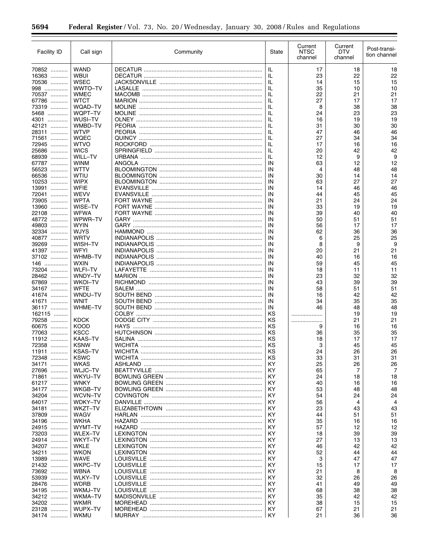| <b>Facility ID</b>       | Call sign                     | Community      | State    | Current<br><b>NTSC</b><br>channel | Current<br>DTV<br>channel | Post-transi-<br>tion channel |
|--------------------------|-------------------------------|----------------|----------|-----------------------------------|---------------------------|------------------------------|
| 70852                    | <b>WAND</b>                   |                | IL       | 17                                | 18                        | 18                           |
| 16363                    | <b>WBUI</b>                   | <b>DECATUR</b> | IL       | 23                                | 22                        | 22                           |
| 70536                    | WSEC                          |                | IL       | 14                                | 15                        | 15                           |
| 998                      | WWTO-TV                       | LASALLE        | IL       | 35                                | 10                        | 10                           |
| 70537                    | <b>WMEC</b>                   |                | IL       | 22                                | 21                        | 21                           |
| 67786<br>73319           | <b>WTCT</b><br>WQAD-TV        |                | IL<br>IL | 27<br>8                           | 17<br>38                  | 17<br>38                     |
| 5468                     | WQPT-TV                       |                | IL       | 24                                | 23                        | 23                           |
| 4301                     | WUSI-TV                       |                | IL       | 16                                | 19                        | 19                           |
| 42121                    | WMBD-TV                       |                | IL       | 31                                | 30                        | 30                           |
| 28311                    | <b>WTVP</b>                   |                | IL       | 47                                | 46                        | 46                           |
| 71561                    | <b>WQEC</b>                   |                | IL<br>IL | 27<br>17                          | 34                        | 34<br>16                     |
| 72945<br>25686           | <b>WTVO</b><br><b>WICS</b>    |                | IL       | 20                                | 16<br>42                  | 42                           |
| 68939                    | WILL-TV                       |                | IL       | 12                                | 9                         | 9                            |
| 67787                    | <b>WINM</b>                   |                | IN       | 63                                | 12                        | 12                           |
| 56523                    | WTTV                          |                | ΙN       | 4                                 | 48                        | 48                           |
| 66536                    | WTIU                          |                | IN       | 30                                | 14                        | 14                           |
| 10253                    | <b>WIPX</b>                   |                | IN       | 63                                | 27                        | 27                           |
| 13991<br>.<br>72041<br>. | <b>WFIE</b><br>WEVV           |                | IN<br>IN | 14<br>44                          | 46<br>45                  | 46<br>45                     |
| 73905                    | <b>WPTA</b>                   |                | IN       | 21                                | 24                        | 24                           |
| 13960                    | WISE-TV                       |                | ΙN       | 33                                | 19                        | 19                           |
| 22108                    | <b>WFWA</b>                   |                | IN       | 39                                | 40                        | 40                           |
| 48772                    | WPWR-TV                       |                | IN       | 50                                | 51                        | 51                           |
| 49803                    | <b>WYIN</b>                   |                | IN       | 56                                | 17                        | 17                           |
| 32334                    | <b>WJYS</b>                   |                | IN       | 62                                | 36                        | 36                           |
| 40877<br>39269           | <b>WRTV</b><br>WISH-TV        |                | IN<br>IN | 6<br>8                            | 25<br>9                   | 25<br>9                      |
| 41397                    | <b>WFYI</b>                   |                | IN       | 20                                | 21                        | 21                           |
| 37102                    | WHMB-TV                       |                | IN       | 40                                | 16                        | 16                           |
| 146                      | <b>WXIN</b>                   |                | IN       | 59                                | 45                        | 45                           |
| 73204                    | <b>WLFI-TV</b>                |                | IN       | 18                                | 11                        | 11                           |
| 28462                    | WNDY-TV                       |                | IN       | 23                                | 32                        | 32                           |
| 67869                    | <b>WKOI-TV</b>                |                | IN       | 43                                | 39                        | 39                           |
| 34167<br>41674           | <b>WFTE</b><br>WNDU-TV        |                | IN<br>IN | 58<br>16                          | 51<br>42                  | 51<br>42                     |
| 41671<br>.               | <b>WNIT</b>                   |                | IN       | 34                                | 35                        | 35                           |
| 36117                    | WHME-TV                       |                | ΙN       | 46                                | 48                        | 48                           |
| 162115                   |                               |                | ΚS       |                                   | 19                        | 19                           |
| 79258                    | <b>KDCK</b>                   |                | ΚS       | .                                 | 21                        | 21                           |
| 60675                    | <b>KOOD</b>                   | <b>HAYS</b>    | ΚS       | 9                                 | 16                        | 16                           |
| 77063                    | <b>KSCC</b><br><b>KAAS-TV</b> |                | ΚS<br>ΚS | 36                                | 35                        | 35<br>17                     |
| 11912<br>72358           | <b>KSNW</b>                   |                | ΚS       | 18<br>3                           | 17<br>45                  | 45                           |
| 11911                    | <b>KSAS-TV</b>                | <b>WICHITA</b> | KS       | 24                                | 26                        | 26                           |
| 72348                    | <b>KSWC</b>                   |                | κs       | 33                                | 31                        | 31                           |
| 34171                    | WKAS                          |                | ΚY       | 25                                | 26                        | 26                           |
| 27696                    | WLJC-TV                       |                | ΚY       | 65                                | 7                         | 7                            |
| 71861<br>.               | WKYU-TV                       |                | KY       | 24                                | 18                        | 18                           |
| 61217<br>34177           | <b>WNKY</b><br>WKGB-TV        |                | ΚY<br>ΚY | 40<br>53                          | 16<br>48                  | 16<br>48                     |
| 34204                    | WCVN-TV                       |                | ΚY       | 54                                | 24                        | 24                           |
| 64017                    | WDKY-TV                       |                | ΚY       | 56                                | 4                         | $\overline{4}$               |
| 34181<br>.               | WKZT-TV                       |                | ΚY       | 23                                | 43                        | 43                           |
| 37809                    | WAGV                          |                | ΚY       | 44                                | 51                        | 51                           |
| 34196                    | WKHA                          |                | ΚY       | 35                                | 16                        | 16                           |
| 24915                    | WYMT-TV                       |                | ΚY       | 57                                | 12                        | 12                           |
| 73203<br>24914           | <b>WLEX-TV</b><br>WKYT-TV     |                | ΚY<br>ΚY | 18<br>27                          | 39<br>13                  | 39<br>13                     |
| 34207                    | <b>WKLE</b>                   |                | ΚY       | 46                                | 42                        | 42                           |
| 34211<br>.               | <b>WKON</b>                   |                | ΚY       | 52                                | 44                        | 44                           |
| 13989                    | WAVE                          |                | ΚY       | 3                                 | 47                        | 47                           |
| 21432                    | WKPC-TV                       |                | ΚY       | 15                                | 17                        | 17                           |
| 73692                    | <b>WBNA</b>                   |                | ΚY       | 21                                | 8                         | 8                            |
| 53939<br>.               | <b>WLKY-TV</b>                |                | ΚY       | 32                                | 26                        | 26                           |
| 28476<br>34195           | <b>WDRB</b><br>WKMJ-TV        |                | ΚY<br>ΚY | 41<br>68                          | 49<br>38                  | 49<br>38                     |
| 34212                    | WKMA-TV                       |                | ΚY       | 35                                | 42                        | 42                           |
| 34202                    | <b>WKMR</b>                   |                | KY       | 38                                | 15                        | 15                           |
| 23128                    | WUPX-TV                       |                | ΚY       | 67                                | 21                        | 21                           |
| 34174                    | <b>WKMU</b>                   |                | KY       | 21                                | 36                        | 36                           |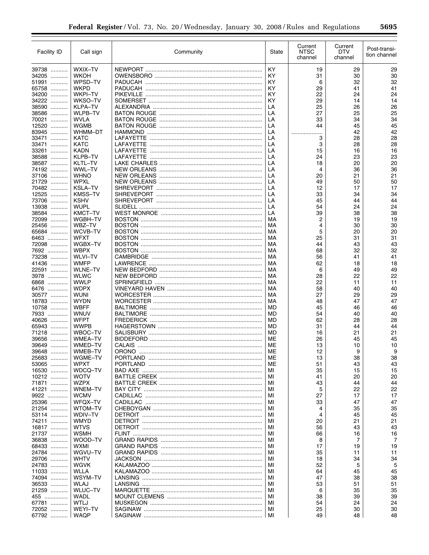| Facility ID         | Call sign                  | Community      | State     | Current<br><b>NTSC</b><br>channel | Current<br>DTV<br>channel | Post-transi-<br>tion channel |
|---------------------|----------------------------|----------------|-----------|-----------------------------------|---------------------------|------------------------------|
| 39738               | WXIX-TV                    |                | <b>KY</b> | 19                                | 29                        | 29                           |
| 34205<br>.          | WKOH                       |                | KY        | 31                                | 30                        | 30                           |
| 51991               | WPSD-TV                    |                | KY        | 6                                 | 32                        | 32                           |
| 65758<br>.          | <b>WKPD</b>                |                | KY        | 29                                | 41                        | 41                           |
| 34200               | <b>WKPI-TV</b>             |                | KY        | 22                                | 24                        | 24                           |
| 34222<br>.          | WKSO-TV                    |                | KY        | 29                                | 14                        | 14                           |
| 38590<br>.          | KLPA-TV                    |                | LA        | 25                                | 26                        | 26                           |
| 38586<br>.          | <b>WLPB-TV</b>             |                | LA        | 27                                | 25                        | 25                           |
| 70021<br>.          | <b>WVLA</b>                |                | LA        | 33                                | 34                        | 34                           |
| 12520<br>.<br>83945 | WGMB<br>WHMM-DT            |                | LA        | 44                                | 45                        | 45<br>42                     |
| .<br>33471<br>.     | <b>KATC</b>                |                | LA<br>LA  | .<br>3                            | 42<br>28                  | 28                           |
| 33471               | KATC                       |                | LA        | 3                                 | 28                        | 28                           |
| 33261               | <b>KADN</b>                |                | LA        | 15                                | 16                        | 16                           |
| 38588               | KLPB-TV                    |                | LA        | 24                                | 23                        | 23                           |
| 38587               | KLTL-TV                    |                | LA        | 18                                | 20                        | 20                           |
| 74192               | WWL-TV                     |                | LA        | 4                                 | 36                        | 36                           |
| 37106<br>.          | WHNO                       |                | LA        | 20                                | 21                        | 21                           |
| 21729<br>.          | <b>WPXL</b>                | NEW ORLEANS    | LA        | 49                                | 50                        | 50                           |
| 70482<br>.          | <b>KSLA-TV</b>             |                | LA        | 12                                | 17                        | 17                           |
| 12525               | <b>KMSS-TV</b>             |                | LA        | 33                                | 34                        | 34                           |
| 73706<br>.          | <b>KSHV</b>                |                | LA        | 45                                | 44                        | 44                           |
| 13938<br>.<br>38584 | WUPL<br><b>KMCT-TV</b>     | <b>SLIDELL</b> | LA<br>LA  | 54<br>39                          | 24                        | 24<br>38                     |
| 72099               | WGBH-TV                    |                | MA        | 2                                 | 38<br>19                  | 19                           |
| 25456               | WBZ-TV                     |                | MA        | 4                                 | 30                        | 30                           |
| 65684               | WCVB-TV                    |                | MA        | 5                                 | 20                        | 20                           |
| 6463                | <b>WFXT</b>                |                | MA        | 25                                | 31                        | 31                           |
| 72098               | WGBX-TV                    |                | MA        | 44                                | 43                        | 43                           |
| 7692                | <b>WBPX</b>                |                | MA        | 68                                | 32                        | 32                           |
| 73238               | <b>WLVI-TV</b>             |                | MA        | 56                                | 41                        | 41                           |
| 41436               | <b>WMFP</b>                |                | MA        | 62                                | 18                        | 18                           |
| 22591               | <b>WLNE-TV</b>             |                | MA        | 6                                 | 49                        | 49                           |
| 3978                | <b>WLWC</b>                |                | MA        | 28                                | 22                        | 22                           |
| 6868                | <b>WWLP</b>                |                | MA        | 22                                | 11                        | 11                           |
| 6476                | <b>WDPX</b>                |                | MA        | 58                                | 40                        | 40                           |
| 30577               | <b>WUNI</b>                |                | MA        | 27                                | 29                        | 29                           |
| 18783<br>10758      | <b>WYDN</b><br><b>WBFF</b> |                | MA<br>MD  | 48<br>45                          | 47<br>46                  | 47<br>46                     |
| 7933                | WNUV                       |                | <b>MD</b> | 54                                | 40                        | 40                           |
| 40626               | <b>WFPT</b>                |                | MD        | 62                                | 28                        | 28                           |
| 65943               | <b>WWPB</b>                |                | <b>MD</b> | 31                                | 44                        | 44                           |
| 71218               | WBOC-TV                    |                | MD        | 16                                | 21                        | 21                           |
| 39656<br>.          | <b>WMEA-TV</b>             |                | ME        | 26                                | 45                        | 45                           |
| 39649<br>.          | WMED-TV                    |                | МE        | 13                                | 10                        | 10                           |
| 39648<br>.          | WMEB-TV                    |                | ME        | 12                                | 9                         | 9                            |
| 25683               | WGME-TV                    |                | МE        | 13                                | 38                        | 38                           |
| 53065               | <b>WPXT</b>                |                | ME        | 51                                | 43                        | 43                           |
| 16530               | WDCQ-TV                    |                | МI        | 35                                | 15                        | 15                           |
| 10212               | WOTV                       |                | MI        | 41                                | 20                        | 20                           |
| 71871               | <b>WZPX</b>                |                | MI        | 43                                | 44                        | 44                           |
| 41221               | WNEM-TV<br><b>WCMV</b>     |                | МI<br>МI  | 5<br>27                           | 22<br>17                  | 22<br>17                     |
| 9922<br>25396       | WFQX-TV                    |                | МI        | 33                                | 47                        | 47                           |
| 21254               | WTOM-TV                    |                | MI        | 4                                 | 35                        | 35                           |
| 53114               | WDIV-TV                    |                | МI        | 4                                 | 45                        | 45                           |
| 74211               | <b>WMYD</b>                |                | МI        | 20                                | 21                        | 21                           |
| 16817               | WTVS                       |                | МI        | 56                                | 43                        | 43                           |
| 21737               | WSMH                       |                | МI        | 66                                | 16                        | 16                           |
| 36838               | WOOD-TV                    |                | МI        | 8                                 | 7                         | 7                            |
| 68433               | WXMI                       |                | МI        | 17                                | 19                        | 19                           |
| 24784               | WGVU-TV                    |                | МI        | 35                                | 11                        | 11                           |
| 29706               | <b>WHTV</b>                |                | МI        | 18                                | 34                        | 34                           |
| 24783               | WGVK                       |                | МI        | 52                                | 5                         | 5                            |
| 11033               | WLLA                       |                | МI        | 64                                | 45                        | 45                           |
| 74094<br>36533      | WSYM-TV<br><b>WLAJ</b>     |                | МI<br>MI  | 47<br>53                          | 38<br>51                  | 38<br>51                     |
| 21259               | WLUC-TV                    |                | МI        | 6                                 | 35                        | 35                           |
| 455                 | WADL                       |                | МI        | 38                                | 39                        | 39                           |
| 67781               | WTLJ                       |                | MI        | 54                                | 24                        | 24                           |
| 72052               | <b>WEYI-TV</b>             |                | МI        | 25                                | 30                        | 30                           |
| 67792               | <b>WAQP</b>                |                | MI        | 49                                | 48                        | 48                           |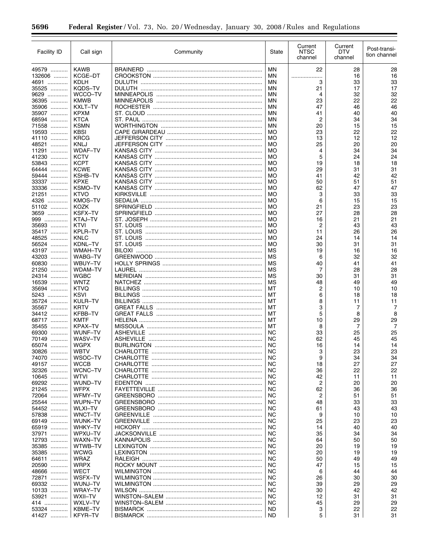| Facility ID    | Call sign                     | Community       | State           | Current<br><b>NTSC</b><br>channel | Current<br><b>DTV</b><br>channel | Post-transi-<br>tion channel |
|----------------|-------------------------------|-----------------|-----------------|-----------------------------------|----------------------------------|------------------------------|
| 49579          | <b>KAWB</b>                   | <b>BRAINERD</b> | <b>MN</b>       | 22                                | 28                               | 28                           |
| 132606         | KCGE-DT                       |                 | ΜN              | .<br>                             | 16                               | 16                           |
| 4691           | KDLH                          |                 | ΜN              | 3                                 | 33                               | 33                           |
| 35525          | KODS-TV                       |                 | ΜN              | 21                                | 17                               | 17                           |
| 9629           | WCCO-TV                       |                 | ΜN              | 4                                 | 32                               | 32                           |
| 36395<br>35906 | <b>KMWB</b><br>KXLT-TV        |                 | ΜN<br>ΜN        | 23<br>47                          | 22<br>46                         | 22<br>46                     |
| 35907          | <b>KPXM</b>                   |                 | ΜN              | 41                                | 40                               | 40                           |
| 68594          | <b>KTCA</b>                   |                 | ΜN              | 2                                 | 34                               | 34                           |
| 71558          | <b>KSMN</b>                   |                 | <b>MN</b>       | 20                                | 15                               | 15                           |
| 19593          | <b>KBSI</b>                   |                 | <b>MO</b>       | 23                                | 22                               | 22                           |
| 41110          | <b>KRCG</b>                   |                 | <b>MO</b>       | 13                                | 12                               | 12                           |
| 48521          | KNLJ                          |                 | МO              | 25                                | 20                               | 20                           |
| 11291<br>41230 | <b>WDAF-TV</b><br><b>KCTV</b> |                 | МO<br><b>MO</b> | 4<br>5                            | 34<br>24                         | 34<br>24                     |
| 53843          | <b>KCPT</b>                   |                 | МO              | 19                                | 18                               | 18                           |
| 64444          | <b>KCWE</b>                   |                 | МO              | 29                                | 31                               | 31                           |
| 59444          | KSHB-TV                       |                 | МO              | 41                                | 42                               | 42                           |
| 33337          | <b>KPXE</b>                   |                 | МO              | 50                                | 51                               | 51                           |
| 33336          | KSMO-TV                       |                 | МO              | 62                                | 47                               | 47                           |
| 21251          | <b>KTVO</b>                   |                 | МO              | 3                                 | 33                               | 33                           |
| 4326           | <b>KMOS-TV</b>                |                 | МO              | 6                                 | 15                               | 15                           |
| 51102          | <b>KOZK</b>                   |                 | <b>MO</b>       | 21                                | 23                               | 23                           |
| 3659           | <b>KSFX-TV</b>                |                 | МO              | 27                                | 28                               | 28                           |
| 999<br>35693   | KTAJ-TV<br>KTVI               |                 | <b>MO</b><br>МO | 16<br>$\overline{c}$              | 21                               | 21<br>43                     |
| 35417          | <b>KPLR-TV</b>                |                 | <b>MO</b>       | 11                                | 43<br>26                         | 26                           |
| 48525          | <b>KNLC</b>                   |                 | МO              | 24                                | 14                               | 14                           |
| 56524          | KDNL-TV                       |                 | <b>MO</b>       | 30                                | 31                               | 31                           |
| 43197          | <b>WMAH-TV</b>                |                 | MS              | 19                                | 16                               | 16                           |
| 43203          | WABG-TV                       |                 | MS              | 6                                 | 32                               | 32                           |
| 60830          | WBUY-TV                       |                 | MS              | 40                                | 41                               | 41                           |
| 21250          | <b>WDAM-TV</b>                |                 | MS              | 7                                 | 28                               | 28                           |
| 24314          | <b>WGBC</b>                   |                 | MS              | 30                                | 31                               | 31                           |
| 16539          | <b>WNTZ</b>                   |                 | MS              | 48                                | 49                               | 49                           |
| 35694          | <b>KTVQ</b>                   |                 | МT              | 2                                 | 10                               | 10                           |
| 5243           | <b>KSVI</b>                   |                 | МT              | 6                                 | 18                               | 18                           |
| 35724<br>35567 | KULR-TV<br><b>KRTV</b>        |                 | МT<br>МT        | 8<br>3                            | 11<br>7                          | 11<br>7                      |
| 34412          | <b>KFBB-TV</b>                |                 | МT              | 5                                 | 8                                | 8                            |
| 68717          | <b>KMTF</b>                   |                 | МT              | 10                                | 29                               | 29                           |
| 35455          | KPAX-TV                       | <b>MISSOULA</b> | МT              | 8                                 | 7                                | 7                            |
| 69300          | WUNF-TV                       |                 | <b>NC</b>       | 33                                | 25                               | 25                           |
| 70149          | WASV-TV                       |                 | <b>NC</b>       | 62                                | 45                               | 45                           |
| 65074          | <b>WGPX</b>                   |                 | <b>NC</b>       | 16                                | 14                               | 14                           |
| 30826          | <b>WBTV</b>                   |                 | <b>NC</b>       | 3                                 | 23                               | 23                           |
| 74070          | WSOC-TV                       |                 | NC.             | 9                                 | 34                               | 34                           |
| 49157          | <b>WCCB</b>                   |                 | NС              | 18                                | 27                               | 27                           |
| 32326<br>10645 | WCNC-TV<br>WTVI               |                 | NС<br>NС        | 36<br>42                          | 22<br>11                         | 22<br>11                     |
| 69292          | WUND-TV                       |                 | NC.             | 2                                 | 20                               | 20                           |
| 21245          | <b>WFPX</b>                   |                 | ΝC              | 62                                | 36                               | 36                           |
| 72064          | WFMY-TV                       |                 | <b>NC</b>       | 2                                 | 51                               | 51                           |
| 25544          | WUPN-TV                       |                 | NС              | 48                                | 33                               | 33                           |
| 54452          | <b>WLXI-TV</b>                |                 | <b>NC</b>       | 61                                | 43                               | 43                           |
| 57838          | WNCT-TV                       |                 | ΝC              | 9                                 | 10                               | 10                           |
| 69149          | WUNK-TV                       |                 | <b>NC</b>       | 25                                | 23                               | 23                           |
| 65919          | WHKY-TV                       |                 | NС              | 14                                | 40                               | 40                           |
| 37971          | WPXU-TV                       |                 | <b>NC</b>       | 35                                | 34                               | 34                           |
| 12793<br>35385 | WAXN-TV<br>WTWB-TV            |                 | ΝC<br><b>NC</b> | 64                                | 50                               | 50                           |
| 35385          | <b>WCWG</b>                   |                 | ΝC              | 20<br>20                          | 19<br>19                         | 19<br>19                     |
| 64611          | <b>WRAZ</b>                   |                 | <b>NC</b>       | 50                                | 49                               | 49                           |
| 20590          | <b>WRPX</b>                   |                 | ΝC              | 47                                | 15                               | 15                           |
| 48666          | <b>WECT</b>                   |                 | <b>NC</b>       | 6                                 | 44                               | 44                           |
| 72871          | WSFX-TV                       |                 | ΝC              | 26                                | 30                               | 30                           |
| 69332          | WUNJ-TV                       |                 | <b>NC</b>       | 39                                | 29                               | 29                           |
| 10133          | WRAY-TV                       |                 | ΝC              | 30                                | 42                               | 42                           |
| 53921          | WXII-TV                       |                 | NС              | 12                                | 31                               | 31                           |
| 414            | WXLV-TV                       |                 | <b>NC</b>       | 45                                | 29                               | 29                           |
| 53324          | KBME-TV                       |                 | ND              | 3                                 | 22                               | 22                           |
| 41427          | KFYR-TV                       |                 | ND              | 5                                 | 31                               | 31                           |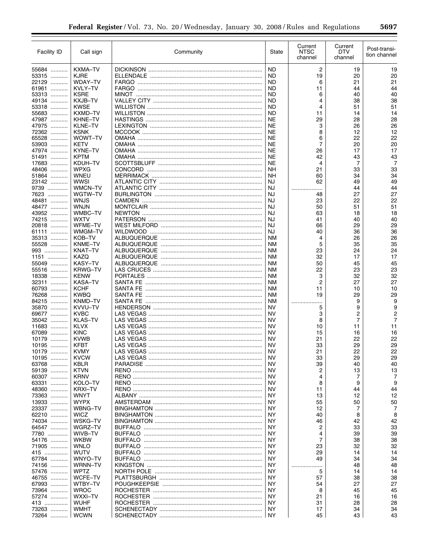| Facility ID              | Call sign                     | Community | State                  | Current<br><b>NTSC</b><br>channel | Current<br>DTV<br>channel | Post-transi-<br>tion channel     |
|--------------------------|-------------------------------|-----------|------------------------|-----------------------------------|---------------------------|----------------------------------|
| 55684                    | KXMA-TV                       |           | <b>ND</b>              | $\overline{c}$                    | 19                        | 19                               |
| 53315                    | <b>KJRE</b>                   |           | ND                     | 19                                | 20                        | 20                               |
| 22129                    | <b>WDAY-TV</b>                |           | ND                     | 6                                 | 21                        | 21                               |
| 61961                    | KVLY-TV                       |           | ND                     | 11                                | 44                        | 44                               |
| 53313                    | <b>KSRE</b>                   |           | <b>ND</b>              | 6                                 | 40                        | 40                               |
| 49134                    | KXJB-TV                       |           | <b>ND</b>              | 4                                 | 38                        | 38                               |
| 53318<br>55683           | <b>KWSE</b><br><b>KXMD-TV</b> |           | <b>ND</b><br><b>ND</b> | 4<br>11                           | 51<br>14                  | 51<br>14                         |
| 47987                    | KHNE-TV                       |           | <b>NE</b>              | 29                                | 28                        | 28                               |
| 47975                    | KLNE-TV                       |           | <b>NE</b>              | 3                                 | 26                        | 26                               |
| 72362                    | <b>KSNK</b>                   |           | <b>NE</b>              | 8                                 | 12                        | 12                               |
| 65528<br>.               | WOWT-TV                       |           | <b>NE</b>              | 6                                 | 22                        | 22                               |
| 53903                    | KETV                          |           | NE                     | $\overline{7}$                    | 20                        | 20                               |
| 47974                    | KYNE-TV                       |           | NE                     | 26                                | 17                        | 17                               |
| 51491<br>.               | <b>KPTM</b>                   |           | <b>NE</b>              | 42                                | 43                        | 43                               |
| 17683<br>.               | KDUH-TV<br>WPXG               |           | <b>NE</b><br><b>NH</b> | 4                                 | 7                         | 7                                |
| 48406<br>.<br>51864      | WNEU                          |           | <b>NH</b>              | 21<br>60                          | 33<br>34                  | 33<br>34                         |
| 23142                    | <b>WWSI</b>                   |           | <b>NJ</b>              | 62                                | 49                        | 49                               |
| 9739                     | WMCN-TV                       |           | NJ                     | .                                 | 44                        | 44                               |
| 7623<br>.                | WGTW-TV                       |           | <b>NJ</b>              | 48                                | 27                        | 27                               |
| 48481                    | <b>WNJS</b>                   |           | <b>NJ</b>              | 23                                | 22                        | 22                               |
| 48477                    | <b>WNJN</b>                   |           | <b>NJ</b>              | 50                                | 51                        | 51                               |
| 43952                    | WMBC-TV                       |           | NJ                     | 63                                | 18                        | 18                               |
| 74215                    | <b>WXTV</b>                   |           | NJ                     | 41                                | 40                        | 40                               |
| 20818                    | WFME-TV                       |           | NJ                     | 66                                | 29                        | 29                               |
| 61111                    | WMGM-TV                       |           | NJ                     | 40                                | 36                        | 36                               |
| 35313                    | KOB-TV                        |           | NM                     | 4                                 | 26                        | 26                               |
| 55528<br>993             | KNME-TV<br><b>KNAT-TV</b>     |           | NM<br>NM               | 5<br>23                           | 35<br>24                  | 35<br>24                         |
| 1151                     | KAZQ                          |           | NM                     | 32                                | 17                        | 17                               |
| 55049                    | <b>KASY-TV</b>                |           | <b>NM</b>              | 50                                | 45                        | 45                               |
| 55516                    | <b>KRWG-TV</b>                |           | NM                     | 22                                | 23                        | 23                               |
| 18338                    | <b>KENW</b>                   |           | NM                     | 3                                 | 32                        | 32                               |
| 32311                    | <b>KASA-TV</b>                |           | NM                     | $\overline{2}$                    | 27                        | 27                               |
| 60793                    | <b>KCHF</b>                   |           | NM                     | 11                                | 10                        | 10                               |
| 76268                    | <b>KWBQ</b>                   |           | NM                     | 19                                | 29                        | 29                               |
| 84215<br>.               | KNMD-TV                       |           | NM                     | .                                 | 9                         | 9                                |
| 35870<br>.               | KVVU-TV                       |           | <b>NV</b>              | 5                                 | 9                         | 9                                |
| 69677<br>.               | <b>KVBC</b>                   |           | <b>NV</b>              | 3                                 | $\overline{c}$            | $\overline{2}$<br>$\overline{7}$ |
| 35042<br>.<br>11683<br>. | <b>KLAS-TV</b><br><b>KLVX</b> |           | <b>NV</b><br><b>NV</b> | 8<br>10                           | $\overline{7}$<br>11      | 11                               |
| 67089<br>.               | <b>KINC</b>                   |           | <b>NV</b>              | 15                                | 16                        | 16                               |
| 10179<br>.               | <b>KVWB</b>                   |           | <b>NV</b>              | 21                                | 22                        | 22                               |
| 10195                    | <b>KFBT</b>                   |           | <b>NV</b>              | 33                                | 29                        | 29                               |
| 10179<br>.               | <b>KVMY</b>                   |           | <b>NV</b>              | 21                                | 22                        | 22                               |
| 10195                    | <b>KVCW</b>                   |           | <b>NV</b>              | 33                                | 29                        | 29                               |
| 63768                    | KBLR                          |           | <b>NV</b>              | 39                                | 40                        | 40                               |
| 59139                    | <b>KTVN</b>                   |           | <b>NV</b>              | 2                                 | 13                        | 13                               |
| 60307                    | <b>KRNV</b>                   |           | <b>NV</b>              | 4                                 | 7                         | 7                                |
| 63331                    | KOLO-TV                       |           | <b>NV</b>              | 8                                 | 9                         | 9                                |
| 48360                    | <b>KRXI-TV</b>                |           | <b>NV</b>              | 11                                | 44                        | 44                               |
| 73363<br>13933           | WNYT<br>WYPX                  |           | ΝY<br>ΝY               | 13<br>55                          | 12                        | 12<br>50                         |
| 23337                    | WBNG-TV                       |           | ΝY                     | 12                                | 50<br>7                   | 7                                |
| 62210                    | <b>WICZ</b>                   |           | ΝY                     | 40                                | 8                         | 8                                |
| 74034                    | WSKG-TV                       |           | ΝY                     | 46                                | 42                        | 42                               |
| 64547                    | WGRZ-TV                       |           | ΝY                     | 2                                 | 33                        | 33                               |
| 7780                     | WIVB-TV                       |           | ΝY                     | 4                                 | 39                        | 39                               |
| 54176                    | <b>WKBW</b>                   |           | ΝY                     | 7                                 | 38                        | 38                               |
| 71905                    | <b>WNLO</b>                   |           | ΝY                     | 23                                | 32                        | 32                               |
| 415                      | WUTV                          |           | ΝY                     | 29                                | 14                        | 14                               |
| 67784                    | WNYO-TV                       |           | ΝY                     | 49                                | 34                        | 34                               |
| 74156                    | <b>WRNN-TV</b>                |           | ΝY                     | .                                 | 48                        | 48                               |
| 57476                    | <b>WPTZ</b>                   |           | ΝY                     | 5                                 | 14                        | 14                               |
| 46755<br>.<br>67993      | <b>WCFE-TV</b><br>WTBY-TV     |           | ΝY<br>ΝY               | 57<br>54                          | 38<br>27                  | 38<br>27                         |
| 73964                    | WROC                          |           | ΝY                     | 8                                 | 45                        | 45                               |
| 57274                    | WXXI-TV                       |           | ΝY                     | 21                                | 16                        | 16                               |
| 413                      | WUHF                          |           | ΝY                     | 31                                | 28                        | 28                               |
| 73263                    | WMHT                          |           | ΝY                     | 17                                | 34                        | 34                               |
| 73264                    | <b>WCWN</b>                   |           | NY.                    | 45                                | 43                        | 43                               |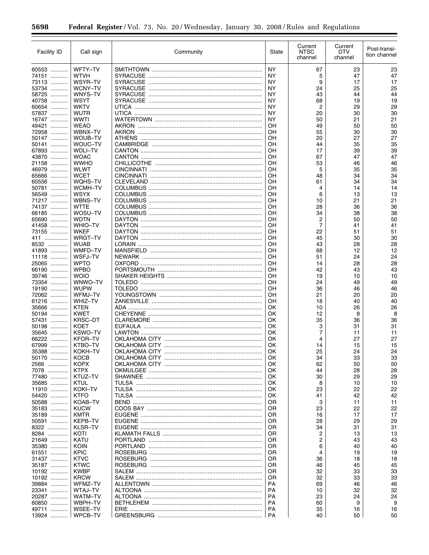| Facility ID    | Call sign                     | Community | State     | Current<br><b>NTSC</b><br>channel | Current<br><b>DTV</b><br>channel | Post-transi-<br>tion channel |
|----------------|-------------------------------|-----------|-----------|-----------------------------------|----------------------------------|------------------------------|
| 60553          | WFTY-TV                       |           | <b>NY</b> | 67                                | 23                               | 23                           |
| 74151          | <b>WTVH</b>                   |           | NY        | 5                                 | 47                               | 47                           |
| 73113          | WSYR-TV                       |           | NY        | 9                                 | 17                               | 17                           |
| 53734          | <b>WCNY-TV</b>                |           | NY        | 24                                | 25                               | 25                           |
| 58725          | WNYS-TV                       |           | ΝY        | 43                                | 44                               | 44<br>19                     |
| 40758<br>60654 | WSYT<br><b>WKTV</b>           |           | ΝY<br>NY  | 68<br>2                           | 19<br>29                         | 29                           |
| 57837          | WUTR                          |           | ΝY        | 20                                | 30                               | 30                           |
| 16747          | <b>WWTI</b>                   |           | NY        | 50                                | 21                               | 21                           |
| 49421<br>.     | <b>WEAO</b>                   |           | OΗ        | 49                                | 50                               | 50                           |
| 72958          | WBNX-TV                       |           | OΗ        | 55                                | 30                               | 30                           |
| 50147          | WOUB-TV                       |           | OΗ        | 20                                | 27                               | 27                           |
| 50141          | WOUC-TV                       |           | OΗ        | 44                                | 35                               | 35                           |
| 67893<br>43870 | <b>WDLI-TV</b><br><b>WOAC</b> |           | OΗ<br>OΗ  | 17<br>67                          | 39<br>47                         | 39<br>47                     |
| 21158          | <b>WWHO</b>                   |           | OΗ        | 53                                | 46                               | 46                           |
| 46979          | <b>WLWT</b>                   |           | OΗ        | 5                                 | 35                               | 35                           |
| 65666          | <b>WCET</b>                   |           | OΗ        | 48                                | 34                               | 34                           |
| 60556          | WQHS-TV                       |           | OΗ        | 61                                | 34                               | 34                           |
| 50781          | WCMH-TV                       |           | OΗ        | 4                                 | 14                               | 14                           |
| 56549          | <b>WSYX</b>                   |           | OΗ        | 6                                 | 13                               | 13                           |
| 71217          | WBNS-TV                       |           | OΗ        | 10                                | 21                               | 21                           |
| 74137<br>66185 | <b>WTTE</b><br>WOSU-TV        |           | OΗ<br>OΗ  | 28<br>34                          | 36<br>38                         | 36<br>38                     |
| 65690          | <b>WDTN</b>                   |           | OΗ        | 2                                 | 50                               | 50                           |
| 41458          | <b>WHIO-TV</b>                |           | OΗ        | 7                                 | 41                               | 41                           |
| 73155          | <b>WKEF</b>                   |           | OΗ        | 22                                | 51                               | 51                           |
| 411            | WRGT-TV                       |           | OН        | 45                                | 30                               | 30                           |
| 8532           | <b>WUAB</b>                   |           | OΗ        | 43                                | 28                               | 28                           |
| 41893          | WMFD-TV                       |           | OΗ        | 68                                | 12                               | 12                           |
| 11118          | WSFJ-TV                       |           | OΗ        | 51                                | 24                               | 24                           |
| 25065<br>66190 | <b>WPTO</b><br><b>WPBO</b>    |           | OН<br>OΗ  | 14<br>42                          | 28<br>43                         | 28<br>43                     |
| 39746          | <b>WOIO</b>                   |           | OΗ        | 19                                | 10                               | 10                           |
| 73354<br>.     | WNWO-TV                       |           | OΗ        | 24                                | 49                               | 49                           |
| 19190          | <b>WUPW</b>                   |           | OΗ        | 36                                | 46                               | 46                           |
| 72062          | WFMJ-TV                       |           | OΗ        | 21                                | 20                               | 20                           |
| 61216          | WHIZ-TV                       |           | OΗ        | 18                                | 40                               | 40                           |
| 35666          | <b>KTEN</b>                   |           | OK        | 10                                | 26                               | 26                           |
| 50194          | <b>KWET</b>                   |           | OK        | 12                                | 8                                | 8                            |
| 57431          | <b>KRSC-DT</b>                |           | OK        | 35                                | 36                               | 36                           |
| 50198<br>35645 | <b>KOET</b><br>KSWO-TV        |           | OK<br>OK  | 3<br>$\overline{7}$               | 31<br>11                         | 31<br>11                     |
| 66222<br>.     | <b>KFOR-TV</b>                |           | OK        | 4                                 | 27                               | 27                           |
| 67999          | KTBO-TV                       |           | OK        | 14                                | 15                               | 15                           |
| 35388          | KOKH-TV                       |           | OK        | 25                                | 24                               | 24                           |
| 50170          | <b>KOCB</b>                   |           | ΟK        | 34                                | 33                               | 33                           |
| 2566           | <b>KOPX</b>                   |           | OK        | 62                                | 50                               | 50                           |
| 7078           | <b>KTPX</b>                   |           | OK        | 44                                | 28                               | 28                           |
| 77480          | KTUZ-TV                       |           | ΟK        | 30                                | 29                               | 29                           |
| 35685          | <b>KTUL</b>                   |           | ΟK        | 8                                 | 10                               | 10                           |
| 11910<br>54420 | KOKI-TV<br><b>KTFO</b>        |           | ΟK<br>OK  | 23<br>41                          | 22<br>42                         | 22<br>42                     |
| 50588          | KOAB-TV                       |           | ΟR        | 3                                 | 11                               | 11                           |
| 35183          | <b>KUCW</b>                   |           | OR        | 23                                | 22                               | 22                           |
| 35189          | <b>KMTR</b>                   |           | ΟR        | 16                                | 17                               | 17                           |
| 50591          | KEPB-TV                       |           | OR        | 28                                | 29                               | 29                           |
| 8322           | <b>KLSR-TV</b>                |           | ΟR        | 34                                | 31                               | 31                           |
| 8284           | KOTI                          |           | OR        | 2                                 | 13                               | 13                           |
| 21649          | KATU                          |           | ΟR        | 2                                 | 43                               | 43                           |
| 35380          | <b>KOIN</b><br><b>KPIC</b>    |           | OR        | 6<br>4                            | 40                               | 40                           |
| 61551<br>31437 | <b>KTVC</b>                   |           | ΟR<br>OR  | 36                                | 19<br>18                         | 19<br>18                     |
| 35187          | <b>KTWC</b>                   |           | ΟR        | 46                                | 45                               | 45                           |
| 10192          | <b>KWBP</b>                   |           | OR        | 32                                | 33                               | 33                           |
| 10192          | <b>KRCW</b>                   |           | ΟR        | 32                                | 33                               | 33                           |
| 39884          | WFMZ-TV                       |           | <b>PA</b> | 69                                | 46                               | 46                           |
| 23341          | WTAJ-TV                       |           | PA        | 10                                | 32                               | 32                           |
| 20287          | WATM-TV                       |           | <b>PA</b> | 23                                | 24                               | 24                           |
| 60850          | WBPH-TV                       |           | PA        | 60                                | 9                                | 9                            |
| 49711          | WSEE-TV                       |           | РA        | 35                                | 16                               | 16                           |
| 13924          | WPCB-TV                       |           | <b>PA</b> | 40                                | 50                               | 50                           |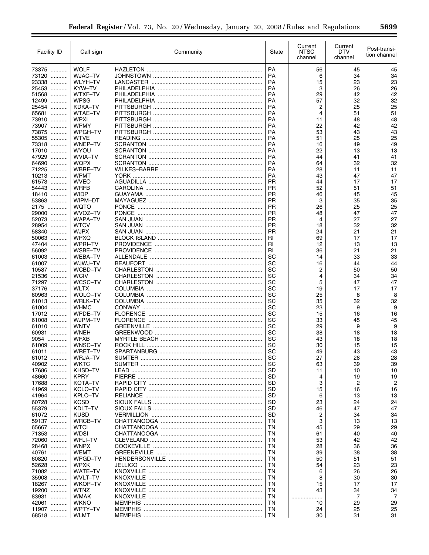| Facility ID         | Call sign                 | Community       | State                  | Current<br><b>NTSC</b><br>channel | Current<br>DTV<br>channel | Post-transi-<br>tion channel |
|---------------------|---------------------------|-----------------|------------------------|-----------------------------------|---------------------------|------------------------------|
| 73375               | <b>WOLF</b>               |                 | <b>PA</b>              | 56                                | 45                        | 45                           |
| 73120               | <b>WJAC-TV</b>            |                 | <b>PA</b>              | 6                                 | 34                        | 34                           |
| 23338               | <b>WLYH-TV</b>            |                 | <b>PA</b>              | 15                                | 23                        | 23                           |
| 25453               | KYW-TV                    |                 | <b>PA</b>              | 3                                 | 26                        | 26                           |
| 51568               | <b>WTXF-TV</b>            |                 | <b>PA</b>              | 29                                | 42                        | 42                           |
| 12499               | WPSG<br><b>KDKA-TV</b>    |                 | <b>PA</b><br><b>PA</b> | 57<br>2                           | 32<br>25                  | 32<br>25                     |
| 25454<br>65681      | <b>WTAE-TV</b>            |                 | <b>PA</b>              | 4                                 | 51                        | 51                           |
| 73910               | <b>WPXI</b>               |                 | <b>PA</b>              | 11                                | 48                        | 48                           |
| 73907               | <b>WPMY</b>               |                 | <b>PA</b>              | 22                                | 42                        | 42                           |
| 73875               | <b>WPGH-TV</b>            |                 | <b>PA</b>              | 53                                | 43                        | 43                           |
| 55305               | <b>WTVE</b>               |                 | <b>PA</b>              | 51                                | 25                        | 25                           |
| 73318<br>17010      | WNEP-TV<br>WYOU           |                 | <b>PA</b><br><b>PA</b> | 16<br>22                          | 49                        | 49<br>13                     |
| 47929               | <b>WVIA-TV</b>            |                 | <b>PA</b>              | 44                                | 13<br>41                  | 41                           |
| 64690<br>.          | <b>WQPX</b>               |                 | <b>PA</b>              | 64                                | 32                        | 32                           |
| 71225               | <b>WBRE-TV</b>            |                 | <b>PA</b>              | 28                                | 11                        | 11                           |
| 10213               | <b>WPMT</b>               |                 | <b>PA</b>              | 43                                | 47                        | 47                           |
| 61573<br>.          | <b>WVEO</b>               |                 | <b>PR</b>              | 44                                | 17                        | 17                           |
| 54443<br>.          | <b>WRFB</b>               |                 | <b>PR</b>              | 52                                | 51                        | 51                           |
| 18410<br>.<br>53863 | <b>WIDP</b><br>WIPM-DT    |                 | <b>PR</b><br><b>PR</b> | 46<br>3                           | 45<br>35                  | 45<br>35                     |
| 2175                | <b>WQTO</b>               |                 | <b>PR</b>              | 26                                | 25                        | 25                           |
| 29000               | WVOZ-TV                   |                 | <b>PR</b>              | 48                                | 47                        | 47                           |
| 52073               | <b>WAPA-TV</b>            |                 | <b>PR</b>              | 4                                 | 27                        | 27                           |
| 28954<br>.          | <b>WTCV</b>               |                 | <b>PR</b>              | 18                                | 32                        | 32                           |
| 58340<br>.          | <b>WJPX</b>               |                 | <b>PR</b>              | 24                                | 21                        | 21                           |
| 50063               | <b>WPXQ</b>               |                 | <b>RI</b>              | 69                                | 17                        | 17                           |
| 47404               | <b>WPRI-TV</b>            |                 | RI                     | 12                                | 13                        | 13                           |
| 56092<br>61003      | WSBE-TV<br><b>WEBA-TV</b> |                 | RI<br>SC               | 36<br>14                          | 21<br>33                  | 21<br>33                     |
| 61007               | WJWJ-TV                   |                 | SC                     | 16                                | 44                        | 44                           |
| 10587               | WCBD-TV                   |                 | SC                     | 2                                 | 50                        | 50                           |
| 21536<br>.          | <b>WCIV</b>               |                 | SC                     | 4                                 | 34                        | 34                           |
| 71297               | WCSC-TV                   |                 | SC                     | 5                                 | 47                        | 47                           |
| 37176<br>.          | WLTX                      |                 | SC                     | 19                                | 17                        | 17                           |
| 60963               | WOLO-TV                   |                 | SC                     | 25                                | 8                         | 8                            |
| 61013               | <b>WRLK-TV</b>            |                 | SC                     | 35                                | 32                        | 32                           |
| 61004<br>.<br>17012 | <b>WHMC</b><br>WPDE-TV    | <b>FLORENCE</b> | SC<br>SC               | 23<br>15                          | 9<br>16                   | 9<br>16                      |
| 61008               | WJPM-TV                   |                 | SC                     | 33                                | 45                        | 45                           |
| 61010<br>.          | <b>WNTV</b>               |                 | SC                     | 29                                | 9                         | 9                            |
| 60931               | WNEH                      |                 | SC                     | 38                                | 18                        | 18                           |
| 9054                | <b>WFXB</b>               |                 | SC                     | 43                                | 18                        | 18                           |
| 61009               | WNSC-TV                   |                 | SC                     | 30                                | 15                        | 15                           |
| 61011               | WRET-TV                   |                 | SC                     | 49                                | 43                        | 43                           |
| 61012<br>40902      | <b>WRJA-TV</b><br>WKTC    |                 | SC<br>SC               | 27                                | 28<br>39                  | 28<br>39                     |
| 17686               | KHSD-TV                   |                 | <b>SD</b>              | 63<br>11                          | 10                        | 10                           |
| 48660               | <b>KPRY</b>               |                 | SD                     | 4                                 | 19                        | 19                           |
| 17688               | KOTA-TV                   |                 | <b>SD</b>              | 3                                 | 2                         | 2                            |
| 41969               | KCLO-TV                   |                 | SD                     | 15                                | 16                        | 16                           |
| 41964               | KPLO-TV                   |                 | <b>SD</b>              | 6                                 | 13                        | 13                           |
| 60728               | <b>KCSD</b>               |                 | SD                     | 23                                | 24                        | 24                           |
| 55379               | KDLT-TV                   |                 | <b>SD</b>              | 46                                | 47                        | 47                           |
| 61072<br>59137      | <b>KUSD</b><br>WRCB-TV    |                 | <b>SD</b><br>TN        | 2<br>3                            | 34<br>13                  | 34<br>13                     |
| 65667               | <b>WTCI</b>               |                 | TN                     | 45                                | 29                        | 29                           |
| 71353               | WDSI                      |                 | TN                     | 61                                | 40                        | 40                           |
| 72060               | <b>WFLI-TV</b>            |                 | TN                     | 53                                | 42                        | 42                           |
| 28468               | <b>WNPX</b>               |                 | TN                     | 28                                | 36                        | 36                           |
| 40761               | WEMT                      |                 | TN                     | 39                                | 38                        | 38                           |
| 60820               | WPGD-TV                   |                 | TN                     | 50                                | 51                        | 51                           |
| 52628               | WPXK                      |                 | TN                     | 54                                | 23                        | 23                           |
| 71082               | WATE-TV                   |                 | TN<br>TN               | 6                                 | 26                        | 26                           |
| 35908<br>18267      | WVLT-TV<br><b>WKOP-TV</b> |                 | TN                     | 8<br>15                           | 30<br>17                  | 30<br>17                     |
| 19200               | WTNZ                      |                 | TN                     | 43                                | 34                        | 34                           |
| 83931               | WMAK                      |                 | TN                     | .                                 | 7                         | 7                            |
| 42061               | WKNO                      |                 | TN                     | 10                                | 29                        | 29                           |
| 11907               | WPTY-TV                   |                 | TN                     | 24                                | 25                        | 25                           |
| 68518               | <b>WLMT</b>               |                 | <b>TN</b>              | 30                                | 31                        | 31                           |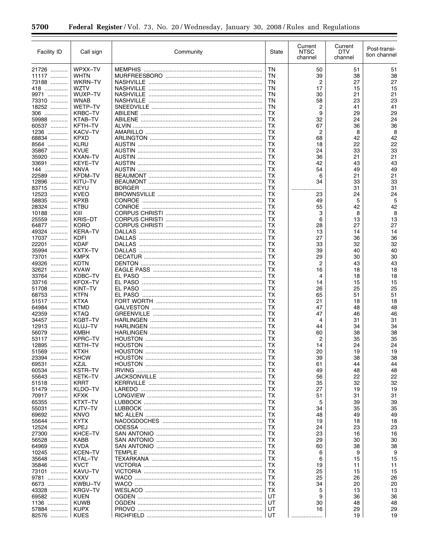| <b>Facility ID</b> | Call sign                     | Community                        | State    | Current<br><b>NTSC</b><br>channel | Current<br>DTV<br>channel | Post-transi-<br>tion channel |
|--------------------|-------------------------------|----------------------------------|----------|-----------------------------------|---------------------------|------------------------------|
| 21726              | WPXX-TV                       |                                  | ΤN       | 50                                | 51                        | 51                           |
| 11117              | <b>WHTN</b>                   |                                  | ΤN       | 39                                | 38                        | 38                           |
| 73188              | WKRN-TV                       |                                  | ΤN       | 2                                 | 27                        | 27                           |
| 418<br>9971        | <b>WZTV</b><br>WUXP-TV        |                                  | ΤN<br>ΤN | 17<br>30                          | 15<br>21                  | 15<br>21                     |
| 73310              | <b>WNAB</b>                   |                                  | ΤN       | 58                                | 23                        | 23                           |
| 18252              | WETP-TV                       |                                  | ΤN       | 2                                 | 41                        | 41                           |
| 306                | <b>KRBC-TV</b>                |                                  | ТX       | 9                                 | 29                        | 29                           |
| 59988              | KTAB-TV                       |                                  | тх       | 32                                | 24                        | 24                           |
| 60537              | KFTH-TV                       |                                  | тх       | 67                                | 36                        | 36                           |
| 1236<br>68834      | KACV-TV<br><b>KPXD</b>        |                                  | тх<br>тх | 2<br>68                           | 8<br>42                   | 8<br>42                      |
| 8564               | KLRU                          |                                  | тх       | 18                                | 22                        | 22                           |
| 35867              | <b>KVUE</b>                   |                                  | ТX       | 24                                | 33                        | 33                           |
| 35920              | <b>KXAN-TV</b>                |                                  | ТX       | 36                                | 21                        | 21                           |
| 33691              | <b>KEYE-TV</b>                |                                  | ТX       | 42                                | 43                        | 43                           |
| 144                | <b>KNVA</b>                   |                                  | ТX       | 54                                | 49                        | 49                           |
| 22589<br>12896     | <b>KFDM-TV</b><br>KITU-TV     |                                  | ТX<br>ТX | 6<br>34                           | 21<br>33                  | 21<br>33                     |
| 83715              | <b>KEYU</b>                   |                                  | ТX       |                                   | 31                        | 31                           |
| 12523              | <b>KVEO</b>                   |                                  | ТX       | 23                                | 24                        | 24                           |
| 58835              | <b>KPXB</b>                   | <b>CONROE</b>                    | ТX       | 49                                | 5                         | 5                            |
| 28324              | <b>KTBU</b>                   | CONROE                           | ТX       | 55                                | 42                        | 42                           |
| 10188              | KIII                          |                                  | ТX       | 3                                 | 8                         | 8                            |
| 25559<br>64877     | <b>KRIS-DT</b><br><b>KORO</b> |                                  | ТX<br>ТX | 6                                 | 13<br>27                  | 13<br>27                     |
| 49324              | <b>KERA-TV</b>                |                                  | ТX       | 28<br>13                          | 14                        | 14                           |
| 17037              | <b>KDFI</b>                   |                                  | ТX       | 27                                | 36                        | 36                           |
| 22201<br>.         | <b>KDAF</b>                   |                                  | ТX       | 33                                | 32                        | 32                           |
| 35994              | KXTX-TV                       |                                  | ТX       | 39                                | 40                        | 40                           |
| 73701<br>.         | <b>KMPX</b>                   |                                  | ТX       | 29                                | 30                        | 30                           |
| 49326              | <b>KDTN</b>                   |                                  | ТX       | 2                                 | 43                        | 43                           |
| 32621<br>.         | <b>KVAW</b><br>KDBC-TV        |                                  | ТX<br>ТX | 16<br>4                           | 18                        | 18                           |
| 33764<br>33716     | <b>KFOX-TV</b>                |                                  | ТX       | 14                                | 18<br>15                  | 18<br>15                     |
| 51708<br>.         | KINT-TV                       |                                  | ТX       | 26                                | 25                        | 25                           |
| 68753              | <b>KTFN</b>                   |                                  | ТX       | 65                                | 51                        | 51                           |
| 51517              | <b>KTXA</b>                   |                                  | ТX       | 21                                | 18                        | 18                           |
| 64984              | <b>KTMD</b>                   |                                  | ТX       | 47                                | 48                        | 48                           |
| 42359              | <b>KTAQ</b>                   |                                  | ТX       | 47                                | 46                        | 46                           |
| 34457<br>12913     | <b>KGBT-TV</b><br>KLUJ-TV     |                                  | ТX<br>ТX | 4<br>44                           | 31<br>34                  | 31<br>34                     |
| 56079              | <b>KMBH</b>                   |                                  | ТX       | 60                                | 38                        | 38                           |
| 53117<br>.         | <b>KPRC-TV</b>                |                                  | ТX       | 2                                 | 35                        | 35                           |
| 12895<br>.         | <b>KETH-TV</b>                |                                  | ТX       | 14                                | 24                        | 24                           |
| 51569              | <b>KTXH</b>                   | <b>HOUSTON</b>                   | ТX       | 20                                | 19                        | 19                           |
| 23394              | <b>KHCW</b>                   |                                  | тх       | 39                                | 38                        | 38                           |
| 69531<br>.         | KZJL                          |                                  | тх       | 61                                | 44                        | 44                           |
| 60534<br>55643     | <b>KSTR-TV</b><br>KETK-TV     |                                  | ТX<br>ТX | 49<br>56                          | 48<br>22                  | 48<br>22                     |
| 51518              | <b>KRRT</b>                   |                                  | ΤХ       | 35                                | 32                        | 32                           |
| 51479              | KLDO-TV                       |                                  | тх       | 27                                | 19                        | 19                           |
| 70917              | KFXK                          |                                  | тх       | 51                                | 31                        | 31                           |
| 65355              | KTXT-TV                       |                                  | ТX       | 5                                 | 39                        | 39                           |
| 55031<br>.         | KJTV-TV                       |                                  | тх       | 34                                | 35                        | 35                           |
| 69692<br>55644     | <b>KNVO</b><br><b>KYTX</b>    |                                  | ТX<br>тх | 48<br>19                          | 49<br>18                  | 49<br>18                     |
| 12524              | KPEJ                          | ODESSA ………………………………………………………………… | ТX       | 24                                | 23                        | 23                           |
| 27300              | KHCE-TV                       |                                  | тх       | 23                                | 16                        | 16                           |
| 56528              | KABB                          |                                  | тх       | 29                                | 30                        | 30                           |
| 64969              | <b>KVDA</b>                   |                                  | тх       | 60                                | 38                        | 38                           |
| 10245              | <b>KCEN-TV</b>                |                                  | ТX       | 6                                 | 9                         | 9                            |
| 35648              | KTAL-TV                       |                                  | ТX       | 6                                 | 15                        | 15                           |
| 35846<br>73101     | <b>KVCT</b><br>KAVU-TV        |                                  | тх<br>тх | 19<br>25                          | 11<br>15                  | 11<br>15                     |
| 9781               | <b>KXXV</b>                   |                                  | ТX       | 25                                | 26                        | 26                           |
| 6673               | KWBU-TV                       |                                  | ТX       | 34                                | 20                        | 20                           |
| 43328              | <b>KRGV-TV</b>                |                                  | ТX       | 5                                 | 13                        | 13                           |
| 69582              | <b>KUEN</b>                   |                                  | UT       | 9                                 | 36                        | 36                           |
| 1136               | KUWB                          |                                  | UT       | 30                                | 48                        | 48                           |
| 57884              | <b>KUPX</b>                   |                                  | UT       | 16                                | 29<br>19                  | 29                           |
| 82576              | <b>KUES</b>                   |                                  |          |                                   |                           | 19                           |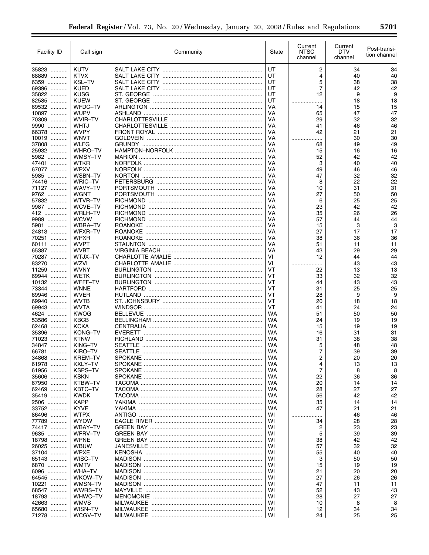| Facility ID         | Call sign                  | Community       | State           | Current<br><b>NTSC</b><br>channel | Current<br><b>DTV</b><br>channel | Post-transi-<br>tion channel |
|---------------------|----------------------------|-----------------|-----------------|-----------------------------------|----------------------------------|------------------------------|
| 35823               | <b>KUTV</b>                |                 | UT              | 2                                 | 34                               | 34                           |
| 68889               | <b>KTVX</b>                |                 | UT              | 4                                 | 40                               | 40                           |
| 6359                | <b>KSL-TV</b>              |                 | UT              | 5                                 | 38                               | 38                           |
| 69396               | <b>KUED</b>                |                 | UT              | $\overline{7}$                    | 42                               | 42                           |
| 35822               | KUSG                       | ST. GEORGE      | UT              | 12                                | 9                                | 9                            |
| 82585<br>.          | <b>KUEW</b>                |                 | UT              |                                   | 18                               | 18                           |
| 69532               | WFDC-TV                    |                 | VA              | 14                                | 15                               | 15                           |
| 10897               | <b>WUPV</b>                |                 | VA              | 65                                | 47                               | 47                           |
| 70309               | WVIR-TV                    |                 | VA              | 29                                | 32                               | 32                           |
| 9990                | WHTJ                       |                 | VA              | 41                                | 46                               | 46                           |
| 66378<br>10019      | <b>WVPY</b><br><b>WNVT</b> |                 | VA<br>VA        | 42                                | 21<br>30                         | 21<br>30                     |
| .<br>37808          | WLFG                       |                 | VA              | .<br>68                           | 49                               | 49                           |
| 25932               | <b>WHRO-TV</b>             |                 | VA              | 15                                | 16                               | 16                           |
| 5982                | WMSY-TV                    |                 | VA              | 52                                | 42                               | 42                           |
| 47401               | <b>WTKR</b>                |                 | VA              | 3                                 | 40                               | 40                           |
| 67077               | WPXV                       |                 | VA              | 49                                | 46                               | 46                           |
| 5985<br>.           | WSBN-TV                    |                 | VA              | 47                                | 32                               | 32                           |
| 74416               | <b>WRIC-TV</b>             |                 | VA              | 8                                 | 22                               | 22                           |
| 71127               | WAVY–TV                    |                 | VA              | 10                                | 31                               | 31                           |
| 9762                | WGNT                       |                 | VA              | 27                                | 50                               | 50                           |
| 57832               | WTVR-TV                    |                 | VA              | 6                                 | 25                               | 25                           |
| 9987                | WCVE-TV                    |                 | VA              | 23                                | 42                               | 42                           |
| 412                 | <b>WRLH-TV</b>             |                 | VA              | 35                                | 26                               | 26                           |
| 9989                | <b>WCVW</b>                |                 | VA              | 57                                | 44                               | 44                           |
| 5981                | <b>WBRA-TV</b>             |                 | VA              | 15                                | 3                                | 3                            |
| 24813               | WFXR-TV                    | <b>ROANOKE</b>  | VA              | 27                                | 17                               | 17                           |
| 70251               | <b>WPXR</b><br><b>WVPT</b> |                 | VA<br>VA        | 38<br>51                          | 36<br>11                         | 36<br>11                     |
| 60111<br>65387      | WVBT                       |                 | VA              | 43                                | 29                               | 29                           |
| 70287               | WTJX-TV                    |                 | VI              | 12                                | 44                               | 44                           |
| 83270<br>.          | WZVI                       |                 | VI              | .<br>                             | 43                               | 43                           |
| 11259               | <b>WVNY</b>                |                 | VT              | 22                                | 13                               | 13                           |
| 69944<br>.          | WETK                       |                 | VT              | 33                                | 32                               | 32                           |
| 10132               | WFFF-TV                    |                 | VT              | 44                                | 43                               | 43                           |
| 73344<br>.          | <b>WNNE</b>                |                 | VT              | 31                                | 25                               | 25                           |
| 69946               | WVER                       | RUTLAND         | VT              | 28                                | 9                                | 9                            |
| 69940               | <b>WVTB</b>                |                 | VT              | 20                                | 18                               | 18                           |
| 69943               | <b>WVTA</b>                |                 | VT              | 41                                | 24                               | 24                           |
| 4624                | <b>KWOG</b>                | <b>BELLEVUE</b> | <b>WA</b>       | 51                                | 50                               | 50                           |
| 53586               | <b>KBCB</b>                |                 | <b>WA</b>       | 24                                | 19                               | 19                           |
| 62468<br>.          | <b>KCKA</b>                |                 | WA              | 15                                | 19                               | 19                           |
| 35396               | KONG-TV                    |                 | <b>WA</b>       | 16                                | 31                               | 31                           |
| 71023<br>.          | <b>KTNW</b>                |                 | WA              | 31                                | 38                               | 38<br>48                     |
| 34847<br>66781<br>. | KING-TV<br>KIRO-TV         |                 | WA<br><b>WA</b> | 5<br>7                            | 48<br>39                         | 39                           |
| 34868               | <b>KREM-TV</b>             |                 | WA              | 2                                 | 20                               | 20                           |
| 61978               | KXLY-TV                    |                 | WA              | 4                                 | 13                               | 13                           |
| 61956               | <b>KSPS-TV</b>             |                 | WA              | $\overline{7}$                    | 8                                | 8                            |
| 35606               | <b>KSKN</b>                |                 | WA              | 22                                | 36                               | 36                           |
| 67950               | KTBW-TV                    |                 | WA              | 20                                | 14                               | 14                           |
| 62469               | KBTC-TV                    |                 | WA              | 28                                | 27                               | 27                           |
| 35419               | <b>KWDK</b>                |                 | WA              | 56                                | 42                               | 42                           |
| 2506                | <b>KAPP</b>                |                 | WA              | 35                                | 14                               | 14                           |
| 33752               | <b>KYVE</b>                |                 | WA              | 47                                | 21                               | 21                           |
| 86496               | WTPX                       |                 | WI              | <br>.                             | 46                               | 46                           |
| 77789               | <b>WYOW</b>                |                 | WI              | 34                                | 28                               | 28                           |
| 74417               | WBAY-TV                    |                 | WI              | 2                                 | 23                               | 23                           |
| 9635                | WFRV-TV                    |                 | WI              | 5                                 | 39                               | 39                           |
| 18798               | WPNE                       |                 | WI              | 38                                | 42                               | 42                           |
| 26025               | WBUW                       |                 | WI              | 57                                | 32                               | 32                           |
| 37104               | WPXE<br>WISC-TV            |                 | WI              | 55                                | 40                               | 40                           |
| 65143<br>6870       | WMTV                       |                 | WI<br>WI        | 3<br>15                           | 50                               | 50<br>19                     |
| 6096                | WHA-TV                     |                 | WI              | 21                                | 19<br>20                         | 20                           |
| 64545               | WKOW-TV                    |                 | WI              | 27                                | 26                               | 26                           |
| 10221               | WMSN-TV                    |                 | WI              | 47                                | 11                               | 11                           |
| 68547               | WWRS–TV                    |                 | WI              | 52                                | 43                               | 43                           |
| 18793               | WHWC-TV                    |                 | WI              | 28                                | 27                               | 27                           |
| 42663               | WMVS                       |                 | WI              | 10                                | 8                                | 8                            |
| 65680               | WISN-TV                    |                 | WI              | 12                                | 34                               | 34                           |
| 71278               | WCGV-TV                    |                 | WI              | 24                                | 25                               | 25                           |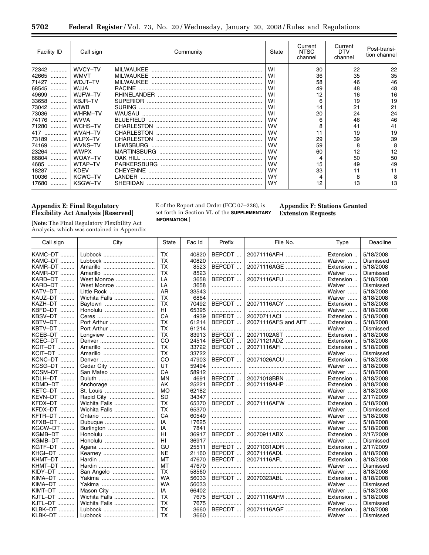| Facility ID | Call sign      | Community         | State     | Current<br><b>NTSC</b><br>channel | Current<br><b>DTV</b><br>channel | Post-transi-<br>tion channel |
|-------------|----------------|-------------------|-----------|-----------------------------------|----------------------------------|------------------------------|
| 72342<br>.  | WVCY-TV        | <b>MILWAUKEE</b>  | WI        | 30                                | 22                               | 22                           |
| 42665<br>.  | <b>WMVT</b>    | <b>MILWAUKEE</b>  | WI        | 36                                | 35                               | 35                           |
| 71427<br>.  | WDJT-TV        | MILWAUKEE         | WI        | 58                                | 46                               | 46                           |
| 68545<br>.  | WJJA           | <b>RACINE</b>     | WI        | 49                                | 48                               | 48                           |
| 49699<br>.  | WJFW-TV        |                   | WI        | 12                                | 16                               | 16                           |
| 33658<br>.  | KBJR-TV        |                   | WI        | 6                                 | 19                               | 19                           |
| 73042<br>.  | <b>WIWB</b>    | <b>SURING</b>     | WI        | 14                                | 21                               | 21                           |
| 73036<br>.  | WHRM-TV        | WAUSAU            | WI        | 20                                | 24                               | 24                           |
| 74176<br>.  | <b>WVVA</b>    | BLUEFIELD         | <b>WV</b> | 6                                 | 46                               | 46                           |
| 71280       | WCHS-TV        |                   | <b>WV</b> |                                   | 41                               | 41                           |
| 417         | WVAH-TV        | <b>CHARLESTON</b> | <b>WV</b> |                                   | 19                               | 19                           |
| 73189       | WLPX-TV        | <b>CHARLESTON</b> | <b>WV</b> | 29                                | 39                               | 39                           |
| 74169       | WVNS-TV        | <b>LEWISBURG</b>  | <b>WV</b> | 59                                | 8                                | 8                            |
| 23264<br>.  | <b>WWPX</b>    |                   | <b>WV</b> | 60                                | 12                               | 12                           |
| 66804<br>.  | <b>WOAY-TV</b> | OAK HILL          | <b>WV</b> |                                   | 50                               | 50                           |
| 4685<br>.   | WTAP-TV        |                   | <b>WV</b> | 15                                | 49                               | 49                           |
| 18287<br>.  | <b>KDFV</b>    | <b>CHEYENNE</b>   | <b>WY</b> | 33                                | 11                               | 11                           |
| 10036<br>.  | <b>KCWC-TV</b> | LANDER            | <b>WY</b> |                                   | 8                                | 8                            |
| 17680<br>.  | <b>KSGW-TV</b> | SHERIDAN          | <b>WY</b> | 12                                | 13                               | 13                           |

## **Appendix E: Final Regulatory Flexibility Act Analysis [Reserved]**

۳

**[Note:** The Final Regulatory Flexibility Act Analysis, which was contained in Appendix E of the Report and Order (FCC 07–228), is set forth in Section VI. of the **SUPPLEMENTARY INFORMATION**.]

**Appendix F: Stations Granted Extension Requests** 

| Call sign      | City          | State     | Fac Id | Prefix | File No.            | Type      | Deadline  |
|----------------|---------------|-----------|--------|--------|---------------------|-----------|-----------|
| KAMC-DT        | Lubbock       | <b>TX</b> | 40820  | BEPCDT | 20071116AFH         | Extension | 5/18/2008 |
| KAMC-DT        | Lubbock       | ТX        | 40820  |        |                     | Waiver    | Dismissed |
| KAMR-DT        |               | <b>TX</b> | 8523   | BEPCDT | 20071116AGE         | Extension | 5/18/2008 |
| KAMR-DT        |               | ТX        | 8523   | .      |                     | Waiver    | Dismissed |
| KARD-DT        | West Monroe   | LA        | 3658   | BEPCDT | 20071116AFU         | Extension | 5/18/2008 |
| KARD-DT<br>.   | West Monroe   | LA        | 3658   | .      |                     | Waiver    | Dismissed |
| KATV-DT        | Little Rock   | AR        | 33543  | .      |                     | Waiver    | 5/18/2008 |
| KAUZ-DT        | Wichita Falls | <b>TX</b> | 6864   | .      |                     | Waiver    | 8/18/2008 |
| KAZH-DT<br>.   | Baytown       | ТX        | 70492  | BEPCDT | 20071116ACY         | Extension | 5/18/2008 |
| KBFD-DT<br>.   |               | HI.       | 65395  |        |                     | Waiver    | 8/18/2008 |
| KBSV-DT<br>.   |               | CA        | 4939   | BEPEDT | 20070711ACI         | Extension | 5/18/2008 |
| <b>KBTV-DT</b> | Port Arthur   | ТX        | 61214  | BEPCDT | 20071116AFS and AFT | Extension | 5/18/2008 |
| KBTV-DT        | Port Arthur   | ТX        | 61214  | .      |                     | Waiver    | Dismissed |
| KCEB-DT        | Longview      | <b>TX</b> | 83913  | BEPCDT | 20071102AST         | Extension | 8/18/2008 |
| KCEC-DT        |               | CO        | 24514  | BEPCDT | 20071121ADZ         | Extension | 5/18/2008 |
| KCIT-DT        |               | <b>TX</b> | 33722  | BEPCDT | 20071116AFL         | Extension | 5/18/2008 |
| KCIT-DT        |               | <b>TX</b> | 33722  | .      |                     | Waiver    | Dismissed |
| KCNC-DT        |               | CO        | 47903  | BEPCDT | 20071026ACU         | Extension | 5/18/2008 |
| KCSG-DT        | Cedar City    | UT        | 59494  | .      |                     | Waiver    | 8/18/2008 |
| KCSM–DT        | San Mateo     | CA        | 58912  | .      |                     | Waiver    | 5/18/2008 |
| KDLH-DT        |               | MN        | 4691   | BEPCDT | 20071018BBN         | Extension | 8/18/2008 |
| KDMD-DT        | Anchorage     | AK        | 25221  | BEPCDT | 20071119AHP         | Extension | 8/18/2008 |
| KETC-DT<br>.   | St. Louis     | <b>MO</b> | 62182  | .      |                     | Waiver    | 8/18/2008 |
| KEVN-DT<br>.   | Rapid City    | <b>SD</b> | 34347  | .      |                     | Waiver    | 2/17/2009 |
| KFDX-DT        | Wichita Falls | ТX        | 65370  | BEPCDT | 20071116AFW         | Extension | 5/18/2008 |
| KFDX-DT        | Wichita Falls | <b>TX</b> | 65370  | .      |                     | Waiver    | Dismissed |
| KFTR-DT        |               | CA        | 60549  | .      |                     | Waiver    | 5/18/2008 |
| <b>KFXB-DT</b> | Dubuque       | IA        | 17625  | .      |                     | Waiver    | 5/18/2008 |
| KGCW-DT        | Burlington    | IA        | 7841   | .      |                     | Waiver    | 5/18/2008 |
| KGMB-DT        |               | HI        | 36917  | BEPCDT | 20070911ABX         | Extension | 2/17/2009 |
| KGMB-DT        | Honolulu      | HI        | 36917  | .      |                     | Waiver    | Dismissed |
| KGTF-DT        |               | GU        | 25511  | BEPEDT | 20071031ADR         | Extension | 2/17/2009 |
| KHGI-DT        |               | <b>NE</b> | 21160  | BEPCDT | 20071116ADL         | Extension | 8/18/2008 |
| KHMT-DT        |               | MT        | 47670  | BEPCDT | 20071116AFL         | Extension | 8/18/2008 |
| KHMT-DT        |               | MT        | 47670  | .      |                     | Waiver    | Dismissed |
| KIDY-DT        | San Angelo    | TX        | 58560  | .      |                     | Waiver    | 8/18/2008 |
| KIMA-DT        |               | <b>WA</b> | 56033  | BEPCDT | 20070323ABL         | Extension | 8/18/2008 |
| KIMA-DT        |               | <b>WA</b> | 56033  | .      |                     | Waiver    | Dismissed |
| KIMT-DT        | Mason City    | IA        | 66402  | .      |                     | Waiver    | 5/18/2008 |
| KJTL-DT        | Wichita Falls | ТX        | 7675   | BEPCDT | 20071116AFM         | Extension | 5/18/2008 |
| KJTL-DT        | Wichita Falls | <b>TX</b> | 7675   | .      |                     | Waiver    | Dismissed |
| KLBK-DT        | Lubbock       | <b>TX</b> | 3660   | BEPCDT | 20071116AGF         | Extension | 8/18/2008 |
| KLBK-DT        | Lubbock       | <b>TX</b> | 3660   |        |                     | Waiver    | Dismissed |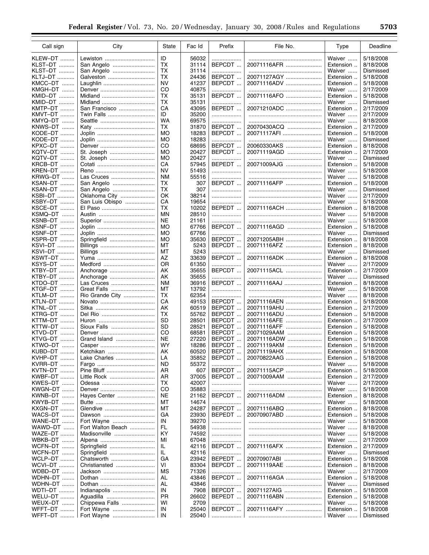▀

| Call sign         | City              | State     | Fac Id | Prefix        | File No.    | Type               | Deadline  |
|-------------------|-------------------|-----------|--------|---------------|-------------|--------------------|-----------|
| KLEW-DT           | Lewiston          | ID        | 56032  |               |             | Waiver             | 5/18/2008 |
| KLST-DT           |                   | ТX        |        | .<br>BEPCDT   | 20071116AFR | Extension          |           |
|                   | San Angelo        |           | 31114  |               |             |                    | 8/18/2008 |
| KLST–DT           | San Angelo        | <b>TX</b> | 31114  | .             |             | Waiver             | Dismissed |
| KLTJ-DT           | Galveston         | ТX        | 24436  | BEPCDT        | 20071127AGY | Extension          | 5/18/2008 |
| KMCC–DT           |                   | <b>NV</b> | 41237  | BEPCDT        | 20071116ADV | Extension          | 5/18/2008 |
| KMGH-DT           |                   | CO        | 40875  | .             |             | Waiver             | 2/17/2009 |
| KMID–DT           |                   | ТX        | 35131  | BEPCDT        | 20071116AFO | Extension          | 5/18/2008 |
| KMID–DT           |                   | ТX        | 35131  | .             |             | Waiver             | Dismissed |
| KMTP-DT<br>.      | San Francisco     | CA        | 43095  | BEPEDT        | 20071210ADC | Extension          | 2/17/2009 |
| KMVT–DT           | Twin Falls        | ID        | 35200  | .             |             | Waiver             | 2/17/2009 |
| KMYQ–DT ……        |                   | WA        | 69575  | .             |             | Waiver             | 8/18/2008 |
| KNWS-DT           |                   | ТX        | 31870  | BEPCDT        | 20070430ACQ | Extension          | 2/17/2009 |
| KODE-DT<br>.      |                   | МO        | 18283  | BEPCDT        | 20071117AFI | Extension          | 5/18/2008 |
| KODE–DT<br>.      |                   | <b>MO</b> | 18283  | .             |             | Waiver             | Dismissed |
| KPXC-DT           |                   | CO        | 68695  | BEPCDT        | 20060330AKS | Extension          | 8/18/2008 |
| KQTV-DT           | St. Joseph        | <b>MO</b> | 20427  | BEPCDT        | 20071119AGD | Extension          | 2/17/2009 |
| KQTV-DT           | St. Joseph        | MO        | 20427  | .             |             | Waiver             | Dismissed |
| KRCB-DT           |                   | СA        | 57945  | BEPEDT        | 20071009AJG | Extension          | 5/18/2008 |
| KREN-DT           |                   | <b>NV</b> | 51493  | .             |             | Waiver             | 5/18/2008 |
| KRWG-DT           | Las Cruces        | NM        | 55516  | .             |             | Waiver             | 5/18/2008 |
|                   |                   | ТX        |        | BEPCDT        | 20071116AFP | Extension          | 5/18/2008 |
| KSAN–DT ………       | San Angelo        |           | 307    |               |             |                    |           |
| KSAN-DT           | San Angelo        | ТX        | 307    | .             |             | Waiver             | Dismissed |
| KSBI–DT ……….      | Oklahoma City     | OK        | 38214  | .             |             | Waiver             | 2/17/2009 |
| KSBY–DT ………       | San Luis Obispo   | CА        | 19654  | .             |             | Waiver             | 5/18/2008 |
| KSCE–DT           |                   | ТX        | 10202  | BEPEDT        | 20071116ACH | Extension          | 8/18/2008 |
| KSMQ-DT           |                   | ΜN        | 28510  | .             |             | Waiver             | 5/18/2008 |
| KSNB-DT           | Superior          | NE        | 21161  | .             |             | Waiver             | 5/18/2008 |
| KSNF-DT<br>.      |                   | MO        | 67766  | BEPCDT        | 20071116AGD | Extension          | 5/18/2008 |
| KSNF–DT<br>.      |                   | MO        | 67766  | .             |             | Waiver             | Dismissed |
| KSPR-DT           | Springfield       | MO        | 35630  | BEPCDT        | 20071205ABH | Extension          | 8/18/2008 |
| KSVI–DT           |                   | МT        | 5243   | BEPCDT        | 20071116AFZ | Extension          | 8/18/2008 |
| KSVI-DT           |                   | МT        | 5243   | .             |             | Waiver             | Dismissed |
| KSWT–DT           |                   | AZ        | 33639  | BEPCDT        | 20071116ADK | Extension          | 8/18/2008 |
| KSYS-DT           | Medford           | <b>OR</b> | 61350  | .             |             | Waiver             | 2/17/2009 |
| KTBY-DT           | Anchorage         | AK        | 35655  | BEPCDT        | 20071115ACL | Extension          | 2/17/2009 |
| KTBY-DT           | Anchorage         | AK        | 35655  | .             |             | Waiver             | Dismissed |
| KTDO–DT<br>.      | Las Cruces        | ΝM        | 36916  | BEPCDT        | 20071116AAJ | Extension          | 8/18/2008 |
| KTGF-DT<br>.      | Great Falls       | МT        | 13792  | .             |             | Waiver             | 5/18/2008 |
| KTLM-DT<br>.      | Rio Grande City   | ТX        | 62354  | .             |             | Waiver             | 8/18/2008 |
| KTLN-DT           |                   | CA        | 49153  | BEPCDT        | 20071116AEN | Extension          | 5/18/2008 |
| KTNL-DT           |                   | AK        | 60519  | BEPCDT        | 20071119AHU | Extension          | 2/17/2009 |
| KTRG-DT           |                   | <b>TX</b> | 55762  | BEPCDT        | 20071116ADU | Extension          | 5/18/2008 |
| KTTM-DT           |                   | SD        | 28501  | BEPCDT        | 20071116AFE | Extension          | 2/17/2009 |
| .<br>KTTW-DT<br>. | Sioux Falls       | SD        | 28521  | BEPCDT        | 20071116AFF | Extension          | 5/18/2008 |
| KTVD–DT           |                   | CO        | 68581  | BEPCDT        | 20071029AAM | Extension          |           |
| .<br>KTVG-DT      |                   | <b>NE</b> |        |               |             |                    | 5/18/2008 |
|                   | Grand Island      |           | 27220  | BEPCDT        | 20071116ADW | Extension          | 5/18/2008 |
| KTWO–DT ……        |                   | <b>WY</b> | 18286  | BEPCDT        | 20071119AKM | Extension          | 5/18/2008 |
| KUBD-DT           | Ketchikan         | AK        | 60520  | <b>BEPCDT</b> | 20071119AHX | Extension          | 5/18/2008 |
| KVHP-DT           | Lake Charles      | LA        | 35852  | BEPCDT        | 20070822AAG | Extension          | 5/18/2008 |
| KVRR-DT           |                   | <b>ND</b> | 55372  | .             |             | Waiver             | 5/18/2008 |
| KVTN-DT<br>.      | Pine Bluff        | AR        | 607    | BEPCDT        | 20071115ACP | Extension          | 5/18/2008 |
| KWBF–DT           | Little Rock       | AR        | 37005  | BEPCDT        | 20071009AAM | Extension          | 2/17/2009 |
| KWES–DT ……        |                   | ТX        | 42007  | .             |             | Waiver             | 2/17/2009 |
| KWGN-DT           |                   | CO        | 35883  | .             |             | Waiver             | 5/18/2008 |
| KWNB-DT           | Hayes Center      | NE        | 21162  | BEPCDT        | 20071116ADM | Extension          | 8/18/2008 |
| KWYB–DT ……        |                   | МT        | 14674  | .             | 1.1.1.1     | Waiver             | 5/18/2008 |
| KXGN-DT           | Glendive          | МT        | 24287  | BEPCDT        | 20071116ABQ | Extension          | 8/18/2008 |
| WACS–DT           | Dawson            | GA        | 23930  | BEPEDT        | 20070907ABD | Extension          | 5/18/2008 |
| WANE-DT           | Fort Wayne        | IN        | 39270  | .             |             | Waiver             | 5/18/2008 |
| WAWD–DT           | Fort Walton Beach | FL        | 54938  | .             |             | Waiver<br>$\cdots$ | 8/18/2008 |
| WAZE–DT           | Madisonville      | ΚY        | 74592  | .             |             | Waiver             | 5/18/2008 |
| WBKB-DT           |                   | MI        | 67048  | .             |             | Waiver             | 2/17/2009 |
| WCFN–DT           | Springfield       | IL        | 42116  | BEPCDT        | 20071116AFX | Extension          | 2/17/2009 |
| WCFN–DT           | Springfield       | IL.       | 42116  |               |             | Waiver             | Dismissed |
|                   |                   | GA        |        | .             | 1.1.1.1     |                    |           |
| WCLP–DT           | Chatsworth        |           | 23942  | BEPEDT        | 20070907ABI | Extension          | 5/18/2008 |
| WCVI–DT           | Christiansted     | ٧I        | 83304  | BEPCDT        | 20071119AAE | Extension          | 8/18/2008 |
| WDBD-DT           | Jackson           | МS        | 71326  | .             |             | Waiver             | 2/17/2009 |
| WDHN-DT           |                   | AL        | 43846  | BEPCDT        | 20071116AGA | Extension          | 5/18/2008 |
| WDHN-DT           |                   | AL        | 43846  | .             |             | Waiver             | Dismissed |
| WDTI–DT           | Indianapolis      | IN        | 7908   | BEPCDT        | 20071127AIG | Extension          | 5/18/2008 |
| WELU–DT           |                   | <b>PR</b> | 26602  | BEPEDT        | 20071116ABN | Extension          | 5/18/2008 |
| WEUX-DT           | Chippewa Falls    | WI        | 2709   | .             | $\cdots$    | Waiver             | 5/18/2008 |
| WFFT–DT           | Fort Wayne        | IN        | 25040  | BEPCDT        | 20071116AFY | Extension          | 5/18/2008 |
| WFFT–DT           | Fort Wayne        | IN        | 25040  | .             |             | Waiver             | Dismissed |